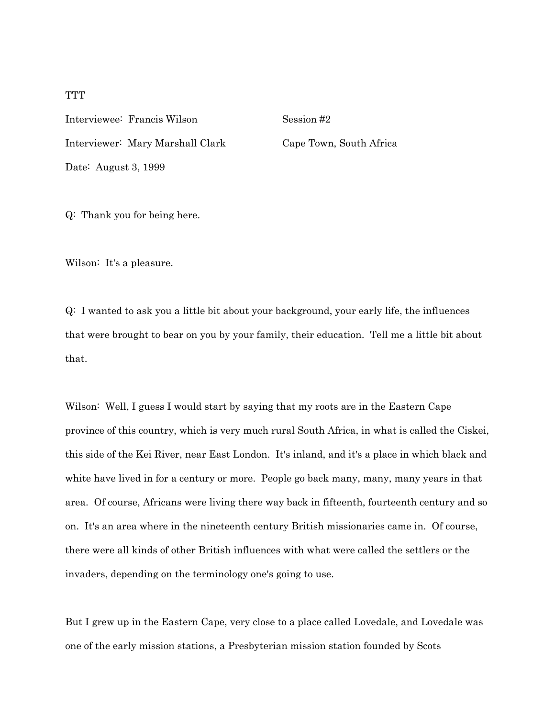Interviewee: Francis Wilson Session #2 Interviewer: Mary Marshall Clark Cape Town, South Africa Date: August 3, 1999

Q: Thank you for being here.

Wilson: It's a pleasure.

Q: I wanted to ask you a little bit about your background, your early life, the influences that were brought to bear on you by your family, their education. Tell me a little bit about that.

Wilson: Well, I guess I would start by saying that my roots are in the Eastern Cape province of this country, which is very much rural South Africa, in what is called the Ciskei, this side of the Kei River, near East London. It's inland, and it's a place in which black and white have lived in for a century or more. People go back many, many, many years in that area. Of course, Africans were living there way back in fifteenth, fourteenth century and so on. It's an area where in the nineteenth century British missionaries came in. Of course, there were all kinds of other British influences with what were called the settlers or the invaders, depending on the terminology one's going to use.

But I grew up in the Eastern Cape, very close to a place called Lovedale, and Lovedale was one of the early mission stations, a Presbyterian mission station founded by Scots

# **TTT**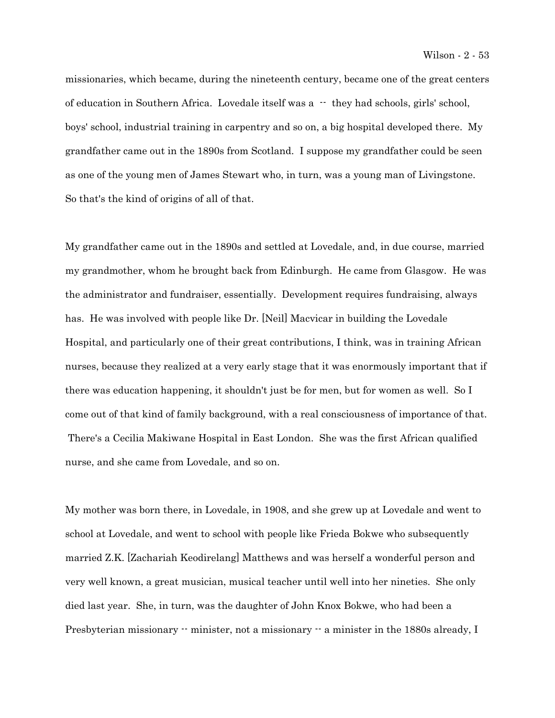missionaries, which became, during the nineteenth century, became one of the great centers of education in Southern Africa. Lovedale itself was a -- they had schools, girls' school, boys' school, industrial training in carpentry and so on, a big hospital developed there. My grandfather came out in the 1890s from Scotland. I suppose my grandfather could be seen as one of the young men of James Stewart who, in turn, was a young man of Livingstone. So that's the kind of origins of all of that.

My grandfather came out in the 1890s and settled at Lovedale, and, in due course, married my grandmother, whom he brought back from Edinburgh. He came from Glasgow. He was the administrator and fundraiser, essentially. Development requires fundraising, always has. He was involved with people like Dr. [Neil] Macvicar in building the Lovedale Hospital, and particularly one of their great contributions, I think, was in training African nurses, because they realized at a very early stage that it was enormously important that if there was education happening, it shouldn't just be for men, but for women as well. So I come out of that kind of family background, with a real consciousness of importance of that. There's a Cecilia Makiwane Hospital in East London. She was the first African qualified nurse, and she came from Lovedale, and so on.

My mother was born there, in Lovedale, in 1908, and she grew up at Lovedale and went to school at Lovedale, and went to school with people like Frieda Bokwe who subsequently married Z.K. [Zachariah Keodirelang] Matthews and was herself a wonderful person and very well known, a great musician, musical teacher until well into her nineties. She only died last year. She, in turn, was the daughter of John Knox Bokwe, who had been a Presbyterian missionary -- minister, not a missionary -- a minister in the 1880s already, I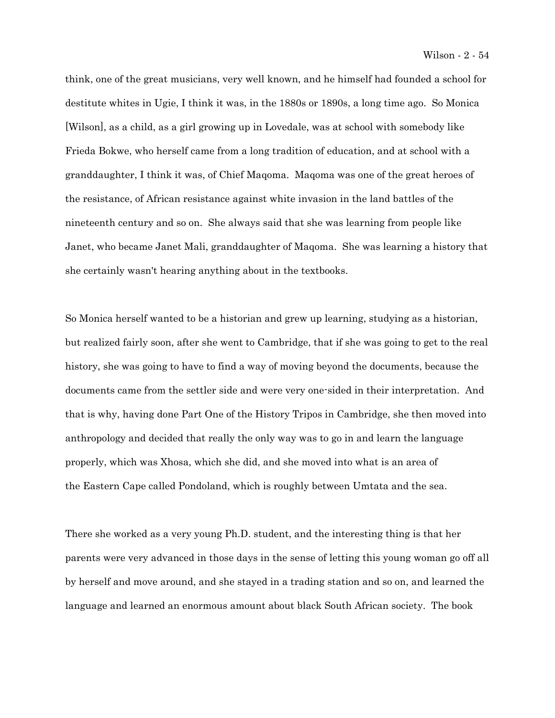think, one of the great musicians, very well known, and he himself had founded a school for destitute whites in Ugie, I think it was, in the 1880s or 1890s, a long time ago. So Monica [Wilson], as a child, as a girl growing up in Lovedale, was at school with somebody like Frieda Bokwe, who herself came from a long tradition of education, and at school with a granddaughter, I think it was, of Chief Maqoma. Maqoma was one of the great heroes of the resistance, of African resistance against white invasion in the land battles of the nineteenth century and so on. She always said that she was learning from people like Janet, who became Janet Mali, granddaughter of Maqoma. She was learning a history that she certainly wasn't hearing anything about in the textbooks.

So Monica herself wanted to be a historian and grew up learning, studying as a historian, but realized fairly soon, after she went to Cambridge, that if she was going to get to the real history, she was going to have to find a way of moving beyond the documents, because the documents came from the settler side and were very one-sided in their interpretation. And that is why, having done Part One of the History Tripos in Cambridge, she then moved into anthropology and decided that really the only way was to go in and learn the language properly, which was Xhosa, which she did, and she moved into what is an area of the Eastern Cape called Pondoland, which is roughly between Umtata and the sea.

There she worked as a very young Ph.D. student, and the interesting thing is that her parents were very advanced in those days in the sense of letting this young woman go off all by herself and move around, and she stayed in a trading station and so on, and learned the language and learned an enormous amount about black South African society. The book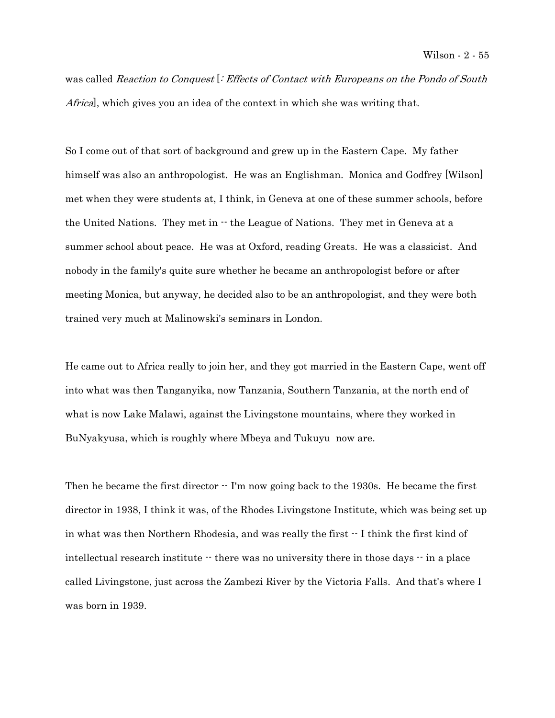was called Reaction to Conquest [: Effects of Contact with Europeans on the Pondo of South Africa], which gives you an idea of the context in which she was writing that.

So I come out of that sort of background and grew up in the Eastern Cape. My father himself was also an anthropologist. He was an Englishman. Monica and Godfrey [Wilson] met when they were students at, I think, in Geneva at one of these summer schools, before the United Nations. They met in -- the League of Nations. They met in Geneva at a summer school about peace. He was at Oxford, reading Greats. He was a classicist. And nobody in the family's quite sure whether he became an anthropologist before or after meeting Monica, but anyway, he decided also to be an anthropologist, and they were both trained very much at Malinowski's seminars in London.

He came out to Africa really to join her, and they got married in the Eastern Cape, went off into what was then Tanganyika, now Tanzania, Southern Tanzania, at the north end of what is now Lake Malawi, against the Livingstone mountains, where they worked in BuNyakyusa, which is roughly where Mbeya and Tukuyu now are.

Then he became the first director  $\cdot$  I'm now going back to the 1930s. He became the first director in 1938, I think it was, of the Rhodes Livingstone Institute, which was being set up in what was then Northern Rhodesia, and was really the first  $\cdot$  I think the first kind of intellectual research institute -- there was no university there in those days -- in a place called Livingstone, just across the Zambezi River by the Victoria Falls. And that's where I was born in 1939.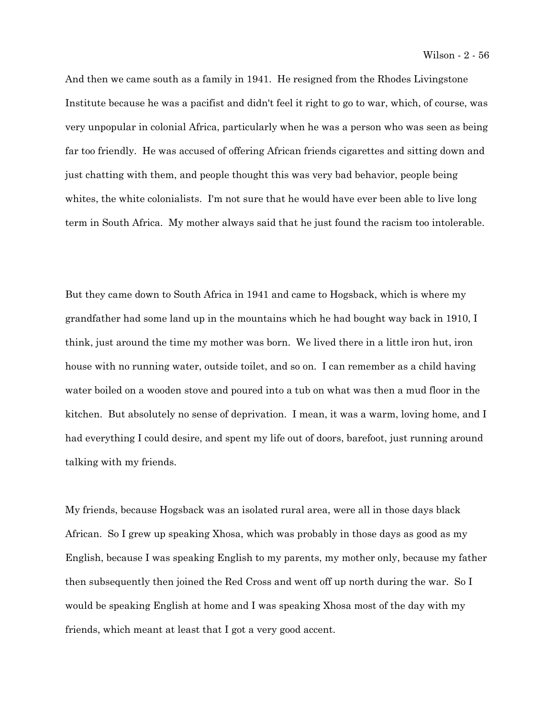And then we came south as a family in 1941. He resigned from the Rhodes Livingstone Institute because he was a pacifist and didn't feel it right to go to war, which, of course, was very unpopular in colonial Africa, particularly when he was a person who was seen as being far too friendly. He was accused of offering African friends cigarettes and sitting down and just chatting with them, and people thought this was very bad behavior, people being whites, the white colonialists. I'm not sure that he would have ever been able to live long term in South Africa. My mother always said that he just found the racism too intolerable.

But they came down to South Africa in 1941 and came to Hogsback, which is where my grandfather had some land up in the mountains which he had bought way back in 1910, I think, just around the time my mother was born. We lived there in a little iron hut, iron house with no running water, outside toilet, and so on. I can remember as a child having water boiled on a wooden stove and poured into a tub on what was then a mud floor in the kitchen. But absolutely no sense of deprivation. I mean, it was a warm, loving home, and I had everything I could desire, and spent my life out of doors, barefoot, just running around talking with my friends.

My friends, because Hogsback was an isolated rural area, were all in those days black African. So I grew up speaking Xhosa, which was probably in those days as good as my English, because I was speaking English to my parents, my mother only, because my father then subsequently then joined the Red Cross and went off up north during the war. So I would be speaking English at home and I was speaking Xhosa most of the day with my friends, which meant at least that I got a very good accent.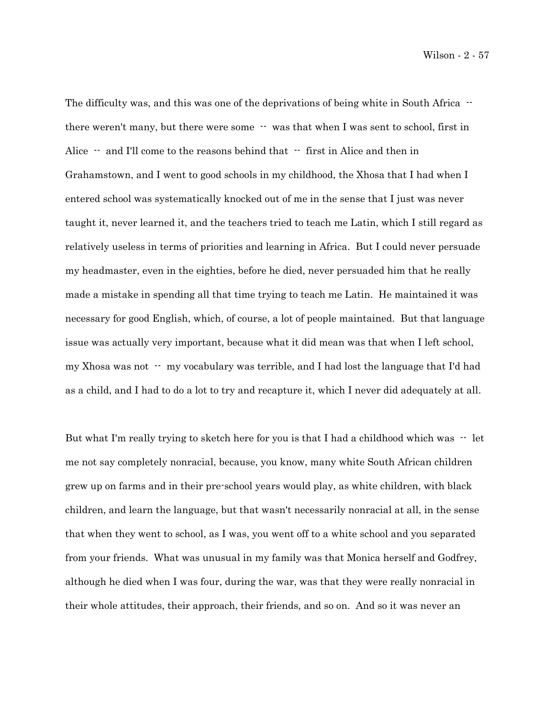Wilson - 2 - 57

The difficulty was, and this was one of the deprivations of being white in South Africa  $$ there weren't many, but there were some  $-$  was that when I was sent to school, first in Alice  $-$  and I'll come to the reasons behind that  $-$  first in Alice and then in Grahamstown, and I went to good schools in my childhood, the Xhosa that I had when I entered school was systematically knocked out of me in the sense that I just was never taught it, never learned it, and the teachers tried to teach me Latin, which I still regard as relatively useless in terms of priorities and learning in Africa. But I could never persuade my headmaster, even in the eighties, before he died, never persuaded him that he really made a mistake in spending all that time trying to teach me Latin. He maintained it was necessary for good English, which, of course, a lot of people maintained. But that language issue was actually very important, because what it did mean was that when I left school, my Xhosa was not -- my vocabulary was terrible, and I had lost the language that I'd had as a child, and I had to do a lot to try and recapture it, which I never did adequately at all.

But what I'm really trying to sketch here for you is that I had a childhood which was  $-$  let me not say completely nonracial, because, you know, many white South African children grew up on farms and in their pre-school years would play, as white children, with black children, and learn the language, but that wasn't necessarily nonracial at all, in the sense that when they went to school, as I was, you went off to a white school and you separated from your friends. What was unusual in my family was that Monica herself and Godfrey, although he died when I was four, during the war, was that they were really nonracial in their whole attitudes, their approach, their friends, and so on. And so it was never an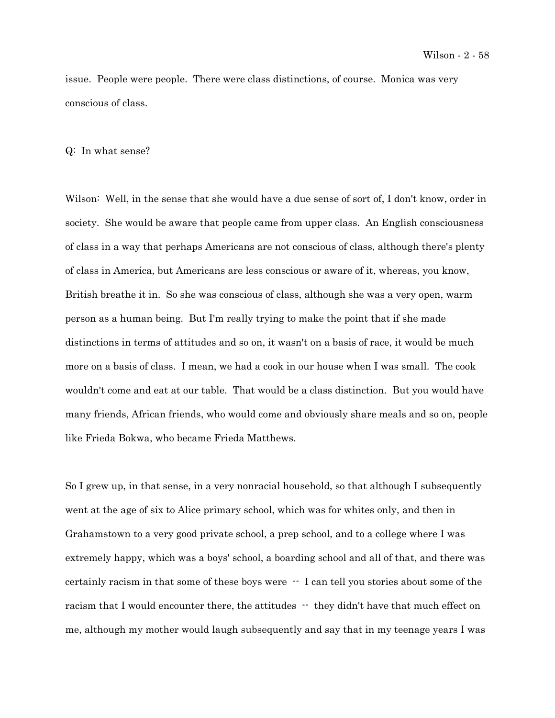issue. People were people. There were class distinctions, of course. Monica was very conscious of class.

## Q: In what sense?

Wilson: Well, in the sense that she would have a due sense of sort of, I don't know, order in society. She would be aware that people came from upper class. An English consciousness of class in a way that perhaps Americans are not conscious of class, although there's plenty of class in America, but Americans are less conscious or aware of it, whereas, you know, British breathe it in. So she was conscious of class, although she was a very open, warm person as a human being. But I'm really trying to make the point that if she made distinctions in terms of attitudes and so on, it wasn't on a basis of race, it would be much more on a basis of class. I mean, we had a cook in our house when I was small. The cook wouldn't come and eat at our table. That would be a class distinction. But you would have many friends, African friends, who would come and obviously share meals and so on, people like Frieda Bokwa, who became Frieda Matthews.

So I grew up, in that sense, in a very nonracial household, so that although I subsequently went at the age of six to Alice primary school, which was for whites only, and then in Grahamstown to a very good private school, a prep school, and to a college where I was extremely happy, which was a boys' school, a boarding school and all of that, and there was certainly racism in that some of these boys were  $\cdot$  I can tell you stories about some of the racism that I would encounter there, the attitudes  $-$  they didn't have that much effect on me, although my mother would laugh subsequently and say that in my teenage years I was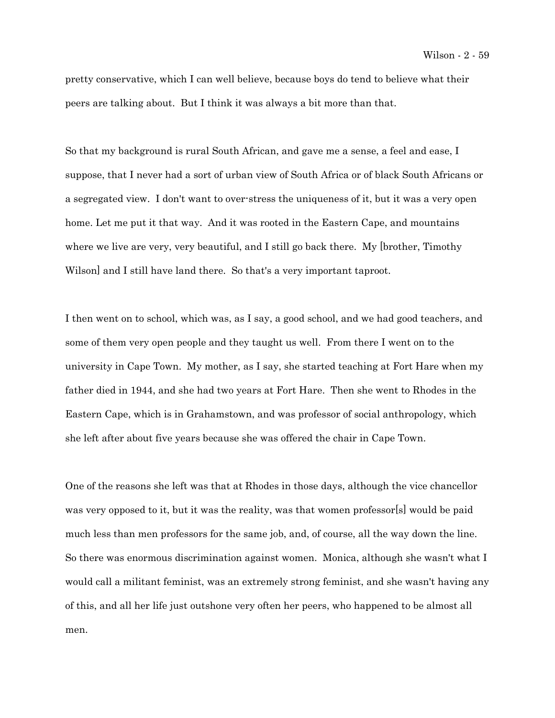pretty conservative, which I can well believe, because boys do tend to believe what their peers are talking about. But I think it was always a bit more than that.

So that my background is rural South African, and gave me a sense, a feel and ease, I suppose, that I never had a sort of urban view of South Africa or of black South Africans or a segregated view. I don't want to over-stress the uniqueness of it, but it was a very open home. Let me put it that way. And it was rooted in the Eastern Cape, and mountains where we live are very, very beautiful, and I still go back there. My [brother, Timothy] Wilson] and I still have land there. So that's a very important taproot.

I then went on to school, which was, as I say, a good school, and we had good teachers, and some of them very open people and they taught us well. From there I went on to the university in Cape Town. My mother, as I say, she started teaching at Fort Hare when my father died in 1944, and she had two years at Fort Hare. Then she went to Rhodes in the Eastern Cape, which is in Grahamstown, and was professor of social anthropology, which she left after about five years because she was offered the chair in Cape Town.

One of the reasons she left was that at Rhodes in those days, although the vice chancellor was very opposed to it, but it was the reality, was that women professor[s] would be paid much less than men professors for the same job, and, of course, all the way down the line. So there was enormous discrimination against women. Monica, although she wasn't what I would call a militant feminist, was an extremely strong feminist, and she wasn't having any of this, and all her life just outshone very often her peers, who happened to be almost all men.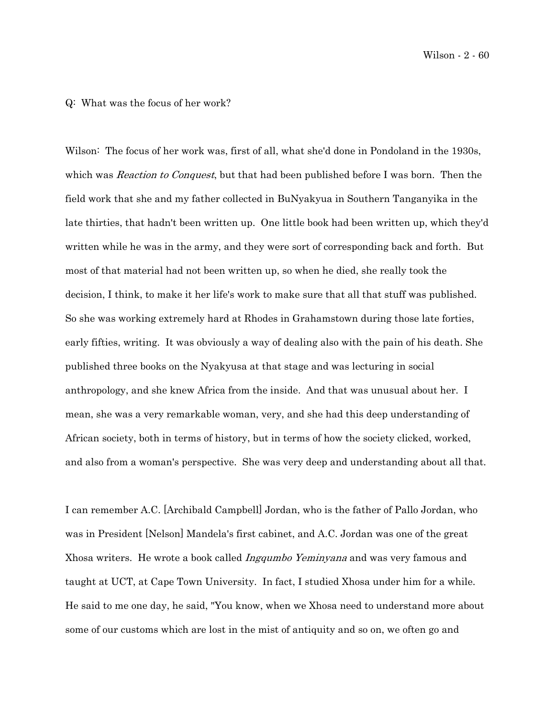Wilson - 2 - 60

### Q: What was the focus of her work?

Wilson: The focus of her work was, first of all, what she'd done in Pondoland in the 1930s, which was *Reaction to Conquest*, but that had been published before I was born. Then the field work that she and my father collected in BuNyakyua in Southern Tanganyika in the late thirties, that hadn't been written up. One little book had been written up, which they'd written while he was in the army, and they were sort of corresponding back and forth. But most of that material had not been written up, so when he died, she really took the decision, I think, to make it her life's work to make sure that all that stuff was published. So she was working extremely hard at Rhodes in Grahamstown during those late forties, early fifties, writing. It was obviously a way of dealing also with the pain of his death. She published three books on the Nyakyusa at that stage and was lecturing in social anthropology, and she knew Africa from the inside. And that was unusual about her. I mean, she was a very remarkable woman, very, and she had this deep understanding of African society, both in terms of history, but in terms of how the society clicked, worked, and also from a woman's perspective. She was very deep and understanding about all that.

I can remember A.C. [Archibald Campbell] Jordan, who is the father of Pallo Jordan, who was in President [Nelson] Mandela's first cabinet, and A.C. Jordan was one of the great Xhosa writers. He wrote a book called *Ingqumbo Yeminyana* and was very famous and taught at UCT, at Cape Town University. In fact, I studied Xhosa under him for a while. He said to me one day, he said, "You know, when we Xhosa need to understand more about some of our customs which are lost in the mist of antiquity and so on, we often go and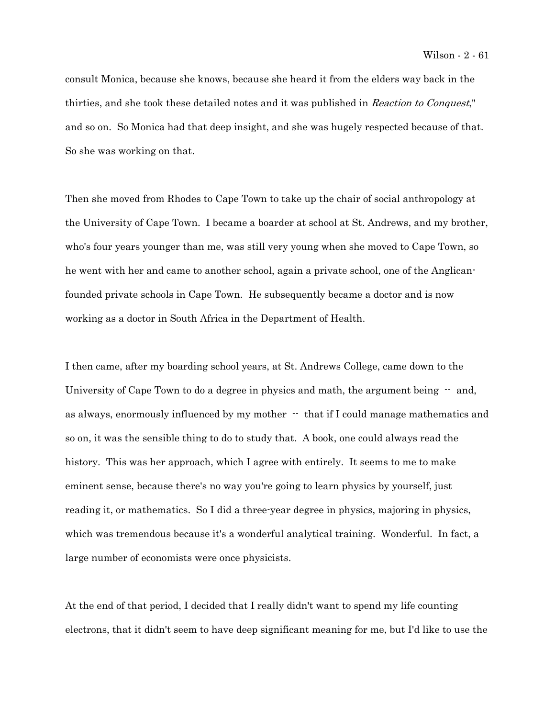consult Monica, because she knows, because she heard it from the elders way back in the thirties, and she took these detailed notes and it was published in Reaction to Conquest," and so on. So Monica had that deep insight, and she was hugely respected because of that. So she was working on that.

Then she moved from Rhodes to Cape Town to take up the chair of social anthropology at the University of Cape Town. I became a boarder at school at St. Andrews, and my brother, who's four years younger than me, was still very young when she moved to Cape Town, so he went with her and came to another school, again a private school, one of the Anglicanfounded private schools in Cape Town. He subsequently became a doctor and is now working as a doctor in South Africa in the Department of Health.

I then came, after my boarding school years, at St. Andrews College, came down to the University of Cape Town to do a degree in physics and math, the argument being  $-$  and, as always, enormously influenced by my mother  $\cdot$  that if I could manage mathematics and so on, it was the sensible thing to do to study that. A book, one could always read the history. This was her approach, which I agree with entirely. It seems to me to make eminent sense, because there's no way you're going to learn physics by yourself, just reading it, or mathematics. So I did a three-year degree in physics, majoring in physics, which was tremendous because it's a wonderful analytical training. Wonderful. In fact, a large number of economists were once physicists.

At the end of that period, I decided that I really didn't want to spend my life counting electrons, that it didn't seem to have deep significant meaning for me, but I'd like to use the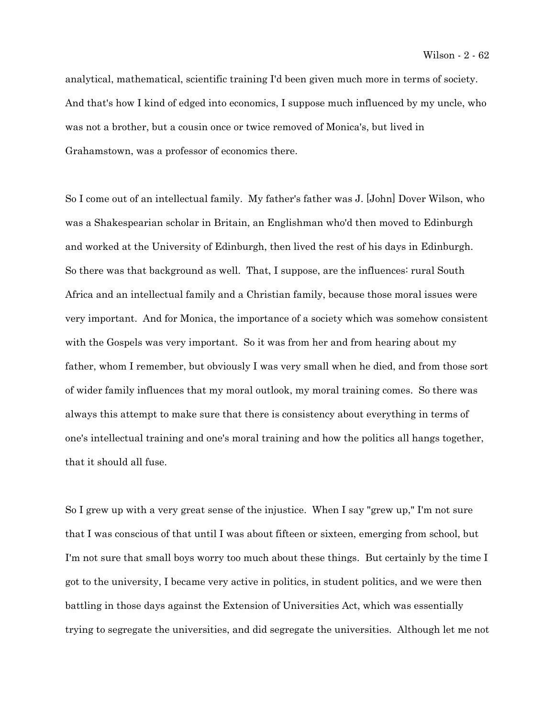analytical, mathematical, scientific training I'd been given much more in terms of society. And that's how I kind of edged into economics, I suppose much influenced by my uncle, who was not a brother, but a cousin once or twice removed of Monica's, but lived in Grahamstown, was a professor of economics there.

So I come out of an intellectual family. My father's father was J. [John] Dover Wilson, who was a Shakespearian scholar in Britain, an Englishman who'd then moved to Edinburgh and worked at the University of Edinburgh, then lived the rest of his days in Edinburgh. So there was that background as well. That, I suppose, are the influences: rural South Africa and an intellectual family and a Christian family, because those moral issues were very important. And for Monica, the importance of a society which was somehow consistent with the Gospels was very important. So it was from her and from hearing about my father, whom I remember, but obviously I was very small when he died, and from those sort of wider family influences that my moral outlook, my moral training comes. So there was always this attempt to make sure that there is consistency about everything in terms of one's intellectual training and one's moral training and how the politics all hangs together, that it should all fuse.

So I grew up with a very great sense of the injustice. When I say "grew up," I'm not sure that I was conscious of that until I was about fifteen or sixteen, emerging from school, but I'm not sure that small boys worry too much about these things. But certainly by the time I got to the university, I became very active in politics, in student politics, and we were then battling in those days against the Extension of Universities Act, which was essentially trying to segregate the universities, and did segregate the universities. Although let me not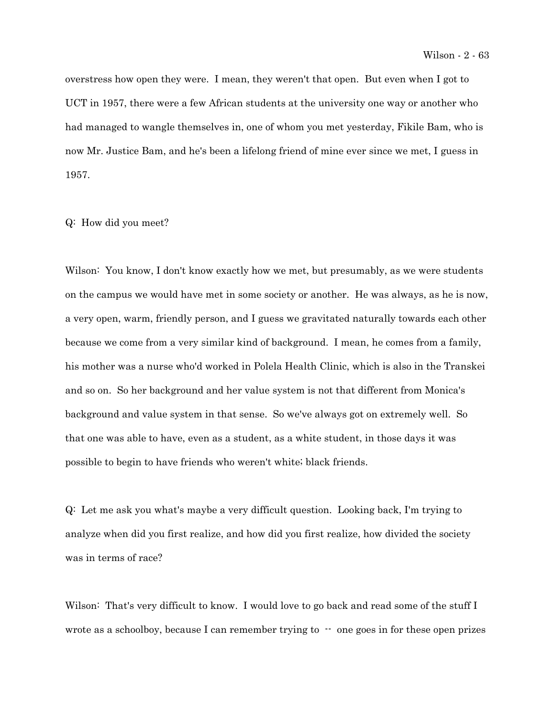overstress how open they were. I mean, they weren't that open. But even when I got to UCT in 1957, there were a few African students at the university one way or another who had managed to wangle themselves in, one of whom you met yesterday, Fikile Bam, who is now Mr. Justice Bam, and he's been a lifelong friend of mine ever since we met, I guess in 1957.

Q: How did you meet?

Wilson: You know, I don't know exactly how we met, but presumably, as we were students on the campus we would have met in some society or another. He was always, as he is now, a very open, warm, friendly person, and I guess we gravitated naturally towards each other because we come from a very similar kind of background. I mean, he comes from a family, his mother was a nurse who'd worked in Polela Health Clinic, which is also in the Transkei and so on. So her background and her value system is not that different from Monica's background and value system in that sense. So we've always got on extremely well. So that one was able to have, even as a student, as a white student, in those days it was possible to begin to have friends who weren't white; black friends.

Q: Let me ask you what's maybe a very difficult question. Looking back, I'm trying to analyze when did you first realize, and how did you first realize, how divided the society was in terms of race?

Wilson: That's very difficult to know. I would love to go back and read some of the stuff I wrote as a schoolboy, because I can remember trying to  $\cdot$  one goes in for these open prizes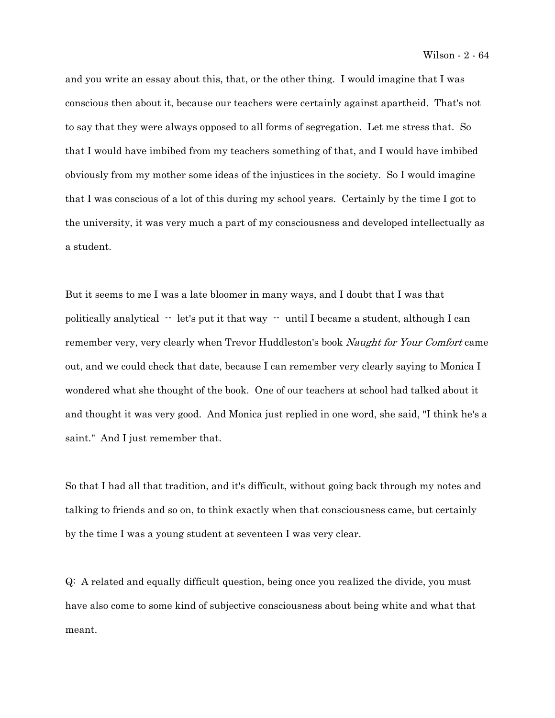and you write an essay about this, that, or the other thing. I would imagine that I was conscious then about it, because our teachers were certainly against apartheid. That's not to say that they were always opposed to all forms of segregation. Let me stress that. So that I would have imbibed from my teachers something of that, and I would have imbibed obviously from my mother some ideas of the injustices in the society. So I would imagine that I was conscious of a lot of this during my school years. Certainly by the time I got to the university, it was very much a part of my consciousness and developed intellectually as a student.

But it seems to me I was a late bloomer in many ways, and I doubt that I was that politically analytical  $-$  let's put it that way  $-$  until I became a student, although I can remember very, very clearly when Trevor Huddleston's book Naught for Your Comfort came out, and we could check that date, because I can remember very clearly saying to Monica I wondered what she thought of the book. One of our teachers at school had talked about it and thought it was very good. And Monica just replied in one word, she said, "I think he's a saint." And I just remember that.

So that I had all that tradition, and it's difficult, without going back through my notes and talking to friends and so on, to think exactly when that consciousness came, but certainly by the time I was a young student at seventeen I was very clear.

Q: A related and equally difficult question, being once you realized the divide, you must have also come to some kind of subjective consciousness about being white and what that meant.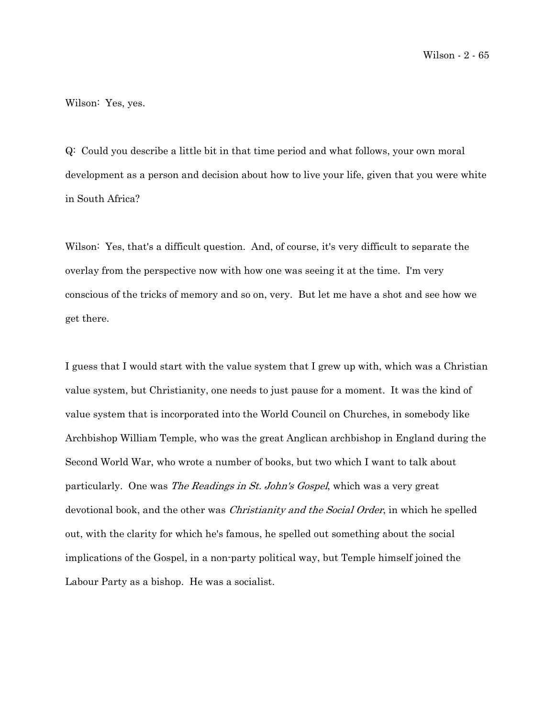Wilson: Yes, yes.

Q: Could you describe a little bit in that time period and what follows, your own moral development as a person and decision about how to live your life, given that you were white in South Africa?

Wilson: Yes, that's a difficult question. And, of course, it's very difficult to separate the overlay from the perspective now with how one was seeing it at the time. I'm very conscious of the tricks of memory and so on, very. But let me have a shot and see how we get there.

I guess that I would start with the value system that I grew up with, which was a Christian value system, but Christianity, one needs to just pause for a moment. It was the kind of value system that is incorporated into the World Council on Churches, in somebody like Archbishop William Temple, who was the great Anglican archbishop in England during the Second World War, who wrote a number of books, but two which I want to talk about particularly. One was *The Readings in St. John's Gospel*, which was a very great devotional book, and the other was *Christianity and the Social Order*, in which he spelled out, with the clarity for which he's famous, he spelled out something about the social implications of the Gospel, in a non-party political way, but Temple himself joined the Labour Party as a bishop. He was a socialist.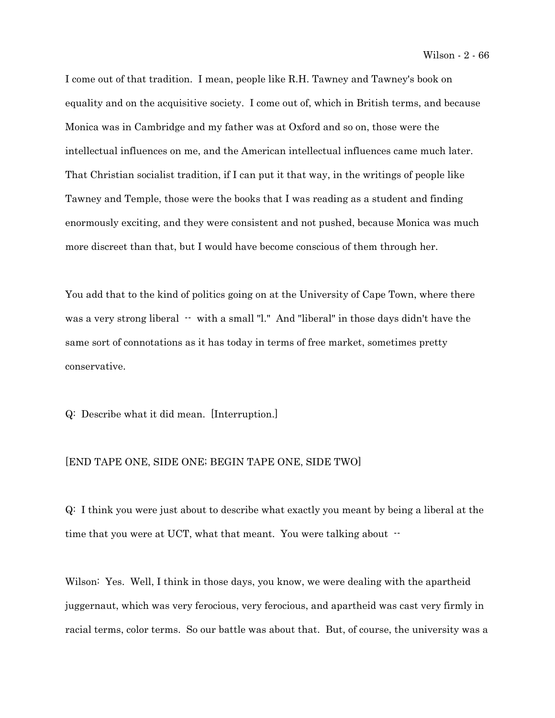I come out of that tradition. I mean, people like R.H. Tawney and Tawney's book on equality and on the acquisitive society. I come out of, which in British terms, and because Monica was in Cambridge and my father was at Oxford and so on, those were the intellectual influences on me, and the American intellectual influences came much later. That Christian socialist tradition, if I can put it that way, in the writings of people like Tawney and Temple, those were the books that I was reading as a student and finding enormously exciting, and they were consistent and not pushed, because Monica was much more discreet than that, but I would have become conscious of them through her.

You add that to the kind of politics going on at the University of Cape Town, where there was a very strong liberal  $-$  with a small "l." And "liberal" in those days didn't have the same sort of connotations as it has today in terms of free market, sometimes pretty conservative.

Q: Describe what it did mean. [Interruption.]

## [END TAPE ONE, SIDE ONE; BEGIN TAPE ONE, SIDE TWO]

Q: I think you were just about to describe what exactly you meant by being a liberal at the time that you were at UCT, what that meant. You were talking about  $-$ 

Wilson: Yes. Well, I think in those days, you know, we were dealing with the apartheid juggernaut, which was very ferocious, very ferocious, and apartheid was cast very firmly in racial terms, color terms. So our battle was about that. But, of course, the university was a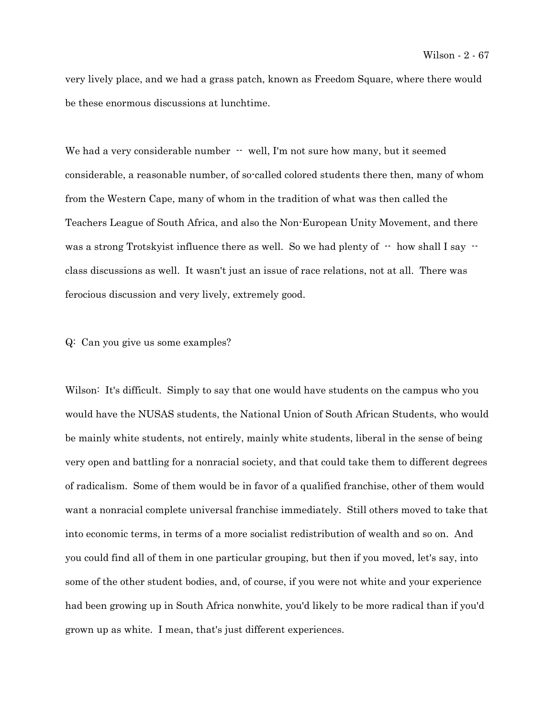very lively place, and we had a grass patch, known as Freedom Square, where there would be these enormous discussions at lunchtime.

We had a very considerable number  $\cdot$  well, I'm not sure how many, but it seemed considerable, a reasonable number, of so-called colored students there then, many of whom from the Western Cape, many of whom in the tradition of what was then called the Teachers League of South Africa, and also the Non-European Unity Movement, and there was a strong Trotsky ist influence there as well. So we had plenty of  $\cdot$  how shall I say  $\cdot$ class discussions as well. It wasn't just an issue of race relations, not at all. There was ferocious discussion and very lively, extremely good.

## Q: Can you give us some examples?

Wilson: It's difficult. Simply to say that one would have students on the campus who you would have the NUSAS students, the National Union of South African Students, who would be mainly white students, not entirely, mainly white students, liberal in the sense of being very open and battling for a nonracial society, and that could take them to different degrees of radicalism. Some of them would be in favor of a qualified franchise, other of them would want a nonracial complete universal franchise immediately. Still others moved to take that into economic terms, in terms of a more socialist redistribution of wealth and so on. And you could find all of them in one particular grouping, but then if you moved, let's say, into some of the other student bodies, and, of course, if you were not white and your experience had been growing up in South Africa nonwhite, you'd likely to be more radical than if you'd grown up as white. I mean, that's just different experiences.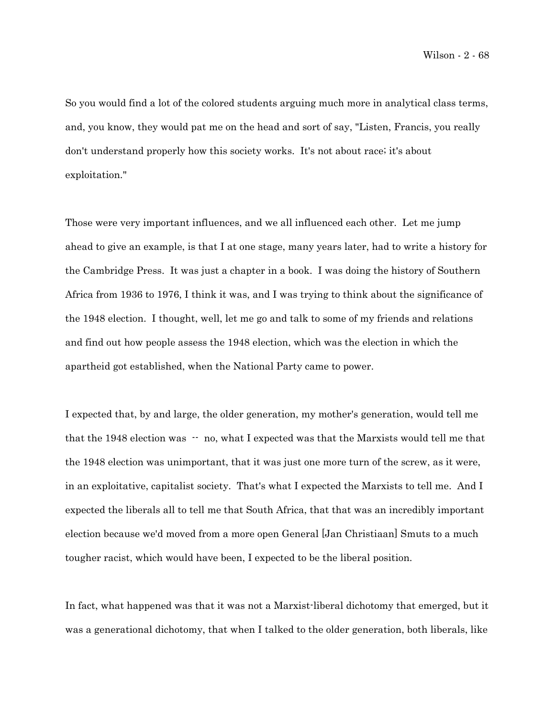So you would find a lot of the colored students arguing much more in analytical class terms, and, you know, they would pat me on the head and sort of say, "Listen, Francis, you really don't understand properly how this society works. It's not about race; it's about exploitation."

Those were very important influences, and we all influenced each other. Let me jump ahead to give an example, is that I at one stage, many years later, had to write a history for the Cambridge Press. It was just a chapter in a book. I was doing the history of Southern Africa from 1936 to 1976, I think it was, and I was trying to think about the significance of the 1948 election. I thought, well, let me go and talk to some of my friends and relations and find out how people assess the 1948 election, which was the election in which the apartheid got established, when the National Party came to power.

I expected that, by and large, the older generation, my mother's generation, would tell me that the 1948 election was  $-$  no, what I expected was that the Marxists would tell me that the 1948 election was unimportant, that it was just one more turn of the screw, as it were, in an exploitative, capitalist society. That's what I expected the Marxists to tell me. And I expected the liberals all to tell me that South Africa, that that was an incredibly important election because we'd moved from a more open General [Jan Christiaan] Smuts to a much tougher racist, which would have been, I expected to be the liberal position.

In fact, what happened was that it was not a Marxist-liberal dichotomy that emerged, but it was a generational dichotomy, that when I talked to the older generation, both liberals, like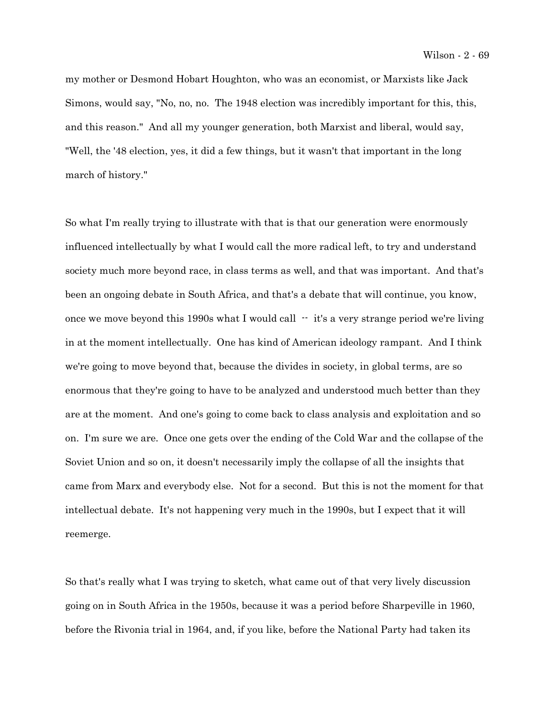my mother or Desmond Hobart Houghton, who was an economist, or Marxists like Jack Simons, would say, "No, no, no. The 1948 election was incredibly important for this, this, and this reason." And all my younger generation, both Marxist and liberal, would say, "Well, the '48 election, yes, it did a few things, but it wasn't that important in the long march of history."

So what I'm really trying to illustrate with that is that our generation were enormously influenced intellectually by what I would call the more radical left, to try and understand society much more beyond race, in class terms as well, and that was important. And that's been an ongoing debate in South Africa, and that's a debate that will continue, you know, once we move beyond this 1990s what I would call  $-$  it's a very strange period we're living in at the moment intellectually. One has kind of American ideology rampant. And I think we're going to move beyond that, because the divides in society, in global terms, are so enormous that they're going to have to be analyzed and understood much better than they are at the moment. And one's going to come back to class analysis and exploitation and so on. I'm sure we are. Once one gets over the ending of the Cold War and the collapse of the Soviet Union and so on, it doesn't necessarily imply the collapse of all the insights that came from Marx and everybody else. Not for a second. But this is not the moment for that intellectual debate. It's not happening very much in the 1990s, but I expect that it will reemerge.

So that's really what I was trying to sketch, what came out of that very lively discussion going on in South Africa in the 1950s, because it was a period before Sharpeville in 1960, before the Rivonia trial in 1964, and, if you like, before the National Party had taken its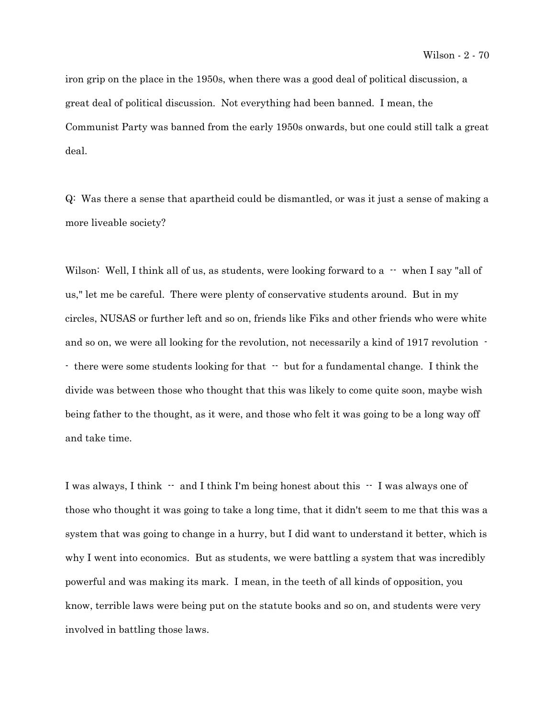iron grip on the place in the 1950s, when there was a good deal of political discussion, a great deal of political discussion. Not everything had been banned. I mean, the Communist Party was banned from the early 1950s onwards, but one could still talk a great deal.

Q: Was there a sense that apartheid could be dismantled, or was it just a sense of making a more liveable society?

Wilson: Well, I think all of us, as students, were looking forward to a  $-$  when I say "all of us," let me be careful. There were plenty of conservative students around. But in my circles, NUSAS or further left and so on, friends like Fiks and other friends who were white and so on, we were all looking for the revolution, not necessarily a kind of 1917 revolution - - there were some students looking for that  $-$  but for a fundamental change. I think the divide was between those who thought that this was likely to come quite soon, maybe wish being father to the thought, as it were, and those who felt it was going to be a long way off and take time.

I was always, I think  $-$  and I think I'm being honest about this  $-$  I was always one of those who thought it was going to take a long time, that it didn't seem to me that this was a system that was going to change in a hurry, but I did want to understand it better, which is why I went into economics. But as students, we were battling a system that was incredibly powerful and was making its mark. I mean, in the teeth of all kinds of opposition, you know, terrible laws were being put on the statute books and so on, and students were very involved in battling those laws.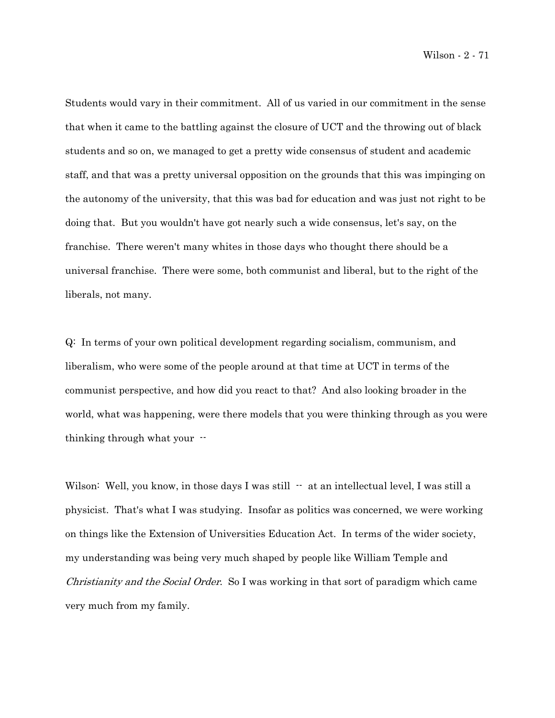Students would vary in their commitment. All of us varied in our commitment in the sense that when it came to the battling against the closure of UCT and the throwing out of black students and so on, we managed to get a pretty wide consensus of student and academic staff, and that was a pretty universal opposition on the grounds that this was impinging on the autonomy of the university, that this was bad for education and was just not right to be doing that. But you wouldn't have got nearly such a wide consensus, let's say, on the franchise. There weren't many whites in those days who thought there should be a universal franchise. There were some, both communist and liberal, but to the right of the liberals, not many.

Q: In terms of your own political development regarding socialism, communism, and liberalism, who were some of the people around at that time at UCT in terms of the communist perspective, and how did you react to that? And also looking broader in the world, what was happening, were there models that you were thinking through as you were thinking through what your --

Wilson: Well, you know, in those days I was still  $\cdot$  at an intellectual level, I was still a physicist. That's what I was studying. Insofar as politics was concerned, we were working on things like the Extension of Universities Education Act. In terms of the wider society, my understanding was being very much shaped by people like William Temple and Christianity and the Social Order. So I was working in that sort of paradigm which came very much from my family.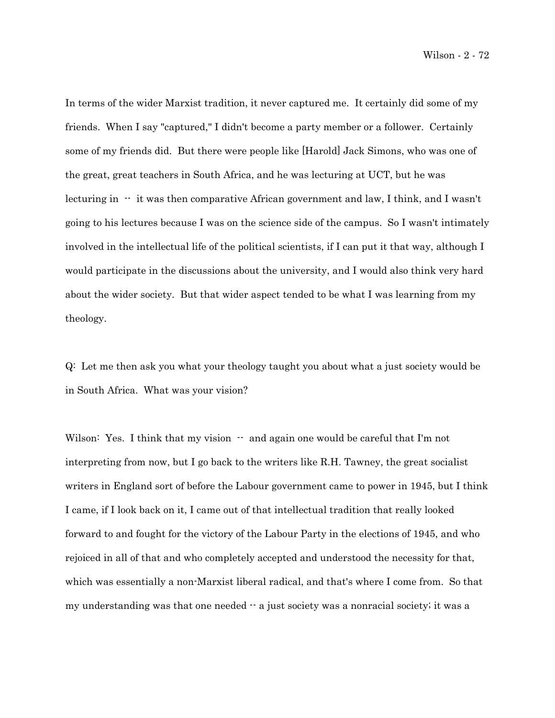Wilson - 2 - 72

In terms of the wider Marxist tradition, it never captured me. It certainly did some of my friends. When I say "captured," I didn't become a party member or a follower. Certainly some of my friends did. But there were people like [Harold] Jack Simons, who was one of the great, great teachers in South Africa, and he was lecturing at UCT, but he was lecturing in  $\cdot\cdot$  it was then comparative African government and law, I think, and I wasn't going to his lectures because I was on the science side of the campus. So I wasn't intimately involved in the intellectual life of the political scientists, if I can put it that way, although I would participate in the discussions about the university, and I would also think very hard about the wider society. But that wider aspect tended to be what I was learning from my theology.

Q: Let me then ask you what your theology taught you about what a just society would be in South Africa. What was your vision?

Wilson: Yes. I think that my vision  $-$  and again one would be careful that I'm not interpreting from now, but I go back to the writers like R.H. Tawney, the great socialist writers in England sort of before the Labour government came to power in 1945, but I think I came, if I look back on it, I came out of that intellectual tradition that really looked forward to and fought for the victory of the Labour Party in the elections of 1945, and who rejoiced in all of that and who completely accepted and understood the necessity for that, which was essentially a non-Marxist liberal radical, and that's where I come from. So that my understanding was that one needed  $-$  a just society was a nonracial society; it was a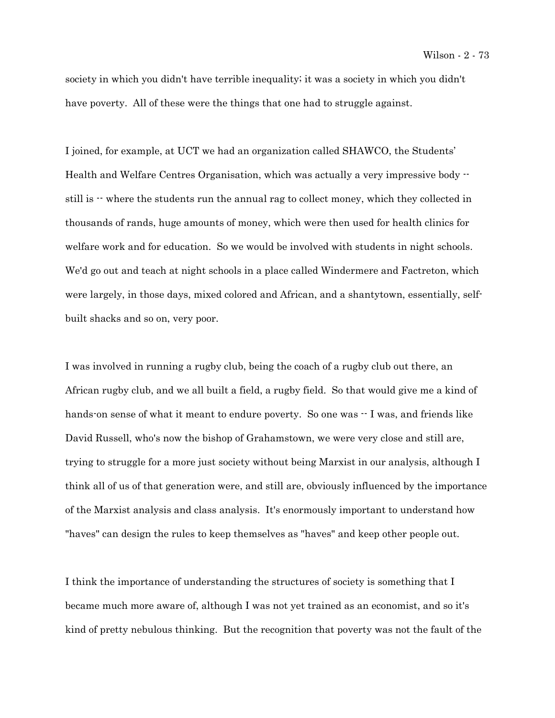society in which you didn't have terrible inequality; it was a society in which you didn't have poverty. All of these were the things that one had to struggle against.

I joined, for example, at UCT we had an organization called SHAWCO, the Students' Health and Welfare Centres Organisation, which was actually a very impressive body - still is  $\cdot$  where the students run the annual rag to collect money, which they collected in thousands of rands, huge amounts of money, which were then used for health clinics for welfare work and for education. So we would be involved with students in night schools. We'd go out and teach at night schools in a place called Windermere and Factreton, which were largely, in those days, mixed colored and African, and a shantytown, essentially, selfbuilt shacks and so on, very poor.

I was involved in running a rugby club, being the coach of a rugby club out there, an African rugby club, and we all built a field, a rugby field. So that would give me a kind of hands-on sense of what it meant to endure poverty. So one was  $\cdot$  I was, and friends like David Russell, who's now the bishop of Grahamstown, we were very close and still are, trying to struggle for a more just society without being Marxist in our analysis, although I think all of us of that generation were, and still are, obviously influenced by the importance of the Marxist analysis and class analysis. It's enormously important to understand how "haves" can design the rules to keep themselves as "haves" and keep other people out.

I think the importance of understanding the structures of society is something that I became much more aware of, although I was not yet trained as an economist, and so it's kind of pretty nebulous thinking. But the recognition that poverty was not the fault of the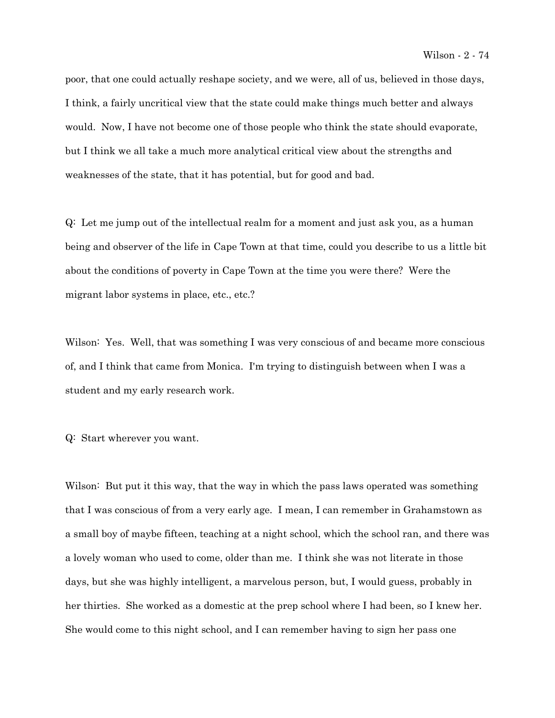poor, that one could actually reshape society, and we were, all of us, believed in those days, I think, a fairly uncritical view that the state could make things much better and always would. Now, I have not become one of those people who think the state should evaporate, but I think we all take a much more analytical critical view about the strengths and weaknesses of the state, that it has potential, but for good and bad.

Q: Let me jump out of the intellectual realm for a moment and just ask you, as a human being and observer of the life in Cape Town at that time, could you describe to us a little bit about the conditions of poverty in Cape Town at the time you were there? Were the migrant labor systems in place, etc., etc.?

Wilson: Yes. Well, that was something I was very conscious of and became more conscious of, and I think that came from Monica. I'm trying to distinguish between when I was a student and my early research work.

Q: Start wherever you want.

Wilson: But put it this way, that the way in which the pass laws operated was something that I was conscious of from a very early age. I mean, I can remember in Grahamstown as a small boy of maybe fifteen, teaching at a night school, which the school ran, and there was a lovely woman who used to come, older than me. I think she was not literate in those days, but she was highly intelligent, a marvelous person, but, I would guess, probably in her thirties. She worked as a domestic at the prep school where I had been, so I knew her. She would come to this night school, and I can remember having to sign her pass one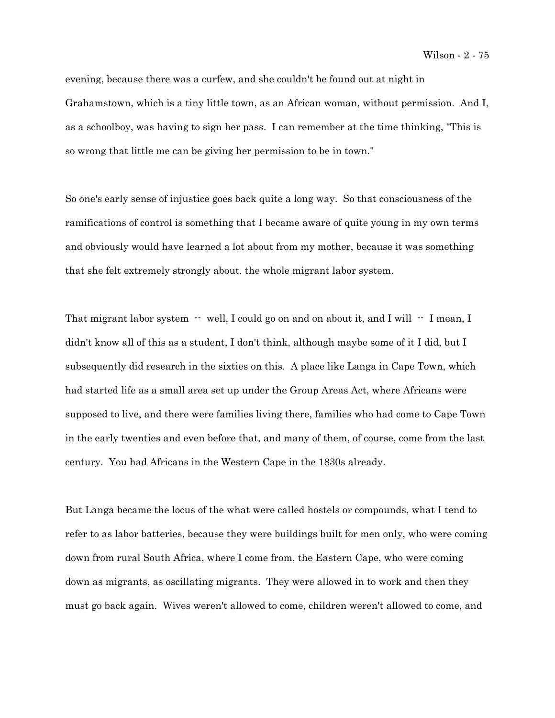evening, because there was a curfew, and she couldn't be found out at night in Grahamstown, which is a tiny little town, as an African woman, without permission. And I, as a schoolboy, was having to sign her pass. I can remember at the time thinking, "This is so wrong that little me can be giving her permission to be in town."

So one's early sense of injustice goes back quite a long way. So that consciousness of the ramifications of control is something that I became aware of quite young in my own terms and obviously would have learned a lot about from my mother, because it was something that she felt extremely strongly about, the whole migrant labor system.

That migrant labor system  $-$  well, I could go on and on about it, and I will  $-$  I mean, I didn't know all of this as a student, I don't think, although maybe some of it I did, but I subsequently did research in the sixties on this. A place like Langa in Cape Town, which had started life as a small area set up under the Group Areas Act, where Africans were supposed to live, and there were families living there, families who had come to Cape Town in the early twenties and even before that, and many of them, of course, come from the last century. You had Africans in the Western Cape in the 1830s already.

But Langa became the locus of the what were called hostels or compounds, what I tend to refer to as labor batteries, because they were buildings built for men only, who were coming down from rural South Africa, where I come from, the Eastern Cape, who were coming down as migrants, as oscillating migrants. They were allowed in to work and then they must go back again. Wives weren't allowed to come, children weren't allowed to come, and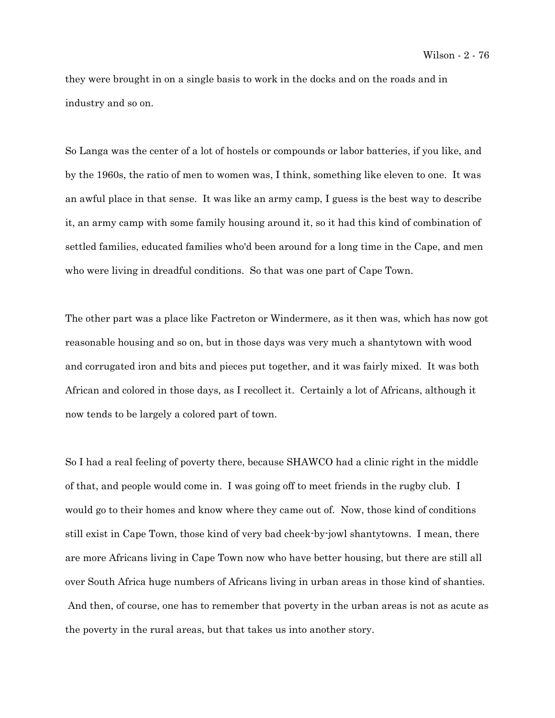they were brought in on a single basis to work in the docks and on the roads and in industry and so on.

So Langa was the center of a lot of hostels or compounds or labor batteries, if you like, and by the 1960s, the ratio of men to women was, I think, something like eleven to one. It was an awful place in that sense. It was like an army camp, I guess is the best way to describe it, an army camp with some family housing around it, so it had this kind of combination of settled families, educated families who'd been around for a long time in the Cape, and men who were living in dreadful conditions. So that was one part of Cape Town.

The other part was a place like Factreton or Windermere, as it then was, which has now got reasonable housing and so on, but in those days was very much a shantytown with wood and corrugated iron and bits and pieces put together, and it was fairly mixed. It was both African and colored in those days, as I recollect it. Certainly a lot of Africans, although it now tends to be largely a colored part of town.

So I had a real feeling of poverty there, because SHAWCO had a clinic right in the middle of that, and people would come in. I was going off to meet friends in the rugby club. I would go to their homes and know where they came out of. Now, those kind of conditions still exist in Cape Town, those kind of very bad cheek-by-jowl shantytowns. I mean, there are more Africans living in Cape Town now who have better housing, but there are still all over South Africa huge numbers of Africans living in urban areas in those kind of shanties. And then, of course, one has to remember that poverty in the urban areas is not as acute as the poverty in the rural areas, but that takes us into another story.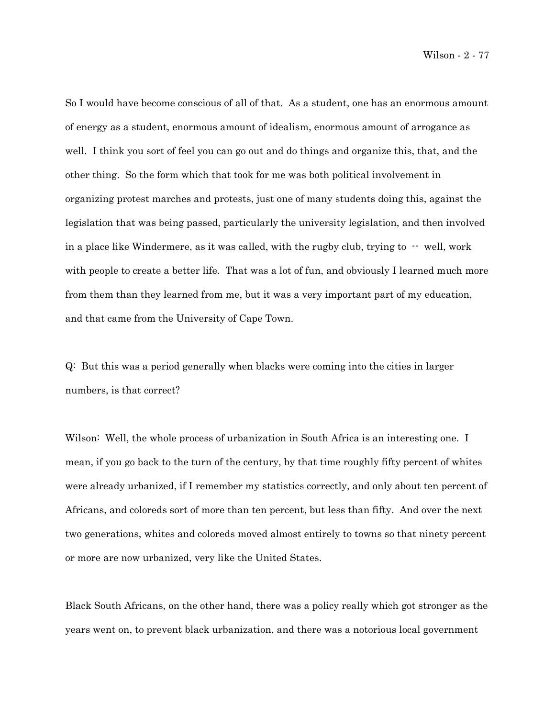So I would have become conscious of all of that. As a student, one has an enormous amount of energy as a student, enormous amount of idealism, enormous amount of arrogance as well. I think you sort of feel you can go out and do things and organize this, that, and the other thing. So the form which that took for me was both political involvement in organizing protest marches and protests, just one of many students doing this, against the legislation that was being passed, particularly the university legislation, and then involved in a place like Windermere, as it was called, with the rugby club, trying to  $\cdot$  well, work with people to create a better life. That was a lot of fun, and obviously I learned much more from them than they learned from me, but it was a very important part of my education, and that came from the University of Cape Town.

Q: But this was a period generally when blacks were coming into the cities in larger numbers, is that correct?

Wilson: Well, the whole process of urbanization in South Africa is an interesting one. I mean, if you go back to the turn of the century, by that time roughly fifty percent of whites were already urbanized, if I remember my statistics correctly, and only about ten percent of Africans, and coloreds sort of more than ten percent, but less than fifty. And over the next two generations, whites and coloreds moved almost entirely to towns so that ninety percent or more are now urbanized, very like the United States.

Black South Africans, on the other hand, there was a policy really which got stronger as the years went on, to prevent black urbanization, and there was a notorious local government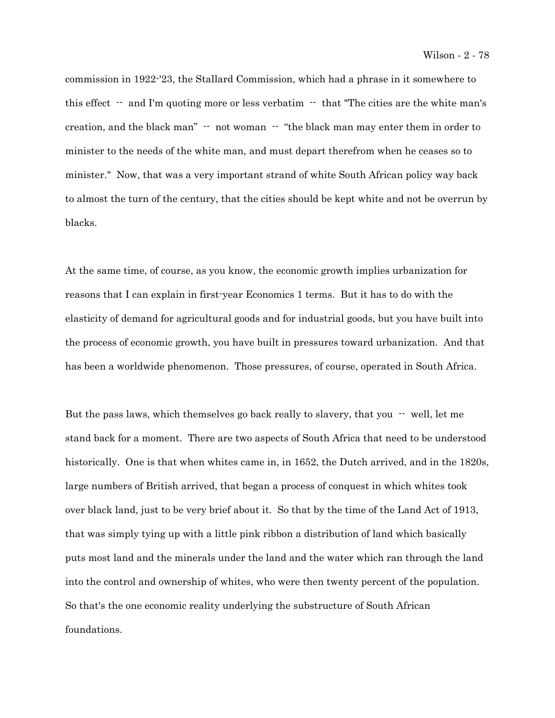commission in 1922-'23, the Stallard Commission, which had a phrase in it somewhere to this effect  $\cdot$  and I'm quoting more or less verbatim  $\cdot$  that "The cities are the white man's creation, and the black man" -- not woman -- "the black man may enter them in order to minister to the needs of the white man, and must depart therefrom when he ceases so to minister." Now, that was a very important strand of white South African policy way back to almost the turn of the century, that the cities should be kept white and not be overrun by blacks.

At the same time, of course, as you know, the economic growth implies urbanization for reasons that I can explain in first-year Economics 1 terms. But it has to do with the elasticity of demand for agricultural goods and for industrial goods, but you have built into the process of economic growth, you have built in pressures toward urbanization. And that has been a worldwide phenomenon. Those pressures, of course, operated in South Africa.

But the pass laws, which themselves go back really to slavery, that you  $-$  well, let me stand back for a moment. There are two aspects of South Africa that need to be understood historically. One is that when whites came in, in 1652, the Dutch arrived, and in the 1820s, large numbers of British arrived, that began a process of conquest in which whites took over black land, just to be very brief about it. So that by the time of the Land Act of 1913, that was simply tying up with a little pink ribbon a distribution of land which basically puts most land and the minerals under the land and the water which ran through the land into the control and ownership of whites, who were then twenty percent of the population. So that's the one economic reality underlying the substructure of South African foundations.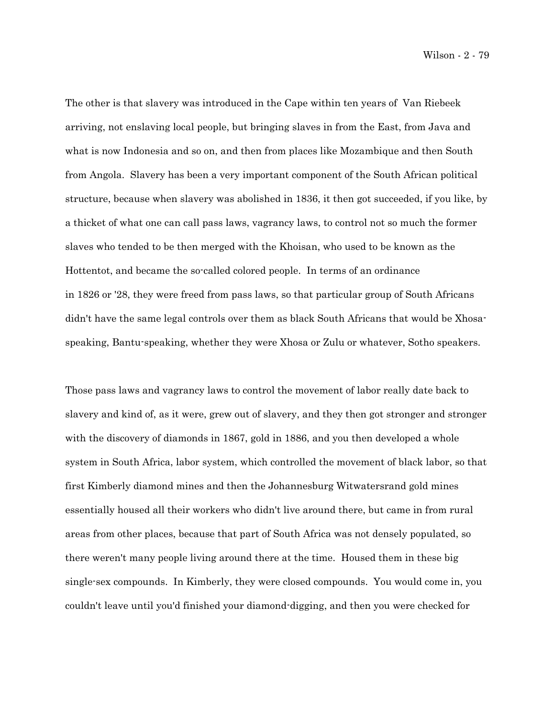Wilson - 2 - 79

The other is that slavery was introduced in the Cape within ten years of Van Riebeek arriving, not enslaving local people, but bringing slaves in from the East, from Java and what is now Indonesia and so on, and then from places like Mozambique and then South from Angola. Slavery has been a very important component of the South African political structure, because when slavery was abolished in 1836, it then got succeeded, if you like, by a thicket of what one can call pass laws, vagrancy laws, to control not so much the former slaves who tended to be then merged with the Khoisan, who used to be known as the Hottentot, and became the so-called colored people. In terms of an ordinance in 1826 or '28, they were freed from pass laws, so that particular group of South Africans didn't have the same legal controls over them as black South Africans that would be Xhosaspeaking, Bantu-speaking, whether they were Xhosa or Zulu or whatever, Sotho speakers.

Those pass laws and vagrancy laws to control the movement of labor really date back to slavery and kind of, as it were, grew out of slavery, and they then got stronger and stronger with the discovery of diamonds in 1867, gold in 1886, and you then developed a whole system in South Africa, labor system, which controlled the movement of black labor, so that first Kimberly diamond mines and then the Johannesburg Witwatersrand gold mines essentially housed all their workers who didn't live around there, but came in from rural areas from other places, because that part of South Africa was not densely populated, so there weren't many people living around there at the time. Housed them in these big single-sex compounds. In Kimberly, they were closed compounds. You would come in, you couldn't leave until you'd finished your diamond-digging, and then you were checked for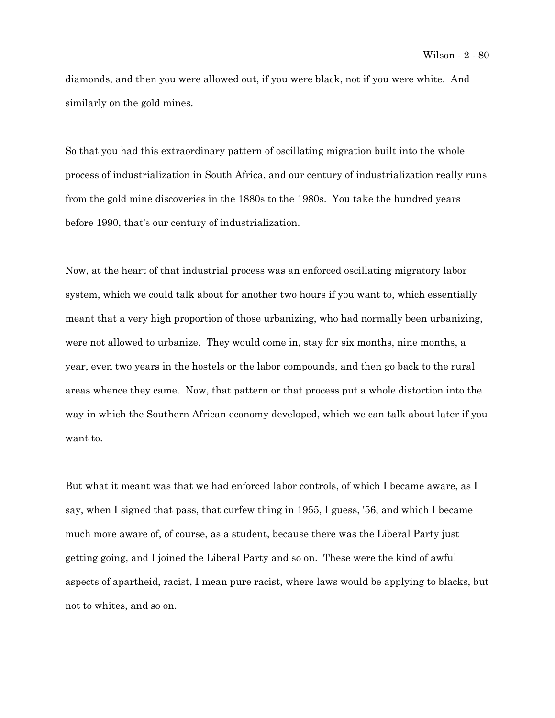diamonds, and then you were allowed out, if you were black, not if you were white. And similarly on the gold mines.

So that you had this extraordinary pattern of oscillating migration built into the whole process of industrialization in South Africa, and our century of industrialization really runs from the gold mine discoveries in the 1880s to the 1980s. You take the hundred years before 1990, that's our century of industrialization.

Now, at the heart of that industrial process was an enforced oscillating migratory labor system, which we could talk about for another two hours if you want to, which essentially meant that a very high proportion of those urbanizing, who had normally been urbanizing, were not allowed to urbanize. They would come in, stay for six months, nine months, a year, even two years in the hostels or the labor compounds, and then go back to the rural areas whence they came. Now, that pattern or that process put a whole distortion into the way in which the Southern African economy developed, which we can talk about later if you want to.

But what it meant was that we had enforced labor controls, of which I became aware, as I say, when I signed that pass, that curfew thing in 1955, I guess, '56, and which I became much more aware of, of course, as a student, because there was the Liberal Party just getting going, and I joined the Liberal Party and so on. These were the kind of awful aspects of apartheid, racist, I mean pure racist, where laws would be applying to blacks, but not to whites, and so on.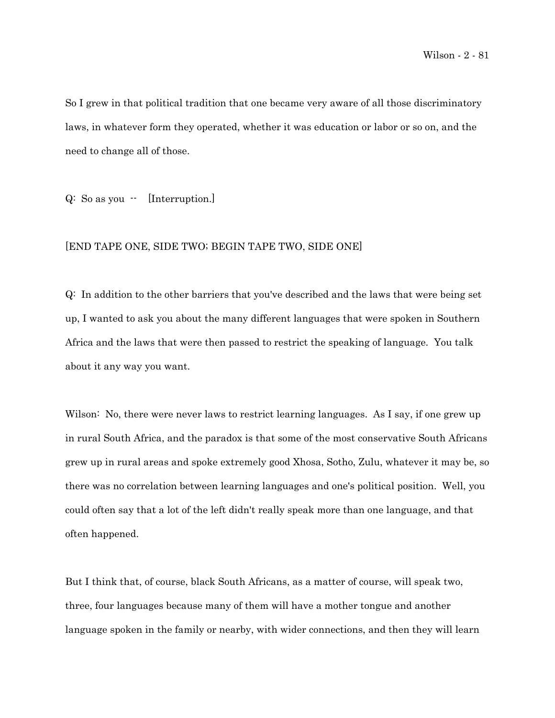So I grew in that political tradition that one became very aware of all those discriminatory laws, in whatever form they operated, whether it was education or labor or so on, and the need to change all of those.

Q: So as you -- [Interruption.]

## [END TAPE ONE, SIDE TWO; BEGIN TAPE TWO, SIDE ONE]

Q: In addition to the other barriers that you've described and the laws that were being set up, I wanted to ask you about the many different languages that were spoken in Southern Africa and the laws that were then passed to restrict the speaking of language. You talk about it any way you want.

Wilson: No, there were never laws to restrict learning languages. As I say, if one grew up in rural South Africa, and the paradox is that some of the most conservative South Africans grew up in rural areas and spoke extremely good Xhosa, Sotho, Zulu, whatever it may be, so there was no correlation between learning languages and one's political position. Well, you could often say that a lot of the left didn't really speak more than one language, and that often happened.

But I think that, of course, black South Africans, as a matter of course, will speak two, three, four languages because many of them will have a mother tongue and another language spoken in the family or nearby, with wider connections, and then they will learn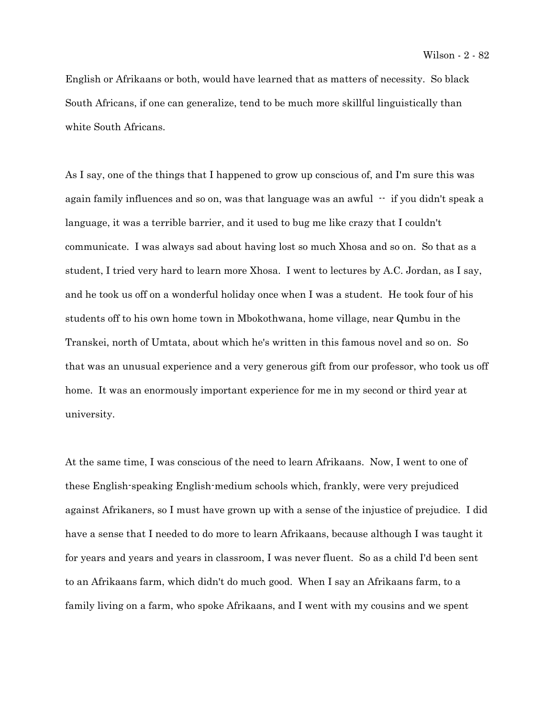English or Afrikaans or both, would have learned that as matters of necessity. So black South Africans, if one can generalize, tend to be much more skillful linguistically than white South Africans.

As I say, one of the things that I happened to grow up conscious of, and I'm sure this was again family influences and so on, was that language was an awful  $\cdot$  if you didn't speak a language, it was a terrible barrier, and it used to bug me like crazy that I couldn't communicate. I was always sad about having lost so much Xhosa and so on. So that as a student, I tried very hard to learn more Xhosa. I went to lectures by A.C. Jordan, as I say, and he took us off on a wonderful holiday once when I was a student. He took four of his students off to his own home town in Mbokothwana, home village, near Qumbu in the Transkei, north of Umtata, about which he's written in this famous novel and so on. So that was an unusual experience and a very generous gift from our professor, who took us off home. It was an enormously important experience for me in my second or third year at university.

At the same time, I was conscious of the need to learn Afrikaans. Now, I went to one of these English-speaking English-medium schools which, frankly, were very prejudiced against Afrikaners, so I must have grown up with a sense of the injustice of prejudice. I did have a sense that I needed to do more to learn Afrikaans, because although I was taught it for years and years and years in classroom, I was never fluent. So as a child I'd been sent to an Afrikaans farm, which didn't do much good. When I say an Afrikaans farm, to a family living on a farm, who spoke Afrikaans, and I went with my cousins and we spent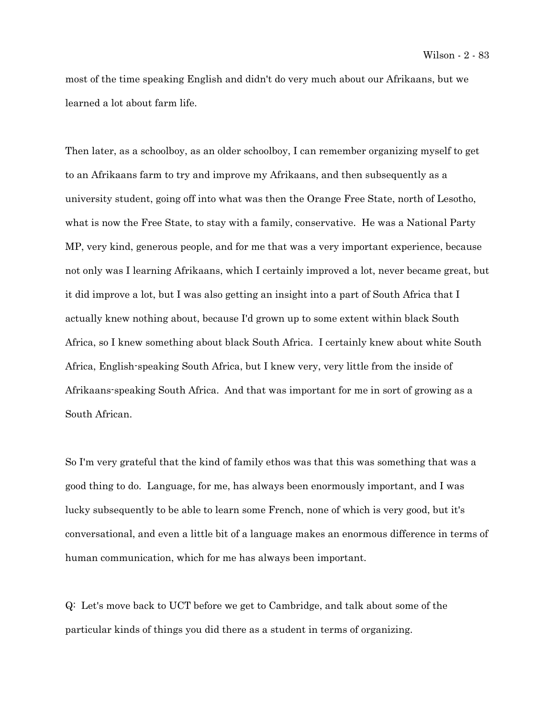most of the time speaking English and didn't do very much about our Afrikaans, but we learned a lot about farm life.

Then later, as a schoolboy, as an older schoolboy, I can remember organizing myself to get to an Afrikaans farm to try and improve my Afrikaans, and then subsequently as a university student, going off into what was then the Orange Free State, north of Lesotho, what is now the Free State, to stay with a family, conservative. He was a National Party MP, very kind, generous people, and for me that was a very important experience, because not only was I learning Afrikaans, which I certainly improved a lot, never became great, but it did improve a lot, but I was also getting an insight into a part of South Africa that I actually knew nothing about, because I'd grown up to some extent within black South Africa, so I knew something about black South Africa. I certainly knew about white South Africa, English-speaking South Africa, but I knew very, very little from the inside of Afrikaans-speaking South Africa. And that was important for me in sort of growing as a South African.

So I'm very grateful that the kind of family ethos was that this was something that was a good thing to do. Language, for me, has always been enormously important, and I was lucky subsequently to be able to learn some French, none of which is very good, but it's conversational, and even a little bit of a language makes an enormous difference in terms of human communication, which for me has always been important.

Q: Let's move back to UCT before we get to Cambridge, and talk about some of the particular kinds of things you did there as a student in terms of organizing.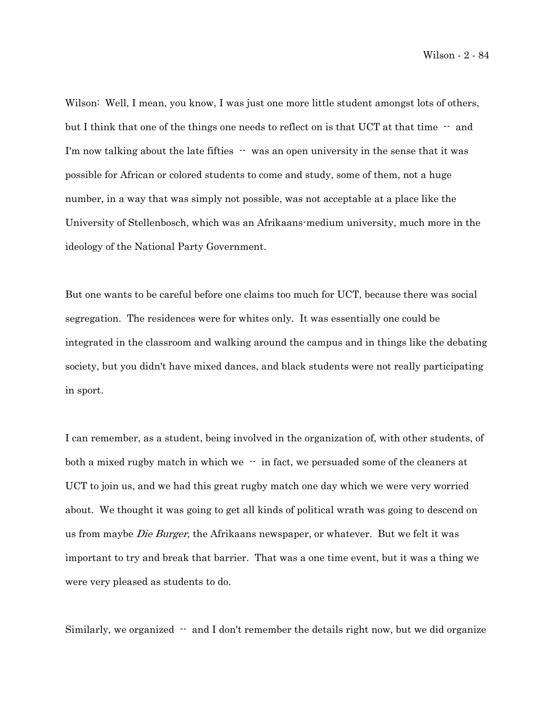Wilson: Well, I mean, you know, I was just one more little student amongst lots of others, but I think that one of the things one needs to reflect on is that UCT at that time  $-$  and I'm now talking about the late fifties  $\cdot \cdot$  was an open university in the sense that it was possible for African or colored students to come and study, some of them, not a huge number, in a way that was simply not possible, was not acceptable at a place like the University of Stellenbosch, which was an Afrikaans-medium university, much more in the ideology of the National Party Government.

But one wants to be careful before one claims too much for UCT, because there was social segregation. The residences were for whites only. It was essentially one could be integrated in the classroom and walking around the campus and in things like the debating society, but you didn't have mixed dances, and black students were not really participating in sport.

I can remember, as a student, being involved in the organization of, with other students, of both a mixed rugby match in which we  $\cdot\cdot$  in fact, we persuaded some of the cleaners at UCT to join us, and we had this great rugby match one day which we were very worried about. We thought it was going to get all kinds of political wrath was going to descend on us from maybe Die Burger, the Afrikaans newspaper, or whatever. But we felt it was important to try and break that barrier. That was a one time event, but it was a thing we were very pleased as students to do.

Similarly, we organized  $\cdot$  and I don't remember the details right now, but we did organize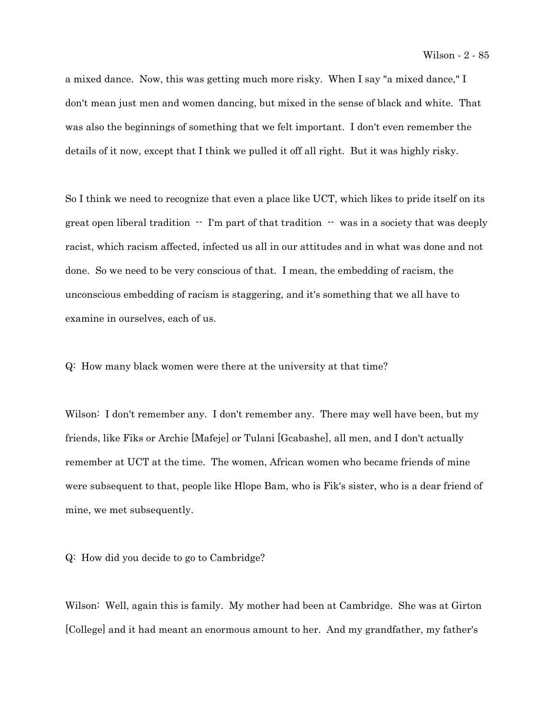a mixed dance. Now, this was getting much more risky. When I say "a mixed dance," I don't mean just men and women dancing, but mixed in the sense of black and white. That was also the beginnings of something that we felt important. I don't even remember the details of it now, except that I think we pulled it off all right. But it was highly risky.

So I think we need to recognize that even a place like UCT, which likes to pride itself on its great open liberal tradition  $\cdot \cdot$  I'm part of that tradition  $\cdot \cdot$  was in a society that was deeply racist, which racism affected, infected us all in our attitudes and in what was done and not done. So we need to be very conscious of that. I mean, the embedding of racism, the unconscious embedding of racism is staggering, and it's something that we all have to examine in ourselves, each of us.

Q: How many black women were there at the university at that time?

Wilson: I don't remember any. I don't remember any. There may well have been, but my friends, like Fiks or Archie [Mafeje] or Tulani [Gcabashe], all men, and I don't actually remember at UCT at the time. The women, African women who became friends of mine were subsequent to that, people like Hlope Bam, who is Fik's sister, who is a dear friend of mine, we met subsequently.

Q: How did you decide to go to Cambridge?

Wilson: Well, again this is family. My mother had been at Cambridge. She was at Girton [College] and it had meant an enormous amount to her. And my grandfather, my father's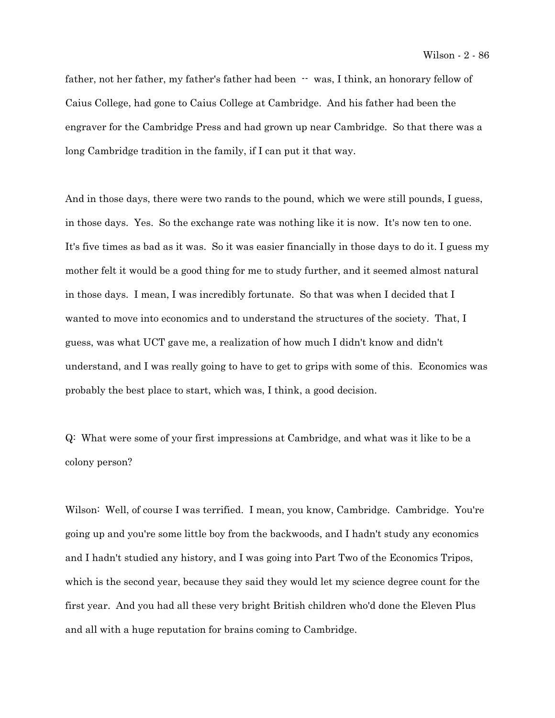father, not her father, my father's father had been  $-$  was, I think, an honorary fellow of Caius College, had gone to Caius College at Cambridge. And his father had been the engraver for the Cambridge Press and had grown up near Cambridge. So that there was a long Cambridge tradition in the family, if I can put it that way.

And in those days, there were two rands to the pound, which we were still pounds, I guess, in those days. Yes. So the exchange rate was nothing like it is now. It's now ten to one. It's five times as bad as it was. So it was easier financially in those days to do it. I guess my mother felt it would be a good thing for me to study further, and it seemed almost natural in those days. I mean, I was incredibly fortunate. So that was when I decided that I wanted to move into economics and to understand the structures of the society. That, I guess, was what UCT gave me, a realization of how much I didn't know and didn't understand, and I was really going to have to get to grips with some of this. Economics was probably the best place to start, which was, I think, a good decision.

Q: What were some of your first impressions at Cambridge, and what was it like to be a colony person?

Wilson: Well, of course I was terrified. I mean, you know, Cambridge. Cambridge. You're going up and you're some little boy from the backwoods, and I hadn't study any economics and I hadn't studied any history, and I was going into Part Two of the Economics Tripos, which is the second year, because they said they would let my science degree count for the first year. And you had all these very bright British children who'd done the Eleven Plus and all with a huge reputation for brains coming to Cambridge.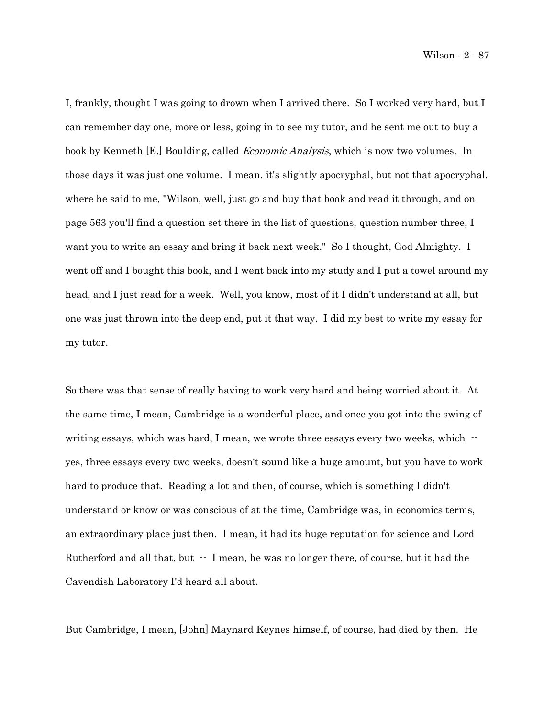Wilson - 2 - 87

I, frankly, thought I was going to drown when I arrived there. So I worked very hard, but I can remember day one, more or less, going in to see my tutor, and he sent me out to buy a book by Kenneth [E.] Boulding, called *Economic Analysis*, which is now two volumes. In those days it was just one volume. I mean, it's slightly apocryphal, but not that apocryphal, where he said to me, "Wilson, well, just go and buy that book and read it through, and on page 563 you'll find a question set there in the list of questions, question number three, I want you to write an essay and bring it back next week." So I thought, God Almighty. I went off and I bought this book, and I went back into my study and I put a towel around my head, and I just read for a week. Well, you know, most of it I didn't understand at all, but one was just thrown into the deep end, put it that way. I did my best to write my essay for my tutor.

So there was that sense of really having to work very hard and being worried about it. At the same time, I mean, Cambridge is a wonderful place, and once you got into the swing of writing essays, which was hard, I mean, we wrote three essays every two weeks, which - yes, three essays every two weeks, doesn't sound like a huge amount, but you have to work hard to produce that. Reading a lot and then, of course, which is something I didn't understand or know or was conscious of at the time, Cambridge was, in economics terms, an extraordinary place just then. I mean, it had its huge reputation for science and Lord Rutherford and all that, but  $-$  I mean, he was no longer there, of course, but it had the Cavendish Laboratory I'd heard all about.

But Cambridge, I mean, [John] Maynard Keynes himself, of course, had died by then. He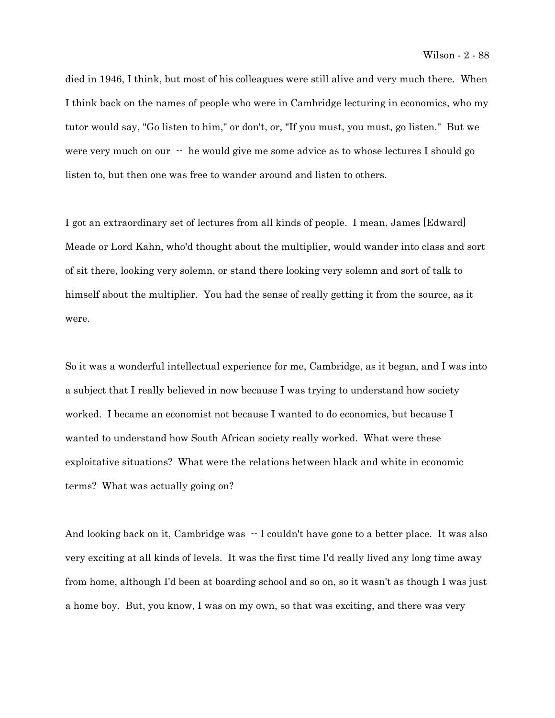died in 1946, I think, but most of his colleagues were still alive and very much there. When I think back on the names of people who were in Cambridge lecturing in economics, who my tutor would say, "Go listen to him," or don't, or, "If you must, you must, go listen." But we were very much on our  $\cdot$  he would give me some advice as to whose lectures I should go listen to, but then one was free to wander around and listen to others.

I got an extraordinary set of lectures from all kinds of people. I mean, James [Edward] Meade or Lord Kahn, who'd thought about the multiplier, would wander into class and sort of sit there, looking very solemn, or stand there looking very solemn and sort of talk to himself about the multiplier. You had the sense of really getting it from the source, as it were.

So it was a wonderful intellectual experience for me, Cambridge, as it began, and I was into a subject that I really believed in now because I was trying to understand how society worked. I became an economist not because I wanted to do economics, but because I wanted to understand how South African society really worked. What were these exploitative situations? What were the relations between black and white in economic terms? What was actually going on?

And looking back on it, Cambridge was  $-1$  couldn't have gone to a better place. It was also very exciting at all kinds of levels. It was the first time I'd really lived any long time away from home, although I'd been at boarding school and so on, so it wasn't as though I was just a home boy. But, you know, I was on my own, so that was exciting, and there was very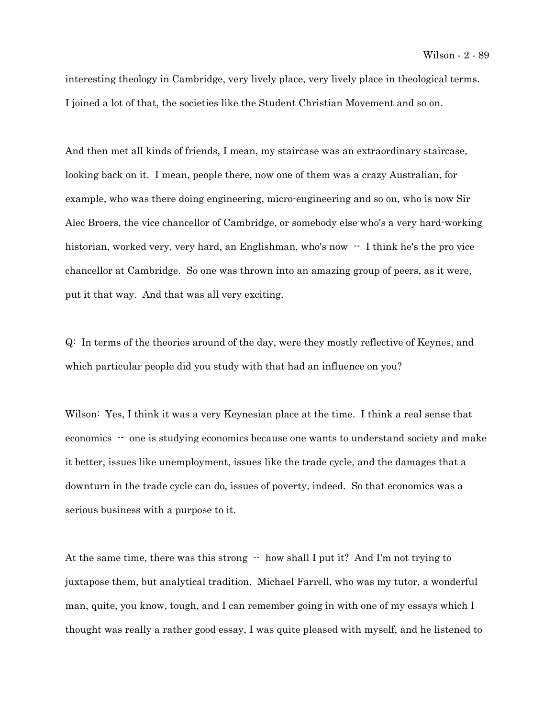interesting theology in Cambridge, very lively place, very lively place in theological terms. I joined a lot of that, the societies like the Student Christian Movement and so on.

And then met all kinds of friends, I mean, my staircase was an extraordinary staircase, looking back on it. I mean, people there, now one of them was a crazy Australian, for example, who was there doing engineering, micro-engineering and so on, who is now Sir Alec Broers, the vice chancellor of Cambridge, or somebody else who's a very hard-working historian, worked very, very hard, an Englishman, who's now  $\cdot$  I think he's the pro vice chancellor at Cambridge. So one was thrown into an amazing group of peers, as it were, put it that way. And that was all very exciting.

Q: In terms of the theories around of the day, were they mostly reflective of Keynes, and which particular people did you study with that had an influence on you?

Wilson: Yes, I think it was a very Keynesian place at the time. I think a real sense that economics -- one is studying economics because one wants to understand society and make it better, issues like unemployment, issues like the trade cycle, and the damages that a downturn in the trade cycle can do, issues of poverty, indeed. So that economics was a serious business with a purpose to it.

At the same time, there was this strong  $-$  how shall I put it? And I'm not trying to juxtapose them, but analytical tradition. Michael Farrell, who was my tutor, a wonderful man, quite, you know, tough, and I can remember going in with one of my essays which I thought was really a rather good essay, I was quite pleased with myself, and he listened to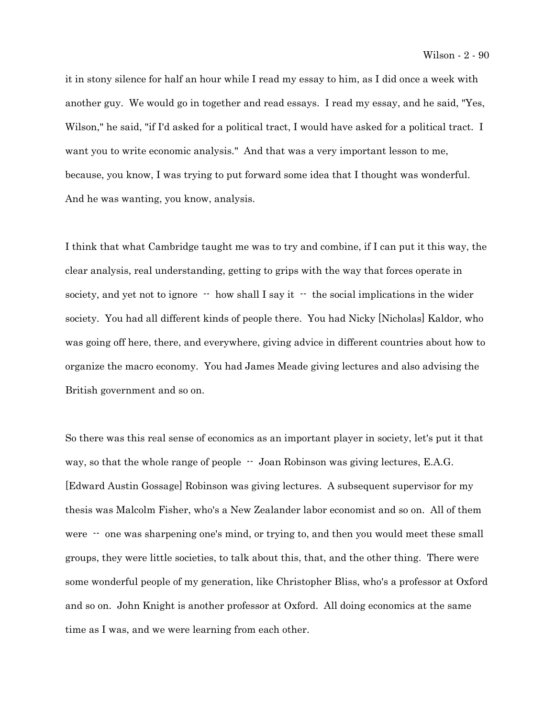it in stony silence for half an hour while I read my essay to him, as I did once a week with another guy. We would go in together and read essays. I read my essay, and he said, "Yes, Wilson," he said, "if I'd asked for a political tract, I would have asked for a political tract. I want you to write economic analysis." And that was a very important lesson to me, because, you know, I was trying to put forward some idea that I thought was wonderful. And he was wanting, you know, analysis.

I think that what Cambridge taught me was to try and combine, if I can put it this way, the clear analysis, real understanding, getting to grips with the way that forces operate in society, and yet not to ignore  $-$  how shall I say it  $-$  the social implications in the wider society. You had all different kinds of people there. You had Nicky [Nicholas] Kaldor, who was going off here, there, and everywhere, giving advice in different countries about how to organize the macro economy. You had James Meade giving lectures and also advising the British government and so on.

So there was this real sense of economics as an important player in society, let's put it that way, so that the whole range of people  $-$  Joan Robinson was giving lectures, E.A.G. [Edward Austin Gossage] Robinson was giving lectures. A subsequent supervisor for my thesis was Malcolm Fisher, who's a New Zealander labor economist and so on. All of them were  $\cdot$  one was sharpening one's mind, or trying to, and then you would meet these small groups, they were little societies, to talk about this, that, and the other thing. There were some wonderful people of my generation, like Christopher Bliss, who's a professor at Oxford and so on. John Knight is another professor at Oxford. All doing economics at the same time as I was, and we were learning from each other.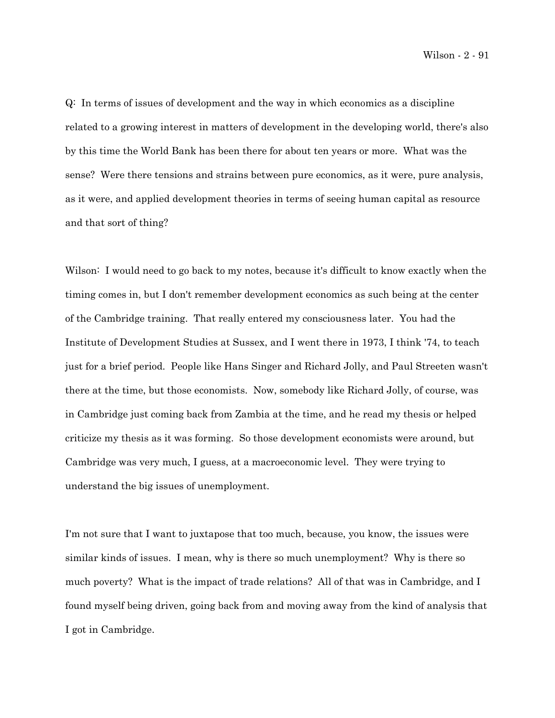Wilson - 2 - 91

Q: In terms of issues of development and the way in which economics as a discipline related to a growing interest in matters of development in the developing world, there's also by this time the World Bank has been there for about ten years or more. What was the sense? Were there tensions and strains between pure economics, as it were, pure analysis, as it were, and applied development theories in terms of seeing human capital as resource and that sort of thing?

Wilson: I would need to go back to my notes, because it's difficult to know exactly when the timing comes in, but I don't remember development economics as such being at the center of the Cambridge training. That really entered my consciousness later. You had the Institute of Development Studies at Sussex, and I went there in 1973, I think '74, to teach just for a brief period. People like Hans Singer and Richard Jolly, and Paul Streeten wasn't there at the time, but those economists. Now, somebody like Richard Jolly, of course, was in Cambridge just coming back from Zambia at the time, and he read my thesis or helped criticize my thesis as it was forming. So those development economists were around, but Cambridge was very much, I guess, at a macroeconomic level. They were trying to understand the big issues of unemployment.

I'm not sure that I want to juxtapose that too much, because, you know, the issues were similar kinds of issues. I mean, why is there so much unemployment? Why is there so much poverty? What is the impact of trade relations? All of that was in Cambridge, and I found myself being driven, going back from and moving away from the kind of analysis that I got in Cambridge.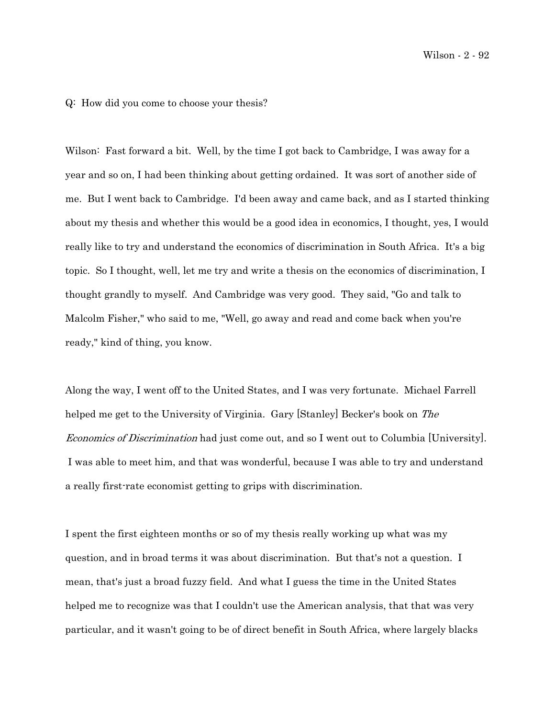Q: How did you come to choose your thesis?

Wilson: Fast forward a bit. Well, by the time I got back to Cambridge, I was away for a year and so on, I had been thinking about getting ordained. It was sort of another side of me. But I went back to Cambridge. I'd been away and came back, and as I started thinking about my thesis and whether this would be a good idea in economics, I thought, yes, I would really like to try and understand the economics of discrimination in South Africa. It's a big topic. So I thought, well, let me try and write a thesis on the economics of discrimination, I thought grandly to myself. And Cambridge was very good. They said, "Go and talk to Malcolm Fisher," who said to me, "Well, go away and read and come back when you're ready," kind of thing, you know.

Along the way, I went off to the United States, and I was very fortunate. Michael Farrell helped me get to the University of Virginia. Gary [Stanley] Becker's book on The Economics of Discrimination had just come out, and so I went out to Columbia [University]. I was able to meet him, and that was wonderful, because I was able to try and understand a really first-rate economist getting to grips with discrimination.

I spent the first eighteen months or so of my thesis really working up what was my question, and in broad terms it was about discrimination. But that's not a question. I mean, that's just a broad fuzzy field. And what I guess the time in the United States helped me to recognize was that I couldn't use the American analysis, that that was very particular, and it wasn't going to be of direct benefit in South Africa, where largely blacks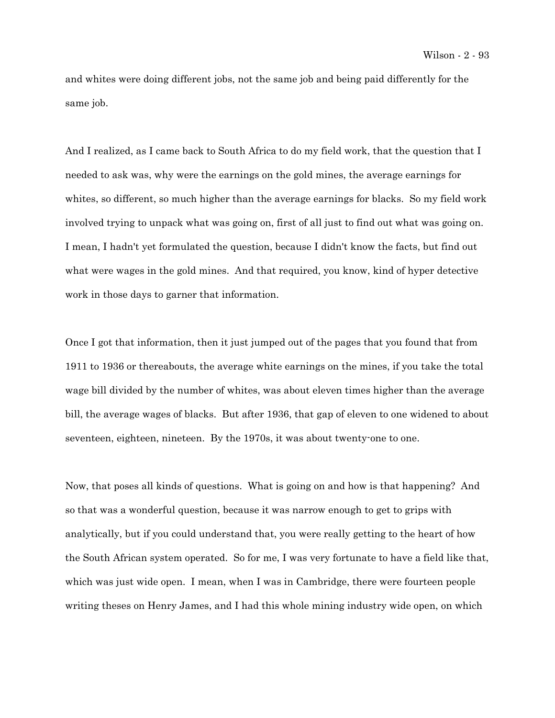and whites were doing different jobs, not the same job and being paid differently for the same job.

And I realized, as I came back to South Africa to do my field work, that the question that I needed to ask was, why were the earnings on the gold mines, the average earnings for whites, so different, so much higher than the average earnings for blacks. So my field work involved trying to unpack what was going on, first of all just to find out what was going on. I mean, I hadn't yet formulated the question, because I didn't know the facts, but find out what were wages in the gold mines. And that required, you know, kind of hyper detective work in those days to garner that information.

Once I got that information, then it just jumped out of the pages that you found that from 1911 to 1936 or thereabouts, the average white earnings on the mines, if you take the total wage bill divided by the number of whites, was about eleven times higher than the average bill, the average wages of blacks. But after 1936, that gap of eleven to one widened to about seventeen, eighteen, nineteen. By the 1970s, it was about twenty-one to one.

Now, that poses all kinds of questions. What is going on and how is that happening? And so that was a wonderful question, because it was narrow enough to get to grips with analytically, but if you could understand that, you were really getting to the heart of how the South African system operated. So for me, I was very fortunate to have a field like that, which was just wide open. I mean, when I was in Cambridge, there were fourteen people writing theses on Henry James, and I had this whole mining industry wide open, on which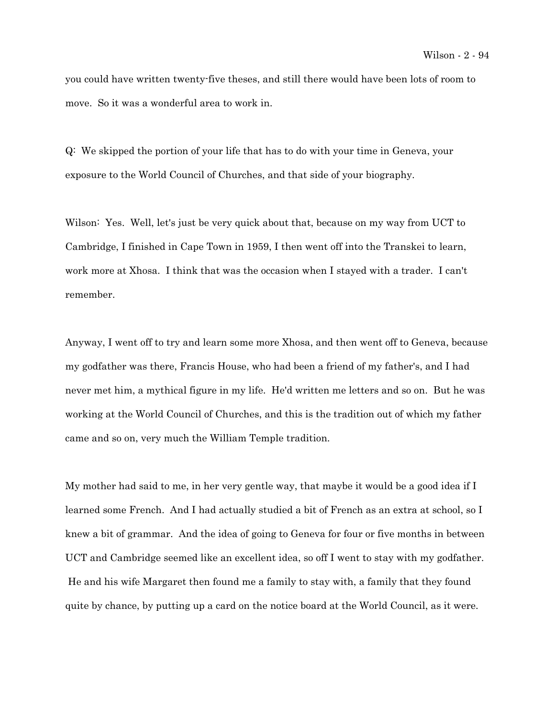you could have written twenty-five theses, and still there would have been lots of room to move. So it was a wonderful area to work in.

Q: We skipped the portion of your life that has to do with your time in Geneva, your exposure to the World Council of Churches, and that side of your biography.

Wilson: Yes. Well, let's just be very quick about that, because on my way from UCT to Cambridge, I finished in Cape Town in 1959, I then went off into the Transkei to learn, work more at Xhosa. I think that was the occasion when I stayed with a trader. I can't remember.

Anyway, I went off to try and learn some more Xhosa, and then went off to Geneva, because my godfather was there, Francis House, who had been a friend of my father's, and I had never met him, a mythical figure in my life. He'd written me letters and so on. But he was working at the World Council of Churches, and this is the tradition out of which my father came and so on, very much the William Temple tradition.

My mother had said to me, in her very gentle way, that maybe it would be a good idea if I learned some French. And I had actually studied a bit of French as an extra at school, so I knew a bit of grammar. And the idea of going to Geneva for four or five months in between UCT and Cambridge seemed like an excellent idea, so off I went to stay with my godfather. He and his wife Margaret then found me a family to stay with, a family that they found quite by chance, by putting up a card on the notice board at the World Council, as it were.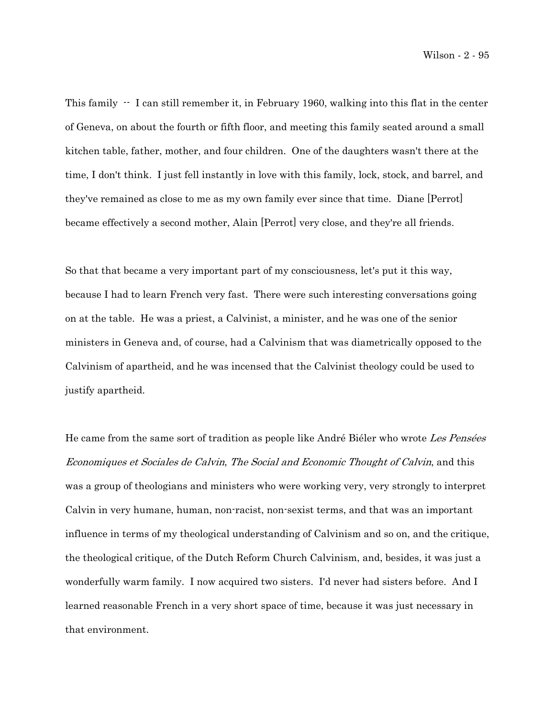This family  $\cdot$  I can still remember it, in February 1960, walking into this flat in the center of Geneva, on about the fourth or fifth floor, and meeting this family seated around a small kitchen table, father, mother, and four children. One of the daughters wasn't there at the time, I don't think. I just fell instantly in love with this family, lock, stock, and barrel, and they've remained as close to me as my own family ever since that time. Diane [Perrot] became effectively a second mother, Alain [Perrot] very close, and they're all friends.

So that that became a very important part of my consciousness, let's put it this way, because I had to learn French very fast. There were such interesting conversations going on at the table. He was a priest, a Calvinist, a minister, and he was one of the senior ministers in Geneva and, of course, had a Calvinism that was diametrically opposed to the Calvinism of apartheid, and he was incensed that the Calvinist theology could be used to justify apartheid.

He came from the same sort of tradition as people like André Biéler who wrote Les Pensées Economiques et Sociales de Calvin, The Social and Economic Thought of Calvin, and this was a group of theologians and ministers who were working very, very strongly to interpret Calvin in very humane, human, non-racist, non-sexist terms, and that was an important influence in terms of my theological understanding of Calvinism and so on, and the critique, the theological critique, of the Dutch Reform Church Calvinism, and, besides, it was just a wonderfully warm family. I now acquired two sisters. I'd never had sisters before. And I learned reasonable French in a very short space of time, because it was just necessary in that environment.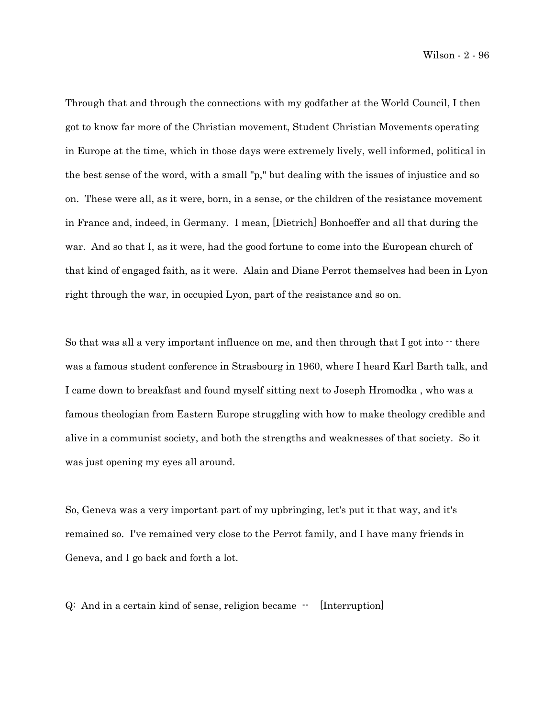Wilson - 2 - 96

Through that and through the connections with my godfather at the World Council, I then got to know far more of the Christian movement, Student Christian Movements operating in Europe at the time, which in those days were extremely lively, well informed, political in the best sense of the word, with a small "p," but dealing with the issues of injustice and so on. These were all, as it were, born, in a sense, or the children of the resistance movement in France and, indeed, in Germany. I mean, [Dietrich] Bonhoeffer and all that during the war. And so that I, as it were, had the good fortune to come into the European church of that kind of engaged faith, as it were. Alain and Diane Perrot themselves had been in Lyon right through the war, in occupied Lyon, part of the resistance and so on.

So that was all a very important influence on me, and then through that I got into  $\cdot$  there was a famous student conference in Strasbourg in 1960, where I heard Karl Barth talk, and I came down to breakfast and found myself sitting next to Joseph Hromodka , who was a famous theologian from Eastern Europe struggling with how to make theology credible and alive in a communist society, and both the strengths and weaknesses of that society. So it was just opening my eyes all around.

So, Geneva was a very important part of my upbringing, let's put it that way, and it's remained so. I've remained very close to the Perrot family, and I have many friends in Geneva, and I go back and forth a lot.

 $Q:$  And in a certain kind of sense, religion became  $\cdot$  [Interruption]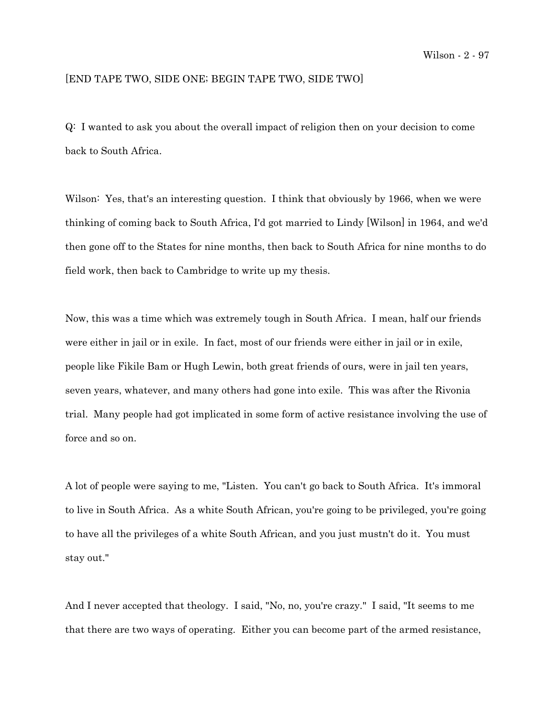## [END TAPE TWO, SIDE ONE; BEGIN TAPE TWO, SIDE TWO]

Q: I wanted to ask you about the overall impact of religion then on your decision to come back to South Africa.

Wilson: Yes, that's an interesting question. I think that obviously by 1966, when we were thinking of coming back to South Africa, I'd got married to Lindy [Wilson] in 1964, and we'd then gone off to the States for nine months, then back to South Africa for nine months to do field work, then back to Cambridge to write up my thesis.

Now, this was a time which was extremely tough in South Africa. I mean, half our friends were either in jail or in exile. In fact, most of our friends were either in jail or in exile, people like Fikile Bam or Hugh Lewin, both great friends of ours, were in jail ten years, seven years, whatever, and many others had gone into exile. This was after the Rivonia trial. Many people had got implicated in some form of active resistance involving the use of force and so on.

A lot of people were saying to me, "Listen. You can't go back to South Africa. It's immoral to live in South Africa. As a white South African, you're going to be privileged, you're going to have all the privileges of a white South African, and you just mustn't do it. You must stay out."

And I never accepted that theology. I said, "No, no, you're crazy." I said, "It seems to me that there are two ways of operating. Either you can become part of the armed resistance,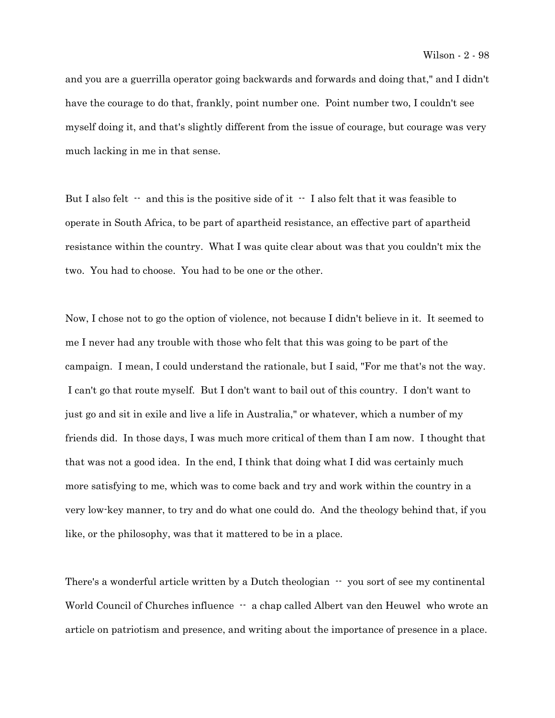and you are a guerrilla operator going backwards and forwards and doing that," and I didn't have the courage to do that, frankly, point number one. Point number two, I couldn't see myself doing it, and that's slightly different from the issue of courage, but courage was very much lacking in me in that sense.

But I also felt  $\cdot$  and this is the positive side of it  $\cdot$  I also felt that it was feasible to operate in South Africa, to be part of apartheid resistance, an effective part of apartheid resistance within the country. What I was quite clear about was that you couldn't mix the two. You had to choose. You had to be one or the other.

Now, I chose not to go the option of violence, not because I didn't believe in it. It seemed to me I never had any trouble with those who felt that this was going to be part of the campaign. I mean, I could understand the rationale, but I said, "For me that's not the way. I can't go that route myself. But I don't want to bail out of this country. I don't want to just go and sit in exile and live a life in Australia," or whatever, which a number of my friends did. In those days, I was much more critical of them than I am now. I thought that that was not a good idea. In the end, I think that doing what I did was certainly much more satisfying to me, which was to come back and try and work within the country in a very low-key manner, to try and do what one could do. And the theology behind that, if you like, or the philosophy, was that it mattered to be in a place.

There's a wonderful article written by a Dutch theologian  $\cdot \cdot$  you sort of see my continental World Council of Churches influence  $-$  a chap called Albert van den Heuwel who wrote an article on patriotism and presence, and writing about the importance of presence in a place.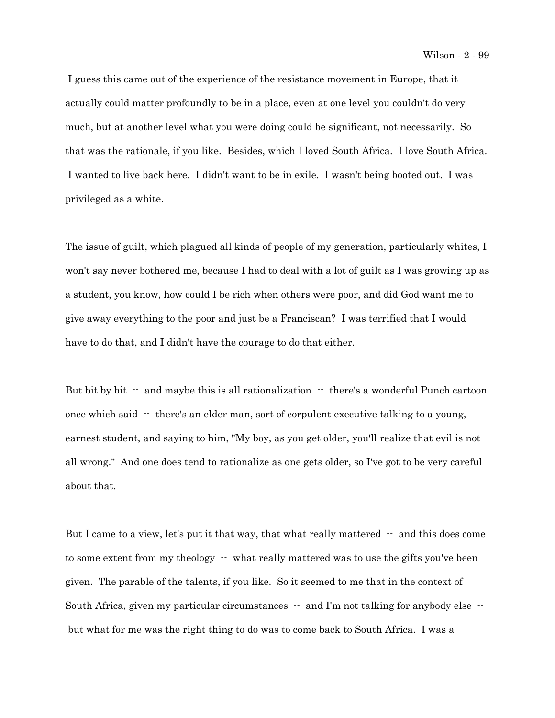I guess this came out of the experience of the resistance movement in Europe, that it actually could matter profoundly to be in a place, even at one level you couldn't do very much, but at another level what you were doing could be significant, not necessarily. So that was the rationale, if you like. Besides, which I loved South Africa. I love South Africa. I wanted to live back here. I didn't want to be in exile. I wasn't being booted out. I was privileged as a white.

The issue of guilt, which plagued all kinds of people of my generation, particularly whites, I won't say never bothered me, because I had to deal with a lot of guilt as I was growing up as a student, you know, how could I be rich when others were poor, and did God want me to give away everything to the poor and just be a Franciscan? I was terrified that I would have to do that, and I didn't have the courage to do that either.

But bit by bit  $-$  and maybe this is all rationalization  $-$  there's a wonderful Punch cartoon once which said  $\cdot$  there's an elder man, sort of corpulent executive talking to a young, earnest student, and saying to him, "My boy, as you get older, you'll realize that evil is not all wrong." And one does tend to rationalize as one gets older, so I've got to be very careful about that.

But I came to a view, let's put it that way, that what really mattered  $-$  and this does come to some extent from my theology  $-$  what really mattered was to use the gifts you've been given. The parable of the talents, if you like. So it seemed to me that in the context of South Africa, given my particular circumstances  $-$  and I'm not talking for anybody else  $$ but what for me was the right thing to do was to come back to South Africa. I was a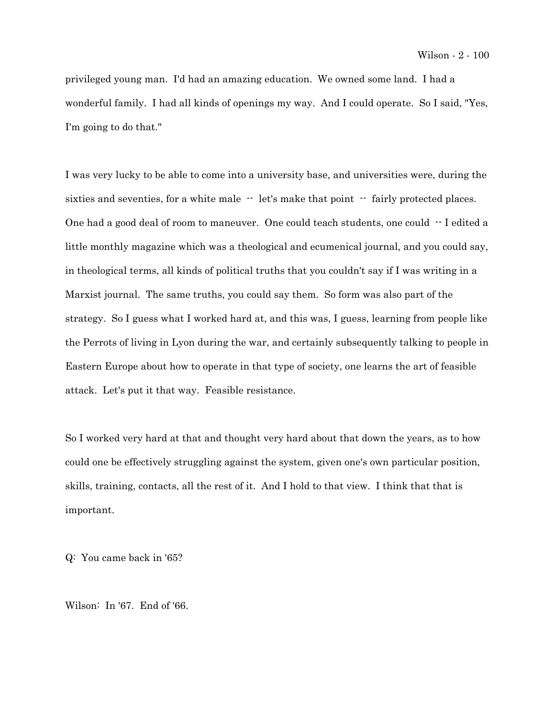privileged young man. I'd had an amazing education. We owned some land. I had a wonderful family. I had all kinds of openings my way. And I could operate. So I said, "Yes, I'm going to do that."

I was very lucky to be able to come into a university base, and universities were, during the sixties and seventies, for a white male  $-$  let's make that point  $-$  fairly protected places. One had a good deal of room to maneuver. One could teach students, one could  $-1$  edited a little monthly magazine which was a theological and ecumenical journal, and you could say, in theological terms, all kinds of political truths that you couldn't say if I was writing in a Marxist journal. The same truths, you could say them. So form was also part of the strategy. So I guess what I worked hard at, and this was, I guess, learning from people like the Perrots of living in Lyon during the war, and certainly subsequently talking to people in Eastern Europe about how to operate in that type of society, one learns the art of feasible attack. Let's put it that way. Feasible resistance.

So I worked very hard at that and thought very hard about that down the years, as to how could one be effectively struggling against the system, given one's own particular position, skills, training, contacts, all the rest of it. And I hold to that view. I think that that is important.

Q: You came back in '65?

Wilson: In '67. End of '66.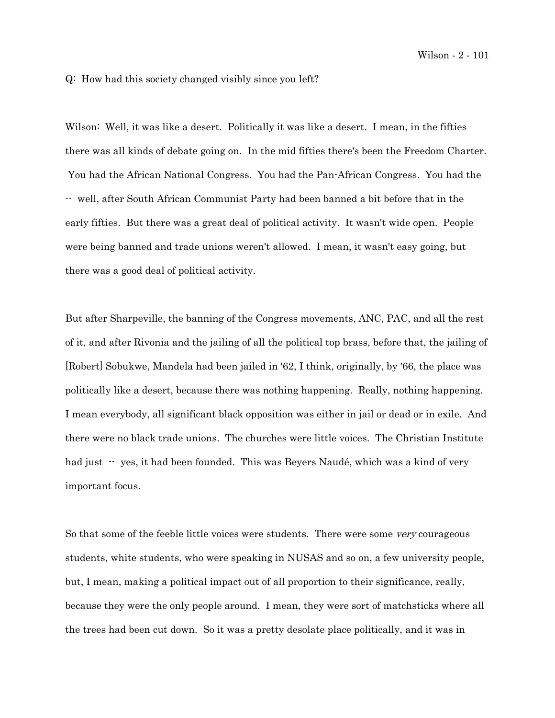Q: How had this society changed visibly since you left?

Wilson: Well, it was like a desert. Politically it was like a desert. I mean, in the fifties there was all kinds of debate going on. In the mid fifties there's been the Freedom Charter. You had the African National Congress. You had the Pan-African Congress. You had the -- well, after South African Communist Party had been banned a bit before that in the early fifties. But there was a great deal of political activity. It wasn't wide open. People were being banned and trade unions weren't allowed. I mean, it wasn't easy going, but there was a good deal of political activity.

But after Sharpeville, the banning of the Congress movements, ANC, PAC, and all the rest of it, and after Rivonia and the jailing of all the political top brass, before that, the jailing of [Robert] Sobukwe, Mandela had been jailed in '62, I think, originally, by '66, the place was politically like a desert, because there was nothing happening. Really, nothing happening. I mean everybody, all significant black opposition was either in jail or dead or in exile. And there were no black trade unions. The churches were little voices. The Christian Institute had just  $\cdot$  yes, it had been founded. This was Beyers Naudé, which was a kind of very important focus.

So that some of the feeble little voices were students. There were some *very* courageous students, white students, who were speaking in NUSAS and so on, a few university people, but, I mean, making a political impact out of all proportion to their significance, really, because they were the only people around. I mean, they were sort of matchsticks where all the trees had been cut down. So it was a pretty desolate place politically, and it was in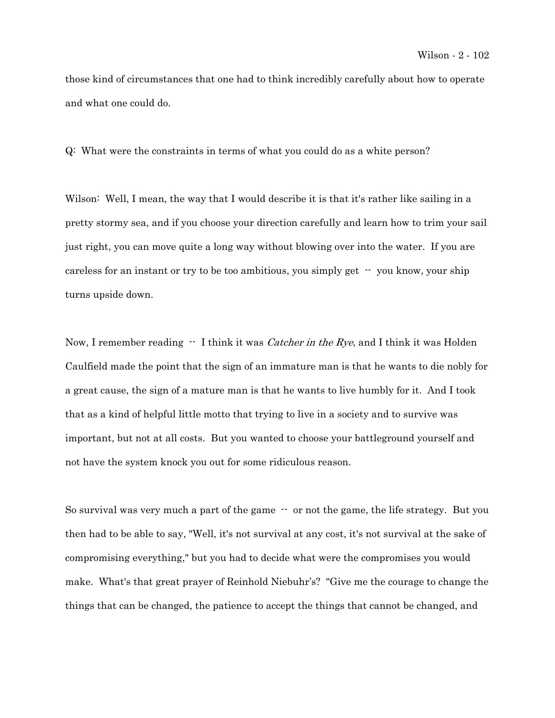those kind of circumstances that one had to think incredibly carefully about how to operate and what one could do.

Q: What were the constraints in terms of what you could do as a white person?

Wilson: Well, I mean, the way that I would describe it is that it's rather like sailing in a pretty stormy sea, and if you choose your direction carefully and learn how to trim your sail just right, you can move quite a long way without blowing over into the water. If you are careless for an instant or try to be too ambitious, you simply get  $\cdot$  you know, your ship turns upside down.

Now, I remember reading  $\cdot$  I think it was *Catcher in the Rye*, and I think it was Holden Caulfield made the point that the sign of an immature man is that he wants to die nobly for a great cause, the sign of a mature man is that he wants to live humbly for it. And I took that as a kind of helpful little motto that trying to live in a society and to survive was important, but not at all costs. But you wanted to choose your battleground yourself and not have the system knock you out for some ridiculous reason.

So survival was very much a part of the game -- or not the game, the life strategy. But you then had to be able to say, "Well, it's not survival at any cost, it's not survival at the sake of compromising everything," but you had to decide what were the compromises you would make. What's that great prayer of Reinhold Niebuhr's? "Give me the courage to change the things that can be changed, the patience to accept the things that cannot be changed, and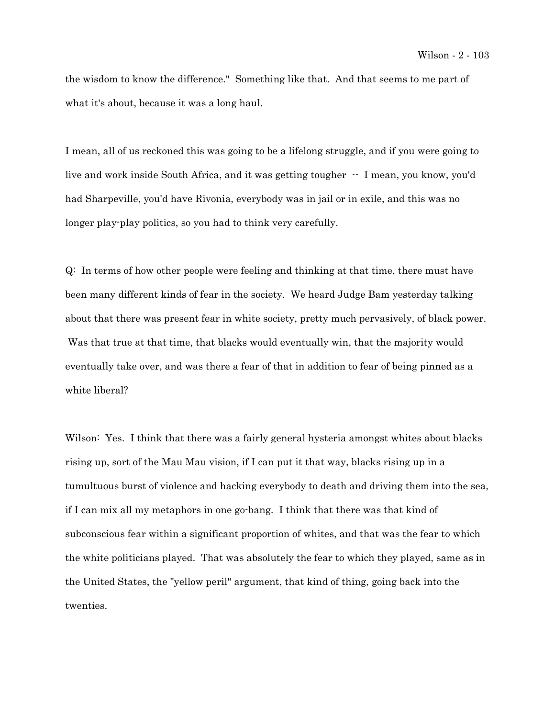the wisdom to know the difference." Something like that. And that seems to me part of what it's about, because it was a long haul.

I mean, all of us reckoned this was going to be a lifelong struggle, and if you were going to live and work inside South Africa, and it was getting tougher  $-1$  mean, you know, you'd had Sharpeville, you'd have Rivonia, everybody was in jail or in exile, and this was no longer play-play politics, so you had to think very carefully.

Q: In terms of how other people were feeling and thinking at that time, there must have been many different kinds of fear in the society. We heard Judge Bam yesterday talking about that there was present fear in white society, pretty much pervasively, of black power. Was that true at that time, that blacks would eventually win, that the majority would eventually take over, and was there a fear of that in addition to fear of being pinned as a white liberal?

Wilson: Yes. I think that there was a fairly general hysteria amongst whites about blacks rising up, sort of the Mau Mau vision, if I can put it that way, blacks rising up in a tumultuous burst of violence and hacking everybody to death and driving them into the sea, if I can mix all my metaphors in one go-bang. I think that there was that kind of subconscious fear within a significant proportion of whites, and that was the fear to which the white politicians played. That was absolutely the fear to which they played, same as in the United States, the "yellow peril" argument, that kind of thing, going back into the twenties.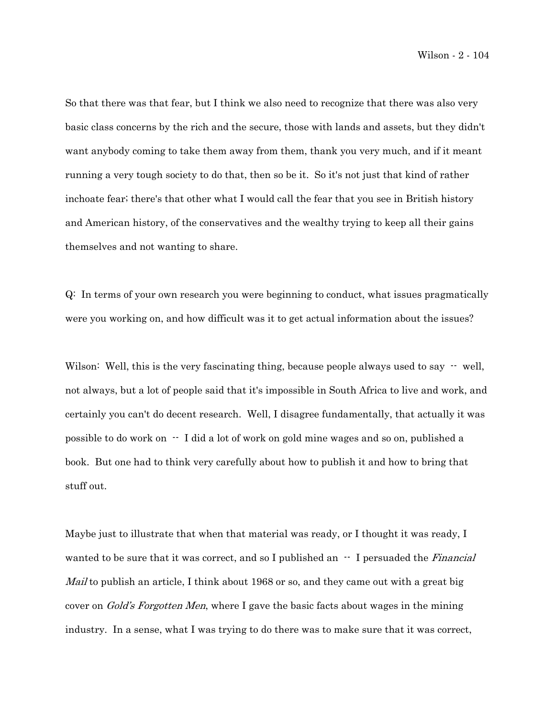So that there was that fear, but I think we also need to recognize that there was also very basic class concerns by the rich and the secure, those with lands and assets, but they didn't want anybody coming to take them away from them, thank you very much, and if it meant running a very tough society to do that, then so be it. So it's not just that kind of rather inchoate fear; there's that other what I would call the fear that you see in British history and American history, of the conservatives and the wealthy trying to keep all their gains themselves and not wanting to share.

Q: In terms of your own research you were beginning to conduct, what issues pragmatically were you working on, and how difficult was it to get actual information about the issues?

Wilson: Well, this is the very fascinating thing, because people always used to say  $-$  well, not always, but a lot of people said that it's impossible in South Africa to live and work, and certainly you can't do decent research. Well, I disagree fundamentally, that actually it was possible to do work on -- I did a lot of work on gold mine wages and so on, published a book. But one had to think very carefully about how to publish it and how to bring that stuff out.

Maybe just to illustrate that when that material was ready, or I thought it was ready, I wanted to be sure that it was correct, and so I published an  $-$  I persuaded the *Financial* Mail to publish an article, I think about 1968 or so, and they came out with a great big cover on *Gold's Forgotten Men*, where I gave the basic facts about wages in the mining industry. In a sense, what I was trying to do there was to make sure that it was correct,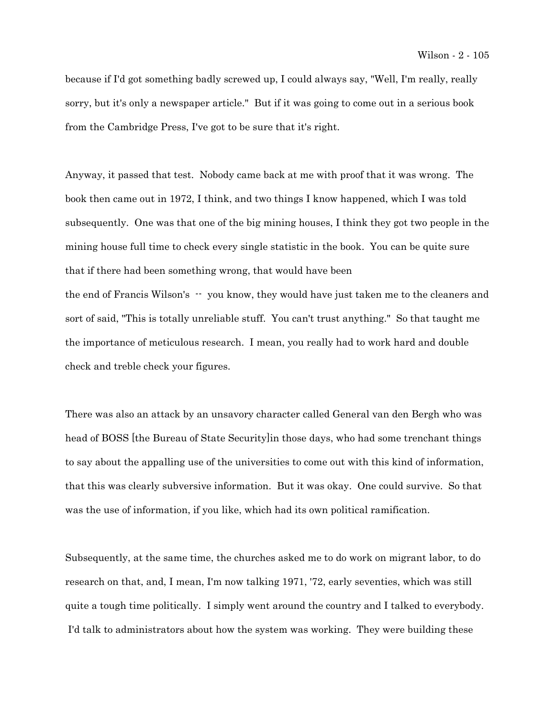because if I'd got something badly screwed up, I could always say, "Well, I'm really, really sorry, but it's only a newspaper article." But if it was going to come out in a serious book from the Cambridge Press, I've got to be sure that it's right.

Anyway, it passed that test. Nobody came back at me with proof that it was wrong. The book then came out in 1972, I think, and two things I know happened, which I was told subsequently. One was that one of the big mining houses, I think they got two people in the mining house full time to check every single statistic in the book. You can be quite sure that if there had been something wrong, that would have been the end of Francis Wilson's -- you know, they would have just taken me to the cleaners and sort of said, "This is totally unreliable stuff. You can't trust anything." So that taught me the importance of meticulous research. I mean, you really had to work hard and double check and treble check your figures.

There was also an attack by an unsavory character called General van den Bergh who was head of BOSS [the Bureau of State Security]in those days, who had some trenchant things to say about the appalling use of the universities to come out with this kind of information, that this was clearly subversive information. But it was okay. One could survive. So that was the use of information, if you like, which had its own political ramification.

Subsequently, at the same time, the churches asked me to do work on migrant labor, to do research on that, and, I mean, I'm now talking 1971, '72, early seventies, which was still quite a tough time politically. I simply went around the country and I talked to everybody. I'd talk to administrators about how the system was working. They were building these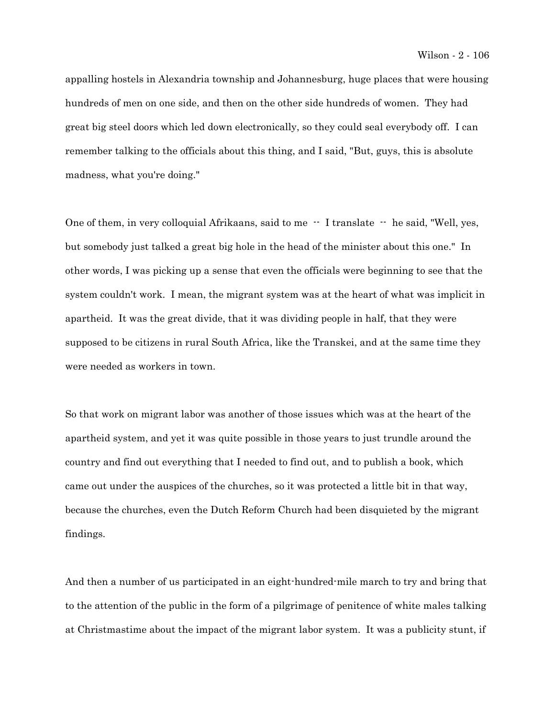appalling hostels in Alexandria township and Johannesburg, huge places that were housing hundreds of men on one side, and then on the other side hundreds of women. They had great big steel doors which led down electronically, so they could seal everybody off. I can remember talking to the officials about this thing, and I said, "But, guys, this is absolute madness, what you're doing."

One of them, in very colloquial Afrikaans, said to me  $-$  I translate  $-$  he said, "Well, yes, but somebody just talked a great big hole in the head of the minister about this one." In other words, I was picking up a sense that even the officials were beginning to see that the system couldn't work. I mean, the migrant system was at the heart of what was implicit in apartheid. It was the great divide, that it was dividing people in half, that they were supposed to be citizens in rural South Africa, like the Transkei, and at the same time they were needed as workers in town.

So that work on migrant labor was another of those issues which was at the heart of the apartheid system, and yet it was quite possible in those years to just trundle around the country and find out everything that I needed to find out, and to publish a book, which came out under the auspices of the churches, so it was protected a little bit in that way, because the churches, even the Dutch Reform Church had been disquieted by the migrant findings.

And then a number of us participated in an eight-hundred-mile march to try and bring that to the attention of the public in the form of a pilgrimage of penitence of white males talking at Christmastime about the impact of the migrant labor system. It was a publicity stunt, if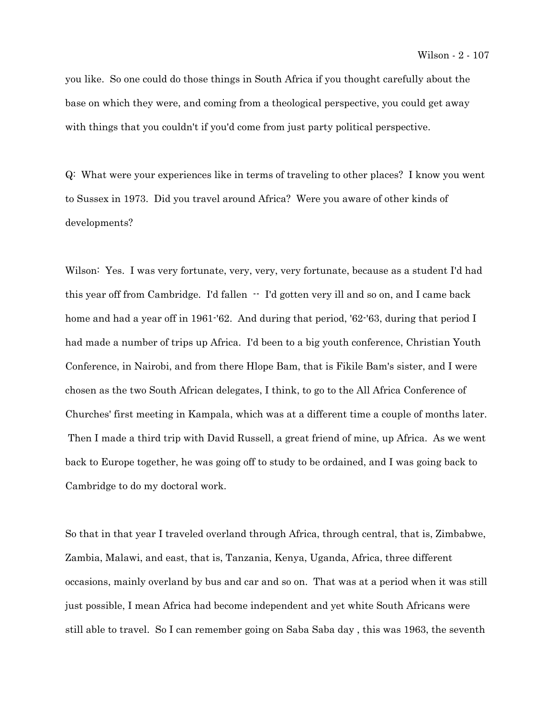you like. So one could do those things in South Africa if you thought carefully about the base on which they were, and coming from a theological perspective, you could get away with things that you couldn't if you'd come from just party political perspective.

Q: What were your experiences like in terms of traveling to other places? I know you went to Sussex in 1973. Did you travel around Africa? Were you aware of other kinds of developments?

Wilson: Yes. I was very fortunate, very, very, very fortunate, because as a student I'd had this year off from Cambridge. I'd fallen  $-$  I'd gotten very ill and so on, and I came back home and had a year off in 1961-'62. And during that period, '62-'63, during that period I had made a number of trips up Africa. I'd been to a big youth conference, Christian Youth Conference, in Nairobi, and from there Hlope Bam, that is Fikile Bam's sister, and I were chosen as the two South African delegates, I think, to go to the All Africa Conference of Churches' first meeting in Kampala, which was at a different time a couple of months later. Then I made a third trip with David Russell, a great friend of mine, up Africa. As we went back to Europe together, he was going off to study to be ordained, and I was going back to Cambridge to do my doctoral work.

So that in that year I traveled overland through Africa, through central, that is, Zimbabwe, Zambia, Malawi, and east, that is, Tanzania, Kenya, Uganda, Africa, three different occasions, mainly overland by bus and car and so on. That was at a period when it was still just possible, I mean Africa had become independent and yet white South Africans were still able to travel. So I can remember going on Saba Saba day , this was 1963, the seventh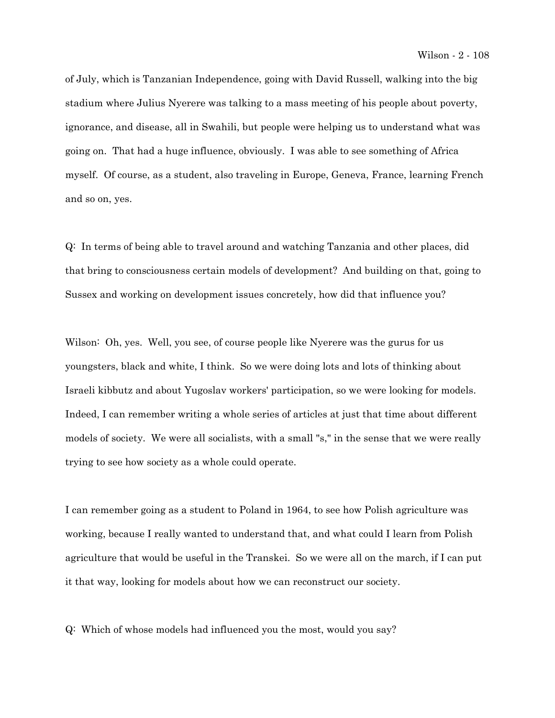of July, which is Tanzanian Independence, going with David Russell, walking into the big stadium where Julius Nyerere was talking to a mass meeting of his people about poverty, ignorance, and disease, all in Swahili, but people were helping us to understand what was going on. That had a huge influence, obviously. I was able to see something of Africa myself. Of course, as a student, also traveling in Europe, Geneva, France, learning French and so on, yes.

Q: In terms of being able to travel around and watching Tanzania and other places, did that bring to consciousness certain models of development? And building on that, going to Sussex and working on development issues concretely, how did that influence you?

Wilson: Oh, yes. Well, you see, of course people like Nyerere was the gurus for us youngsters, black and white, I think. So we were doing lots and lots of thinking about Israeli kibbutz and about Yugoslav workers' participation, so we were looking for models. Indeed, I can remember writing a whole series of articles at just that time about different models of society. We were all socialists, with a small "s," in the sense that we were really trying to see how society as a whole could operate.

I can remember going as a student to Poland in 1964, to see how Polish agriculture was working, because I really wanted to understand that, and what could I learn from Polish agriculture that would be useful in the Transkei. So we were all on the march, if I can put it that way, looking for models about how we can reconstruct our society.

Q: Which of whose models had influenced you the most, would you say?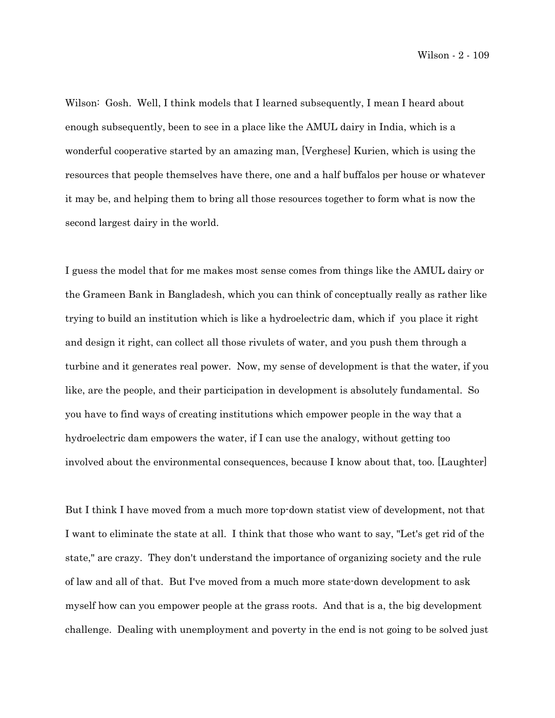Wilson: Gosh. Well, I think models that I learned subsequently, I mean I heard about enough subsequently, been to see in a place like the AMUL dairy in India, which is a wonderful cooperative started by an amazing man, [Verghese] Kurien, which is using the resources that people themselves have there, one and a half buffalos per house or whatever it may be, and helping them to bring all those resources together to form what is now the second largest dairy in the world.

I guess the model that for me makes most sense comes from things like the AMUL dairy or the Grameen Bank in Bangladesh, which you can think of conceptually really as rather like trying to build an institution which is like a hydroelectric dam, which if you place it right and design it right, can collect all those rivulets of water, and you push them through a turbine and it generates real power. Now, my sense of development is that the water, if you like, are the people, and their participation in development is absolutely fundamental. So you have to find ways of creating institutions which empower people in the way that a hydroelectric dam empowers the water, if I can use the analogy, without getting too involved about the environmental consequences, because I know about that, too. [Laughter]

But I think I have moved from a much more top-down statist view of development, not that I want to eliminate the state at all. I think that those who want to say, "Let's get rid of the state," are crazy. They don't understand the importance of organizing society and the rule of law and all of that. But I've moved from a much more state-down development to ask myself how can you empower people at the grass roots. And that is a, the big development challenge. Dealing with unemployment and poverty in the end is not going to be solved just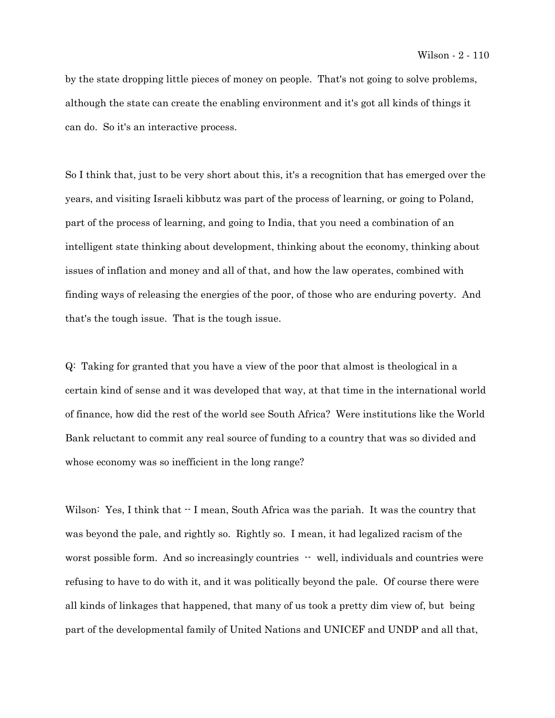by the state dropping little pieces of money on people. That's not going to solve problems, although the state can create the enabling environment and it's got all kinds of things it can do. So it's an interactive process.

So I think that, just to be very short about this, it's a recognition that has emerged over the years, and visiting Israeli kibbutz was part of the process of learning, or going to Poland, part of the process of learning, and going to India, that you need a combination of an intelligent state thinking about development, thinking about the economy, thinking about issues of inflation and money and all of that, and how the law operates, combined with finding ways of releasing the energies of the poor, of those who are enduring poverty. And that's the tough issue. That is the tough issue.

Q: Taking for granted that you have a view of the poor that almost is theological in a certain kind of sense and it was developed that way, at that time in the international world of finance, how did the rest of the world see South Africa? Were institutions like the World Bank reluctant to commit any real source of funding to a country that was so divided and whose economy was so inefficient in the long range?

Wilson: Yes, I think that  $\cdot$  I mean, South Africa was the pariah. It was the country that was beyond the pale, and rightly so. Rightly so. I mean, it had legalized racism of the worst possible form. And so increasingly countries  $-$  well, individuals and countries were refusing to have to do with it, and it was politically beyond the pale. Of course there were all kinds of linkages that happened, that many of us took a pretty dim view of, but being part of the developmental family of United Nations and UNICEF and UNDP and all that,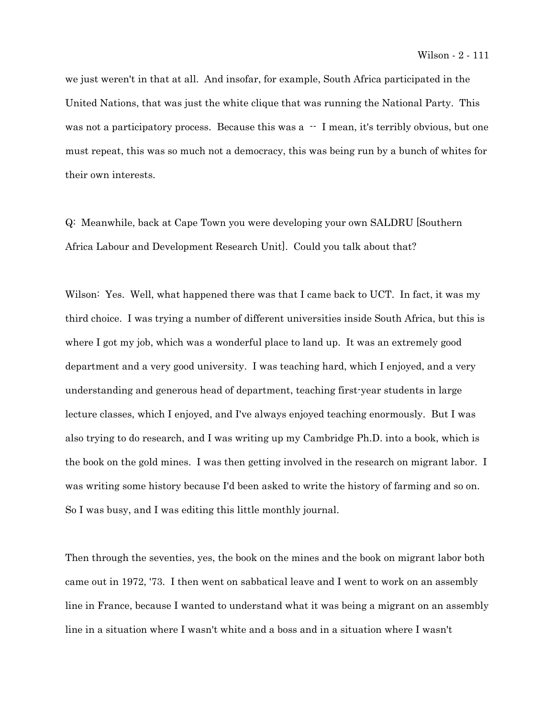we just weren't in that at all. And insofar, for example, South Africa participated in the United Nations, that was just the white clique that was running the National Party. This was not a participatory process. Because this was a  $-$  I mean, it's terribly obvious, but one must repeat, this was so much not a democracy, this was being run by a bunch of whites for their own interests.

Q: Meanwhile, back at Cape Town you were developing your own SALDRU [Southern Africa Labour and Development Research Unit]. Could you talk about that?

Wilson: Yes. Well, what happened there was that I came back to UCT. In fact, it was my third choice. I was trying a number of different universities inside South Africa, but this is where I got my job, which was a wonderful place to land up. It was an extremely good department and a very good university. I was teaching hard, which I enjoyed, and a very understanding and generous head of department, teaching first-year students in large lecture classes, which I enjoyed, and I've always enjoyed teaching enormously. But I was also trying to do research, and I was writing up my Cambridge Ph.D. into a book, which is the book on the gold mines. I was then getting involved in the research on migrant labor. I was writing some history because I'd been asked to write the history of farming and so on. So I was busy, and I was editing this little monthly journal.

Then through the seventies, yes, the book on the mines and the book on migrant labor both came out in 1972, '73. I then went on sabbatical leave and I went to work on an assembly line in France, because I wanted to understand what it was being a migrant on an assembly line in a situation where I wasn't white and a boss and in a situation where I wasn't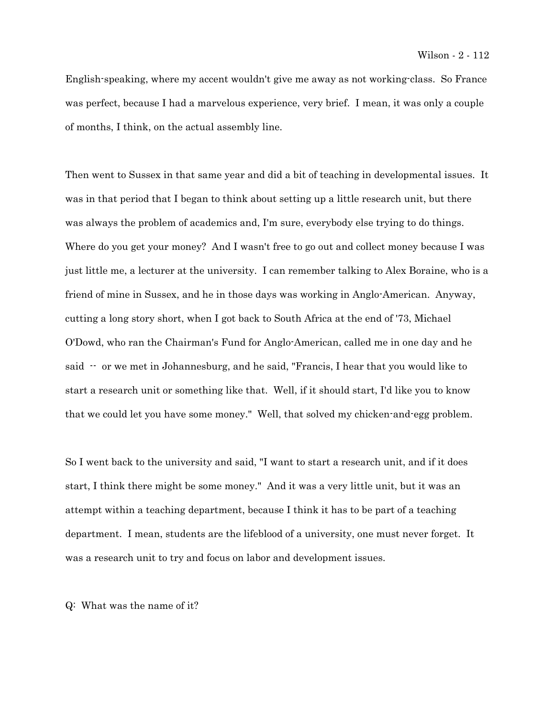English-speaking, where my accent wouldn't give me away as not working-class. So France was perfect, because I had a marvelous experience, very brief. I mean, it was only a couple of months, I think, on the actual assembly line.

Then went to Sussex in that same year and did a bit of teaching in developmental issues. It was in that period that I began to think about setting up a little research unit, but there was always the problem of academics and, I'm sure, everybody else trying to do things. Where do you get your money? And I wasn't free to go out and collect money because I was just little me, a lecturer at the university. I can remember talking to Alex Boraine, who is a friend of mine in Sussex, and he in those days was working in Anglo-American. Anyway, cutting a long story short, when I got back to South Africa at the end of '73, Michael O'Dowd, who ran the Chairman's Fund for Anglo-American, called me in one day and he said -- or we met in Johannesburg, and he said, "Francis, I hear that you would like to start a research unit or something like that. Well, if it should start, I'd like you to know that we could let you have some money." Well, that solved my chicken-and-egg problem.

So I went back to the university and said, "I want to start a research unit, and if it does start, I think there might be some money." And it was a very little unit, but it was an attempt within a teaching department, because I think it has to be part of a teaching department. I mean, students are the lifeblood of a university, one must never forget. It was a research unit to try and focus on labor and development issues.

Q: What was the name of it?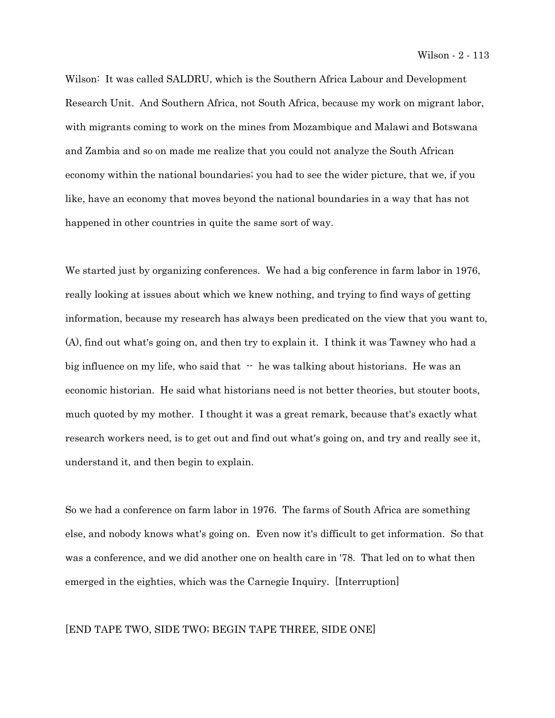Wilson: It was called SALDRU, which is the Southern Africa Labour and Development Research Unit. And Southern Africa, not South Africa, because my work on migrant labor, with migrants coming to work on the mines from Mozambique and Malawi and Botswana and Zambia and so on made me realize that you could not analyze the South African economy within the national boundaries; you had to see the wider picture, that we, if you like, have an economy that moves beyond the national boundaries in a way that has not happened in other countries in quite the same sort of way.

We started just by organizing conferences. We had a big conference in farm labor in 1976, really looking at issues about which we knew nothing, and trying to find ways of getting information, because my research has always been predicated on the view that you want to, (A), find out what's going on, and then try to explain it. I think it was Tawney who had a big influence on my life, who said that  $-$  he was talking about historians. He was an economic historian. He said what historians need is not better theories, but stouter boots, much quoted by my mother. I thought it was a great remark, because that's exactly what research workers need, is to get out and find out what's going on, and try and really see it, understand it, and then begin to explain.

So we had a conference on farm labor in 1976. The farms of South Africa are something else, and nobody knows what's going on. Even now it's difficult to get information. So that was a conference, and we did another one on health care in '78. That led on to what then emerged in the eighties, which was the Carnegie Inquiry. [Interruption]

## [END TAPE TWO, SIDE TWO; BEGIN TAPE THREE, SIDE ONE]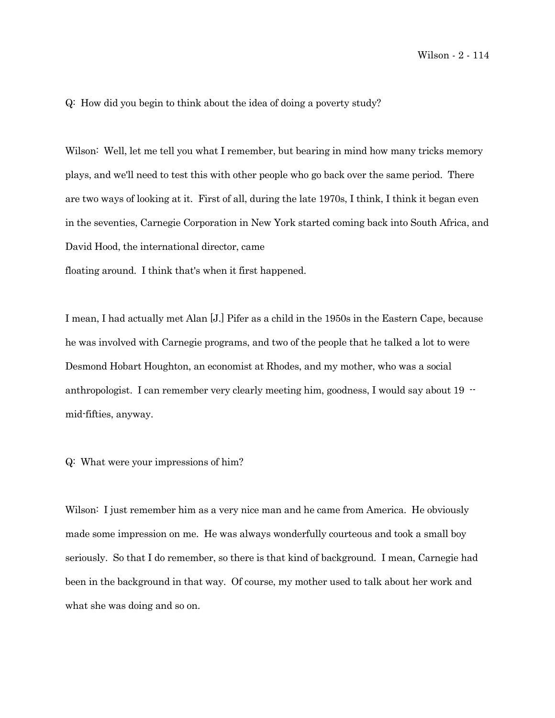Q: How did you begin to think about the idea of doing a poverty study?

Wilson: Well, let me tell you what I remember, but bearing in mind how many tricks memory plays, and we'll need to test this with other people who go back over the same period. There are two ways of looking at it. First of all, during the late 1970s, I think, I think it began even in the seventies, Carnegie Corporation in New York started coming back into South Africa, and David Hood, the international director, came

floating around. I think that's when it first happened.

I mean, I had actually met Alan [J.] Pifer as a child in the 1950s in the Eastern Cape, because he was involved with Carnegie programs, and two of the people that he talked a lot to were Desmond Hobart Houghton, an economist at Rhodes, and my mother, who was a social anthropologist. I can remember very clearly meeting him, goodness, I would say about 19  $$ mid-fifties, anyway.

Q: What were your impressions of him?

Wilson: I just remember him as a very nice man and he came from America. He obviously made some impression on me. He was always wonderfully courteous and took a small boy seriously. So that I do remember, so there is that kind of background. I mean, Carnegie had been in the background in that way. Of course, my mother used to talk about her work and what she was doing and so on.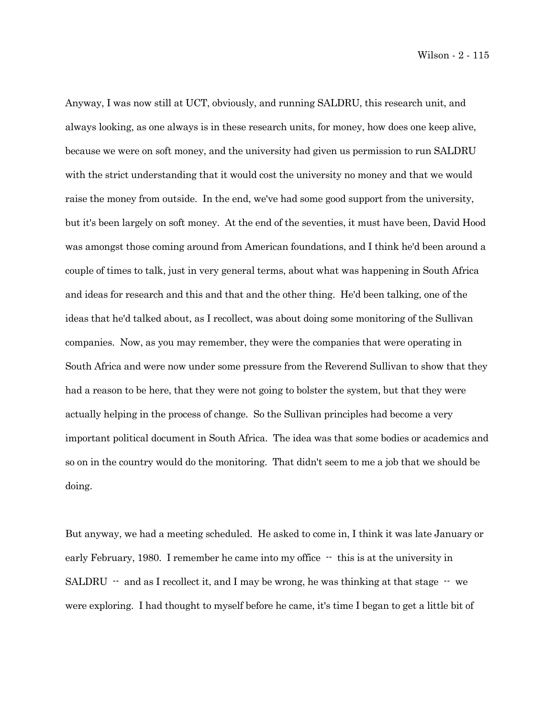Wilson - 2 - 115

Anyway, I was now still at UCT, obviously, and running SALDRU, this research unit, and always looking, as one always is in these research units, for money, how does one keep alive, because we were on soft money, and the university had given us permission to run SALDRU with the strict understanding that it would cost the university no money and that we would raise the money from outside. In the end, we've had some good support from the university, but it's been largely on soft money. At the end of the seventies, it must have been, David Hood was amongst those coming around from American foundations, and I think he'd been around a couple of times to talk, just in very general terms, about what was happening in South Africa and ideas for research and this and that and the other thing. He'd been talking, one of the ideas that he'd talked about, as I recollect, was about doing some monitoring of the Sullivan companies. Now, as you may remember, they were the companies that were operating in South Africa and were now under some pressure from the Reverend Sullivan to show that they had a reason to be here, that they were not going to bolster the system, but that they were actually helping in the process of change. So the Sullivan principles had become a very important political document in South Africa. The idea was that some bodies or academics and so on in the country would do the monitoring. That didn't seem to me a job that we should be doing.

But anyway, we had a meeting scheduled. He asked to come in, I think it was late January or early February, 1980. I remember he came into my office  $-$  this is at the university in SALDRU  $-$  and as I recollect it, and I may be wrong, he was thinking at that stage  $-$  we were exploring. I had thought to myself before he came, it's time I began to get a little bit of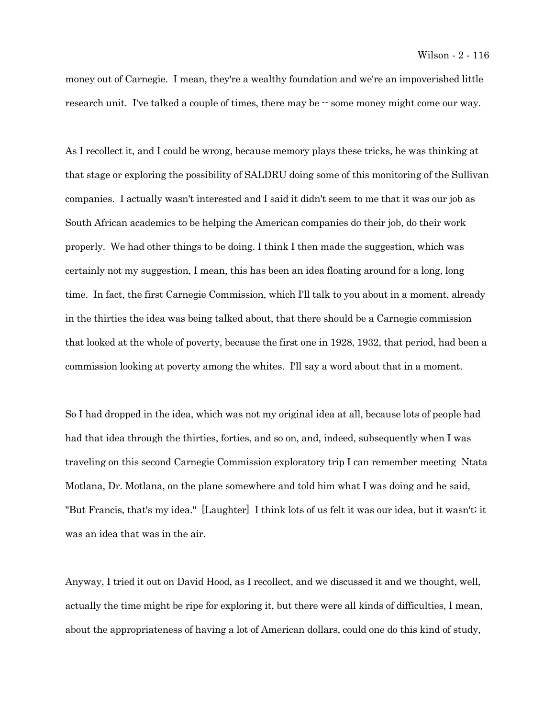money out of Carnegie. I mean, they're a wealthy foundation and we're an impoverished little research unit. I've talked a couple of times, there may be  $\cdot$  some money might come our way.

As I recollect it, and I could be wrong, because memory plays these tricks, he was thinking at that stage or exploring the possibility of SALDRU doing some of this monitoring of the Sullivan companies. I actually wasn't interested and I said it didn't seem to me that it was our job as South African academics to be helping the American companies do their job, do their work properly. We had other things to be doing. I think I then made the suggestion, which was certainly not my suggestion, I mean, this has been an idea floating around for a long, long time. In fact, the first Carnegie Commission, which I'll talk to you about in a moment, already in the thirties the idea was being talked about, that there should be a Carnegie commission that looked at the whole of poverty, because the first one in 1928, 1932, that period, had been a commission looking at poverty among the whites. I'll say a word about that in a moment.

So I had dropped in the idea, which was not my original idea at all, because lots of people had had that idea through the thirties, forties, and so on, and, indeed, subsequently when I was traveling on this second Carnegie Commission exploratory trip I can remember meeting Ntata Motlana, Dr. Motlana, on the plane somewhere and told him what I was doing and he said, "But Francis, that's my idea." [Laughter] I think lots of us felt it was our idea, but it wasn't; it was an idea that was in the air.

Anyway, I tried it out on David Hood, as I recollect, and we discussed it and we thought, well, actually the time might be ripe for exploring it, but there were all kinds of difficulties, I mean, about the appropriateness of having a lot of American dollars, could one do this kind of study,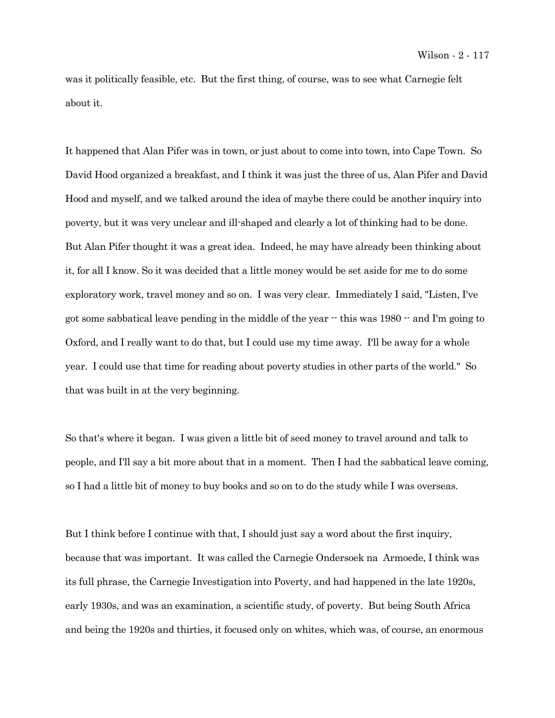was it politically feasible, etc. But the first thing, of course, was to see what Carnegie felt about it.

It happened that Alan Pifer was in town, or just about to come into town, into Cape Town. So David Hood organized a breakfast, and I think it was just the three of us, Alan Pifer and David Hood and myself, and we talked around the idea of maybe there could be another inquiry into poverty, but it was very unclear and ill-shaped and clearly a lot of thinking had to be done. But Alan Pifer thought it was a great idea. Indeed, he may have already been thinking about it, for all I know. So it was decided that a little money would be set aside for me to do some exploratory work, travel money and so on. I was very clear. Immediately I said, "Listen, I've got some sabbatical leave pending in the middle of the year -- this was 1980 -- and I'm going to Oxford, and I really want to do that, but I could use my time away. I'll be away for a whole year. I could use that time for reading about poverty studies in other parts of the world." So that was built in at the very beginning.

So that's where it began. I was given a little bit of seed money to travel around and talk to people, and I'll say a bit more about that in a moment. Then I had the sabbatical leave coming, so I had a little bit of money to buy books and so on to do the study while I was overseas.

But I think before I continue with that, I should just say a word about the first inquiry, because that was important. It was called the Carnegie Ondersoek na Armoede, I think was its full phrase, the Carnegie Investigation into Poverty, and had happened in the late 1920s, early 1930s, and was an examination, a scientific study, of poverty. But being South Africa and being the 1920s and thirties, it focused only on whites, which was, of course, an enormous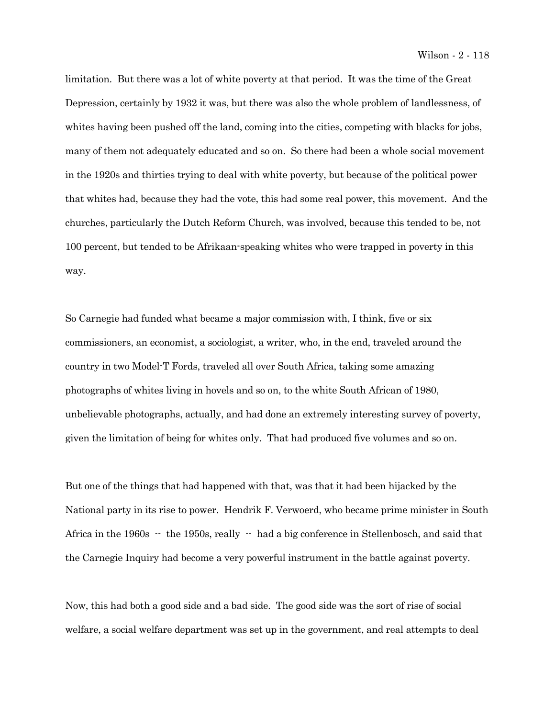limitation. But there was a lot of white poverty at that period. It was the time of the Great Depression, certainly by 1932 it was, but there was also the whole problem of landlessness, of whites having been pushed off the land, coming into the cities, competing with blacks for jobs, many of them not adequately educated and so on. So there had been a whole social movement in the 1920s and thirties trying to deal with white poverty, but because of the political power that whites had, because they had the vote, this had some real power, this movement. And the churches, particularly the Dutch Reform Church, was involved, because this tended to be, not 100 percent, but tended to be Afrikaan-speaking whites who were trapped in poverty in this way.

So Carnegie had funded what became a major commission with, I think, five or six commissioners, an economist, a sociologist, a writer, who, in the end, traveled around the country in two Model-T Fords, traveled all over South Africa, taking some amazing photographs of whites living in hovels and so on, to the white South African of 1980, unbelievable photographs, actually, and had done an extremely interesting survey of poverty, given the limitation of being for whites only. That had produced five volumes and so on.

But one of the things that had happened with that, was that it had been hijacked by the National party in its rise to power. Hendrik F. Verwoerd, who became prime minister in South Africa in the 1960s  $-$  the 1950s, really  $-$  had a big conference in Stellenbosch, and said that the Carnegie Inquiry had become a very powerful instrument in the battle against poverty.

Now, this had both a good side and a bad side. The good side was the sort of rise of social welfare, a social welfare department was set up in the government, and real attempts to deal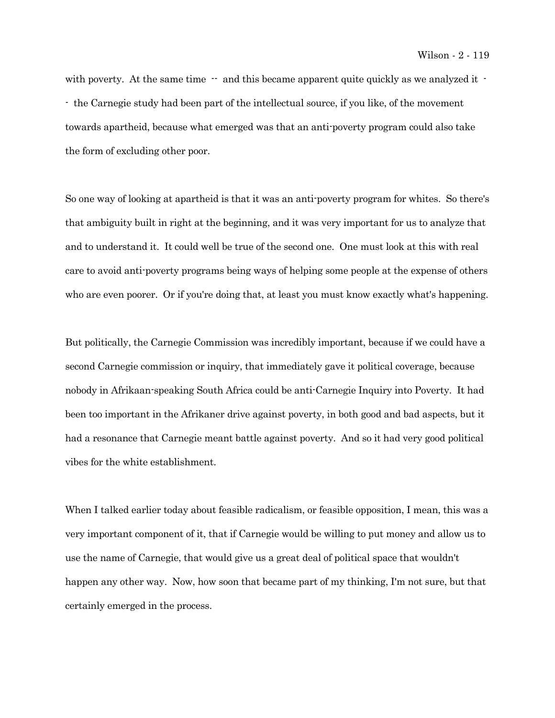with poverty. At the same time  $-$  and this became apparent quite quickly as we analyzed it  $-$ - the Carnegie study had been part of the intellectual source, if you like, of the movement towards apartheid, because what emerged was that an anti-poverty program could also take the form of excluding other poor.

So one way of looking at apartheid is that it was an anti-poverty program for whites. So there's that ambiguity built in right at the beginning, and it was very important for us to analyze that and to understand it. It could well be true of the second one. One must look at this with real care to avoid anti-poverty programs being ways of helping some people at the expense of others who are even poorer. Or if you're doing that, at least you must know exactly what's happening.

But politically, the Carnegie Commission was incredibly important, because if we could have a second Carnegie commission or inquiry, that immediately gave it political coverage, because nobody in Afrikaan-speaking South Africa could be anti-Carnegie Inquiry into Poverty. It had been too important in the Afrikaner drive against poverty, in both good and bad aspects, but it had a resonance that Carnegie meant battle against poverty. And so it had very good political vibes for the white establishment.

When I talked earlier today about feasible radicalism, or feasible opposition, I mean, this was a very important component of it, that if Carnegie would be willing to put money and allow us to use the name of Carnegie, that would give us a great deal of political space that wouldn't happen any other way. Now, how soon that became part of my thinking, I'm not sure, but that certainly emerged in the process.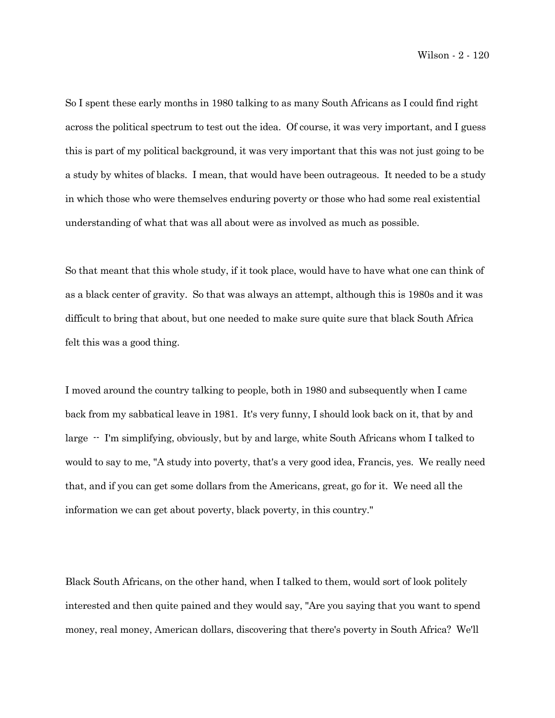So I spent these early months in 1980 talking to as many South Africans as I could find right across the political spectrum to test out the idea. Of course, it was very important, and I guess this is part of my political background, it was very important that this was not just going to be a study by whites of blacks. I mean, that would have been outrageous. It needed to be a study in which those who were themselves enduring poverty or those who had some real existential understanding of what that was all about were as involved as much as possible.

So that meant that this whole study, if it took place, would have to have what one can think of as a black center of gravity. So that was always an attempt, although this is 1980s and it was difficult to bring that about, but one needed to make sure quite sure that black South Africa felt this was a good thing.

I moved around the country talking to people, both in 1980 and subsequently when I came back from my sabbatical leave in 1981. It's very funny, I should look back on it, that by and large -- I'm simplifying, obviously, but by and large, white South Africans whom I talked to would to say to me, "A study into poverty, that's a very good idea, Francis, yes. We really need that, and if you can get some dollars from the Americans, great, go for it. We need all the information we can get about poverty, black poverty, in this country."

Black South Africans, on the other hand, when I talked to them, would sort of look politely interested and then quite pained and they would say, "Are you saying that you want to spend money, real money, American dollars, discovering that there's poverty in South Africa? We'll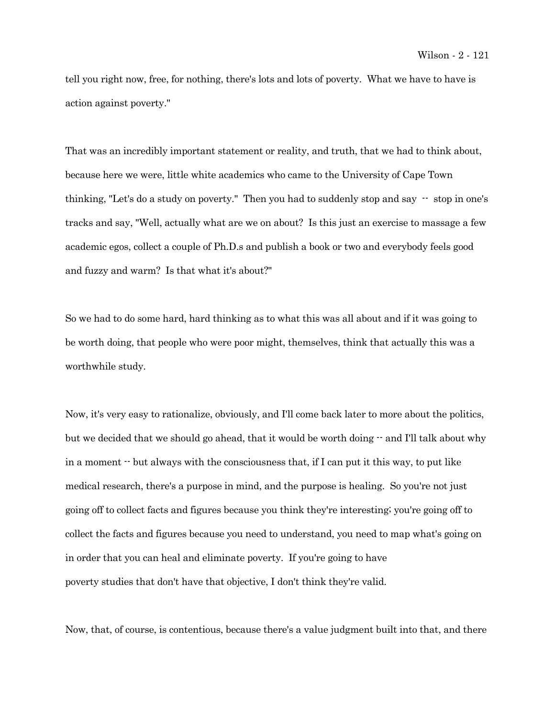tell you right now, free, for nothing, there's lots and lots of poverty. What we have to have is action against poverty."

That was an incredibly important statement or reality, and truth, that we had to think about, because here we were, little white academics who came to the University of Cape Town thinking, "Let's do a study on poverty." Then you had to suddenly stop and say -- stop in one's tracks and say, "Well, actually what are we on about? Is this just an exercise to massage a few academic egos, collect a couple of Ph.D.s and publish a book or two and everybody feels good and fuzzy and warm? Is that what it's about?"

So we had to do some hard, hard thinking as to what this was all about and if it was going to be worth doing, that people who were poor might, themselves, think that actually this was a worthwhile study.

Now, it's very easy to rationalize, obviously, and I'll come back later to more about the politics, but we decided that we should go ahead, that it would be worth doing  $-$  and I'll talk about why in a moment  $\cdot$  but always with the consciousness that, if I can put it this way, to put like medical research, there's a purpose in mind, and the purpose is healing. So you're not just going off to collect facts and figures because you think they're interesting; you're going off to collect the facts and figures because you need to understand, you need to map what's going on in order that you can heal and eliminate poverty. If you're going to have poverty studies that don't have that objective, I don't think they're valid.

Now, that, of course, is contentious, because there's a value judgment built into that, and there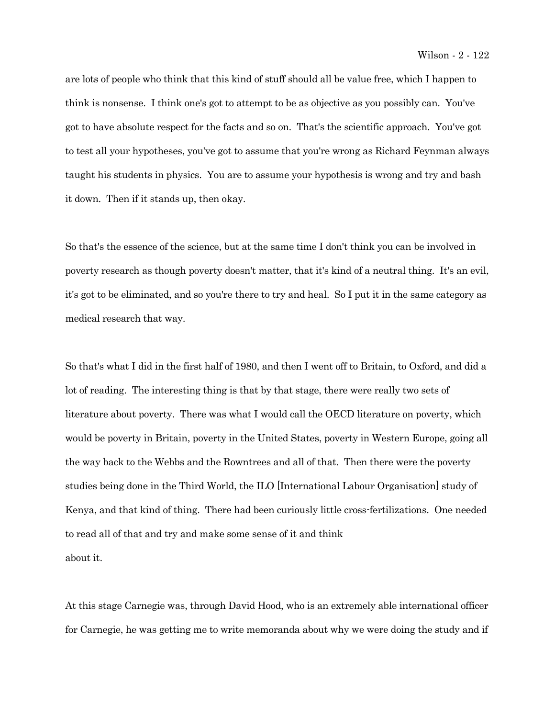are lots of people who think that this kind of stuff should all be value free, which I happen to think is nonsense. I think one's got to attempt to be as objective as you possibly can. You've got to have absolute respect for the facts and so on. That's the scientific approach. You've got to test all your hypotheses, you've got to assume that you're wrong as Richard Feynman always taught his students in physics. You are to assume your hypothesis is wrong and try and bash it down. Then if it stands up, then okay.

So that's the essence of the science, but at the same time I don't think you can be involved in poverty research as though poverty doesn't matter, that it's kind of a neutral thing. It's an evil, it's got to be eliminated, and so you're there to try and heal. So I put it in the same category as medical research that way.

So that's what I did in the first half of 1980, and then I went off to Britain, to Oxford, and did a lot of reading. The interesting thing is that by that stage, there were really two sets of literature about poverty. There was what I would call the OECD literature on poverty, which would be poverty in Britain, poverty in the United States, poverty in Western Europe, going all the way back to the Webbs and the Rowntrees and all of that. Then there were the poverty studies being done in the Third World, the ILO [International Labour Organisation] study of Kenya, and that kind of thing. There had been curiously little cross-fertilizations. One needed to read all of that and try and make some sense of it and think about it.

At this stage Carnegie was, through David Hood, who is an extremely able international officer for Carnegie, he was getting me to write memoranda about why we were doing the study and if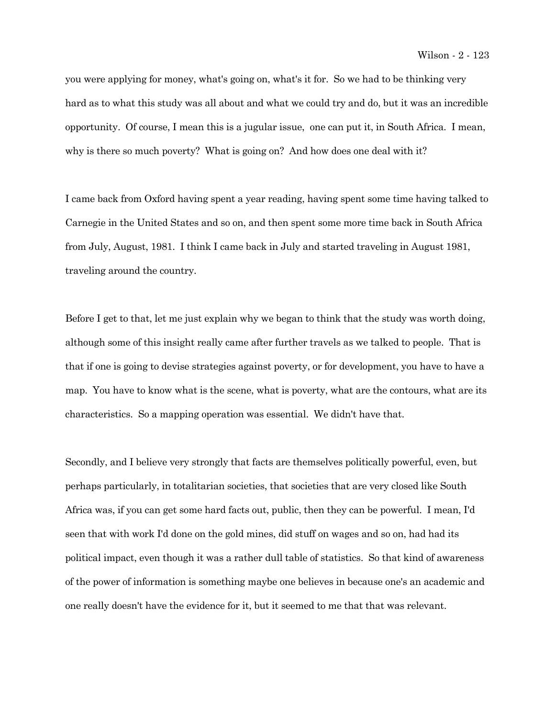you were applying for money, what's going on, what's it for. So we had to be thinking very hard as to what this study was all about and what we could try and do, but it was an incredible opportunity. Of course, I mean this is a jugular issue, one can put it, in South Africa. I mean, why is there so much poverty? What is going on? And how does one deal with it?

I came back from Oxford having spent a year reading, having spent some time having talked to Carnegie in the United States and so on, and then spent some more time back in South Africa from July, August, 1981. I think I came back in July and started traveling in August 1981, traveling around the country.

Before I get to that, let me just explain why we began to think that the study was worth doing, although some of this insight really came after further travels as we talked to people. That is that if one is going to devise strategies against poverty, or for development, you have to have a map. You have to know what is the scene, what is poverty, what are the contours, what are its characteristics. So a mapping operation was essential. We didn't have that.

Secondly, and I believe very strongly that facts are themselves politically powerful, even, but perhaps particularly, in totalitarian societies, that societies that are very closed like South Africa was, if you can get some hard facts out, public, then they can be powerful. I mean, I'd seen that with work I'd done on the gold mines, did stuff on wages and so on, had had its political impact, even though it was a rather dull table of statistics. So that kind of awareness of the power of information is something maybe one believes in because one's an academic and one really doesn't have the evidence for it, but it seemed to me that that was relevant.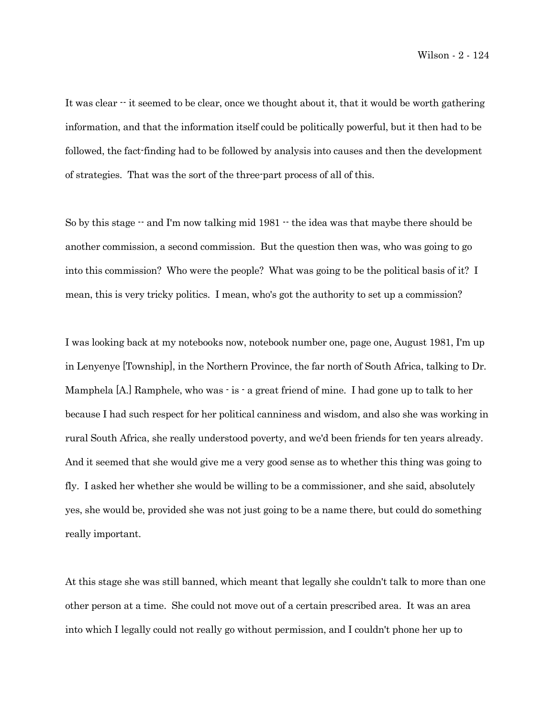It was clear  $\cdot$  it seemed to be clear, once we thought about it, that it would be worth gathering information, and that the information itself could be politically powerful, but it then had to be followed, the fact-finding had to be followed by analysis into causes and then the development of strategies. That was the sort of the three-part process of all of this.

So by this stage  $-$  and I'm now talking mid 1981  $-$  the idea was that maybe there should be another commission, a second commission. But the question then was, who was going to go into this commission? Who were the people? What was going to be the political basis of it? I mean, this is very tricky politics. I mean, who's got the authority to set up a commission?

I was looking back at my notebooks now, notebook number one, page one, August 1981, I'm up in Lenyenye [Township], in the Northern Province, the far north of South Africa, talking to Dr. Mamphela [A.] Ramphele, who was - is - a great friend of mine. I had gone up to talk to her because I had such respect for her political canniness and wisdom, and also she was working in rural South Africa, she really understood poverty, and we'd been friends for ten years already. And it seemed that she would give me a very good sense as to whether this thing was going to fly. I asked her whether she would be willing to be a commissioner, and she said, absolutely yes, she would be, provided she was not just going to be a name there, but could do something really important.

At this stage she was still banned, which meant that legally she couldn't talk to more than one other person at a time. She could not move out of a certain prescribed area. It was an area into which I legally could not really go without permission, and I couldn't phone her up to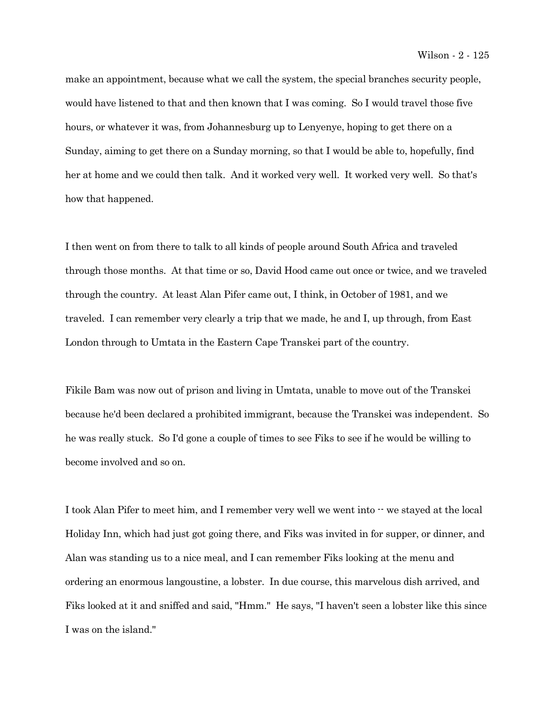make an appointment, because what we call the system, the special branches security people, would have listened to that and then known that I was coming. So I would travel those five hours, or whatever it was, from Johannesburg up to Lenyenye, hoping to get there on a Sunday, aiming to get there on a Sunday morning, so that I would be able to, hopefully, find her at home and we could then talk. And it worked very well. It worked very well. So that's how that happened.

I then went on from there to talk to all kinds of people around South Africa and traveled through those months. At that time or so, David Hood came out once or twice, and we traveled through the country. At least Alan Pifer came out, I think, in October of 1981, and we traveled. I can remember very clearly a trip that we made, he and I, up through, from East London through to Umtata in the Eastern Cape Transkei part of the country.

Fikile Bam was now out of prison and living in Umtata, unable to move out of the Transkei because he'd been declared a prohibited immigrant, because the Transkei was independent. So he was really stuck. So I'd gone a couple of times to see Fiks to see if he would be willing to become involved and so on.

I took Alan Pifer to meet him, and I remember very well we went into  $\cdot\cdot$  we stayed at the local Holiday Inn, which had just got going there, and Fiks was invited in for supper, or dinner, and Alan was standing us to a nice meal, and I can remember Fiks looking at the menu and ordering an enormous langoustine, a lobster. In due course, this marvelous dish arrived, and Fiks looked at it and sniffed and said, "Hmm." He says, "I haven't seen a lobster like this since I was on the island."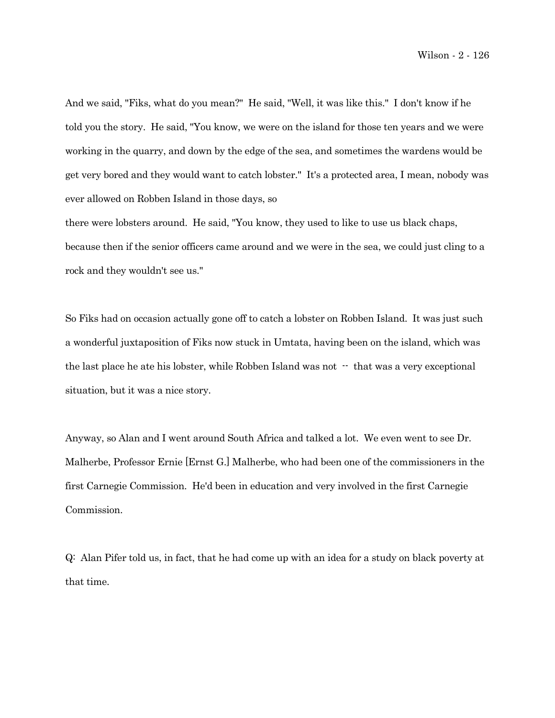And we said, "Fiks, what do you mean?" He said, "Well, it was like this." I don't know if he told you the story. He said, "You know, we were on the island for those ten years and we were working in the quarry, and down by the edge of the sea, and sometimes the wardens would be get very bored and they would want to catch lobster." It's a protected area, I mean, nobody was ever allowed on Robben Island in those days, so

there were lobsters around. He said, "You know, they used to like to use us black chaps, because then if the senior officers came around and we were in the sea, we could just cling to a rock and they wouldn't see us."

So Fiks had on occasion actually gone off to catch a lobster on Robben Island. It was just such a wonderful juxtaposition of Fiks now stuck in Umtata, having been on the island, which was the last place he ate his lobster, while Robben Island was not  $\cdot$  that was a very exceptional situation, but it was a nice story.

Anyway, so Alan and I went around South Africa and talked a lot. We even went to see Dr. Malherbe, Professor Ernie [Ernst G.] Malherbe, who had been one of the commissioners in the first Carnegie Commission. He'd been in education and very involved in the first Carnegie Commission.

Q: Alan Pifer told us, in fact, that he had come up with an idea for a study on black poverty at that time.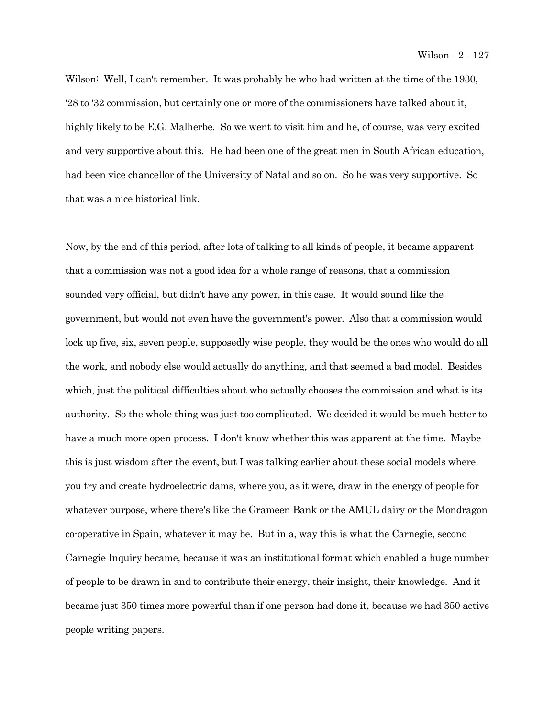Wilson: Well, I can't remember. It was probably he who had written at the time of the 1930, '28 to '32 commission, but certainly one or more of the commissioners have talked about it, highly likely to be E.G. Malherbe. So we went to visit him and he, of course, was very excited and very supportive about this. He had been one of the great men in South African education, had been vice chancellor of the University of Natal and so on. So he was very supportive. So that was a nice historical link.

Now, by the end of this period, after lots of talking to all kinds of people, it became apparent that a commission was not a good idea for a whole range of reasons, that a commission sounded very official, but didn't have any power, in this case. It would sound like the government, but would not even have the government's power. Also that a commission would lock up five, six, seven people, supposedly wise people, they would be the ones who would do all the work, and nobody else would actually do anything, and that seemed a bad model. Besides which, just the political difficulties about who actually chooses the commission and what is its authority. So the whole thing was just too complicated. We decided it would be much better to have a much more open process. I don't know whether this was apparent at the time. Maybe this is just wisdom after the event, but I was talking earlier about these social models where you try and create hydroelectric dams, where you, as it were, draw in the energy of people for whatever purpose, where there's like the Grameen Bank or the AMUL dairy or the Mondragon co-operative in Spain, whatever it may be. But in a, way this is what the Carnegie, second Carnegie Inquiry became, because it was an institutional format which enabled a huge number of people to be drawn in and to contribute their energy, their insight, their knowledge. And it became just 350 times more powerful than if one person had done it, because we had 350 active people writing papers.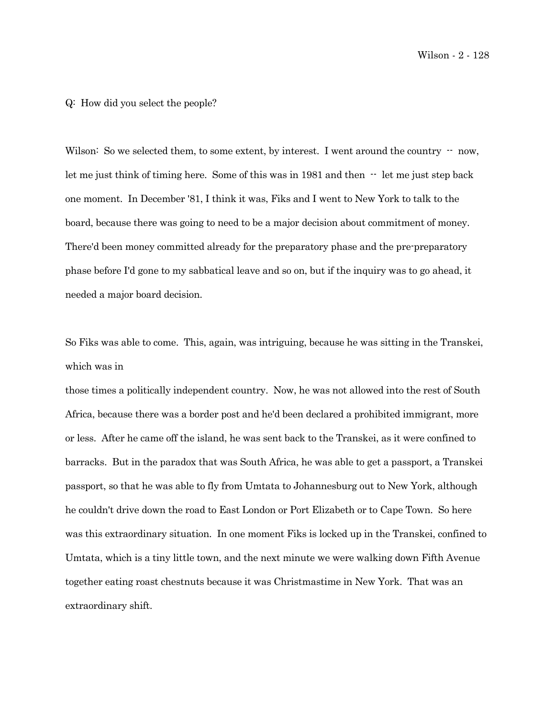Wilson - 2 - 128

## Q: How did you select the people?

Wilson: So we selected them, to some extent, by interest. I went around the country  $-$  now, let me just think of timing here. Some of this was in  $1981$  and then  $-$  let me just step back one moment. In December '81, I think it was, Fiks and I went to New York to talk to the board, because there was going to need to be a major decision about commitment of money. There'd been money committed already for the preparatory phase and the pre-preparatory phase before I'd gone to my sabbatical leave and so on, but if the inquiry was to go ahead, it needed a major board decision.

So Fiks was able to come. This, again, was intriguing, because he was sitting in the Transkei, which was in

those times a politically independent country. Now, he was not allowed into the rest of South Africa, because there was a border post and he'd been declared a prohibited immigrant, more or less. After he came off the island, he was sent back to the Transkei, as it were confined to barracks. But in the paradox that was South Africa, he was able to get a passport, a Transkei passport, so that he was able to fly from Umtata to Johannesburg out to New York, although he couldn't drive down the road to East London or Port Elizabeth or to Cape Town. So here was this extraordinary situation. In one moment Fiks is locked up in the Transkei, confined to Umtata, which is a tiny little town, and the next minute we were walking down Fifth Avenue together eating roast chestnuts because it was Christmastime in New York. That was an extraordinary shift.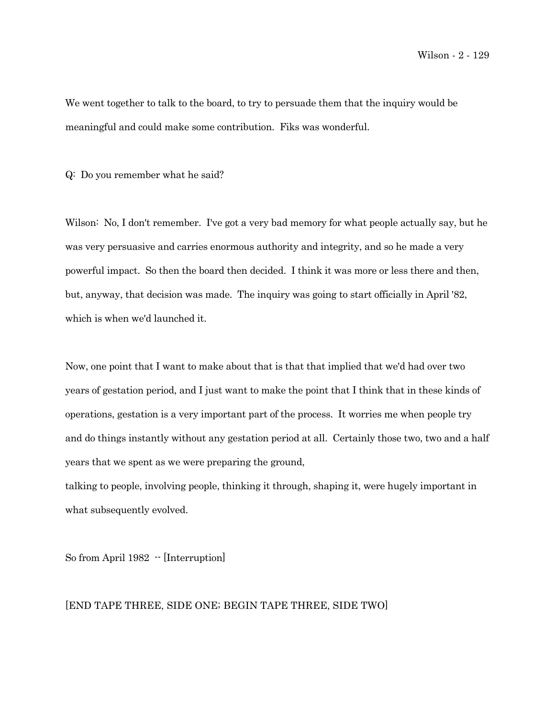We went together to talk to the board, to try to persuade them that the inquiry would be meaningful and could make some contribution. Fiks was wonderful.

Q: Do you remember what he said?

Wilson: No, I don't remember. I've got a very bad memory for what people actually say, but he was very persuasive and carries enormous authority and integrity, and so he made a very powerful impact. So then the board then decided. I think it was more or less there and then, but, anyway, that decision was made. The inquiry was going to start officially in April '82, which is when we'd launched it.

Now, one point that I want to make about that is that that implied that we'd had over two years of gestation period, and I just want to make the point that I think that in these kinds of operations, gestation is a very important part of the process. It worries me when people try and do things instantly without any gestation period at all. Certainly those two, two and a half years that we spent as we were preparing the ground,

talking to people, involving people, thinking it through, shaping it, were hugely important in what subsequently evolved.

So from April 1982  $\cdot$  [Interruption]

## [END TAPE THREE, SIDE ONE; BEGIN TAPE THREE, SIDE TWO]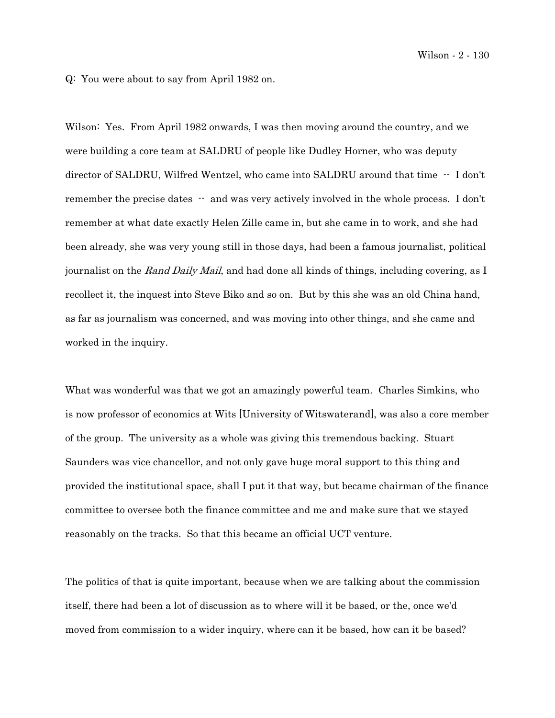Q: You were about to say from April 1982 on.

Wilson: Yes. From April 1982 onwards, I was then moving around the country, and we were building a core team at SALDRU of people like Dudley Horner, who was deputy director of SALDRU, Wilfred Wentzel, who came into SALDRU around that time -- I don't remember the precise dates  $-$  and was very actively involved in the whole process. I don't remember at what date exactly Helen Zille came in, but she came in to work, and she had been already, she was very young still in those days, had been a famous journalist, political journalist on the Rand Daily Mail, and had done all kinds of things, including covering, as I recollect it, the inquest into Steve Biko and so on. But by this she was an old China hand, as far as journalism was concerned, and was moving into other things, and she came and worked in the inquiry.

What was wonderful was that we got an amazingly powerful team. Charles Simkins, who is now professor of economics at Wits [University of Witswaterand], was also a core member of the group. The university as a whole was giving this tremendous backing. Stuart Saunders was vice chancellor, and not only gave huge moral support to this thing and provided the institutional space, shall I put it that way, but became chairman of the finance committee to oversee both the finance committee and me and make sure that we stayed reasonably on the tracks. So that this became an official UCT venture.

The politics of that is quite important, because when we are talking about the commission itself, there had been a lot of discussion as to where will it be based, or the, once we'd moved from commission to a wider inquiry, where can it be based, how can it be based?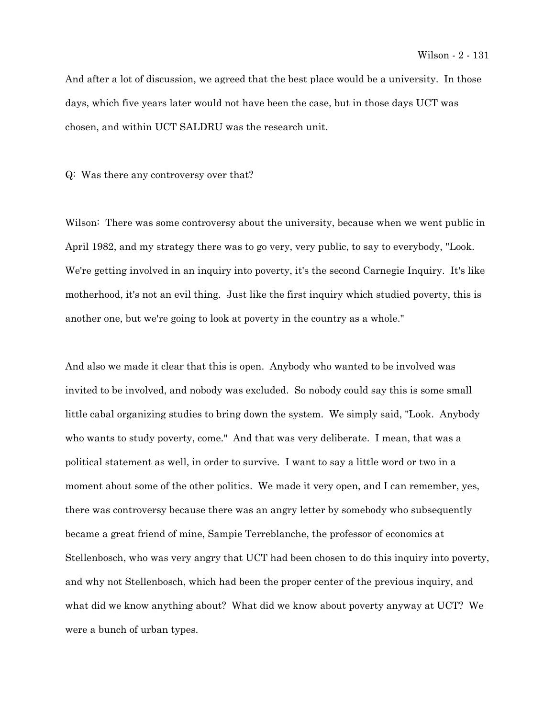And after a lot of discussion, we agreed that the best place would be a university. In those days, which five years later would not have been the case, but in those days UCT was chosen, and within UCT SALDRU was the research unit.

Q: Was there any controversy over that?

Wilson: There was some controversy about the university, because when we went public in April 1982, and my strategy there was to go very, very public, to say to everybody, "Look. We're getting involved in an inquiry into poverty, it's the second Carnegie Inquiry. It's like motherhood, it's not an evil thing. Just like the first inquiry which studied poverty, this is another one, but we're going to look at poverty in the country as a whole."

And also we made it clear that this is open. Anybody who wanted to be involved was invited to be involved, and nobody was excluded. So nobody could say this is some small little cabal organizing studies to bring down the system. We simply said, "Look. Anybody who wants to study poverty, come." And that was very deliberate. I mean, that was a political statement as well, in order to survive. I want to say a little word or two in a moment about some of the other politics. We made it very open, and I can remember, yes, there was controversy because there was an angry letter by somebody who subsequently became a great friend of mine, Sampie Terreblanche, the professor of economics at Stellenbosch, who was very angry that UCT had been chosen to do this inquiry into poverty, and why not Stellenbosch, which had been the proper center of the previous inquiry, and what did we know anything about? What did we know about poverty anyway at UCT? We were a bunch of urban types.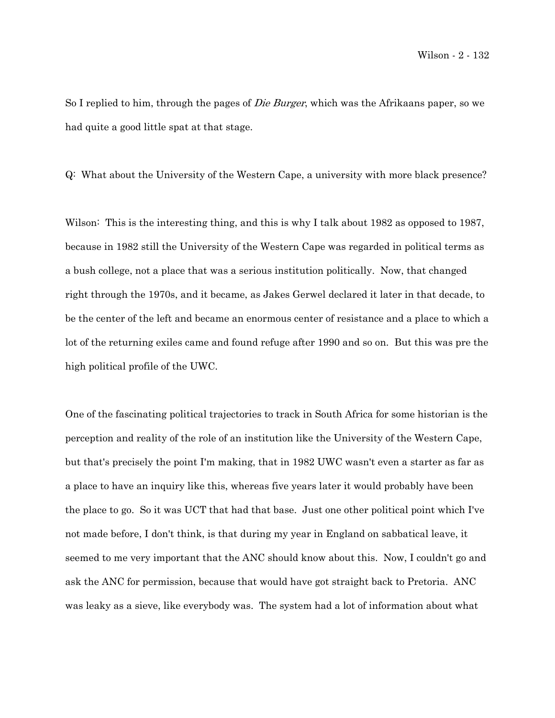So I replied to him, through the pages of Die Burger, which was the Afrikaans paper, so we had quite a good little spat at that stage.

Q: What about the University of the Western Cape, a university with more black presence?

Wilson: This is the interesting thing, and this is why I talk about 1982 as opposed to 1987, because in 1982 still the University of the Western Cape was regarded in political terms as a bush college, not a place that was a serious institution politically. Now, that changed right through the 1970s, and it became, as Jakes Gerwel declared it later in that decade, to be the center of the left and became an enormous center of resistance and a place to which a lot of the returning exiles came and found refuge after 1990 and so on. But this was pre the high political profile of the UWC.

One of the fascinating political trajectories to track in South Africa for some historian is the perception and reality of the role of an institution like the University of the Western Cape, but that's precisely the point I'm making, that in 1982 UWC wasn't even a starter as far as a place to have an inquiry like this, whereas five years later it would probably have been the place to go. So it was UCT that had that base. Just one other political point which I've not made before, I don't think, is that during my year in England on sabbatical leave, it seemed to me very important that the ANC should know about this. Now, I couldn't go and ask the ANC for permission, because that would have got straight back to Pretoria. ANC was leaky as a sieve, like everybody was. The system had a lot of information about what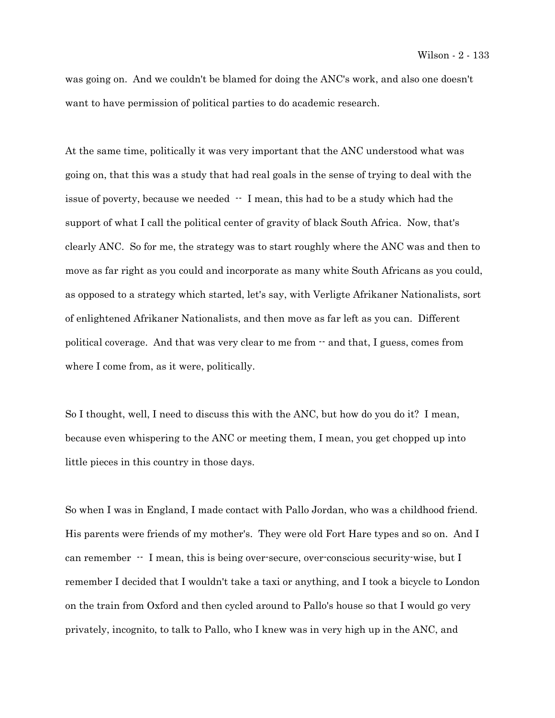was going on. And we couldn't be blamed for doing the ANC's work, and also one doesn't want to have permission of political parties to do academic research.

At the same time, politically it was very important that the ANC understood what was going on, that this was a study that had real goals in the sense of trying to deal with the issue of poverty, because we needed -- I mean, this had to be a study which had the support of what I call the political center of gravity of black South Africa. Now, that's clearly ANC. So for me, the strategy was to start roughly where the ANC was and then to move as far right as you could and incorporate as many white South Africans as you could, as opposed to a strategy which started, let's say, with Verligte Afrikaner Nationalists, sort of enlightened Afrikaner Nationalists, and then move as far left as you can. Different political coverage. And that was very clear to me from -- and that, I guess, comes from where I come from, as it were, politically.

So I thought, well, I need to discuss this with the ANC, but how do you do it? I mean, because even whispering to the ANC or meeting them, I mean, you get chopped up into little pieces in this country in those days.

So when I was in England, I made contact with Pallo Jordan, who was a childhood friend. His parents were friends of my mother's. They were old Fort Hare types and so on. And I can remember  $\cdot$  I mean, this is being over-secure, over-conscious security-wise, but I remember I decided that I wouldn't take a taxi or anything, and I took a bicycle to London on the train from Oxford and then cycled around to Pallo's house so that I would go very privately, incognito, to talk to Pallo, who I knew was in very high up in the ANC, and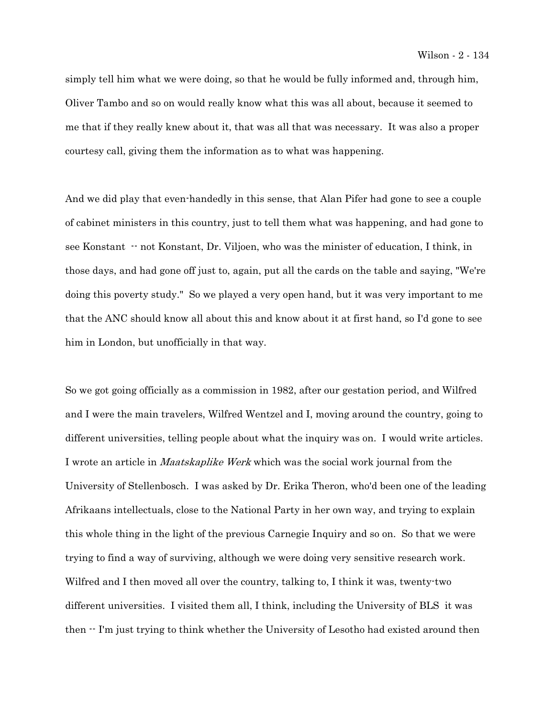simply tell him what we were doing, so that he would be fully informed and, through him, Oliver Tambo and so on would really know what this was all about, because it seemed to me that if they really knew about it, that was all that was necessary. It was also a proper courtesy call, giving them the information as to what was happening.

And we did play that even-handedly in this sense, that Alan Pifer had gone to see a couple of cabinet ministers in this country, just to tell them what was happening, and had gone to see Konstant  $-$  not Konstant, Dr. Viljoen, who was the minister of education, I think, in those days, and had gone off just to, again, put all the cards on the table and saying, "We're doing this poverty study." So we played a very open hand, but it was very important to me that the ANC should know all about this and know about it at first hand, so I'd gone to see him in London, but unofficially in that way.

So we got going officially as a commission in 1982, after our gestation period, and Wilfred and I were the main travelers, Wilfred Wentzel and I, moving around the country, going to different universities, telling people about what the inquiry was on. I would write articles. I wrote an article in Maatskaplike Werk which was the social work journal from the University of Stellenbosch. I was asked by Dr. Erika Theron, who'd been one of the leading Afrikaans intellectuals, close to the National Party in her own way, and trying to explain this whole thing in the light of the previous Carnegie Inquiry and so on. So that we were trying to find a way of surviving, although we were doing very sensitive research work. Wilfred and I then moved all over the country, talking to, I think it was, twenty-two different universities. I visited them all, I think, including the University of BLS it was then  $\cdot$  I'm just trying to think whether the University of Lesotho had existed around then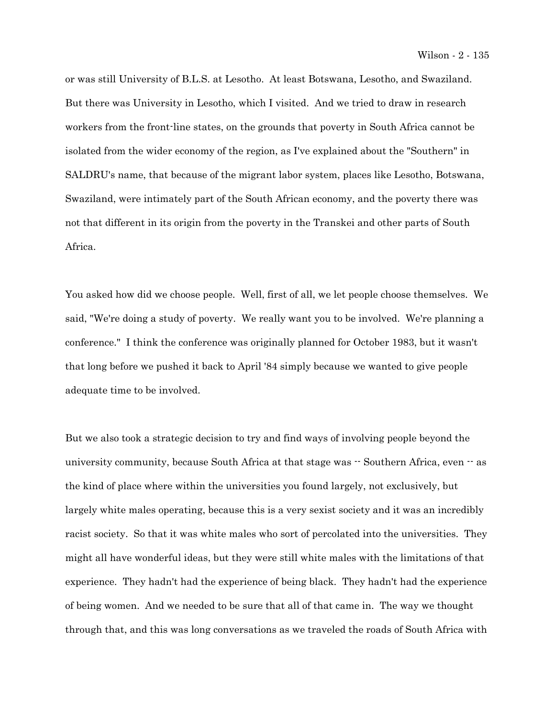or was still University of B.L.S. at Lesotho. At least Botswana, Lesotho, and Swaziland. But there was University in Lesotho, which I visited. And we tried to draw in research workers from the front-line states, on the grounds that poverty in South Africa cannot be isolated from the wider economy of the region, as I've explained about the "Southern" in SALDRU's name, that because of the migrant labor system, places like Lesotho, Botswana, Swaziland, were intimately part of the South African economy, and the poverty there was not that different in its origin from the poverty in the Transkei and other parts of South Africa.

You asked how did we choose people. Well, first of all, we let people choose themselves. We said, "We're doing a study of poverty. We really want you to be involved. We're planning a conference." I think the conference was originally planned for October 1983, but it wasn't that long before we pushed it back to April '84 simply because we wanted to give people adequate time to be involved.

But we also took a strategic decision to try and find ways of involving people beyond the university community, because South Africa at that stage was  $-$  Southern Africa, even  $-$  as the kind of place where within the universities you found largely, not exclusively, but largely white males operating, because this is a very sexist society and it was an incredibly racist society. So that it was white males who sort of percolated into the universities. They might all have wonderful ideas, but they were still white males with the limitations of that experience. They hadn't had the experience of being black. They hadn't had the experience of being women. And we needed to be sure that all of that came in. The way we thought through that, and this was long conversations as we traveled the roads of South Africa with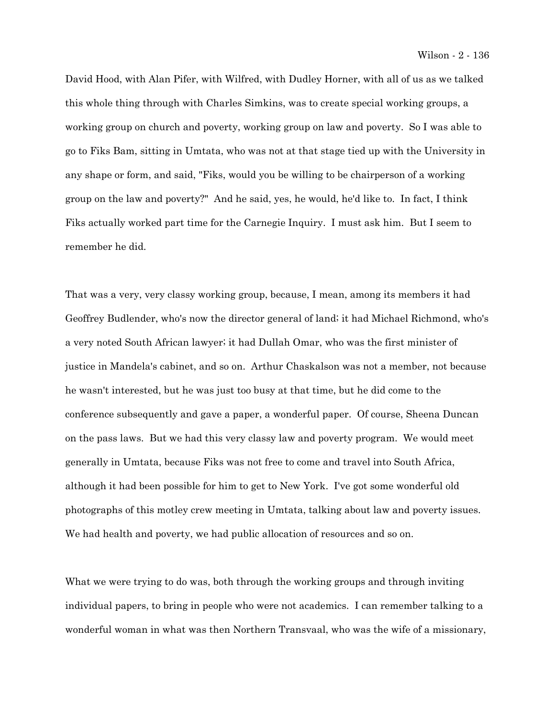David Hood, with Alan Pifer, with Wilfred, with Dudley Horner, with all of us as we talked this whole thing through with Charles Simkins, was to create special working groups, a working group on church and poverty, working group on law and poverty. So I was able to go to Fiks Bam, sitting in Umtata, who was not at that stage tied up with the University in any shape or form, and said, "Fiks, would you be willing to be chairperson of a working group on the law and poverty?" And he said, yes, he would, he'd like to. In fact, I think Fiks actually worked part time for the Carnegie Inquiry. I must ask him. But I seem to remember he did.

That was a very, very classy working group, because, I mean, among its members it had Geoffrey Budlender, who's now the director general of land; it had Michael Richmond, who's a very noted South African lawyer; it had Dullah Omar, who was the first minister of justice in Mandela's cabinet, and so on. Arthur Chaskalson was not a member, not because he wasn't interested, but he was just too busy at that time, but he did come to the conference subsequently and gave a paper, a wonderful paper. Of course, Sheena Duncan on the pass laws. But we had this very classy law and poverty program. We would meet generally in Umtata, because Fiks was not free to come and travel into South Africa, although it had been possible for him to get to New York. I've got some wonderful old photographs of this motley crew meeting in Umtata, talking about law and poverty issues. We had health and poverty, we had public allocation of resources and so on.

What we were trying to do was, both through the working groups and through inviting individual papers, to bring in people who were not academics. I can remember talking to a wonderful woman in what was then Northern Transvaal, who was the wife of a missionary,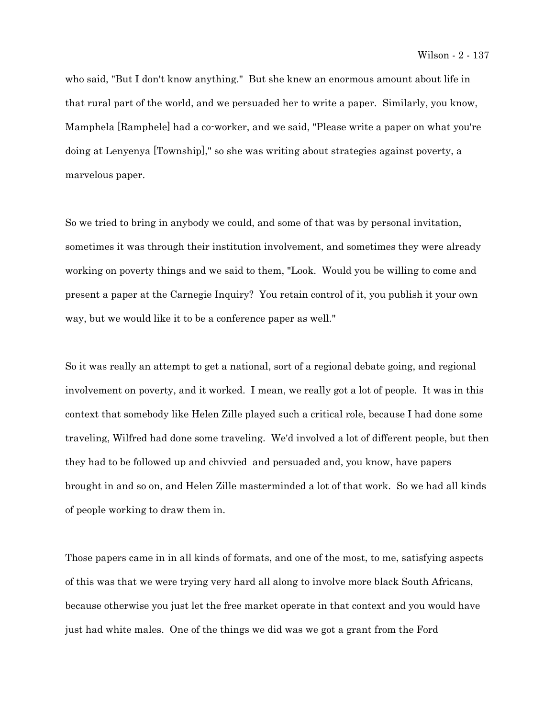who said, "But I don't know anything." But she knew an enormous amount about life in that rural part of the world, and we persuaded her to write a paper. Similarly, you know, Mamphela [Ramphele] had a co-worker, and we said, "Please write a paper on what you're doing at Lenyenya [Township]," so she was writing about strategies against poverty, a marvelous paper.

So we tried to bring in anybody we could, and some of that was by personal invitation, sometimes it was through their institution involvement, and sometimes they were already working on poverty things and we said to them, "Look. Would you be willing to come and present a paper at the Carnegie Inquiry? You retain control of it, you publish it your own way, but we would like it to be a conference paper as well."

So it was really an attempt to get a national, sort of a regional debate going, and regional involvement on poverty, and it worked. I mean, we really got a lot of people. It was in this context that somebody like Helen Zille played such a critical role, because I had done some traveling, Wilfred had done some traveling. We'd involved a lot of different people, but then they had to be followed up and chivvied and persuaded and, you know, have papers brought in and so on, and Helen Zille masterminded a lot of that work. So we had all kinds of people working to draw them in.

Those papers came in in all kinds of formats, and one of the most, to me, satisfying aspects of this was that we were trying very hard all along to involve more black South Africans, because otherwise you just let the free market operate in that context and you would have just had white males. One of the things we did was we got a grant from the Ford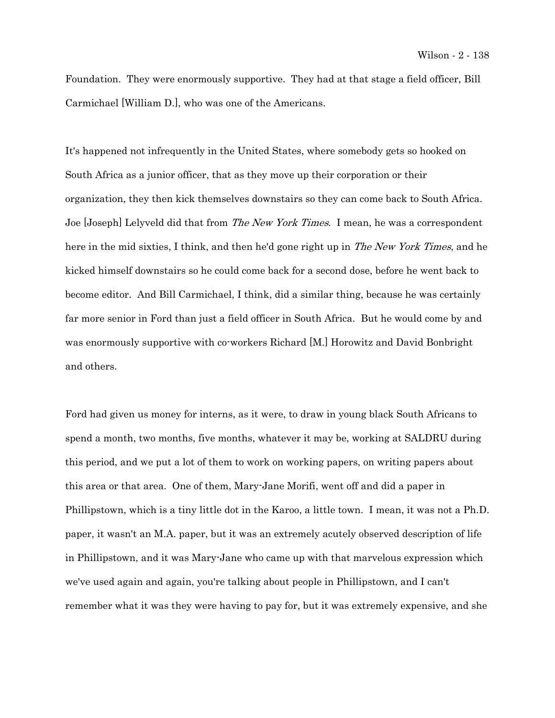Foundation. They were enormously supportive. They had at that stage a field officer, Bill Carmichael [William D.], who was one of the Americans.

It's happened not infrequently in the United States, where somebody gets so hooked on South Africa as a junior officer, that as they move up their corporation or their organization, they then kick themselves downstairs so they can come back to South Africa. Joe [Joseph] Lelyveld did that from *The New York Times*. I mean, he was a correspondent here in the mid sixties, I think, and then he'd gone right up in *The New York Times*, and he kicked himself downstairs so he could come back for a second dose, before he went back to become editor. And Bill Carmichael, I think, did a similar thing, because he was certainly far more senior in Ford than just a field officer in South Africa. But he would come by and was enormously supportive with co-workers Richard [M.] Horowitz and David Bonbright and others.

Ford had given us money for interns, as it were, to draw in young black South Africans to spend a month, two months, five months, whatever it may be, working at SALDRU during this period, and we put a lot of them to work on working papers, on writing papers about this area or that area. One of them, Mary-Jane Morifi, went off and did a paper in Phillipstown, which is a tiny little dot in the Karoo, a little town. I mean, it was not a Ph.D. paper, it wasn't an M.A. paper, but it was an extremely acutely observed description of life in Phillipstown, and it was Mary-Jane who came up with that marvelous expression which we've used again and again, you're talking about people in Phillipstown, and I can't remember what it was they were having to pay for, but it was extremely expensive, and she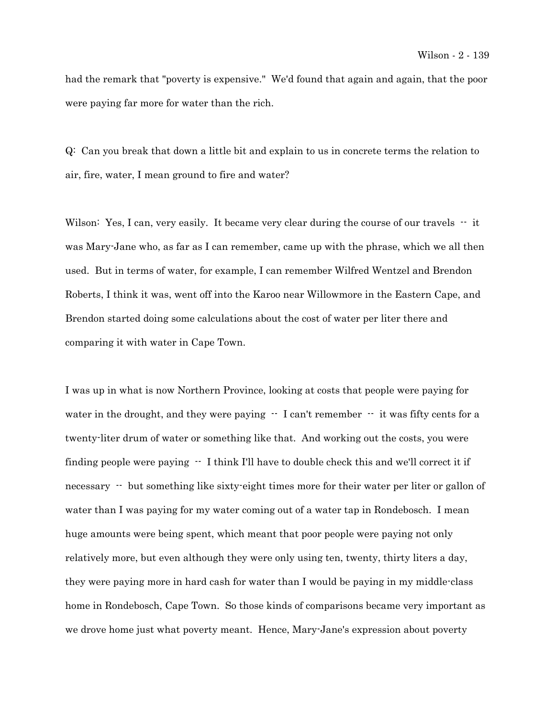had the remark that "poverty is expensive." We'd found that again and again, that the poor were paying far more for water than the rich.

Q: Can you break that down a little bit and explain to us in concrete terms the relation to air, fire, water, I mean ground to fire and water?

Wilson: Yes, I can, very easily. It became very clear during the course of our travels  $-$  it was Mary-Jane who, as far as I can remember, came up with the phrase, which we all then used. But in terms of water, for example, I can remember Wilfred Wentzel and Brendon Roberts, I think it was, went off into the Karoo near Willowmore in the Eastern Cape, and Brendon started doing some calculations about the cost of water per liter there and comparing it with water in Cape Town.

I was up in what is now Northern Province, looking at costs that people were paying for water in the drought, and they were paying  $-$  I can't remember  $-$  it was fifty cents for a twenty-liter drum of water or something like that. And working out the costs, you were finding people were paying -- I think I'll have to double check this and we'll correct it if necessary  $\cdot$  but something like sixty-eight times more for their water per liter or gallon of water than I was paying for my water coming out of a water tap in Rondebosch. I mean huge amounts were being spent, which meant that poor people were paying not only relatively more, but even although they were only using ten, twenty, thirty liters a day, they were paying more in hard cash for water than I would be paying in my middle-class home in Rondebosch, Cape Town. So those kinds of comparisons became very important as we drove home just what poverty meant. Hence, Mary-Jane's expression about poverty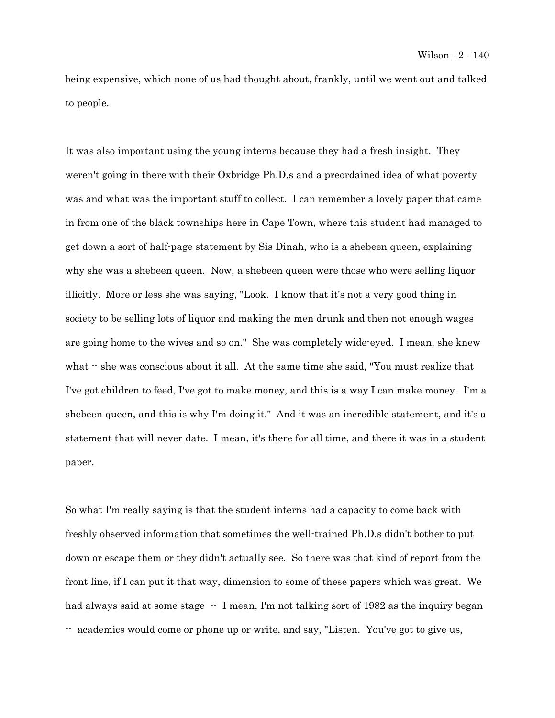being expensive, which none of us had thought about, frankly, until we went out and talked to people.

It was also important using the young interns because they had a fresh insight. They weren't going in there with their Oxbridge Ph.D.s and a preordained idea of what poverty was and what was the important stuff to collect. I can remember a lovely paper that came in from one of the black townships here in Cape Town, where this student had managed to get down a sort of half-page statement by Sis Dinah, who is a shebeen queen, explaining why she was a shebeen queen. Now, a shebeen queen were those who were selling liquor illicitly. More or less she was saying, "Look. I know that it's not a very good thing in society to be selling lots of liquor and making the men drunk and then not enough wages are going home to the wives and so on." She was completely wide-eyed. I mean, she knew what -- she was conscious about it all. At the same time she said, "You must realize that I've got children to feed, I've got to make money, and this is a way I can make money. I'm a shebeen queen, and this is why I'm doing it." And it was an incredible statement, and it's a statement that will never date. I mean, it's there for all time, and there it was in a student paper.

So what I'm really saying is that the student interns had a capacity to come back with freshly observed information that sometimes the well-trained Ph.D.s didn't bother to put down or escape them or they didn't actually see. So there was that kind of report from the front line, if I can put it that way, dimension to some of these papers which was great. We had always said at some stage  $\cdot$  I mean, I'm not talking sort of 1982 as the inquiry began -- academics would come or phone up or write, and say, "Listen. You've got to give us,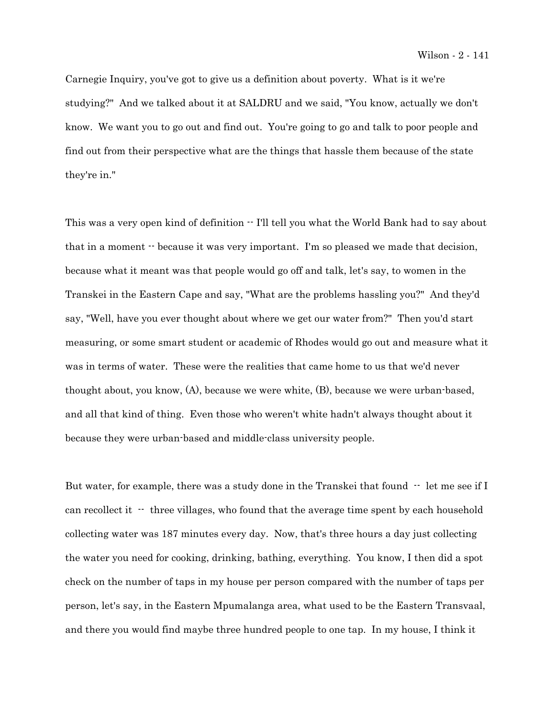Carnegie Inquiry, you've got to give us a definition about poverty. What is it we're studying?" And we talked about it at SALDRU and we said, "You know, actually we don't know. We want you to go out and find out. You're going to go and talk to poor people and find out from their perspective what are the things that hassle them because of the state they're in."

This was a very open kind of definition  $\cdot$  I'll tell you what the World Bank had to say about that in a moment -- because it was very important. I'm so pleased we made that decision, because what it meant was that people would go off and talk, let's say, to women in the Transkei in the Eastern Cape and say, "What are the problems hassling you?" And they'd say, "Well, have you ever thought about where we get our water from?" Then you'd start measuring, or some smart student or academic of Rhodes would go out and measure what it was in terms of water. These were the realities that came home to us that we'd never thought about, you know, (A), because we were white, (B), because we were urban-based, and all that kind of thing. Even those who weren't white hadn't always thought about it because they were urban-based and middle-class university people.

But water, for example, there was a study done in the Transkei that found  $\cdot$  let me see if I can recollect it  $\cdot$  three villages, who found that the average time spent by each household collecting water was 187 minutes every day. Now, that's three hours a day just collecting the water you need for cooking, drinking, bathing, everything. You know, I then did a spot check on the number of taps in my house per person compared with the number of taps per person, let's say, in the Eastern Mpumalanga area, what used to be the Eastern Transvaal, and there you would find maybe three hundred people to one tap. In my house, I think it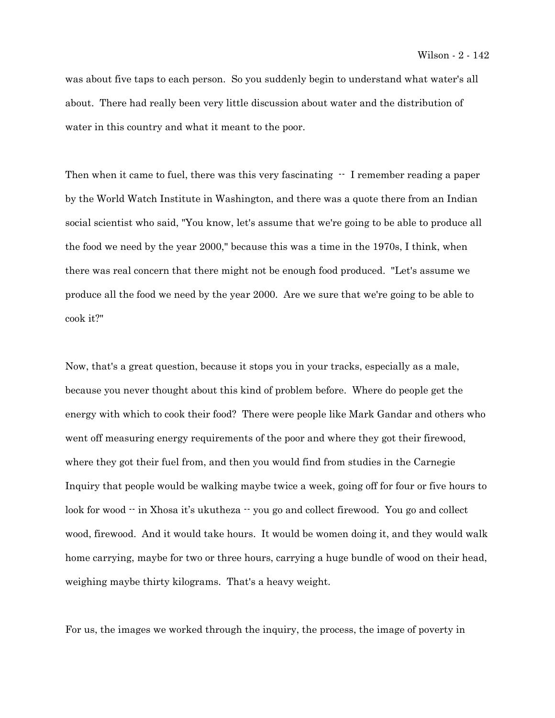was about five taps to each person. So you suddenly begin to understand what water's all about. There had really been very little discussion about water and the distribution of water in this country and what it meant to the poor.

Then when it came to fuel, there was this very fascinating  $-$  I remember reading a paper by the World Watch Institute in Washington, and there was a quote there from an Indian social scientist who said, "You know, let's assume that we're going to be able to produce all the food we need by the year 2000," because this was a time in the 1970s, I think, when there was real concern that there might not be enough food produced. "Let's assume we produce all the food we need by the year 2000. Are we sure that we're going to be able to cook it?"

Now, that's a great question, because it stops you in your tracks, especially as a male, because you never thought about this kind of problem before. Where do people get the energy with which to cook their food? There were people like Mark Gandar and others who went off measuring energy requirements of the poor and where they got their firewood, where they got their fuel from, and then you would find from studies in the Carnegie Inquiry that people would be walking maybe twice a week, going off for four or five hours to look for wood  $\cdot\cdot$  in Xhosa it's ukutheza  $\cdot\cdot$  you go and collect firewood. You go and collect wood, firewood. And it would take hours. It would be women doing it, and they would walk home carrying, maybe for two or three hours, carrying a huge bundle of wood on their head, weighing maybe thirty kilograms. That's a heavy weight.

For us, the images we worked through the inquiry, the process, the image of poverty in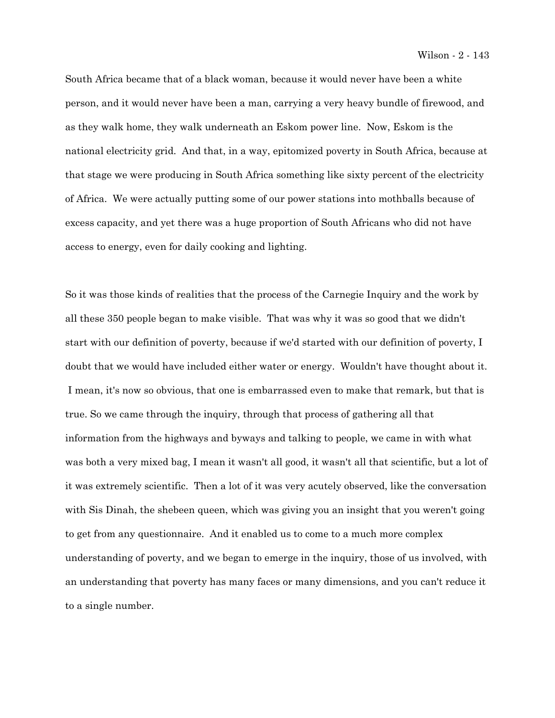Wilson - 2 - 143

South Africa became that of a black woman, because it would never have been a white person, and it would never have been a man, carrying a very heavy bundle of firewood, and as they walk home, they walk underneath an Eskom power line. Now, Eskom is the national electricity grid. And that, in a way, epitomized poverty in South Africa, because at that stage we were producing in South Africa something like sixty percent of the electricity of Africa. We were actually putting some of our power stations into mothballs because of excess capacity, and yet there was a huge proportion of South Africans who did not have access to energy, even for daily cooking and lighting.

So it was those kinds of realities that the process of the Carnegie Inquiry and the work by all these 350 people began to make visible. That was why it was so good that we didn't start with our definition of poverty, because if we'd started with our definition of poverty, I doubt that we would have included either water or energy. Wouldn't have thought about it. I mean, it's now so obvious, that one is embarrassed even to make that remark, but that is true. So we came through the inquiry, through that process of gathering all that information from the highways and byways and talking to people, we came in with what was both a very mixed bag, I mean it wasn't all good, it wasn't all that scientific, but a lot of it was extremely scientific. Then a lot of it was very acutely observed, like the conversation with Sis Dinah, the shebeen queen, which was giving you an insight that you weren't going to get from any questionnaire. And it enabled us to come to a much more complex understanding of poverty, and we began to emerge in the inquiry, those of us involved, with an understanding that poverty has many faces or many dimensions, and you can't reduce it to a single number.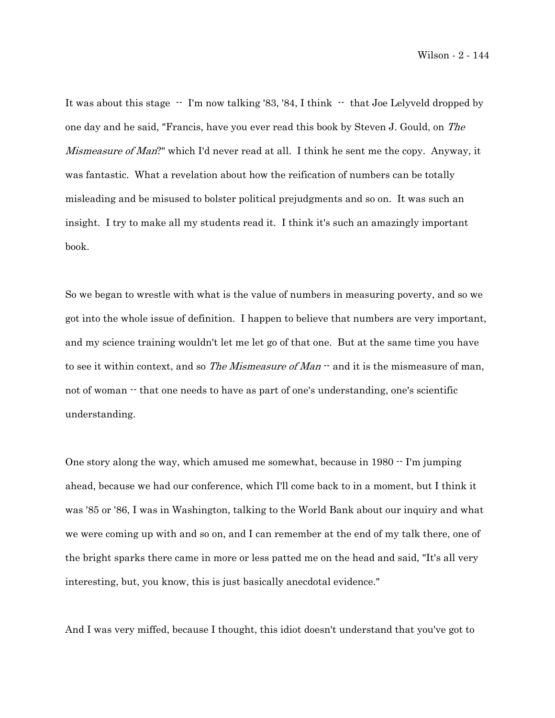It was about this stage  $\cdot$  I'm now talking '83, '84, I think  $\cdot$  that Joe Lelyveld dropped by one day and he said, "Francis, have you ever read this book by Steven J. Gould, on The Mismeasure of Man?" which I'd never read at all. I think he sent me the copy. Anyway, it was fantastic. What a revelation about how the reification of numbers can be totally misleading and be misused to bolster political prejudgments and so on. It was such an insight. I try to make all my students read it. I think it's such an amazingly important book.

So we began to wrestle with what is the value of numbers in measuring poverty, and so we got into the whole issue of definition. I happen to believe that numbers are very important, and my science training wouldn't let me let go of that one. But at the same time you have to see it within context, and so *The Mismeasure of Man*  $\cdot$  and it is the mismeasure of man, not of woman  $\cdot\cdot$  that one needs to have as part of one's understanding, one's scientific understanding.

One story along the way, which amused me somewhat, because in 1980 -- I'm jumping ahead, because we had our conference, which I'll come back to in a moment, but I think it was '85 or '86, I was in Washington, talking to the World Bank about our inquiry and what we were coming up with and so on, and I can remember at the end of my talk there, one of the bright sparks there came in more or less patted me on the head and said, "It's all very interesting, but, you know, this is just basically anecdotal evidence."

And I was very miffed, because I thought, this idiot doesn't understand that you've got to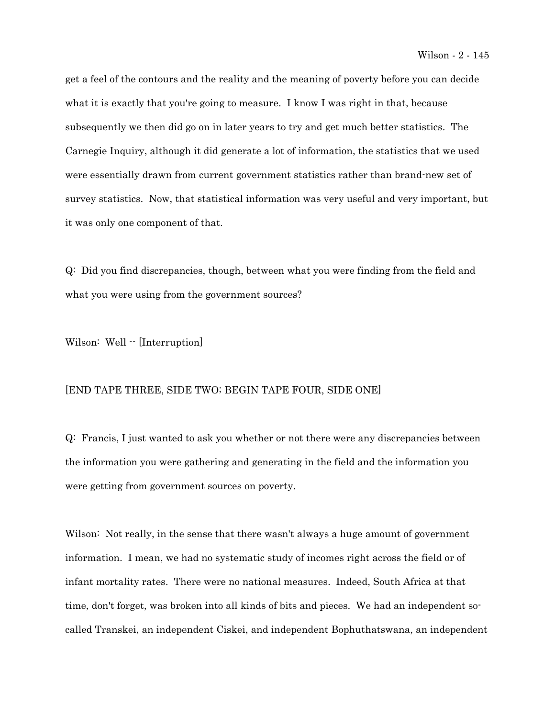get a feel of the contours and the reality and the meaning of poverty before you can decide what it is exactly that you're going to measure. I know I was right in that, because subsequently we then did go on in later years to try and get much better statistics. The Carnegie Inquiry, although it did generate a lot of information, the statistics that we used were essentially drawn from current government statistics rather than brand-new set of survey statistics. Now, that statistical information was very useful and very important, but it was only one component of that.

Q: Did you find discrepancies, though, between what you were finding from the field and what you were using from the government sources?

Wilson: Well  $\cdot$  [Interruption]

## [END TAPE THREE, SIDE TWO; BEGIN TAPE FOUR, SIDE ONE]

Q: Francis, I just wanted to ask you whether or not there were any discrepancies between the information you were gathering and generating in the field and the information you were getting from government sources on poverty.

Wilson: Not really, in the sense that there wasn't always a huge amount of government information. I mean, we had no systematic study of incomes right across the field or of infant mortality rates. There were no national measures. Indeed, South Africa at that time, don't forget, was broken into all kinds of bits and pieces. We had an independent socalled Transkei, an independent Ciskei, and independent Bophuthatswana, an independent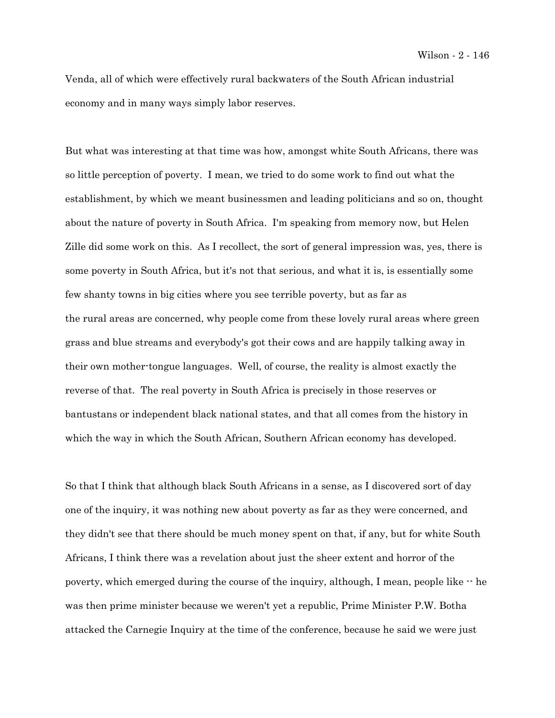Venda, all of which were effectively rural backwaters of the South African industrial economy and in many ways simply labor reserves.

But what was interesting at that time was how, amongst white South Africans, there was so little perception of poverty. I mean, we tried to do some work to find out what the establishment, by which we meant businessmen and leading politicians and so on, thought about the nature of poverty in South Africa. I'm speaking from memory now, but Helen Zille did some work on this. As I recollect, the sort of general impression was, yes, there is some poverty in South Africa, but it's not that serious, and what it is, is essentially some few shanty towns in big cities where you see terrible poverty, but as far as the rural areas are concerned, why people come from these lovely rural areas where green grass and blue streams and everybody's got their cows and are happily talking away in their own mother-tongue languages. Well, of course, the reality is almost exactly the reverse of that. The real poverty in South Africa is precisely in those reserves or bantustans or independent black national states, and that all comes from the history in which the way in which the South African, Southern African economy has developed.

So that I think that although black South Africans in a sense, as I discovered sort of day one of the inquiry, it was nothing new about poverty as far as they were concerned, and they didn't see that there should be much money spent on that, if any, but for white South Africans, I think there was a revelation about just the sheer extent and horror of the poverty, which emerged during the course of the inquiry, although, I mean, people like  $-$  he was then prime minister because we weren't yet a republic, Prime Minister P.W. Botha attacked the Carnegie Inquiry at the time of the conference, because he said we were just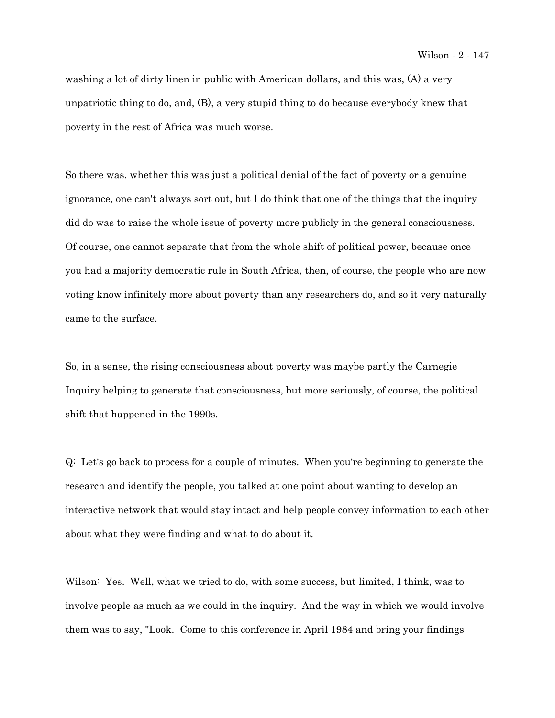washing a lot of dirty linen in public with American dollars, and this was, (A) a very unpatriotic thing to do, and, (B), a very stupid thing to do because everybody knew that poverty in the rest of Africa was much worse.

So there was, whether this was just a political denial of the fact of poverty or a genuine ignorance, one can't always sort out, but I do think that one of the things that the inquiry did do was to raise the whole issue of poverty more publicly in the general consciousness. Of course, one cannot separate that from the whole shift of political power, because once you had a majority democratic rule in South Africa, then, of course, the people who are now voting know infinitely more about poverty than any researchers do, and so it very naturally came to the surface.

So, in a sense, the rising consciousness about poverty was maybe partly the Carnegie Inquiry helping to generate that consciousness, but more seriously, of course, the political shift that happened in the 1990s.

Q: Let's go back to process for a couple of minutes. When you're beginning to generate the research and identify the people, you talked at one point about wanting to develop an interactive network that would stay intact and help people convey information to each other about what they were finding and what to do about it.

Wilson: Yes. Well, what we tried to do, with some success, but limited, I think, was to involve people as much as we could in the inquiry. And the way in which we would involve them was to say, "Look. Come to this conference in April 1984 and bring your findings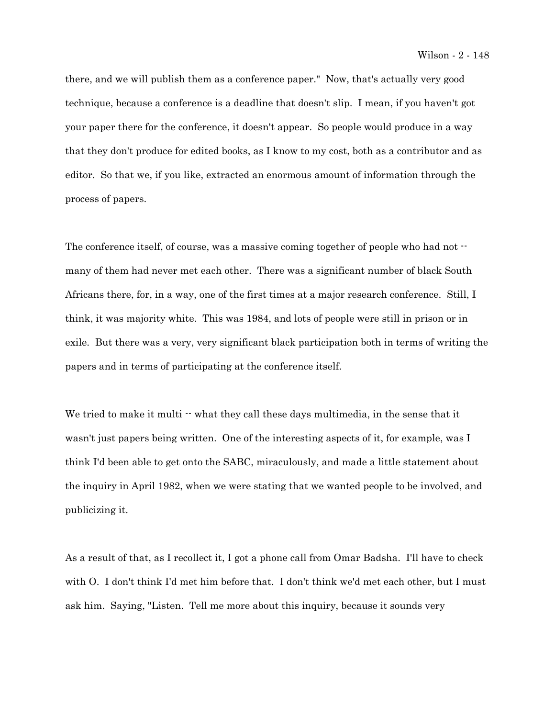there, and we will publish them as a conference paper." Now, that's actually very good technique, because a conference is a deadline that doesn't slip. I mean, if you haven't got your paper there for the conference, it doesn't appear. So people would produce in a way that they don't produce for edited books, as I know to my cost, both as a contributor and as editor. So that we, if you like, extracted an enormous amount of information through the process of papers.

The conference itself, of course, was a massive coming together of people who had not  $\cdot\cdot$ many of them had never met each other. There was a significant number of black South Africans there, for, in a way, one of the first times at a major research conference. Still, I think, it was majority white. This was 1984, and lots of people were still in prison or in exile. But there was a very, very significant black participation both in terms of writing the papers and in terms of participating at the conference itself.

We tried to make it multi  $\cdot\cdot$  what they call these days multimedia, in the sense that it wasn't just papers being written. One of the interesting aspects of it, for example, was I think I'd been able to get onto the SABC, miraculously, and made a little statement about the inquiry in April 1982, when we were stating that we wanted people to be involved, and publicizing it.

As a result of that, as I recollect it, I got a phone call from Omar Badsha. I'll have to check with O. I don't think I'd met him before that. I don't think we'd met each other, but I must ask him. Saying, "Listen. Tell me more about this inquiry, because it sounds very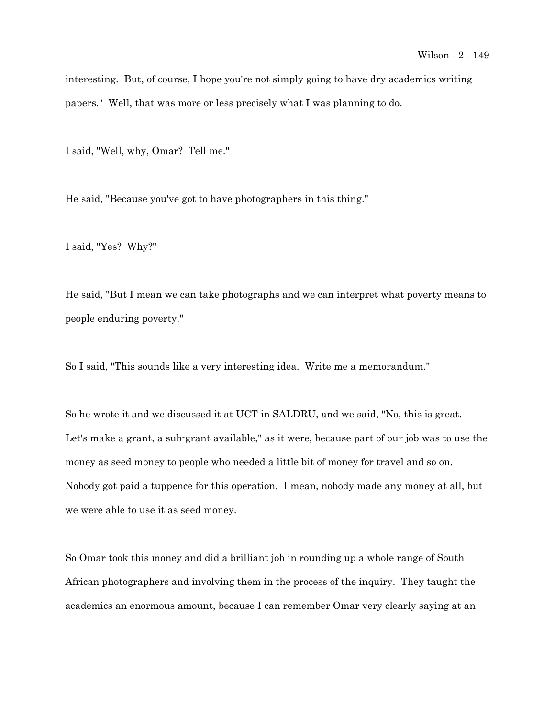interesting. But, of course, I hope you're not simply going to have dry academics writing papers." Well, that was more or less precisely what I was planning to do.

I said, "Well, why, Omar? Tell me."

He said, "Because you've got to have photographers in this thing."

I said, "Yes? Why?"

He said, "But I mean we can take photographs and we can interpret what poverty means to people enduring poverty."

So I said, "This sounds like a very interesting idea. Write me a memorandum."

So he wrote it and we discussed it at UCT in SALDRU, and we said, "No, this is great. Let's make a grant, a sub-grant available," as it were, because part of our job was to use the money as seed money to people who needed a little bit of money for travel and so on. Nobody got paid a tuppence for this operation. I mean, nobody made any money at all, but we were able to use it as seed money.

So Omar took this money and did a brilliant job in rounding up a whole range of South African photographers and involving them in the process of the inquiry. They taught the academics an enormous amount, because I can remember Omar very clearly saying at an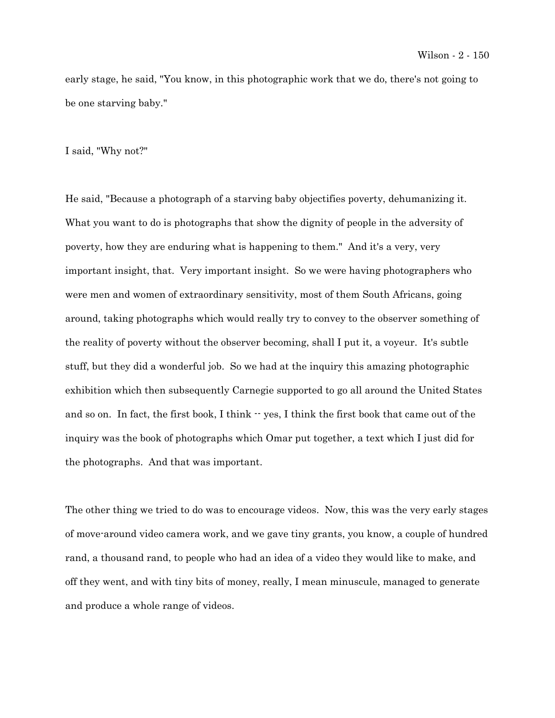early stage, he said, "You know, in this photographic work that we do, there's not going to be one starving baby."

I said, "Why not?"

He said, "Because a photograph of a starving baby objectifies poverty, dehumanizing it. What you want to do is photographs that show the dignity of people in the adversity of poverty, how they are enduring what is happening to them." And it's a very, very important insight, that. Very important insight. So we were having photographers who were men and women of extraordinary sensitivity, most of them South Africans, going around, taking photographs which would really try to convey to the observer something of the reality of poverty without the observer becoming, shall I put it, a voyeur. It's subtle stuff, but they did a wonderful job. So we had at the inquiry this amazing photographic exhibition which then subsequently Carnegie supported to go all around the United States and so on. In fact, the first book, I think  $\cdot$  yes, I think the first book that came out of the inquiry was the book of photographs which Omar put together, a text which I just did for the photographs. And that was important.

The other thing we tried to do was to encourage videos. Now, this was the very early stages of move-around video camera work, and we gave tiny grants, you know, a couple of hundred rand, a thousand rand, to people who had an idea of a video they would like to make, and off they went, and with tiny bits of money, really, I mean minuscule, managed to generate and produce a whole range of videos.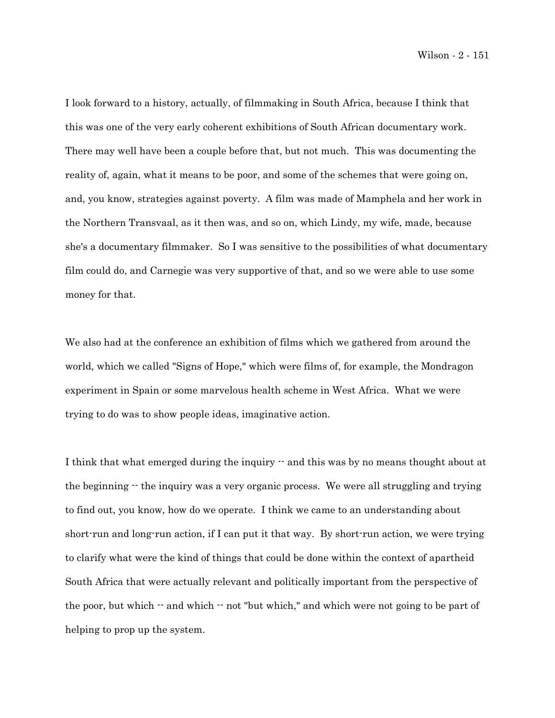Wilson - 2 - 151

I look forward to a history, actually, of filmmaking in South Africa, because I think that this was one of the very early coherent exhibitions of South African documentary work. There may well have been a couple before that, but not much. This was documenting the reality of, again, what it means to be poor, and some of the schemes that were going on, and, you know, strategies against poverty. A film was made of Mamphela and her work in the Northern Transvaal, as it then was, and so on, which Lindy, my wife, made, because she's a documentary filmmaker. So I was sensitive to the possibilities of what documentary film could do, and Carnegie was very supportive of that, and so we were able to use some money for that.

We also had at the conference an exhibition of films which we gathered from around the world, which we called "Signs of Hope," which were films of, for example, the Mondragon experiment in Spain or some marvelous health scheme in West Africa. What we were trying to do was to show people ideas, imaginative action.

I think that what emerged during the inquiry  $-$  and this was by no means thought about at the beginning  $\cdot$  the inquiry was a very organic process. We were all struggling and trying to find out, you know, how do we operate. I think we came to an understanding about short-run and long-run action, if I can put it that way. By short-run action, we were trying to clarify what were the kind of things that could be done within the context of apartheid South Africa that were actually relevant and politically important from the perspective of the poor, but which -- and which -- not "but which," and which were not going to be part of helping to prop up the system.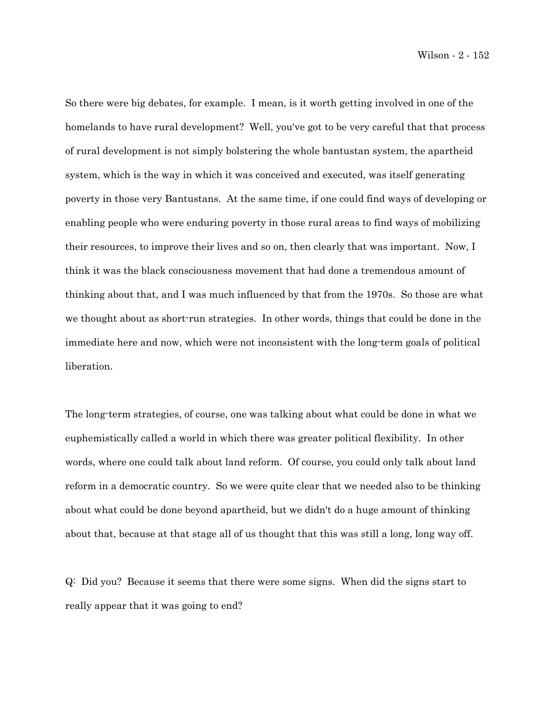Wilson - 2 - 152

So there were big debates, for example. I mean, is it worth getting involved in one of the homelands to have rural development? Well, you've got to be very careful that that process of rural development is not simply bolstering the whole bantustan system, the apartheid system, which is the way in which it was conceived and executed, was itself generating poverty in those very Bantustans. At the same time, if one could find ways of developing or enabling people who were enduring poverty in those rural areas to find ways of mobilizing their resources, to improve their lives and so on, then clearly that was important. Now, I think it was the black consciousness movement that had done a tremendous amount of thinking about that, and I was much influenced by that from the 1970s. So those are what we thought about as short-run strategies. In other words, things that could be done in the immediate here and now, which were not inconsistent with the long-term goals of political liberation.

The long-term strategies, of course, one was talking about what could be done in what we euphemistically called a world in which there was greater political flexibility. In other words, where one could talk about land reform. Of course, you could only talk about land reform in a democratic country. So we were quite clear that we needed also to be thinking about what could be done beyond apartheid, but we didn't do a huge amount of thinking about that, because at that stage all of us thought that this was still a long, long way off.

Q: Did you? Because it seems that there were some signs. When did the signs start to really appear that it was going to end?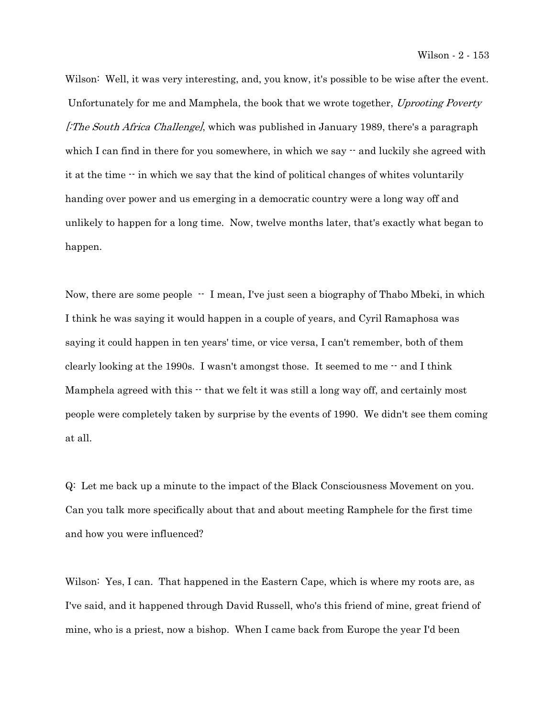Wilson: Well, it was very interesting, and, you know, it's possible to be wise after the event. Unfortunately for me and Mamphela, the book that we wrote together, Uprooting Poverty [The South Africa Challenge], which was published in January 1989, there's a paragraph which I can find in there for you somewhere, in which we say  $\cdot$  and luckily she agreed with it at the time -- in which we say that the kind of political changes of whites voluntarily handing over power and us emerging in a democratic country were a long way off and unlikely to happen for a long time. Now, twelve months later, that's exactly what began to happen.

Now, there are some people  $-$  I mean, I've just seen a biography of Thabo Mbeki, in which I think he was saying it would happen in a couple of years, and Cyril Ramaphosa was saying it could happen in ten years' time, or vice versa, I can't remember, both of them clearly looking at the 1990s. I wasn't amongst those. It seemed to me  $\cdot$  and I think Mamphela agreed with this  $\cdot$  that we felt it was still a long way off, and certainly most people were completely taken by surprise by the events of 1990. We didn't see them coming at all.

Q: Let me back up a minute to the impact of the Black Consciousness Movement on you. Can you talk more specifically about that and about meeting Ramphele for the first time and how you were influenced?

Wilson: Yes, I can. That happened in the Eastern Cape, which is where my roots are, as I've said, and it happened through David Russell, who's this friend of mine, great friend of mine, who is a priest, now a bishop. When I came back from Europe the year I'd been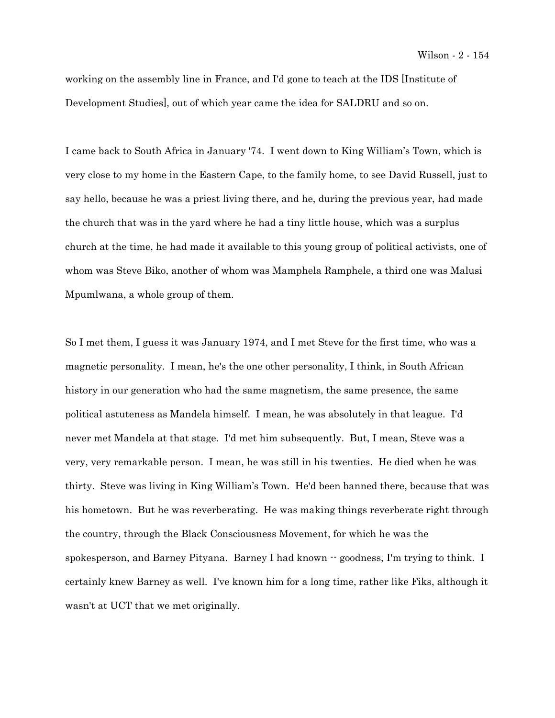working on the assembly line in France, and I'd gone to teach at the IDS [Institute of Development Studies], out of which year came the idea for SALDRU and so on.

I came back to South Africa in January '74. I went down to King William's Town, which is very close to my home in the Eastern Cape, to the family home, to see David Russell, just to say hello, because he was a priest living there, and he, during the previous year, had made the church that was in the yard where he had a tiny little house, which was a surplus church at the time, he had made it available to this young group of political activists, one of whom was Steve Biko, another of whom was Mamphela Ramphele, a third one was Malusi Mpumlwana, a whole group of them.

So I met them, I guess it was January 1974, and I met Steve for the first time, who was a magnetic personality. I mean, he's the one other personality, I think, in South African history in our generation who had the same magnetism, the same presence, the same political astuteness as Mandela himself. I mean, he was absolutely in that league. I'd never met Mandela at that stage. I'd met him subsequently. But, I mean, Steve was a very, very remarkable person. I mean, he was still in his twenties. He died when he was thirty. Steve was living in King William's Town. He'd been banned there, because that was his hometown. But he was reverberating. He was making things reverberate right through the country, through the Black Consciousness Movement, for which he was the spokesperson, and Barney Pityana. Barney I had known -- goodness, I'm trying to think. I certainly knew Barney as well. I've known him for a long time, rather like Fiks, although it wasn't at UCT that we met originally.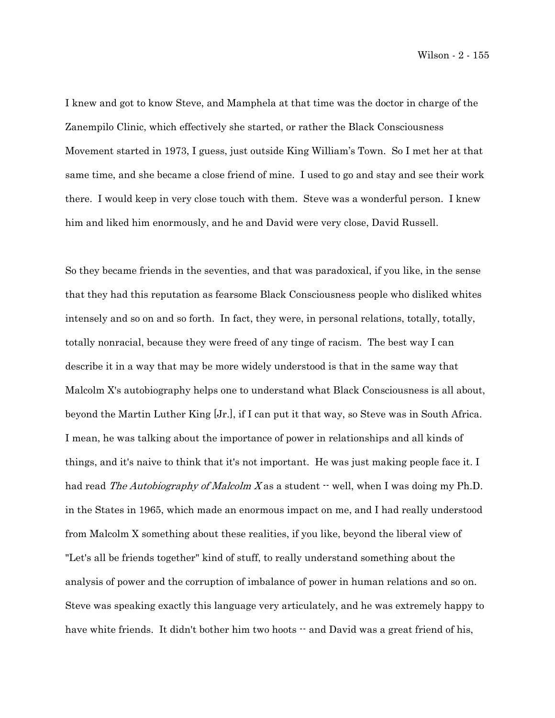Wilson - 2 - 155

I knew and got to know Steve, and Mamphela at that time was the doctor in charge of the Zanempilo Clinic, which effectively she started, or rather the Black Consciousness Movement started in 1973, I guess, just outside King William's Town. So I met her at that same time, and she became a close friend of mine. I used to go and stay and see their work there. I would keep in very close touch with them. Steve was a wonderful person. I knew him and liked him enormously, and he and David were very close, David Russell.

So they became friends in the seventies, and that was paradoxical, if you like, in the sense that they had this reputation as fearsome Black Consciousness people who disliked whites intensely and so on and so forth. In fact, they were, in personal relations, totally, totally, totally nonracial, because they were freed of any tinge of racism. The best way I can describe it in a way that may be more widely understood is that in the same way that Malcolm X's autobiography helps one to understand what Black Consciousness is all about, beyond the Martin Luther King [Jr.], if I can put it that way, so Steve was in South Africa. I mean, he was talking about the importance of power in relationships and all kinds of things, and it's naive to think that it's not important. He was just making people face it. I had read The Autobiography of Malcolm X as a student  $\cdot$  well, when I was doing my Ph.D. in the States in 1965, which made an enormous impact on me, and I had really understood from Malcolm X something about these realities, if you like, beyond the liberal view of "Let's all be friends together" kind of stuff, to really understand something about the analysis of power and the corruption of imbalance of power in human relations and so on. Steve was speaking exactly this language very articulately, and he was extremely happy to have white friends. It didn't bother him two hoots  $\cdot$  and David was a great friend of his,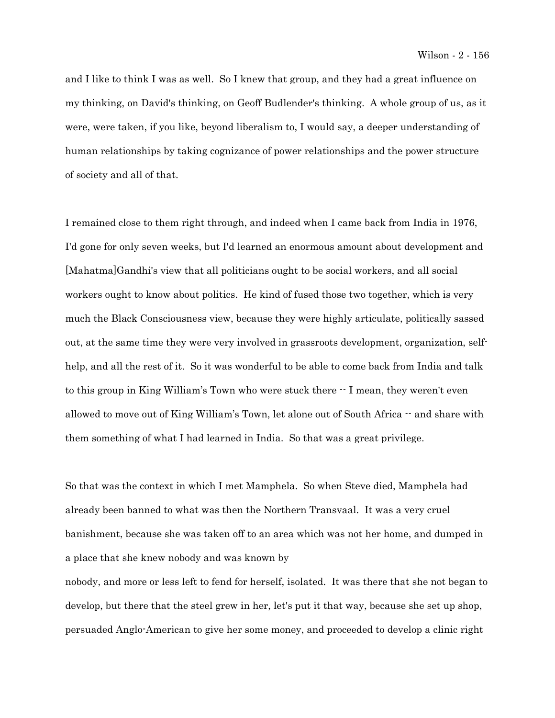and I like to think I was as well. So I knew that group, and they had a great influence on my thinking, on David's thinking, on Geoff Budlender's thinking. A whole group of us, as it were, were taken, if you like, beyond liberalism to, I would say, a deeper understanding of human relationships by taking cognizance of power relationships and the power structure of society and all of that.

I remained close to them right through, and indeed when I came back from India in 1976, I'd gone for only seven weeks, but I'd learned an enormous amount about development and [Mahatma]Gandhi's view that all politicians ought to be social workers, and all social workers ought to know about politics. He kind of fused those two together, which is very much the Black Consciousness view, because they were highly articulate, politically sassed out, at the same time they were very involved in grassroots development, organization, selfhelp, and all the rest of it. So it was wonderful to be able to come back from India and talk to this group in King William's Town who were stuck there -- I mean, they weren't even allowed to move out of King William's Town, let alone out of South Africa  $\cdot$  and share with them something of what I had learned in India. So that was a great privilege.

So that was the context in which I met Mamphela. So when Steve died, Mamphela had already been banned to what was then the Northern Transvaal. It was a very cruel banishment, because she was taken off to an area which was not her home, and dumped in a place that she knew nobody and was known by

nobody, and more or less left to fend for herself, isolated. It was there that she not began to develop, but there that the steel grew in her, let's put it that way, because she set up shop, persuaded Anglo-American to give her some money, and proceeded to develop a clinic right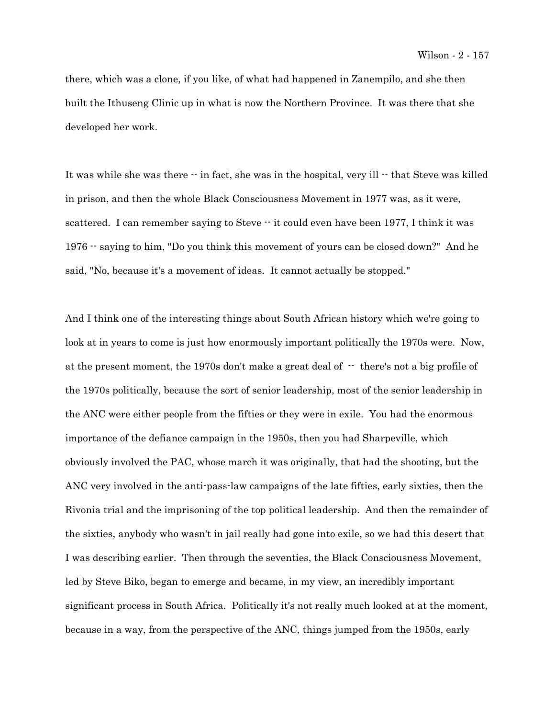there, which was a clone, if you like, of what had happened in Zanempilo, and she then built the Ithuseng Clinic up in what is now the Northern Province. It was there that she developed her work.

It was while she was there  $\cdot\cdot$  in fact, she was in the hospital, very ill  $\cdot\cdot$  that Steve was killed in prison, and then the whole Black Consciousness Movement in 1977 was, as it were, scattered. I can remember saying to Steve  $\cdot$  it could even have been 1977, I think it was 1976 -- saying to him, "Do you think this movement of yours can be closed down?" And he said, "No, because it's a movement of ideas. It cannot actually be stopped."

And I think one of the interesting things about South African history which we're going to look at in years to come is just how enormously important politically the 1970s were. Now, at the present moment, the 1970s don't make a great deal of  $\cdot$  there's not a big profile of the 1970s politically, because the sort of senior leadership, most of the senior leadership in the ANC were either people from the fifties or they were in exile. You had the enormous importance of the defiance campaign in the 1950s, then you had Sharpeville, which obviously involved the PAC, whose march it was originally, that had the shooting, but the ANC very involved in the anti-pass-law campaigns of the late fifties, early sixties, then the Rivonia trial and the imprisoning of the top political leadership. And then the remainder of the sixties, anybody who wasn't in jail really had gone into exile, so we had this desert that I was describing earlier. Then through the seventies, the Black Consciousness Movement, led by Steve Biko, began to emerge and became, in my view, an incredibly important significant process in South Africa. Politically it's not really much looked at at the moment, because in a way, from the perspective of the ANC, things jumped from the 1950s, early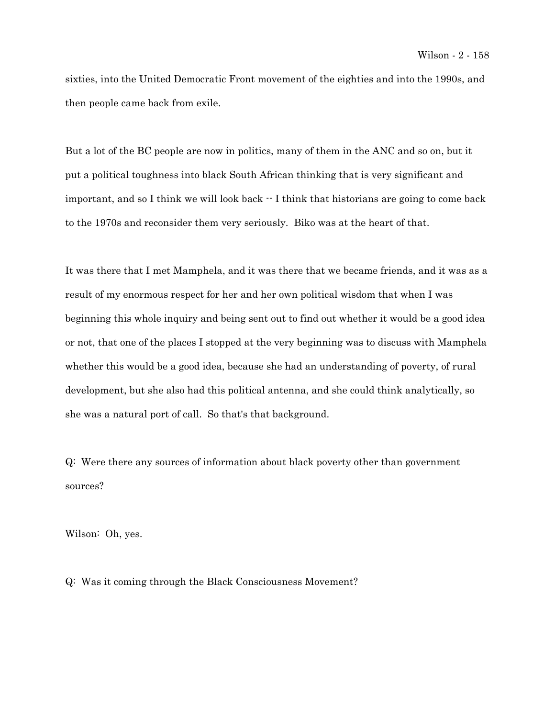sixties, into the United Democratic Front movement of the eighties and into the 1990s, and then people came back from exile.

But a lot of the BC people are now in politics, many of them in the ANC and so on, but it put a political toughness into black South African thinking that is very significant and important, and so I think we will look back  $\cdot \cdot$  I think that historians are going to come back to the 1970s and reconsider them very seriously. Biko was at the heart of that.

It was there that I met Mamphela, and it was there that we became friends, and it was as a result of my enormous respect for her and her own political wisdom that when I was beginning this whole inquiry and being sent out to find out whether it would be a good idea or not, that one of the places I stopped at the very beginning was to discuss with Mamphela whether this would be a good idea, because she had an understanding of poverty, of rural development, but she also had this political antenna, and she could think analytically, so she was a natural port of call. So that's that background.

Q: Were there any sources of information about black poverty other than government sources?

Wilson: Oh, yes.

Q: Was it coming through the Black Consciousness Movement?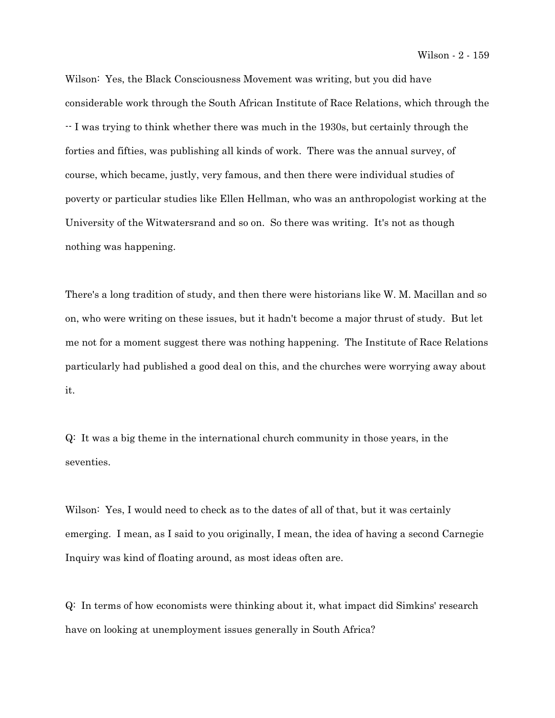Wilson - 2 - 159

Wilson: Yes, the Black Consciousness Movement was writing, but you did have considerable work through the South African Institute of Race Relations, which through the -- I was trying to think whether there was much in the 1930s, but certainly through the forties and fifties, was publishing all kinds of work. There was the annual survey, of course, which became, justly, very famous, and then there were individual studies of poverty or particular studies like Ellen Hellman, who was an anthropologist working at the University of the Witwatersrand and so on. So there was writing. It's not as though nothing was happening.

There's a long tradition of study, and then there were historians like W. M. Macillan and so on, who were writing on these issues, but it hadn't become a major thrust of study. But let me not for a moment suggest there was nothing happening. The Institute of Race Relations particularly had published a good deal on this, and the churches were worrying away about it.

Q: It was a big theme in the international church community in those years, in the seventies.

Wilson: Yes, I would need to check as to the dates of all of that, but it was certainly emerging. I mean, as I said to you originally, I mean, the idea of having a second Carnegie Inquiry was kind of floating around, as most ideas often are.

Q: In terms of how economists were thinking about it, what impact did Simkins' research have on looking at unemployment issues generally in South Africa?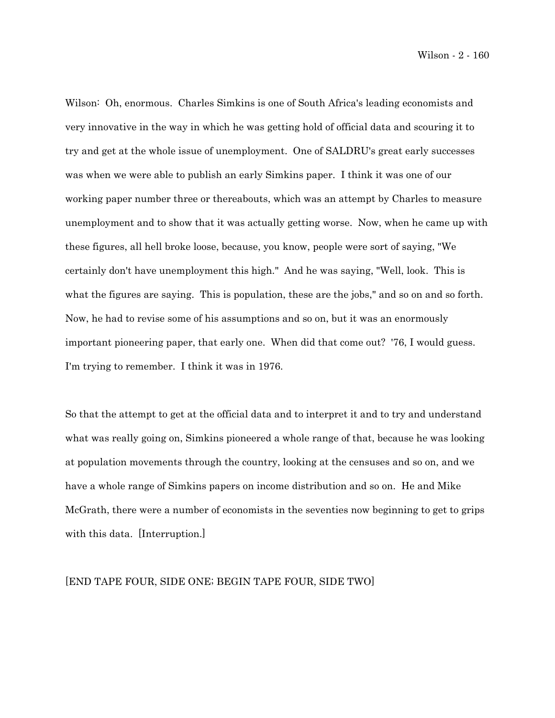Wilson - 2 - 160

Wilson: Oh, enormous. Charles Simkins is one of South Africa's leading economists and very innovative in the way in which he was getting hold of official data and scouring it to try and get at the whole issue of unemployment. One of SALDRU's great early successes was when we were able to publish an early Simkins paper. I think it was one of our working paper number three or thereabouts, which was an attempt by Charles to measure unemployment and to show that it was actually getting worse. Now, when he came up with these figures, all hell broke loose, because, you know, people were sort of saying, "We certainly don't have unemployment this high." And he was saying, "Well, look. This is what the figures are saying. This is population, these are the jobs," and so on and so forth. Now, he had to revise some of his assumptions and so on, but it was an enormously important pioneering paper, that early one. When did that come out? '76, I would guess. I'm trying to remember. I think it was in 1976.

So that the attempt to get at the official data and to interpret it and to try and understand what was really going on, Simkins pioneered a whole range of that, because he was looking at population movements through the country, looking at the censuses and so on, and we have a whole range of Simkins papers on income distribution and so on. He and Mike McGrath, there were a number of economists in the seventies now beginning to get to grips with this data. [Interruption.]

### [END TAPE FOUR, SIDE ONE; BEGIN TAPE FOUR, SIDE TWO]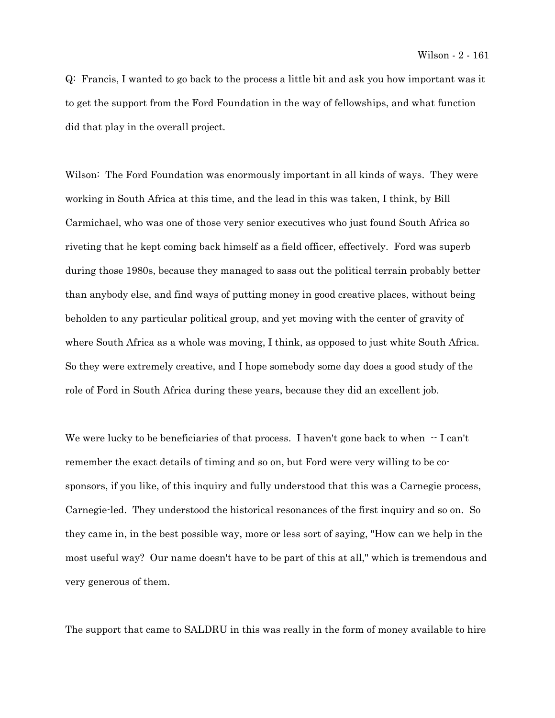Q: Francis, I wanted to go back to the process a little bit and ask you how important was it to get the support from the Ford Foundation in the way of fellowships, and what function did that play in the overall project.

Wilson: The Ford Foundation was enormously important in all kinds of ways. They were working in South Africa at this time, and the lead in this was taken, I think, by Bill Carmichael, who was one of those very senior executives who just found South Africa so riveting that he kept coming back himself as a field officer, effectively. Ford was superb during those 1980s, because they managed to sass out the political terrain probably better than anybody else, and find ways of putting money in good creative places, without being beholden to any particular political group, and yet moving with the center of gravity of where South Africa as a whole was moving, I think, as opposed to just white South Africa. So they were extremely creative, and I hope somebody some day does a good study of the role of Ford in South Africa during these years, because they did an excellent job.

We were lucky to be beneficiaries of that process. I haven't gone back to when  $-1$  can't remember the exact details of timing and so on, but Ford were very willing to be cosponsors, if you like, of this inquiry and fully understood that this was a Carnegie process, Carnegie-led. They understood the historical resonances of the first inquiry and so on. So they came in, in the best possible way, more or less sort of saying, "How can we help in the most useful way? Our name doesn't have to be part of this at all," which is tremendous and very generous of them.

The support that came to SALDRU in this was really in the form of money available to hire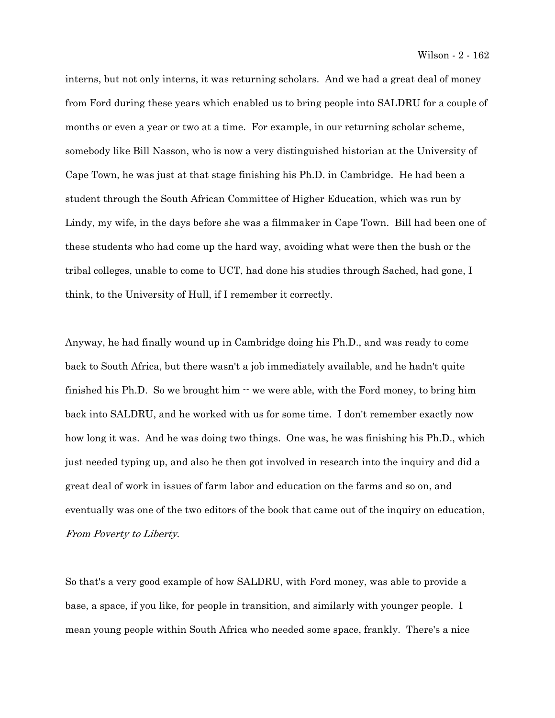interns, but not only interns, it was returning scholars. And we had a great deal of money from Ford during these years which enabled us to bring people into SALDRU for a couple of months or even a year or two at a time. For example, in our returning scholar scheme, somebody like Bill Nasson, who is now a very distinguished historian at the University of Cape Town, he was just at that stage finishing his Ph.D. in Cambridge. He had been a student through the South African Committee of Higher Education, which was run by Lindy, my wife, in the days before she was a filmmaker in Cape Town. Bill had been one of these students who had come up the hard way, avoiding what were then the bush or the tribal colleges, unable to come to UCT, had done his studies through Sached, had gone, I think, to the University of Hull, if I remember it correctly.

Anyway, he had finally wound up in Cambridge doing his Ph.D., and was ready to come back to South Africa, but there wasn't a job immediately available, and he hadn't quite finished his Ph.D. So we brought him  $\cdot \cdot$  we were able, with the Ford money, to bring him back into SALDRU, and he worked with us for some time. I don't remember exactly now how long it was. And he was doing two things. One was, he was finishing his Ph.D., which just needed typing up, and also he then got involved in research into the inquiry and did a great deal of work in issues of farm labor and education on the farms and so on, and eventually was one of the two editors of the book that came out of the inquiry on education, From Poverty to Liberty.

So that's a very good example of how SALDRU, with Ford money, was able to provide a base, a space, if you like, for people in transition, and similarly with younger people. I mean young people within South Africa who needed some space, frankly. There's a nice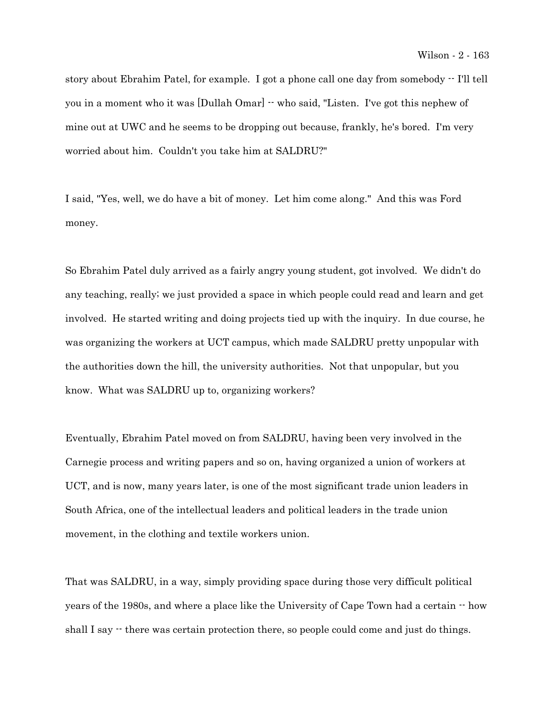story about Ebrahim Patel, for example. I got a phone call one day from somebody  $\cdot$  I'll tell you in a moment who it was [Dullah Omar] -- who said, "Listen. I've got this nephew of mine out at UWC and he seems to be dropping out because, frankly, he's bored. I'm very worried about him. Couldn't you take him at SALDRU?"

I said, "Yes, well, we do have a bit of money. Let him come along." And this was Ford money.

So Ebrahim Patel duly arrived as a fairly angry young student, got involved. We didn't do any teaching, really; we just provided a space in which people could read and learn and get involved. He started writing and doing projects tied up with the inquiry. In due course, he was organizing the workers at UCT campus, which made SALDRU pretty unpopular with the authorities down the hill, the university authorities. Not that unpopular, but you know. What was SALDRU up to, organizing workers?

Eventually, Ebrahim Patel moved on from SALDRU, having been very involved in the Carnegie process and writing papers and so on, having organized a union of workers at UCT, and is now, many years later, is one of the most significant trade union leaders in South Africa, one of the intellectual leaders and political leaders in the trade union movement, in the clothing and textile workers union.

That was SALDRU, in a way, simply providing space during those very difficult political years of the 1980s, and where a place like the University of Cape Town had a certain -- how shall I say  $\cdot$  there was certain protection there, so people could come and just do things.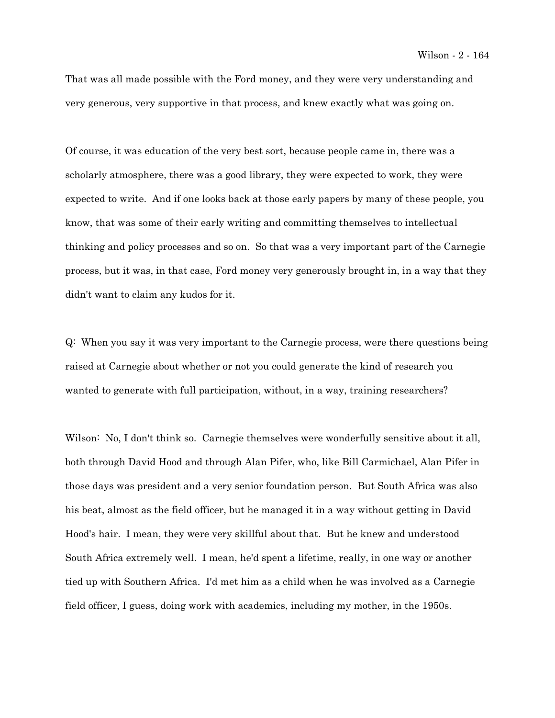That was all made possible with the Ford money, and they were very understanding and very generous, very supportive in that process, and knew exactly what was going on.

Of course, it was education of the very best sort, because people came in, there was a scholarly atmosphere, there was a good library, they were expected to work, they were expected to write. And if one looks back at those early papers by many of these people, you know, that was some of their early writing and committing themselves to intellectual thinking and policy processes and so on. So that was a very important part of the Carnegie process, but it was, in that case, Ford money very generously brought in, in a way that they didn't want to claim any kudos for it.

Q: When you say it was very important to the Carnegie process, were there questions being raised at Carnegie about whether or not you could generate the kind of research you wanted to generate with full participation, without, in a way, training researchers?

Wilson: No, I don't think so. Carnegie themselves were wonderfully sensitive about it all, both through David Hood and through Alan Pifer, who, like Bill Carmichael, Alan Pifer in those days was president and a very senior foundation person. But South Africa was also his beat, almost as the field officer, but he managed it in a way without getting in David Hood's hair. I mean, they were very skillful about that. But he knew and understood South Africa extremely well. I mean, he'd spent a lifetime, really, in one way or another tied up with Southern Africa. I'd met him as a child when he was involved as a Carnegie field officer, I guess, doing work with academics, including my mother, in the 1950s.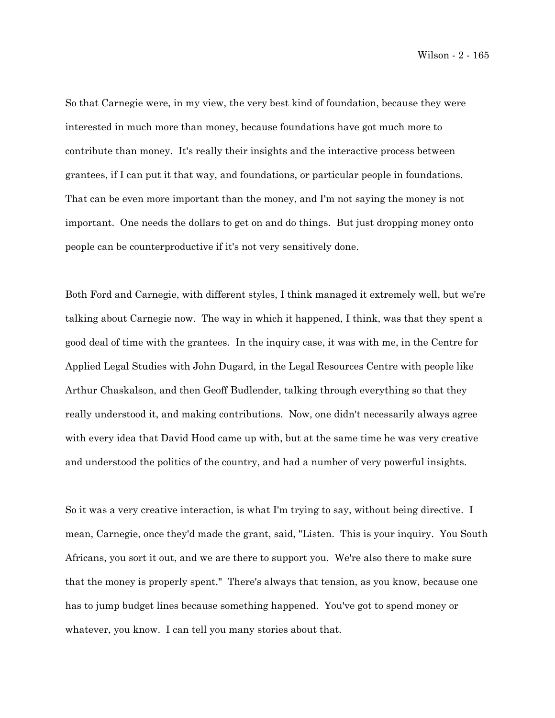Wilson - 2 - 165

So that Carnegie were, in my view, the very best kind of foundation, because they were interested in much more than money, because foundations have got much more to contribute than money. It's really their insights and the interactive process between grantees, if I can put it that way, and foundations, or particular people in foundations. That can be even more important than the money, and I'm not saying the money is not important. One needs the dollars to get on and do things. But just dropping money onto people can be counterproductive if it's not very sensitively done.

Both Ford and Carnegie, with different styles, I think managed it extremely well, but we're talking about Carnegie now. The way in which it happened, I think, was that they spent a good deal of time with the grantees. In the inquiry case, it was with me, in the Centre for Applied Legal Studies with John Dugard, in the Legal Resources Centre with people like Arthur Chaskalson, and then Geoff Budlender, talking through everything so that they really understood it, and making contributions. Now, one didn't necessarily always agree with every idea that David Hood came up with, but at the same time he was very creative and understood the politics of the country, and had a number of very powerful insights.

So it was a very creative interaction, is what I'm trying to say, without being directive. I mean, Carnegie, once they'd made the grant, said, "Listen. This is your inquiry. You South Africans, you sort it out, and we are there to support you. We're also there to make sure that the money is properly spent." There's always that tension, as you know, because one has to jump budget lines because something happened. You've got to spend money or whatever, you know. I can tell you many stories about that.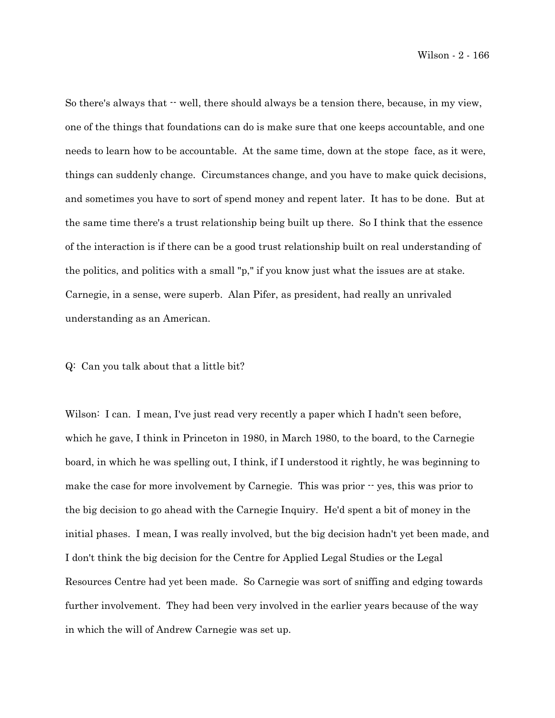So there's always that  $\cdot$  well, there should always be a tension there, because, in my view, one of the things that foundations can do is make sure that one keeps accountable, and one needs to learn how to be accountable. At the same time, down at the stope face, as it were, things can suddenly change. Circumstances change, and you have to make quick decisions, and sometimes you have to sort of spend money and repent later. It has to be done. But at the same time there's a trust relationship being built up there. So I think that the essence of the interaction is if there can be a good trust relationship built on real understanding of the politics, and politics with a small "p," if you know just what the issues are at stake. Carnegie, in a sense, were superb. Alan Pifer, as president, had really an unrivaled understanding as an American.

### Q: Can you talk about that a little bit?

Wilson: I can. I mean, I've just read very recently a paper which I hadn't seen before, which he gave, I think in Princeton in 1980, in March 1980, to the board, to the Carnegie board, in which he was spelling out, I think, if I understood it rightly, he was beginning to make the case for more involvement by Carnegie. This was prior  $\cdot$  yes, this was prior to the big decision to go ahead with the Carnegie Inquiry. He'd spent a bit of money in the initial phases. I mean, I was really involved, but the big decision hadn't yet been made, and I don't think the big decision for the Centre for Applied Legal Studies or the Legal Resources Centre had yet been made. So Carnegie was sort of sniffing and edging towards further involvement. They had been very involved in the earlier years because of the way in which the will of Andrew Carnegie was set up.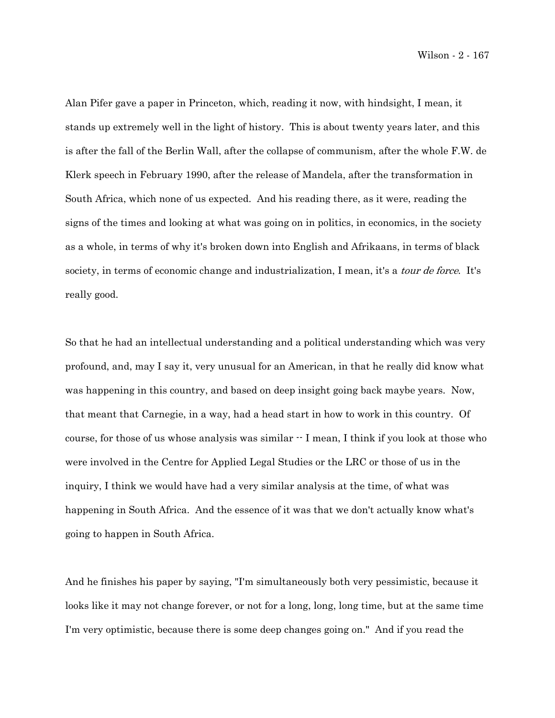Wilson - 2 - 167

Alan Pifer gave a paper in Princeton, which, reading it now, with hindsight, I mean, it stands up extremely well in the light of history. This is about twenty years later, and this is after the fall of the Berlin Wall, after the collapse of communism, after the whole F.W. de Klerk speech in February 1990, after the release of Mandela, after the transformation in South Africa, which none of us expected. And his reading there, as it were, reading the signs of the times and looking at what was going on in politics, in economics, in the society as a whole, in terms of why it's broken down into English and Afrikaans, in terms of black society, in terms of economic change and industrialization, I mean, it's a *tour de force*. It's really good.

So that he had an intellectual understanding and a political understanding which was very profound, and, may I say it, very unusual for an American, in that he really did know what was happening in this country, and based on deep insight going back maybe years. Now, that meant that Carnegie, in a way, had a head start in how to work in this country. Of course, for those of us whose analysis was similar  $\cdot$  I mean, I think if you look at those who were involved in the Centre for Applied Legal Studies or the LRC or those of us in the inquiry, I think we would have had a very similar analysis at the time, of what was happening in South Africa. And the essence of it was that we don't actually know what's going to happen in South Africa.

And he finishes his paper by saying, "I'm simultaneously both very pessimistic, because it looks like it may not change forever, or not for a long, long, long time, but at the same time I'm very optimistic, because there is some deep changes going on." And if you read the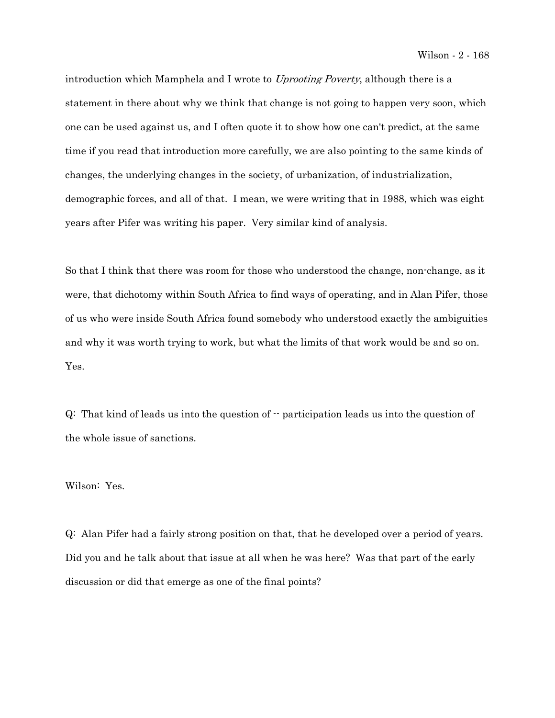introduction which Mamphela and I wrote to Uprooting Poverty, although there is a statement in there about why we think that change is not going to happen very soon, which one can be used against us, and I often quote it to show how one can't predict, at the same time if you read that introduction more carefully, we are also pointing to the same kinds of changes, the underlying changes in the society, of urbanization, of industrialization, demographic forces, and all of that. I mean, we were writing that in 1988, which was eight years after Pifer was writing his paper. Very similar kind of analysis.

So that I think that there was room for those who understood the change, non-change, as it were, that dichotomy within South Africa to find ways of operating, and in Alan Pifer, those of us who were inside South Africa found somebody who understood exactly the ambiguities and why it was worth trying to work, but what the limits of that work would be and so on. Yes.

 $Q:$  That kind of leads us into the question of  $\cdot$  participation leads us into the question of the whole issue of sanctions.

Wilson: Yes.

Q: Alan Pifer had a fairly strong position on that, that he developed over a period of years. Did you and he talk about that issue at all when he was here? Was that part of the early discussion or did that emerge as one of the final points?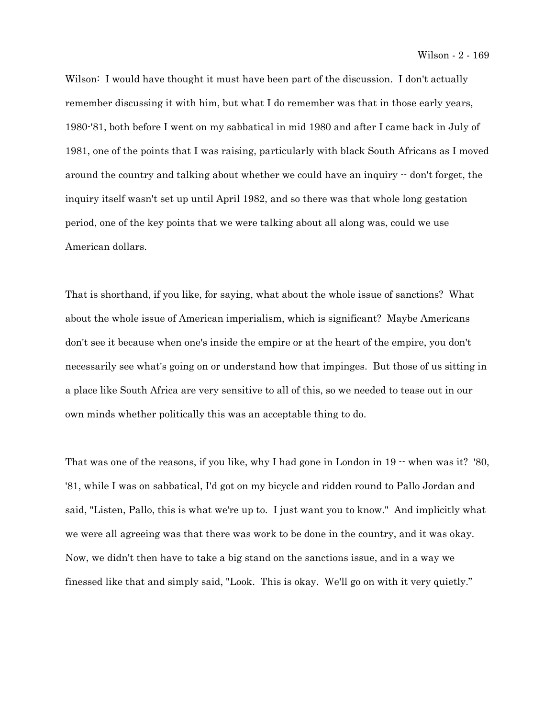Wilson: I would have thought it must have been part of the discussion. I don't actually remember discussing it with him, but what I do remember was that in those early years, 1980-'81, both before I went on my sabbatical in mid 1980 and after I came back in July of 1981, one of the points that I was raising, particularly with black South Africans as I moved around the country and talking about whether we could have an inquiry -- don't forget, the inquiry itself wasn't set up until April 1982, and so there was that whole long gestation period, one of the key points that we were talking about all along was, could we use American dollars.

That is shorthand, if you like, for saying, what about the whole issue of sanctions? What about the whole issue of American imperialism, which is significant? Maybe Americans don't see it because when one's inside the empire or at the heart of the empire, you don't necessarily see what's going on or understand how that impinges. But those of us sitting in a place like South Africa are very sensitive to all of this, so we needed to tease out in our own minds whether politically this was an acceptable thing to do.

That was one of the reasons, if you like, why I had gone in London in  $19 -$  when was it? '80, '81, while I was on sabbatical, I'd got on my bicycle and ridden round to Pallo Jordan and said, "Listen, Pallo, this is what we're up to. I just want you to know." And implicitly what we were all agreeing was that there was work to be done in the country, and it was okay. Now, we didn't then have to take a big stand on the sanctions issue, and in a way we finessed like that and simply said, "Look. This is okay. We'll go on with it very quietly."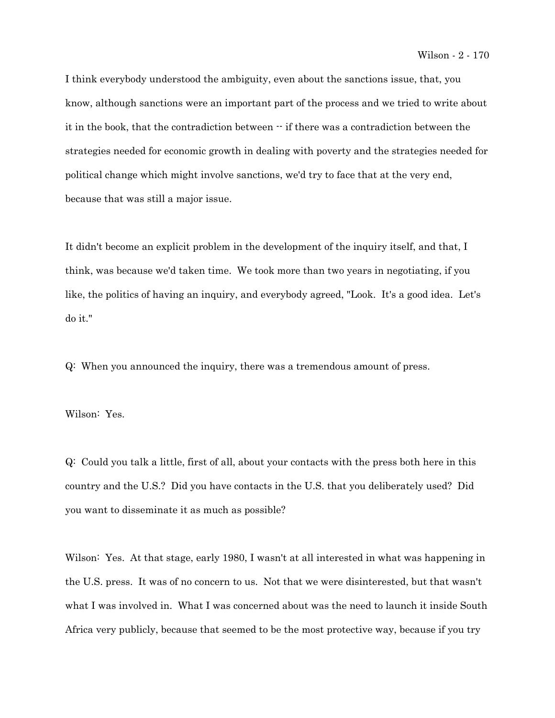I think everybody understood the ambiguity, even about the sanctions issue, that, you know, although sanctions were an important part of the process and we tried to write about it in the book, that the contradiction between -- if there was a contradiction between the strategies needed for economic growth in dealing with poverty and the strategies needed for political change which might involve sanctions, we'd try to face that at the very end, because that was still a major issue.

It didn't become an explicit problem in the development of the inquiry itself, and that, I think, was because we'd taken time. We took more than two years in negotiating, if you like, the politics of having an inquiry, and everybody agreed, "Look. It's a good idea. Let's do it."

Q: When you announced the inquiry, there was a tremendous amount of press.

Wilson: Yes.

Q: Could you talk a little, first of all, about your contacts with the press both here in this country and the U.S.? Did you have contacts in the U.S. that you deliberately used? Did you want to disseminate it as much as possible?

Wilson: Yes. At that stage, early 1980, I wasn't at all interested in what was happening in the U.S. press. It was of no concern to us. Not that we were disinterested, but that wasn't what I was involved in. What I was concerned about was the need to launch it inside South Africa very publicly, because that seemed to be the most protective way, because if you try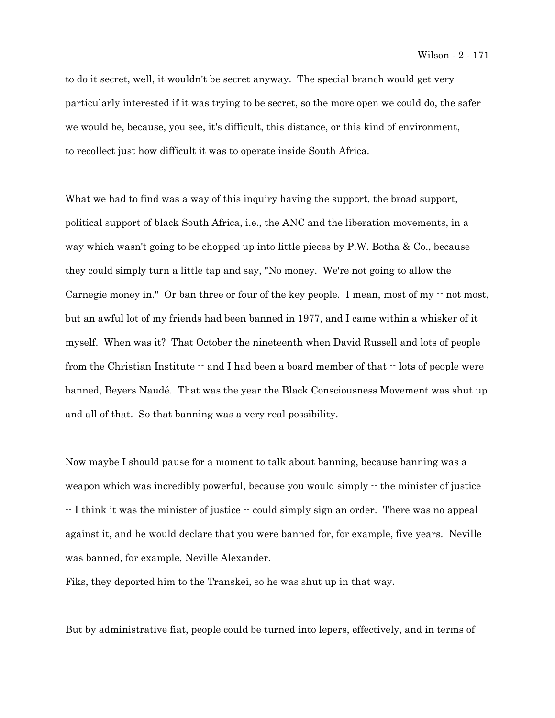to do it secret, well, it wouldn't be secret anyway. The special branch would get very particularly interested if it was trying to be secret, so the more open we could do, the safer we would be, because, you see, it's difficult, this distance, or this kind of environment, to recollect just how difficult it was to operate inside South Africa.

What we had to find was a way of this inquiry having the support, the broad support, political support of black South Africa, i.e., the ANC and the liberation movements, in a way which wasn't going to be chopped up into little pieces by P.W. Botha & Co., because they could simply turn a little tap and say, "No money. We're not going to allow the Carnegie money in." Or ban three or four of the key people. I mean, most of my  $\cdot$  not most, but an awful lot of my friends had been banned in 1977, and I came within a whisker of it myself. When was it? That October the nineteenth when David Russell and lots of people from the Christian Institute  $\cdot$  and I had been a board member of that  $\cdot$  lots of people were banned, Beyers Naudé. That was the year the Black Consciousness Movement was shut up and all of that. So that banning was a very real possibility.

Now maybe I should pause for a moment to talk about banning, because banning was a weapon which was incredibly powerful, because you would simply  $\cdot$  the minister of justice -- I think it was the minister of justice -- could simply sign an order. There was no appeal against it, and he would declare that you were banned for, for example, five years. Neville was banned, for example, Neville Alexander.

Fiks, they deported him to the Transkei, so he was shut up in that way.

But by administrative fiat, people could be turned into lepers, effectively, and in terms of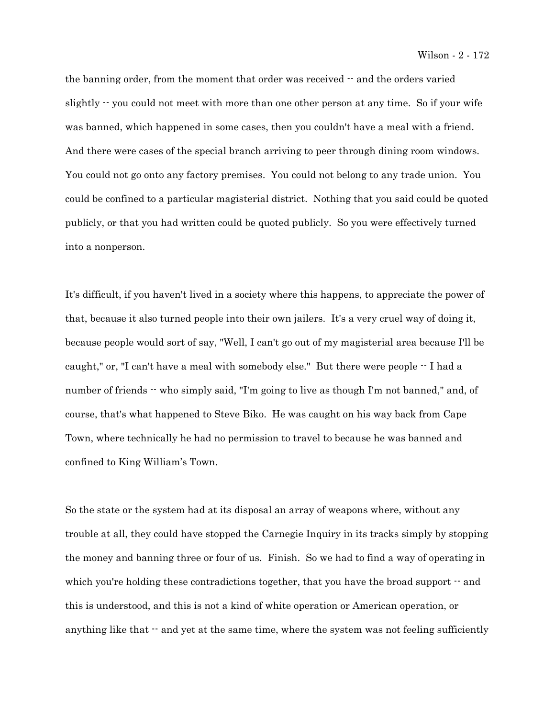the banning order, from the moment that order was received  $-$  and the orders varied slightly  $\cdot$  you could not meet with more than one other person at any time. So if your wife was banned, which happened in some cases, then you couldn't have a meal with a friend. And there were cases of the special branch arriving to peer through dining room windows. You could not go onto any factory premises. You could not belong to any trade union. You could be confined to a particular magisterial district. Nothing that you said could be quoted publicly, or that you had written could be quoted publicly. So you were effectively turned into a nonperson.

It's difficult, if you haven't lived in a society where this happens, to appreciate the power of that, because it also turned people into their own jailers. It's a very cruel way of doing it, because people would sort of say, "Well, I can't go out of my magisterial area because I'll be caught," or, "I can't have a meal with somebody else." But there were people  $\cdot$  I had a number of friends  $\cdot$  who simply said, "I'm going to live as though I'm not banned," and, of course, that's what happened to Steve Biko. He was caught on his way back from Cape Town, where technically he had no permission to travel to because he was banned and confined to King William's Town.

So the state or the system had at its disposal an array of weapons where, without any trouble at all, they could have stopped the Carnegie Inquiry in its tracks simply by stopping the money and banning three or four of us. Finish. So we had to find a way of operating in which you're holding these contradictions together, that you have the broad support  $-$  and this is understood, and this is not a kind of white operation or American operation, or anything like that  $\cdot$  and yet at the same time, where the system was not feeling sufficiently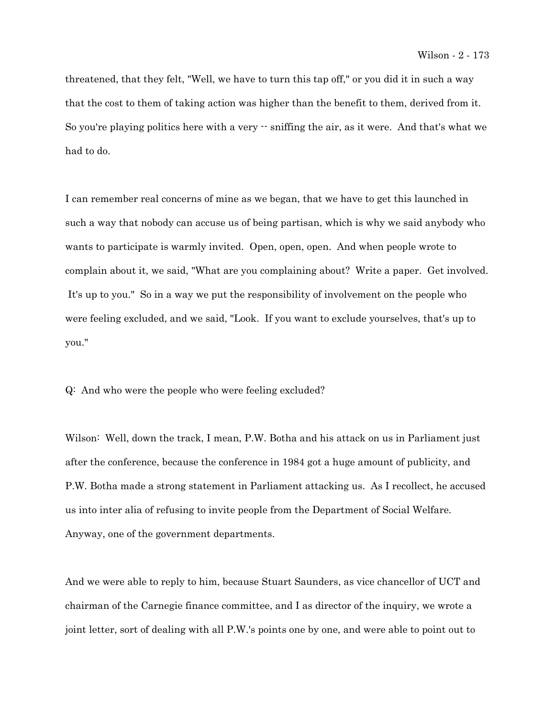threatened, that they felt, "Well, we have to turn this tap off," or you did it in such a way that the cost to them of taking action was higher than the benefit to them, derived from it. So you're playing politics here with a very  $\cdot$  sniffing the air, as it were. And that's what we had to do.

I can remember real concerns of mine as we began, that we have to get this launched in such a way that nobody can accuse us of being partisan, which is why we said anybody who wants to participate is warmly invited. Open, open, open. And when people wrote to complain about it, we said, "What are you complaining about? Write a paper. Get involved. It's up to you." So in a way we put the responsibility of involvement on the people who were feeling excluded, and we said, "Look. If you want to exclude yourselves, that's up to you."

Q: And who were the people who were feeling excluded?

Wilson: Well, down the track, I mean, P.W. Botha and his attack on us in Parliament just after the conference, because the conference in 1984 got a huge amount of publicity, and P.W. Botha made a strong statement in Parliament attacking us. As I recollect, he accused us into inter alia of refusing to invite people from the Department of Social Welfare. Anyway, one of the government departments.

And we were able to reply to him, because Stuart Saunders, as vice chancellor of UCT and chairman of the Carnegie finance committee, and I as director of the inquiry, we wrote a joint letter, sort of dealing with all P.W.'s points one by one, and were able to point out to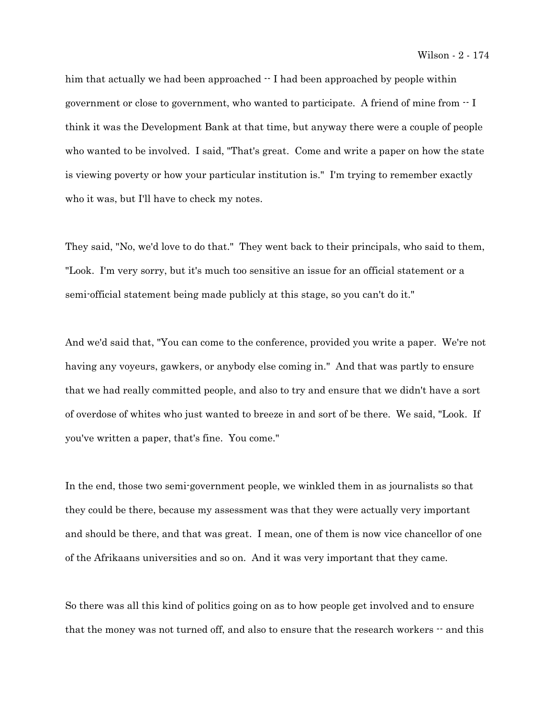him that actually we had been approached  $\cdot$  I had been approached by people within government or close to government, who wanted to participate. A friend of mine from -- I think it was the Development Bank at that time, but anyway there were a couple of people who wanted to be involved. I said, "That's great. Come and write a paper on how the state is viewing poverty or how your particular institution is." I'm trying to remember exactly who it was, but I'll have to check my notes.

They said, "No, we'd love to do that." They went back to their principals, who said to them, "Look. I'm very sorry, but it's much too sensitive an issue for an official statement or a semi-official statement being made publicly at this stage, so you can't do it."

And we'd said that, "You can come to the conference, provided you write a paper. We're not having any voyeurs, gawkers, or anybody else coming in." And that was partly to ensure that we had really committed people, and also to try and ensure that we didn't have a sort of overdose of whites who just wanted to breeze in and sort of be there. We said, "Look. If you've written a paper, that's fine. You come."

In the end, those two semi-government people, we winkled them in as journalists so that they could be there, because my assessment was that they were actually very important and should be there, and that was great. I mean, one of them is now vice chancellor of one of the Afrikaans universities and so on. And it was very important that they came.

So there was all this kind of politics going on as to how people get involved and to ensure that the money was not turned off, and also to ensure that the research workers  $-$  and this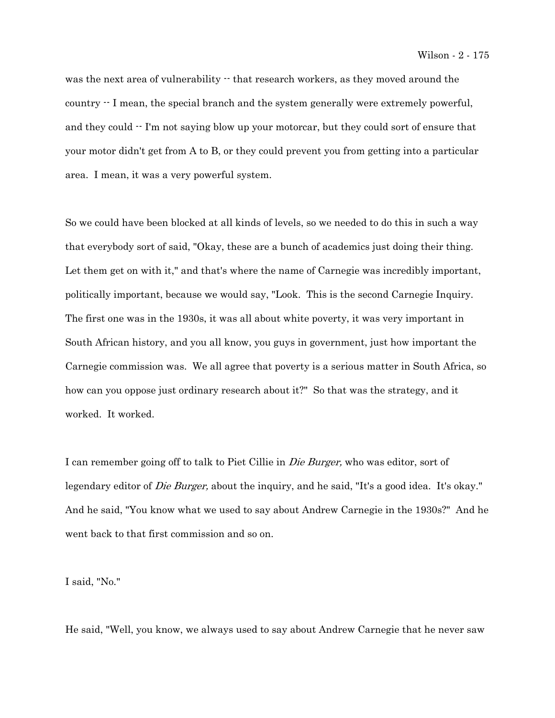was the next area of vulnerability  $\cdot\cdot$  that research workers, as they moved around the country  $\cdot$  I mean, the special branch and the system generally were extremely powerful, and they could  $\cdot$ - I'm not saying blow up your motorcar, but they could sort of ensure that your motor didn't get from A to B, or they could prevent you from getting into a particular area. I mean, it was a very powerful system.

So we could have been blocked at all kinds of levels, so we needed to do this in such a way that everybody sort of said, "Okay, these are a bunch of academics just doing their thing. Let them get on with it," and that's where the name of Carnegie was incredibly important, politically important, because we would say, "Look. This is the second Carnegie Inquiry. The first one was in the 1930s, it was all about white poverty, it was very important in South African history, and you all know, you guys in government, just how important the Carnegie commission was. We all agree that poverty is a serious matter in South Africa, so how can you oppose just ordinary research about it?" So that was the strategy, and it worked. It worked.

I can remember going off to talk to Piet Cillie in Die Burger, who was editor, sort of legendary editor of *Die Burger*, about the inquiry, and he said, "It's a good idea. It's okay." And he said, "You know what we used to say about Andrew Carnegie in the 1930s?" And he went back to that first commission and so on.

I said, "No."

He said, "Well, you know, we always used to say about Andrew Carnegie that he never saw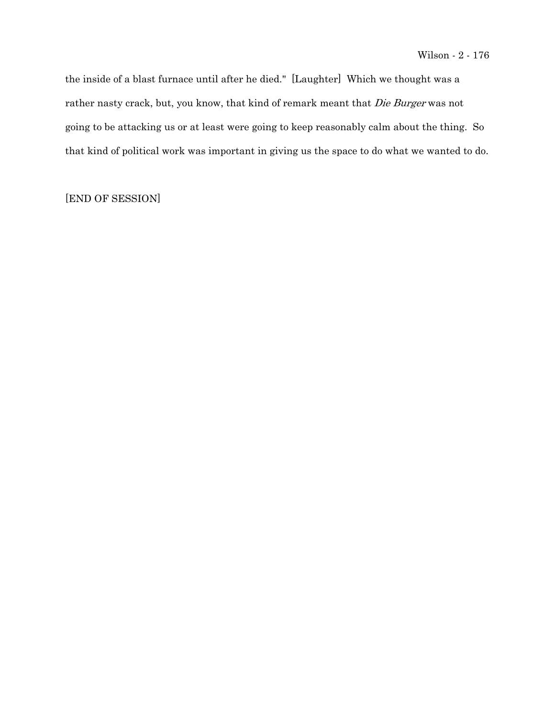the inside of a blast furnace until after he died." [Laughter] Which we thought was a rather nasty crack, but, you know, that kind of remark meant that Die Burger was not going to be attacking us or at least were going to keep reasonably calm about the thing. So that kind of political work was important in giving us the space to do what we wanted to do.

# [END OF SESSION]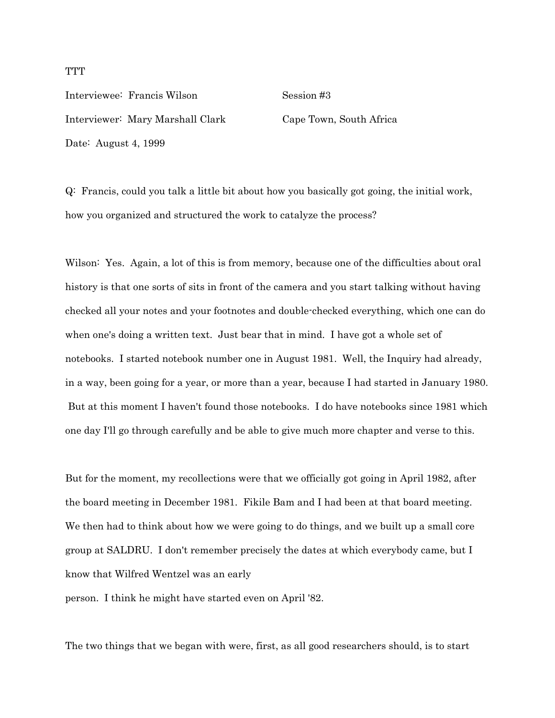Interviewee: Francis Wilson Session #3 Interviewer: Mary Marshall Clark Cape Town, South Africa Date: August 4, 1999

Q: Francis, could you talk a little bit about how you basically got going, the initial work, how you organized and structured the work to catalyze the process?

Wilson: Yes. Again, a lot of this is from memory, because one of the difficulties about oral history is that one sorts of sits in front of the camera and you start talking without having checked all your notes and your footnotes and double-checked everything, which one can do when one's doing a written text. Just bear that in mind. I have got a whole set of notebooks. I started notebook number one in August 1981. Well, the Inquiry had already, in a way, been going for a year, or more than a year, because I had started in January 1980. But at this moment I haven't found those notebooks. I do have notebooks since 1981 which one day I'll go through carefully and be able to give much more chapter and verse to this.

But for the moment, my recollections were that we officially got going in April 1982, after the board meeting in December 1981. Fikile Bam and I had been at that board meeting. We then had to think about how we were going to do things, and we built up a small core group at SALDRU. I don't remember precisely the dates at which everybody came, but I know that Wilfred Wentzel was an early

person. I think he might have started even on April '82.

The two things that we began with were, first, as all good researchers should, is to start

## **TTT**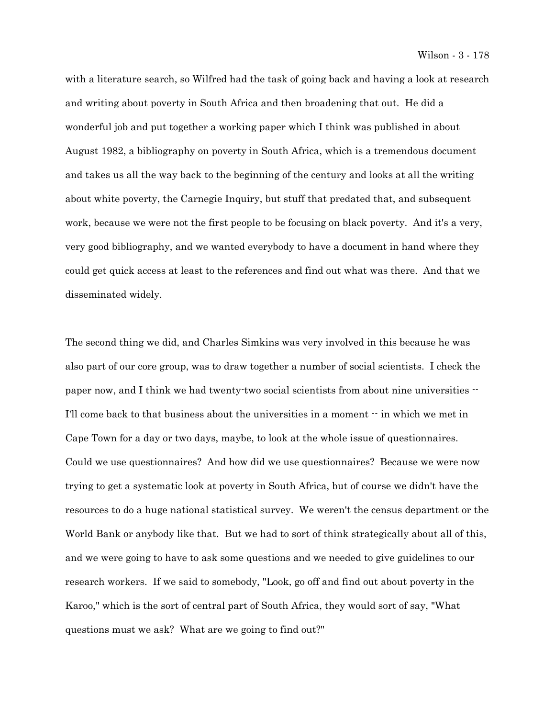with a literature search, so Wilfred had the task of going back and having a look at research and writing about poverty in South Africa and then broadening that out. He did a wonderful job and put together a working paper which I think was published in about August 1982, a bibliography on poverty in South Africa, which is a tremendous document and takes us all the way back to the beginning of the century and looks at all the writing about white poverty, the Carnegie Inquiry, but stuff that predated that, and subsequent work, because we were not the first people to be focusing on black poverty. And it's a very, very good bibliography, and we wanted everybody to have a document in hand where they could get quick access at least to the references and find out what was there. And that we disseminated widely.

The second thing we did, and Charles Simkins was very involved in this because he was also part of our core group, was to draw together a number of social scientists. I check the paper now, and I think we had twenty-two social scientists from about nine universities -- I'll come back to that business about the universities in a moment -- in which we met in Cape Town for a day or two days, maybe, to look at the whole issue of questionnaires. Could we use questionnaires? And how did we use questionnaires? Because we were now trying to get a systematic look at poverty in South Africa, but of course we didn't have the resources to do a huge national statistical survey. We weren't the census department or the World Bank or anybody like that. But we had to sort of think strategically about all of this, and we were going to have to ask some questions and we needed to give guidelines to our research workers. If we said to somebody, "Look, go off and find out about poverty in the Karoo," which is the sort of central part of South Africa, they would sort of say, "What questions must we ask? What are we going to find out?"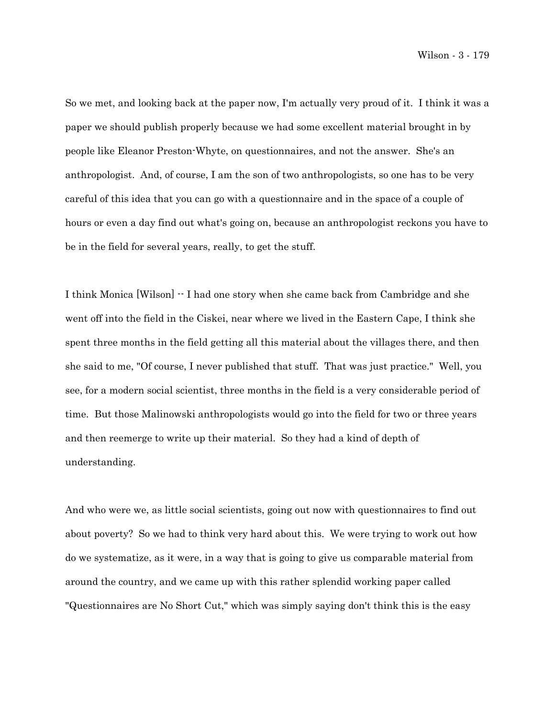So we met, and looking back at the paper now, I'm actually very proud of it. I think it was a paper we should publish properly because we had some excellent material brought in by people like Eleanor Preston-Whyte, on questionnaires, and not the answer. She's an anthropologist. And, of course, I am the son of two anthropologists, so one has to be very careful of this idea that you can go with a questionnaire and in the space of a couple of hours or even a day find out what's going on, because an anthropologist reckons you have to be in the field for several years, really, to get the stuff.

I think Monica [Wilson] -- I had one story when she came back from Cambridge and she went off into the field in the Ciskei, near where we lived in the Eastern Cape, I think she spent three months in the field getting all this material about the villages there, and then she said to me, "Of course, I never published that stuff. That was just practice." Well, you see, for a modern social scientist, three months in the field is a very considerable period of time. But those Malinowski anthropologists would go into the field for two or three years and then reemerge to write up their material. So they had a kind of depth of understanding.

And who were we, as little social scientists, going out now with questionnaires to find out about poverty? So we had to think very hard about this. We were trying to work out how do we systematize, as it were, in a way that is going to give us comparable material from around the country, and we came up with this rather splendid working paper called "Questionnaires are No Short Cut," which was simply saying don't think this is the easy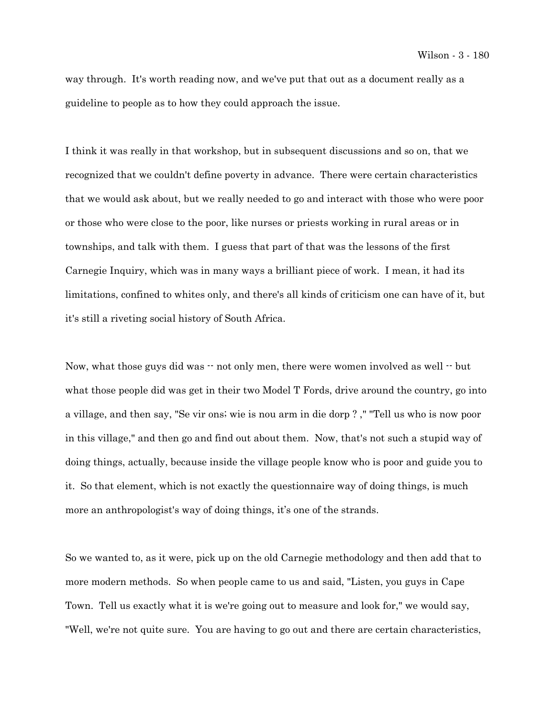way through. It's worth reading now, and we've put that out as a document really as a guideline to people as to how they could approach the issue.

I think it was really in that workshop, but in subsequent discussions and so on, that we recognized that we couldn't define poverty in advance. There were certain characteristics that we would ask about, but we really needed to go and interact with those who were poor or those who were close to the poor, like nurses or priests working in rural areas or in townships, and talk with them. I guess that part of that was the lessons of the first Carnegie Inquiry, which was in many ways a brilliant piece of work. I mean, it had its limitations, confined to whites only, and there's all kinds of criticism one can have of it, but it's still a riveting social history of South Africa.

Now, what those guys did was  $\cdot$  not only men, there were women involved as well  $\cdot$  but what those people did was get in their two Model T Fords, drive around the country, go into a village, and then say, "Se vir ons; wie is nou arm in die dorp ? ," "Tell us who is now poor in this village," and then go and find out about them. Now, that's not such a stupid way of doing things, actually, because inside the village people know who is poor and guide you to it. So that element, which is not exactly the questionnaire way of doing things, is much more an anthropologist's way of doing things, it's one of the strands.

So we wanted to, as it were, pick up on the old Carnegie methodology and then add that to more modern methods. So when people came to us and said, "Listen, you guys in Cape Town. Tell us exactly what it is we're going out to measure and look for," we would say, "Well, we're not quite sure. You are having to go out and there are certain characteristics,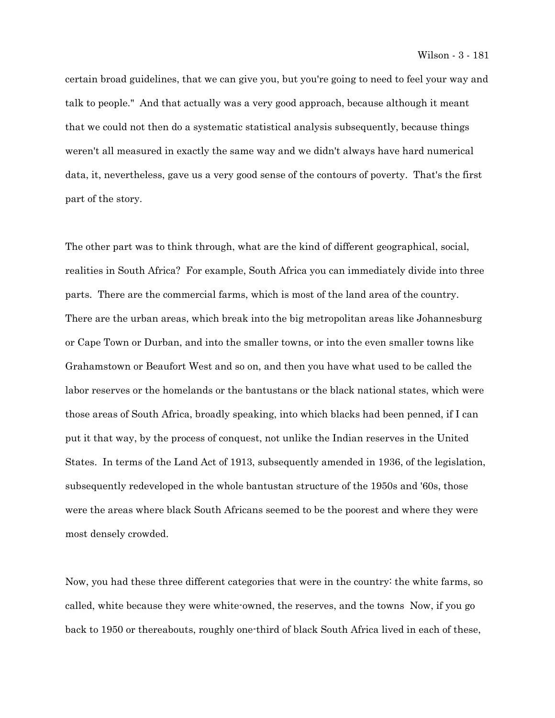certain broad guidelines, that we can give you, but you're going to need to feel your way and talk to people." And that actually was a very good approach, because although it meant that we could not then do a systematic statistical analysis subsequently, because things weren't all measured in exactly the same way and we didn't always have hard numerical data, it, nevertheless, gave us a very good sense of the contours of poverty. That's the first part of the story.

The other part was to think through, what are the kind of different geographical, social, realities in South Africa? For example, South Africa you can immediately divide into three parts. There are the commercial farms, which is most of the land area of the country. There are the urban areas, which break into the big metropolitan areas like Johannesburg or Cape Town or Durban, and into the smaller towns, or into the even smaller towns like Grahamstown or Beaufort West and so on, and then you have what used to be called the labor reserves or the homelands or the bantustans or the black national states, which were those areas of South Africa, broadly speaking, into which blacks had been penned, if I can put it that way, by the process of conquest, not unlike the Indian reserves in the United States. In terms of the Land Act of 1913, subsequently amended in 1936, of the legislation, subsequently redeveloped in the whole bantustan structure of the 1950s and '60s, those were the areas where black South Africans seemed to be the poorest and where they were most densely crowded.

Now, you had these three different categories that were in the country: the white farms, so called, white because they were white-owned, the reserves, and the towns Now, if you go back to 1950 or thereabouts, roughly one-third of black South Africa lived in each of these,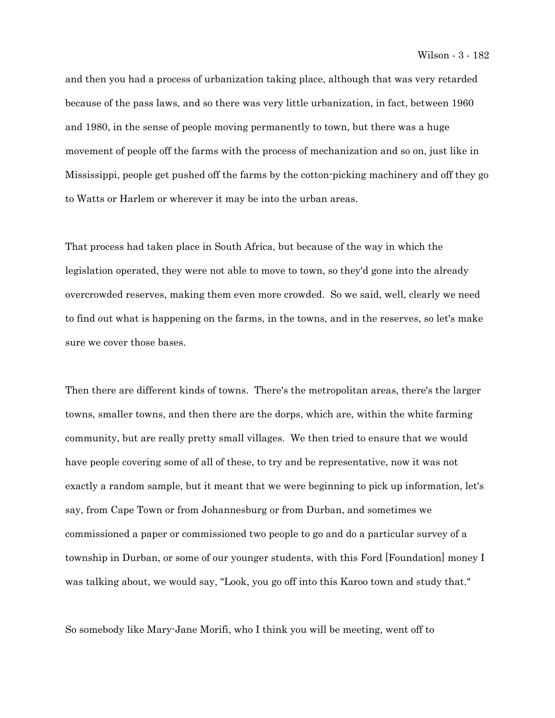and then you had a process of urbanization taking place, although that was very retarded because of the pass laws, and so there was very little urbanization, in fact, between 1960 and 1980, in the sense of people moving permanently to town, but there was a huge movement of people off the farms with the process of mechanization and so on, just like in Mississippi, people get pushed off the farms by the cotton-picking machinery and off they go to Watts or Harlem or wherever it may be into the urban areas.

That process had taken place in South Africa, but because of the way in which the legislation operated, they were not able to move to town, so they'd gone into the already overcrowded reserves, making them even more crowded. So we said, well, clearly we need to find out what is happening on the farms, in the towns, and in the reserves, so let's make sure we cover those bases.

Then there are different kinds of towns. There's the metropolitan areas, there's the larger towns, smaller towns, and then there are the dorps, which are, within the white farming community, but are really pretty small villages. We then tried to ensure that we would have people covering some of all of these, to try and be representative, now it was not exactly a random sample, but it meant that we were beginning to pick up information, let's say, from Cape Town or from Johannesburg or from Durban, and sometimes we commissioned a paper or commissioned two people to go and do a particular survey of a township in Durban, or some of our younger students, with this Ford [Foundation] money I was talking about, we would say, "Look, you go off into this Karoo town and study that."

So somebody like Mary-Jane Morifi, who I think you will be meeting, went off to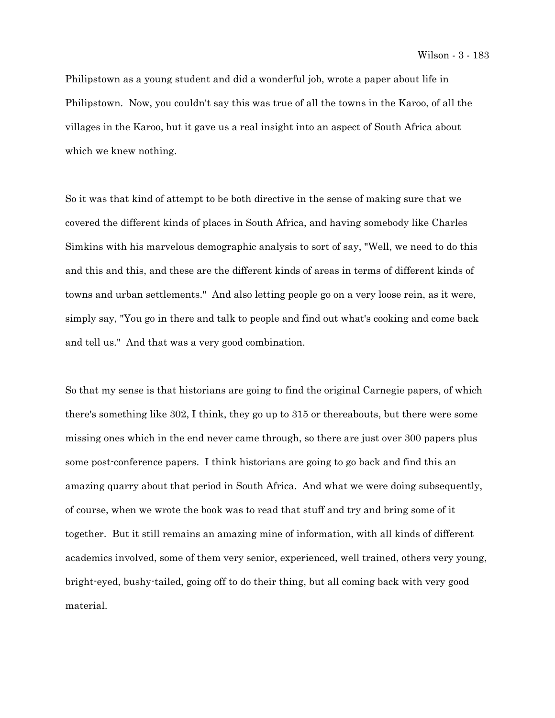Philipstown as a young student and did a wonderful job, wrote a paper about life in Philipstown. Now, you couldn't say this was true of all the towns in the Karoo, of all the villages in the Karoo, but it gave us a real insight into an aspect of South Africa about which we knew nothing.

So it was that kind of attempt to be both directive in the sense of making sure that we covered the different kinds of places in South Africa, and having somebody like Charles Simkins with his marvelous demographic analysis to sort of say, "Well, we need to do this and this and this, and these are the different kinds of areas in terms of different kinds of towns and urban settlements." And also letting people go on a very loose rein, as it were, simply say, "You go in there and talk to people and find out what's cooking and come back and tell us." And that was a very good combination.

So that my sense is that historians are going to find the original Carnegie papers, of which there's something like 302, I think, they go up to 315 or thereabouts, but there were some missing ones which in the end never came through, so there are just over 300 papers plus some post-conference papers. I think historians are going to go back and find this an amazing quarry about that period in South Africa. And what we were doing subsequently, of course, when we wrote the book was to read that stuff and try and bring some of it together. But it still remains an amazing mine of information, with all kinds of different academics involved, some of them very senior, experienced, well trained, others very young, bright-eyed, bushy-tailed, going off to do their thing, but all coming back with very good material.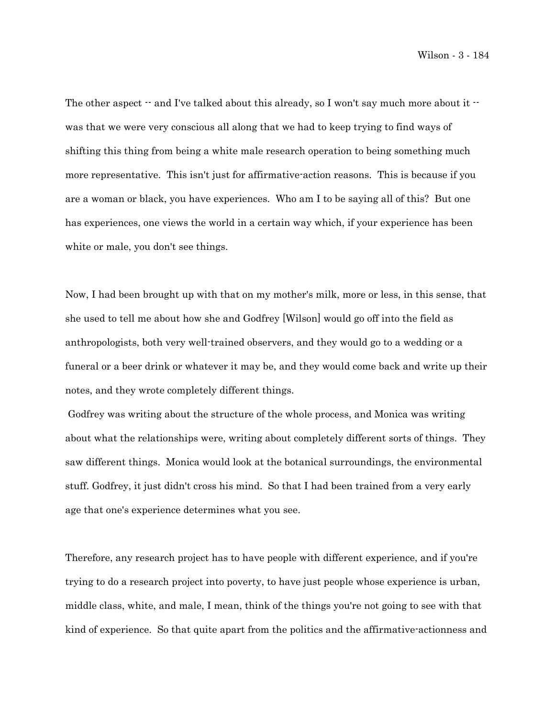The other aspect  $-$  and I've talked about this already, so I won't say much more about it  $$ was that we were very conscious all along that we had to keep trying to find ways of shifting this thing from being a white male research operation to being something much more representative. This isn't just for affirmative-action reasons. This is because if you are a woman or black, you have experiences. Who am I to be saying all of this? But one has experiences, one views the world in a certain way which, if your experience has been white or male, you don't see things.

Now, I had been brought up with that on my mother's milk, more or less, in this sense, that she used to tell me about how she and Godfrey [Wilson] would go off into the field as anthropologists, both very well-trained observers, and they would go to a wedding or a funeral or a beer drink or whatever it may be, and they would come back and write up their notes, and they wrote completely different things.

 Godfrey was writing about the structure of the whole process, and Monica was writing about what the relationships were, writing about completely different sorts of things. They saw different things. Monica would look at the botanical surroundings, the environmental stuff. Godfrey, it just didn't cross his mind. So that I had been trained from a very early age that one's experience determines what you see.

Therefore, any research project has to have people with different experience, and if you're trying to do a research project into poverty, to have just people whose experience is urban, middle class, white, and male, I mean, think of the things you're not going to see with that kind of experience. So that quite apart from the politics and the affirmative-actionness and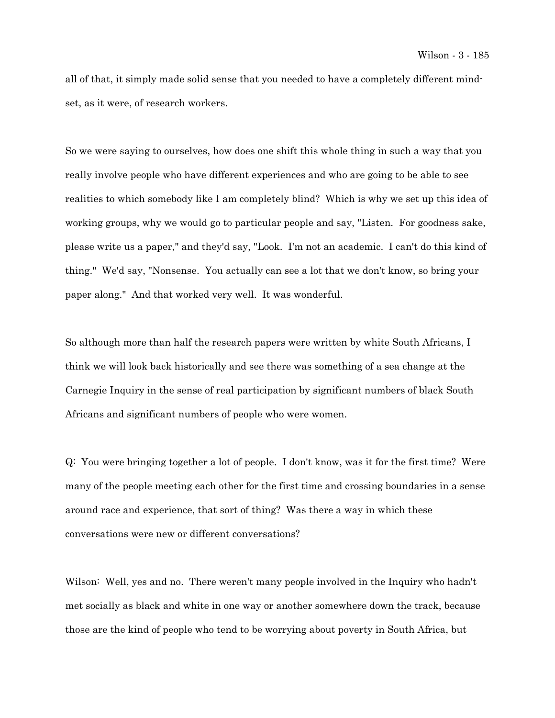all of that, it simply made solid sense that you needed to have a completely different mindset, as it were, of research workers.

So we were saying to ourselves, how does one shift this whole thing in such a way that you really involve people who have different experiences and who are going to be able to see realities to which somebody like I am completely blind? Which is why we set up this idea of working groups, why we would go to particular people and say, "Listen. For goodness sake, please write us a paper," and they'd say, "Look. I'm not an academic. I can't do this kind of thing." We'd say, "Nonsense. You actually can see a lot that we don't know, so bring your paper along." And that worked very well. It was wonderful.

So although more than half the research papers were written by white South Africans, I think we will look back historically and see there was something of a sea change at the Carnegie Inquiry in the sense of real participation by significant numbers of black South Africans and significant numbers of people who were women.

Q: You were bringing together a lot of people. I don't know, was it for the first time? Were many of the people meeting each other for the first time and crossing boundaries in a sense around race and experience, that sort of thing? Was there a way in which these conversations were new or different conversations?

Wilson: Well, yes and no. There weren't many people involved in the Inquiry who hadn't met socially as black and white in one way or another somewhere down the track, because those are the kind of people who tend to be worrying about poverty in South Africa, but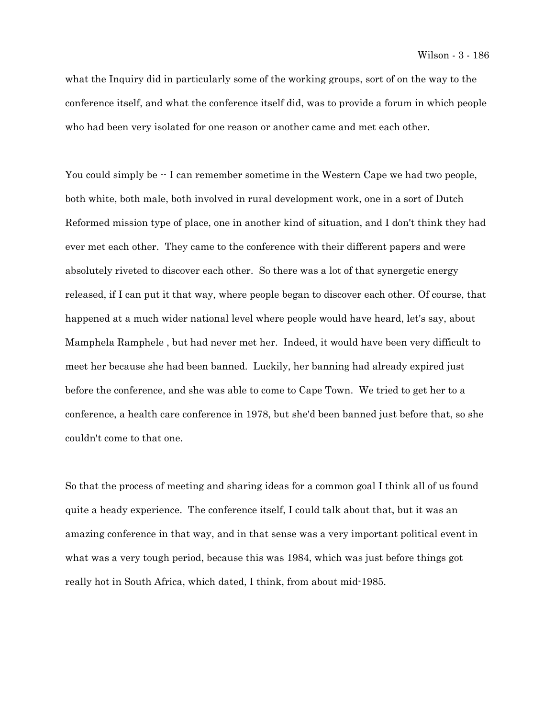what the Inquiry did in particularly some of the working groups, sort of on the way to the conference itself, and what the conference itself did, was to provide a forum in which people who had been very isolated for one reason or another came and met each other.

You could simply be  $\cdot$  I can remember sometime in the Western Cape we had two people, both white, both male, both involved in rural development work, one in a sort of Dutch Reformed mission type of place, one in another kind of situation, and I don't think they had ever met each other. They came to the conference with their different papers and were absolutely riveted to discover each other. So there was a lot of that synergetic energy released, if I can put it that way, where people began to discover each other. Of course, that happened at a much wider national level where people would have heard, let's say, about Mamphela Ramphele , but had never met her. Indeed, it would have been very difficult to meet her because she had been banned. Luckily, her banning had already expired just before the conference, and she was able to come to Cape Town. We tried to get her to a conference, a health care conference in 1978, but she'd been banned just before that, so she couldn't come to that one.

So that the process of meeting and sharing ideas for a common goal I think all of us found quite a heady experience. The conference itself, I could talk about that, but it was an amazing conference in that way, and in that sense was a very important political event in what was a very tough period, because this was 1984, which was just before things got really hot in South Africa, which dated, I think, from about mid-1985.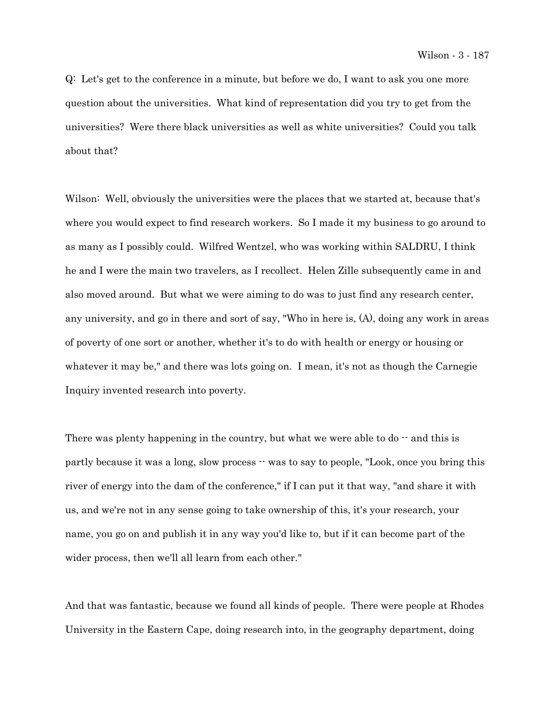Q: Let's get to the conference in a minute, but before we do, I want to ask you one more question about the universities. What kind of representation did you try to get from the universities? Were there black universities as well as white universities? Could you talk about that?

Wilson: Well, obviously the universities were the places that we started at, because that's where you would expect to find research workers. So I made it my business to go around to as many as I possibly could. Wilfred Wentzel, who was working within SALDRU, I think he and I were the main two travelers, as I recollect. Helen Zille subsequently came in and also moved around. But what we were aiming to do was to just find any research center, any university, and go in there and sort of say, "Who in here is, (A), doing any work in areas of poverty of one sort or another, whether it's to do with health or energy or housing or whatever it may be," and there was lots going on. I mean, it's not as though the Carnegie Inquiry invented research into poverty.

There was plenty happening in the country, but what we were able to  $d_0 - \epsilon$  and this is partly because it was a long, slow process  $\cdot \cdot$  was to say to people, "Look, once you bring this river of energy into the dam of the conference," if I can put it that way, "and share it with us, and we're not in any sense going to take ownership of this, it's your research, your name, you go on and publish it in any way you'd like to, but if it can become part of the wider process, then we'll all learn from each other."

And that was fantastic, because we found all kinds of people. There were people at Rhodes University in the Eastern Cape, doing research into, in the geography department, doing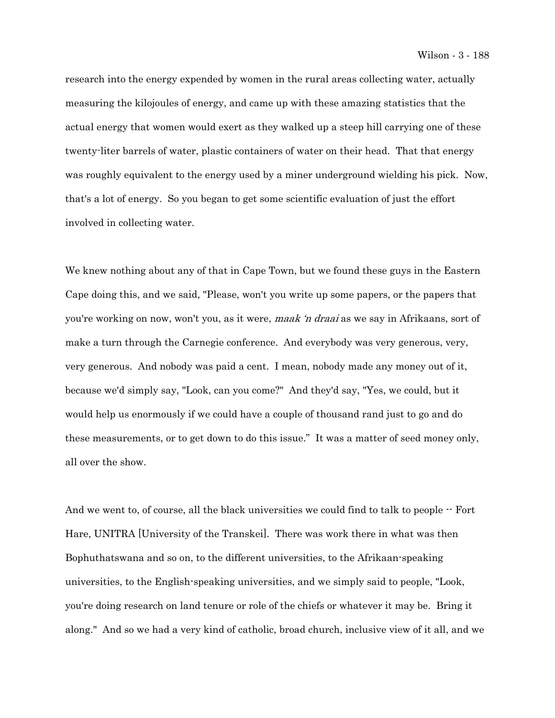research into the energy expended by women in the rural areas collecting water, actually measuring the kilojoules of energy, and came up with these amazing statistics that the actual energy that women would exert as they walked up a steep hill carrying one of these twenty-liter barrels of water, plastic containers of water on their head. That that energy was roughly equivalent to the energy used by a miner underground wielding his pick. Now, that's a lot of energy. So you began to get some scientific evaluation of just the effort involved in collecting water.

We knew nothing about any of that in Cape Town, but we found these guys in the Eastern Cape doing this, and we said, "Please, won't you write up some papers, or the papers that you're working on now, won't you, as it were, maak 'n draai as we say in Afrikaans, sort of make a turn through the Carnegie conference. And everybody was very generous, very, very generous. And nobody was paid a cent. I mean, nobody made any money out of it, because we'd simply say, "Look, can you come?" And they'd say, "Yes, we could, but it would help us enormously if we could have a couple of thousand rand just to go and do these measurements, or to get down to do this issue." It was a matter of seed money only, all over the show.

And we went to, of course, all the black universities we could find to talk to people  $\cdot$  Fort Hare, UNITRA [University of the Transkei]. There was work there in what was then Bophuthatswana and so on, to the different universities, to the Afrikaan-speaking universities, to the English-speaking universities, and we simply said to people, "Look, you're doing research on land tenure or role of the chiefs or whatever it may be. Bring it along." And so we had a very kind of catholic, broad church, inclusive view of it all, and we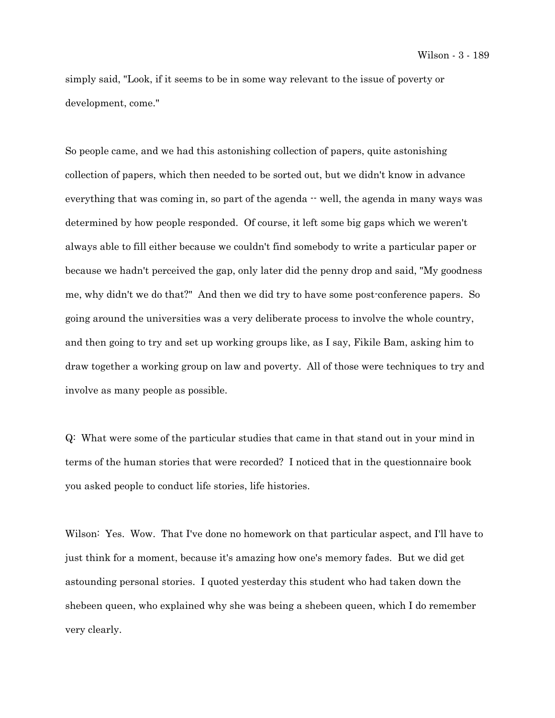simply said, "Look, if it seems to be in some way relevant to the issue of poverty or development, come."

So people came, and we had this astonishing collection of papers, quite astonishing collection of papers, which then needed to be sorted out, but we didn't know in advance everything that was coming in, so part of the agenda  $-$  well, the agenda in many ways was determined by how people responded. Of course, it left some big gaps which we weren't always able to fill either because we couldn't find somebody to write a particular paper or because we hadn't perceived the gap, only later did the penny drop and said, "My goodness me, why didn't we do that?" And then we did try to have some post-conference papers. So going around the universities was a very deliberate process to involve the whole country, and then going to try and set up working groups like, as I say, Fikile Bam, asking him to draw together a working group on law and poverty. All of those were techniques to try and involve as many people as possible.

Q: What were some of the particular studies that came in that stand out in your mind in terms of the human stories that were recorded? I noticed that in the questionnaire book you asked people to conduct life stories, life histories.

Wilson: Yes. Wow. That I've done no homework on that particular aspect, and I'll have to just think for a moment, because it's amazing how one's memory fades. But we did get astounding personal stories. I quoted yesterday this student who had taken down the shebeen queen, who explained why she was being a shebeen queen, which I do remember very clearly.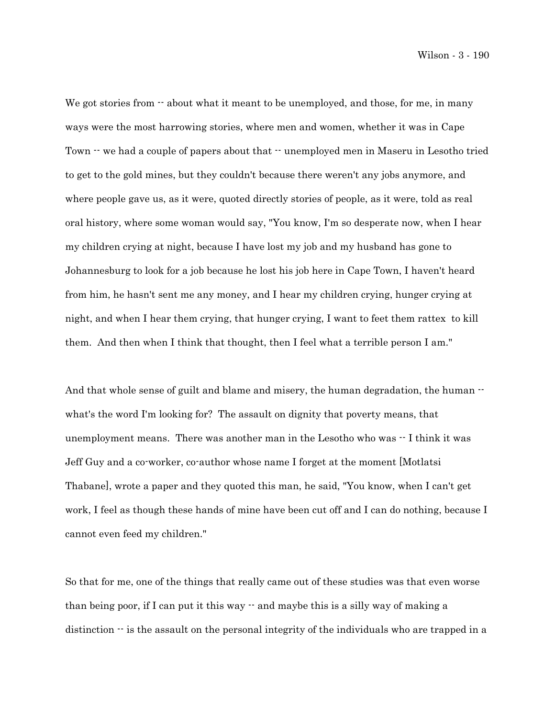We got stories from  $\cdot$  about what it meant to be unemployed, and those, for me, in many ways were the most harrowing stories, where men and women, whether it was in Cape Town  $\cdot\cdot$  we had a couple of papers about that  $\cdot\cdot$  unemployed men in Maseru in Lesotho tried to get to the gold mines, but they couldn't because there weren't any jobs anymore, and where people gave us, as it were, quoted directly stories of people, as it were, told as real oral history, where some woman would say, "You know, I'm so desperate now, when I hear my children crying at night, because I have lost my job and my husband has gone to Johannesburg to look for a job because he lost his job here in Cape Town, I haven't heard from him, he hasn't sent me any money, and I hear my children crying, hunger crying at night, and when I hear them crying, that hunger crying, I want to feet them rattex to kill them. And then when I think that thought, then I feel what a terrible person I am."

And that whole sense of guilt and blame and misery, the human degradation, the human  $\cdot$ what's the word I'm looking for? The assault on dignity that poverty means, that unemployment means. There was another man in the Lesotho who was  $\cdot \cdot$  I think it was Jeff Guy and a co-worker, co-author whose name I forget at the moment [Motlatsi Thabane], wrote a paper and they quoted this man, he said, "You know, when I can't get work, I feel as though these hands of mine have been cut off and I can do nothing, because I cannot even feed my children."

So that for me, one of the things that really came out of these studies was that even worse than being poor, if I can put it this way  $\cdot$  and maybe this is a silly way of making a distinction  $\cdot$  is the assault on the personal integrity of the individuals who are trapped in a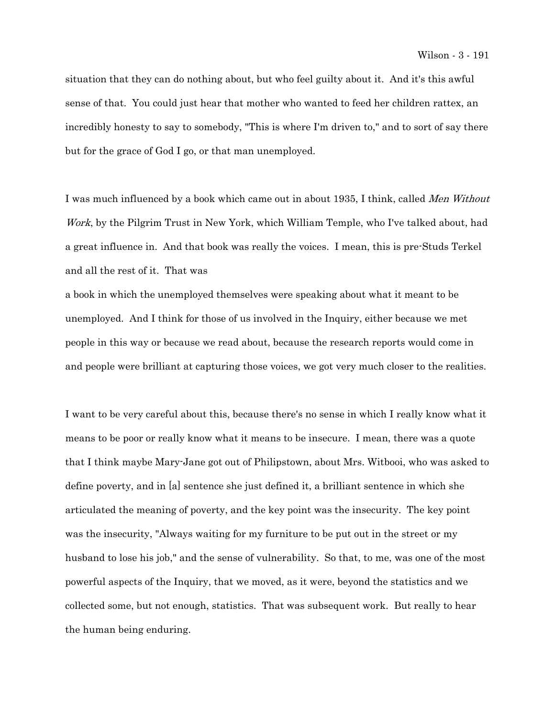situation that they can do nothing about, but who feel guilty about it. And it's this awful sense of that. You could just hear that mother who wanted to feed her children rattex, an incredibly honesty to say to somebody, "This is where I'm driven to," and to sort of say there but for the grace of God I go, or that man unemployed.

I was much influenced by a book which came out in about 1935, I think, called *Men Without* Work, by the Pilgrim Trust in New York, which William Temple, who I've talked about, had a great influence in. And that book was really the voices. I mean, this is pre-Studs Terkel and all the rest of it. That was

a book in which the unemployed themselves were speaking about what it meant to be unemployed. And I think for those of us involved in the Inquiry, either because we met people in this way or because we read about, because the research reports would come in and people were brilliant at capturing those voices, we got very much closer to the realities.

I want to be very careful about this, because there's no sense in which I really know what it means to be poor or really know what it means to be insecure. I mean, there was a quote that I think maybe Mary-Jane got out of Philipstown, about Mrs. Witbooi, who was asked to define poverty, and in [a] sentence she just defined it, a brilliant sentence in which she articulated the meaning of poverty, and the key point was the insecurity. The key point was the insecurity, "Always waiting for my furniture to be put out in the street or my husband to lose his job," and the sense of vulnerability. So that, to me, was one of the most powerful aspects of the Inquiry, that we moved, as it were, beyond the statistics and we collected some, but not enough, statistics. That was subsequent work. But really to hear the human being enduring.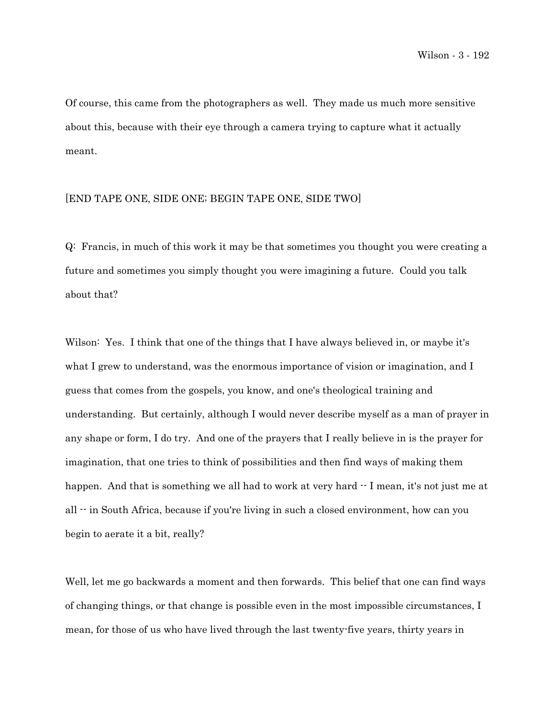Of course, this came from the photographers as well. They made us much more sensitive about this, because with their eye through a camera trying to capture what it actually meant.

### [END TAPE ONE, SIDE ONE; BEGIN TAPE ONE, SIDE TWO]

Q: Francis, in much of this work it may be that sometimes you thought you were creating a future and sometimes you simply thought you were imagining a future. Could you talk about that?

Wilson: Yes. I think that one of the things that I have always believed in, or maybe it's what I grew to understand, was the enormous importance of vision or imagination, and I guess that comes from the gospels, you know, and one's theological training and understanding. But certainly, although I would never describe myself as a man of prayer in any shape or form, I do try. And one of the prayers that I really believe in is the prayer for imagination, that one tries to think of possibilities and then find ways of making them happen. And that is something we all had to work at very hard  $\cdot$  I mean, it's not just me at all  $\cdot$  in South Africa, because if you're living in such a closed environment, how can you begin to aerate it a bit, really?

Well, let me go backwards a moment and then forwards. This belief that one can find ways of changing things, or that change is possible even in the most impossible circumstances, I mean, for those of us who have lived through the last twenty-five years, thirty years in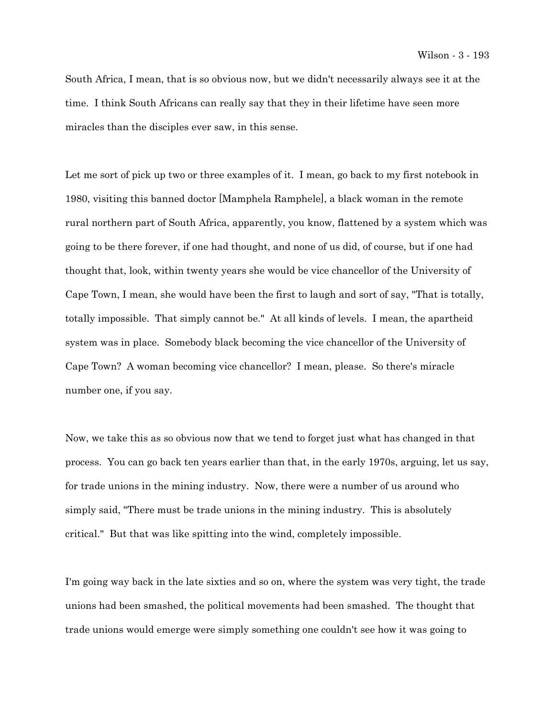South Africa, I mean, that is so obvious now, but we didn't necessarily always see it at the time. I think South Africans can really say that they in their lifetime have seen more miracles than the disciples ever saw, in this sense.

Let me sort of pick up two or three examples of it. I mean, go back to my first notebook in 1980, visiting this banned doctor [Mamphela Ramphele], a black woman in the remote rural northern part of South Africa, apparently, you know, flattened by a system which was going to be there forever, if one had thought, and none of us did, of course, but if one had thought that, look, within twenty years she would be vice chancellor of the University of Cape Town, I mean, she would have been the first to laugh and sort of say, "That is totally, totally impossible. That simply cannot be." At all kinds of levels. I mean, the apartheid system was in place. Somebody black becoming the vice chancellor of the University of Cape Town? A woman becoming vice chancellor? I mean, please. So there's miracle number one, if you say.

Now, we take this as so obvious now that we tend to forget just what has changed in that process. You can go back ten years earlier than that, in the early 1970s, arguing, let us say, for trade unions in the mining industry. Now, there were a number of us around who simply said, "There must be trade unions in the mining industry. This is absolutely critical." But that was like spitting into the wind, completely impossible.

I'm going way back in the late sixties and so on, where the system was very tight, the trade unions had been smashed, the political movements had been smashed. The thought that trade unions would emerge were simply something one couldn't see how it was going to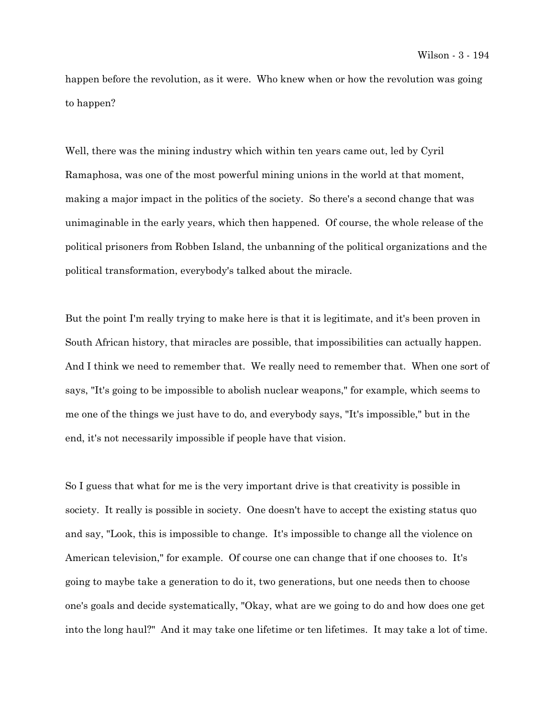happen before the revolution, as it were. Who knew when or how the revolution was going to happen?

Well, there was the mining industry which within ten years came out, led by Cyril Ramaphosa, was one of the most powerful mining unions in the world at that moment, making a major impact in the politics of the society. So there's a second change that was unimaginable in the early years, which then happened. Of course, the whole release of the political prisoners from Robben Island, the unbanning of the political organizations and the political transformation, everybody's talked about the miracle.

But the point I'm really trying to make here is that it is legitimate, and it's been proven in South African history, that miracles are possible, that impossibilities can actually happen. And I think we need to remember that. We really need to remember that. When one sort of says, "It's going to be impossible to abolish nuclear weapons," for example, which seems to me one of the things we just have to do, and everybody says, "It's impossible," but in the end, it's not necessarily impossible if people have that vision.

So I guess that what for me is the very important drive is that creativity is possible in society. It really is possible in society. One doesn't have to accept the existing status quo and say, "Look, this is impossible to change. It's impossible to change all the violence on American television," for example. Of course one can change that if one chooses to. It's going to maybe take a generation to do it, two generations, but one needs then to choose one's goals and decide systematically, "Okay, what are we going to do and how does one get into the long haul?" And it may take one lifetime or ten lifetimes. It may take a lot of time.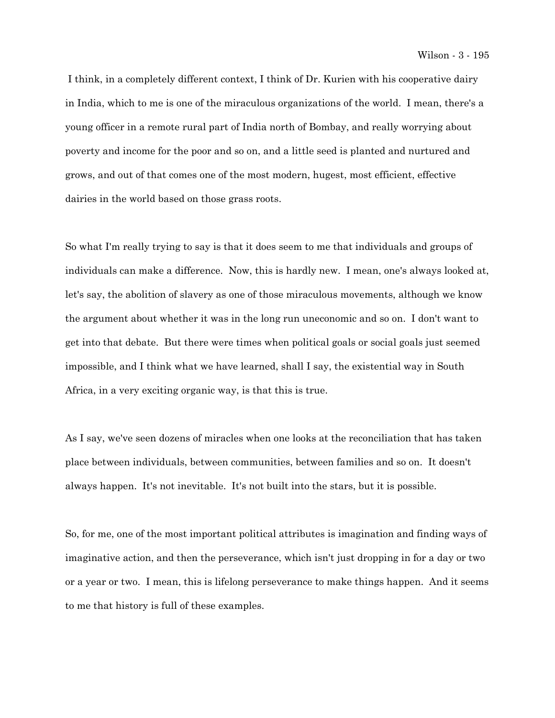I think, in a completely different context, I think of Dr. Kurien with his cooperative dairy in India, which to me is one of the miraculous organizations of the world. I mean, there's a young officer in a remote rural part of India north of Bombay, and really worrying about poverty and income for the poor and so on, and a little seed is planted and nurtured and grows, and out of that comes one of the most modern, hugest, most efficient, effective dairies in the world based on those grass roots.

So what I'm really trying to say is that it does seem to me that individuals and groups of individuals can make a difference. Now, this is hardly new. I mean, one's always looked at, let's say, the abolition of slavery as one of those miraculous movements, although we know the argument about whether it was in the long run uneconomic and so on. I don't want to get into that debate. But there were times when political goals or social goals just seemed impossible, and I think what we have learned, shall I say, the existential way in South Africa, in a very exciting organic way, is that this is true.

As I say, we've seen dozens of miracles when one looks at the reconciliation that has taken place between individuals, between communities, between families and so on. It doesn't always happen. It's not inevitable. It's not built into the stars, but it is possible.

So, for me, one of the most important political attributes is imagination and finding ways of imaginative action, and then the perseverance, which isn't just dropping in for a day or two or a year or two. I mean, this is lifelong perseverance to make things happen. And it seems to me that history is full of these examples.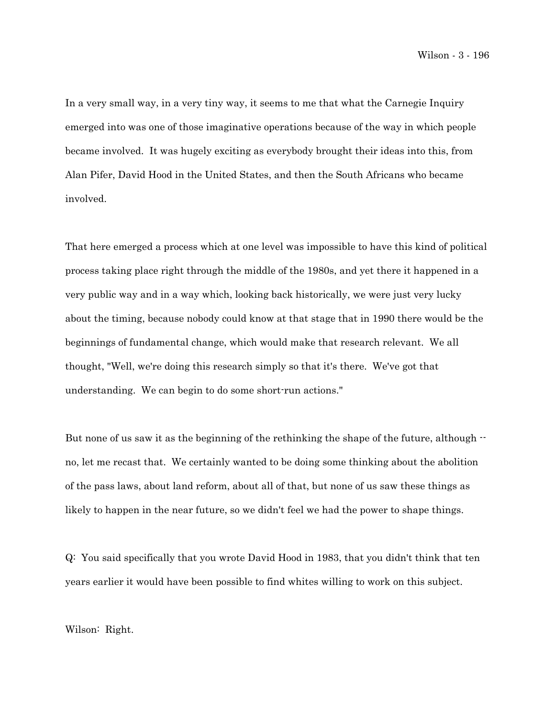In a very small way, in a very tiny way, it seems to me that what the Carnegie Inquiry emerged into was one of those imaginative operations because of the way in which people became involved. It was hugely exciting as everybody brought their ideas into this, from Alan Pifer, David Hood in the United States, and then the South Africans who became involved.

That here emerged a process which at one level was impossible to have this kind of political process taking place right through the middle of the 1980s, and yet there it happened in a very public way and in a way which, looking back historically, we were just very lucky about the timing, because nobody could know at that stage that in 1990 there would be the beginnings of fundamental change, which would make that research relevant. We all thought, "Well, we're doing this research simply so that it's there. We've got that understanding. We can begin to do some short-run actions."

But none of us saw it as the beginning of the rethinking the shape of the future, although  $$ no, let me recast that. We certainly wanted to be doing some thinking about the abolition of the pass laws, about land reform, about all of that, but none of us saw these things as likely to happen in the near future, so we didn't feel we had the power to shape things.

Q: You said specifically that you wrote David Hood in 1983, that you didn't think that ten years earlier it would have been possible to find whites willing to work on this subject.

Wilson: Right.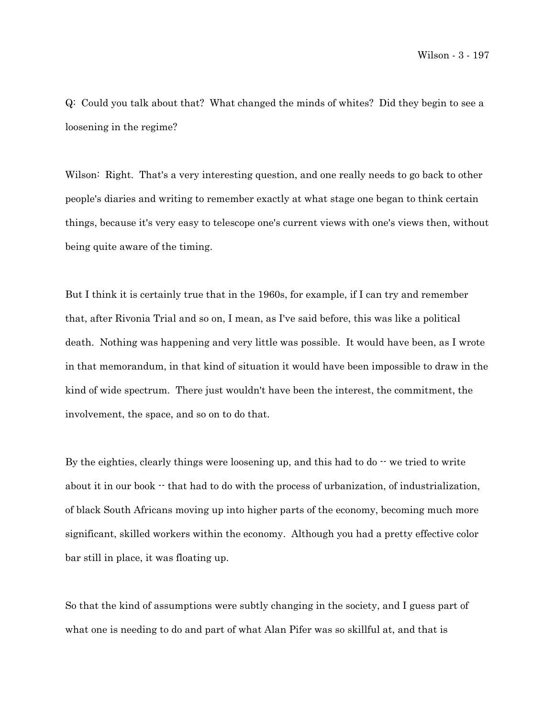Q: Could you talk about that? What changed the minds of whites? Did they begin to see a loosening in the regime?

Wilson: Right. That's a very interesting question, and one really needs to go back to other people's diaries and writing to remember exactly at what stage one began to think certain things, because it's very easy to telescope one's current views with one's views then, without being quite aware of the timing.

But I think it is certainly true that in the 1960s, for example, if I can try and remember that, after Rivonia Trial and so on, I mean, as I've said before, this was like a political death. Nothing was happening and very little was possible. It would have been, as I wrote in that memorandum, in that kind of situation it would have been impossible to draw in the kind of wide spectrum. There just wouldn't have been the interest, the commitment, the involvement, the space, and so on to do that.

By the eighties, clearly things were loosening up, and this had to  $d_0 - \omega$  we tried to write about it in our book  $\cdot$  that had to do with the process of urbanization, of industrialization, of black South Africans moving up into higher parts of the economy, becoming much more significant, skilled workers within the economy. Although you had a pretty effective color bar still in place, it was floating up.

So that the kind of assumptions were subtly changing in the society, and I guess part of what one is needing to do and part of what Alan Pifer was so skillful at, and that is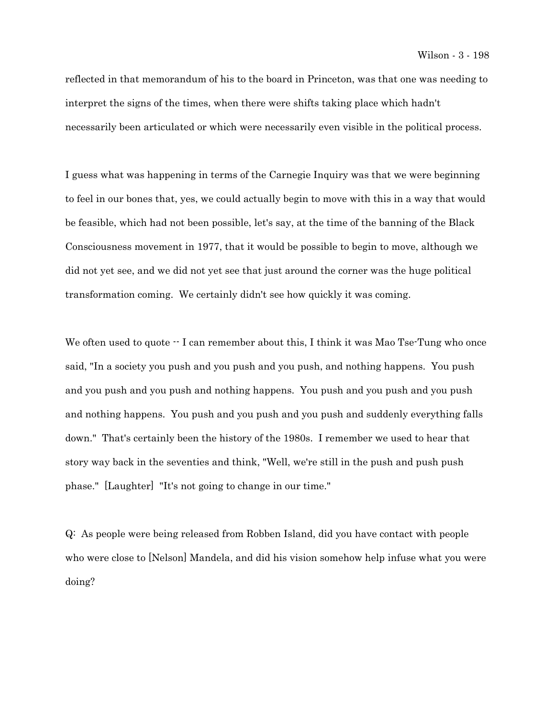reflected in that memorandum of his to the board in Princeton, was that one was needing to interpret the signs of the times, when there were shifts taking place which hadn't necessarily been articulated or which were necessarily even visible in the political process.

I guess what was happening in terms of the Carnegie Inquiry was that we were beginning to feel in our bones that, yes, we could actually begin to move with this in a way that would be feasible, which had not been possible, let's say, at the time of the banning of the Black Consciousness movement in 1977, that it would be possible to begin to move, although we did not yet see, and we did not yet see that just around the corner was the huge political transformation coming. We certainly didn't see how quickly it was coming.

We often used to quote  $\cdot$ - I can remember about this, I think it was Mao Tse-Tung who once said, "In a society you push and you push and you push, and nothing happens. You push and you push and you push and nothing happens. You push and you push and you push and nothing happens. You push and you push and you push and suddenly everything falls down." That's certainly been the history of the 1980s. I remember we used to hear that story way back in the seventies and think, "Well, we're still in the push and push push phase." [Laughter] "It's not going to change in our time."

Q: As people were being released from Robben Island, did you have contact with people who were close to [Nelson] Mandela, and did his vision somehow help infuse what you were doing?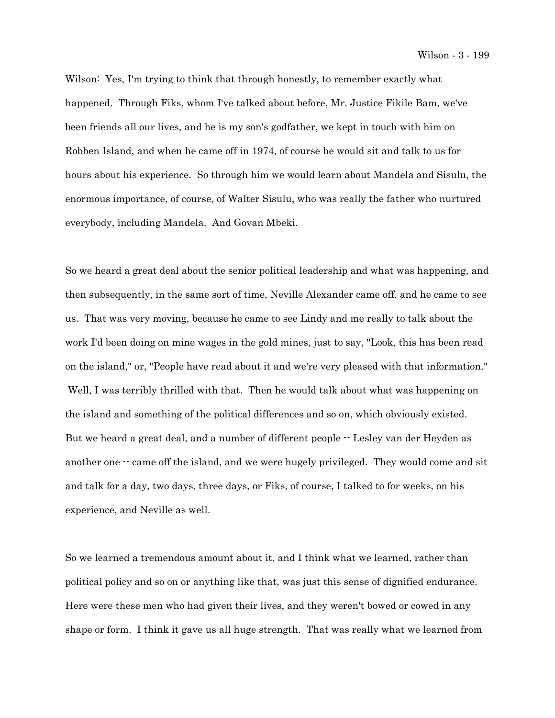Wilson: Yes, I'm trying to think that through honestly, to remember exactly what happened. Through Fiks, whom I've talked about before, Mr. Justice Fikile Bam, we've been friends all our lives, and he is my son's godfather, we kept in touch with him on Robben Island, and when he came off in 1974, of course he would sit and talk to us for hours about his experience. So through him we would learn about Mandela and Sisulu, the enormous importance, of course, of Walter Sisulu, who was really the father who nurtured everybody, including Mandela. And Govan Mbeki.

So we heard a great deal about the senior political leadership and what was happening, and then subsequently, in the same sort of time, Neville Alexander came off, and he came to see us. That was very moving, because he came to see Lindy and me really to talk about the work I'd been doing on mine wages in the gold mines, just to say, "Look, this has been read on the island," or, "People have read about it and we're very pleased with that information." Well, I was terribly thrilled with that. Then he would talk about what was happening on the island and something of the political differences and so on, which obviously existed. But we heard a great deal, and a number of different people -- Lesley van der Heyden as another one  $\cdot \cdot$  came off the island, and we were hugely privileged. They would come and sit and talk for a day, two days, three days, or Fiks, of course, I talked to for weeks, on his experience, and Neville as well.

So we learned a tremendous amount about it, and I think what we learned, rather than political policy and so on or anything like that, was just this sense of dignified endurance. Here were these men who had given their lives, and they weren't bowed or cowed in any shape or form. I think it gave us all huge strength. That was really what we learned from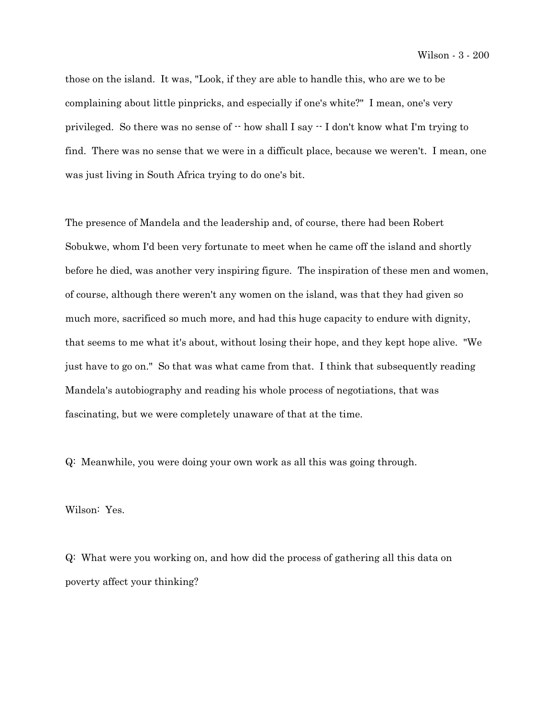those on the island. It was, "Look, if they are able to handle this, who are we to be complaining about little pinpricks, and especially if one's white?" I mean, one's very privileged. So there was no sense of  $\cdot$  how shall I say  $\cdot$  I don't know what I'm trying to find. There was no sense that we were in a difficult place, because we weren't. I mean, one was just living in South Africa trying to do one's bit.

The presence of Mandela and the leadership and, of course, there had been Robert Sobukwe, whom I'd been very fortunate to meet when he came off the island and shortly before he died, was another very inspiring figure. The inspiration of these men and women, of course, although there weren't any women on the island, was that they had given so much more, sacrificed so much more, and had this huge capacity to endure with dignity, that seems to me what it's about, without losing their hope, and they kept hope alive. "We just have to go on." So that was what came from that. I think that subsequently reading Mandela's autobiography and reading his whole process of negotiations, that was fascinating, but we were completely unaware of that at the time.

Q: Meanwhile, you were doing your own work as all this was going through.

Wilson: Yes.

Q: What were you working on, and how did the process of gathering all this data on poverty affect your thinking?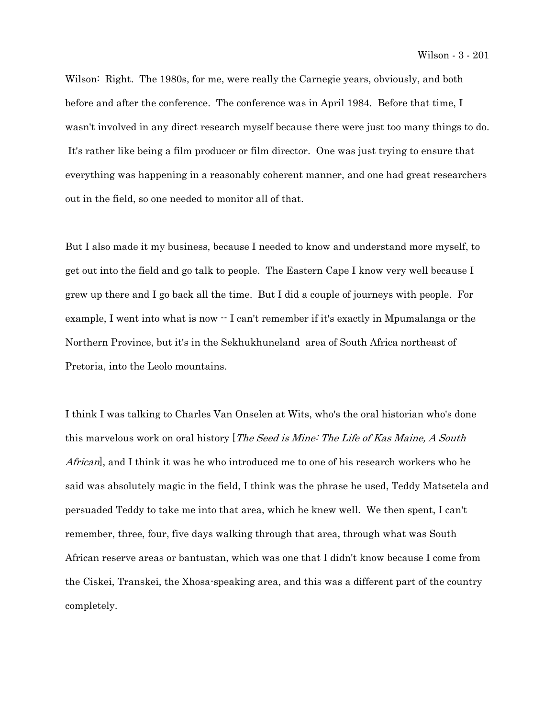Wilson: Right. The 1980s, for me, were really the Carnegie years, obviously, and both before and after the conference. The conference was in April 1984. Before that time, I wasn't involved in any direct research myself because there were just too many things to do. It's rather like being a film producer or film director. One was just trying to ensure that everything was happening in a reasonably coherent manner, and one had great researchers out in the field, so one needed to monitor all of that.

But I also made it my business, because I needed to know and understand more myself, to get out into the field and go talk to people. The Eastern Cape I know very well because I grew up there and I go back all the time. But I did a couple of journeys with people. For example, I went into what is now  $\cdot$  I can't remember if it's exactly in Mpumalanga or the Northern Province, but it's in the Sekhukhuneland area of South Africa northeast of Pretoria, into the Leolo mountains.

I think I was talking to Charles Van Onselen at Wits, who's the oral historian who's done this marvelous work on oral history [*The Seed is Mine: The Life of Kas Maine, A South* African, and I think it was he who introduced me to one of his research workers who he said was absolutely magic in the field, I think was the phrase he used, Teddy Matsetela and persuaded Teddy to take me into that area, which he knew well. We then spent, I can't remember, three, four, five days walking through that area, through what was South African reserve areas or bantustan, which was one that I didn't know because I come from the Ciskei, Transkei, the Xhosa-speaking area, and this was a different part of the country completely.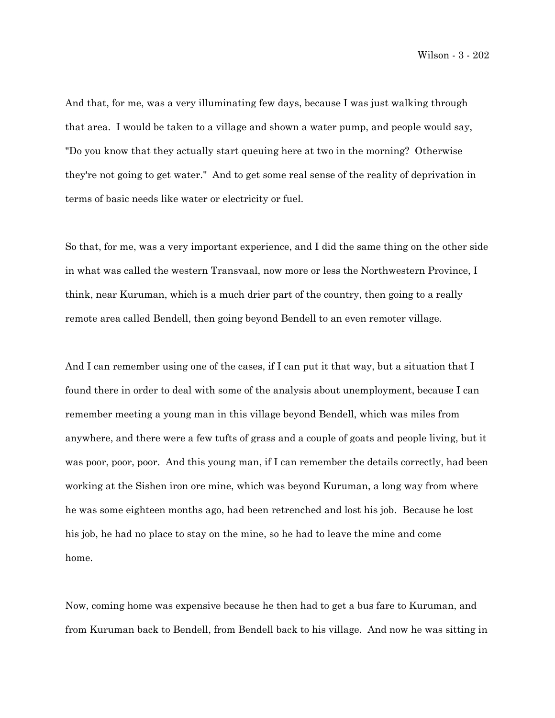And that, for me, was a very illuminating few days, because I was just walking through that area. I would be taken to a village and shown a water pump, and people would say, "Do you know that they actually start queuing here at two in the morning? Otherwise they're not going to get water." And to get some real sense of the reality of deprivation in terms of basic needs like water or electricity or fuel.

So that, for me, was a very important experience, and I did the same thing on the other side in what was called the western Transvaal, now more or less the Northwestern Province, I think, near Kuruman, which is a much drier part of the country, then going to a really remote area called Bendell, then going beyond Bendell to an even remoter village.

And I can remember using one of the cases, if I can put it that way, but a situation that I found there in order to deal with some of the analysis about unemployment, because I can remember meeting a young man in this village beyond Bendell, which was miles from anywhere, and there were a few tufts of grass and a couple of goats and people living, but it was poor, poor, poor. And this young man, if I can remember the details correctly, had been working at the Sishen iron ore mine, which was beyond Kuruman, a long way from where he was some eighteen months ago, had been retrenched and lost his job. Because he lost his job, he had no place to stay on the mine, so he had to leave the mine and come home.

Now, coming home was expensive because he then had to get a bus fare to Kuruman, and from Kuruman back to Bendell, from Bendell back to his village. And now he was sitting in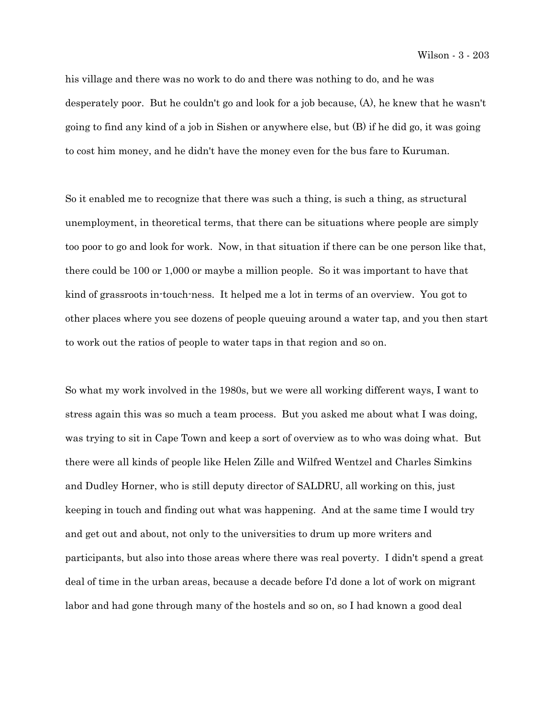his village and there was no work to do and there was nothing to do, and he was desperately poor. But he couldn't go and look for a job because, (A), he knew that he wasn't going to find any kind of a job in Sishen or anywhere else, but (B) if he did go, it was going to cost him money, and he didn't have the money even for the bus fare to Kuruman.

So it enabled me to recognize that there was such a thing, is such a thing, as structural unemployment, in theoretical terms, that there can be situations where people are simply too poor to go and look for work. Now, in that situation if there can be one person like that, there could be 100 or 1,000 or maybe a million people. So it was important to have that kind of grassroots in-touch-ness. It helped me a lot in terms of an overview. You got to other places where you see dozens of people queuing around a water tap, and you then start to work out the ratios of people to water taps in that region and so on.

So what my work involved in the 1980s, but we were all working different ways, I want to stress again this was so much a team process. But you asked me about what I was doing, was trying to sit in Cape Town and keep a sort of overview as to who was doing what. But there were all kinds of people like Helen Zille and Wilfred Wentzel and Charles Simkins and Dudley Horner, who is still deputy director of SALDRU, all working on this, just keeping in touch and finding out what was happening. And at the same time I would try and get out and about, not only to the universities to drum up more writers and participants, but also into those areas where there was real poverty. I didn't spend a great deal of time in the urban areas, because a decade before I'd done a lot of work on migrant labor and had gone through many of the hostels and so on, so I had known a good deal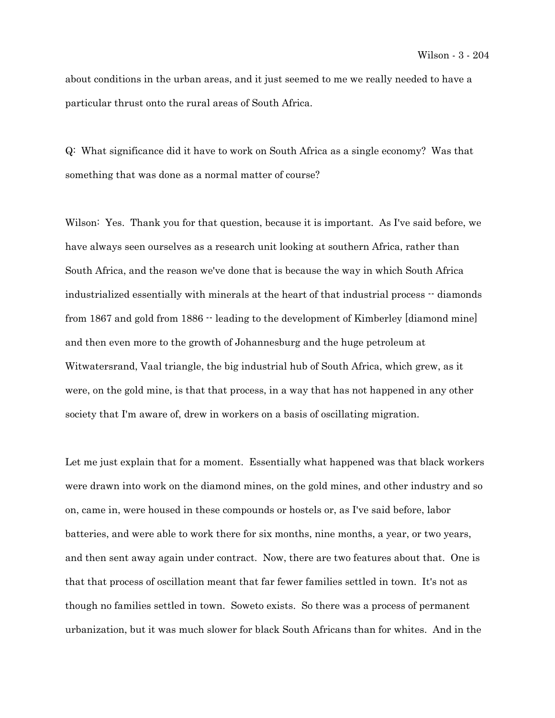about conditions in the urban areas, and it just seemed to me we really needed to have a particular thrust onto the rural areas of South Africa.

Q: What significance did it have to work on South Africa as a single economy? Was that something that was done as a normal matter of course?

Wilson: Yes. Thank you for that question, because it is important. As I've said before, we have always seen ourselves as a research unit looking at southern Africa, rather than South Africa, and the reason we've done that is because the way in which South Africa industrialized essentially with minerals at the heart of that industrial process -- diamonds from 1867 and gold from 1886  $\cdot$  leading to the development of Kimberley [diamond mine] and then even more to the growth of Johannesburg and the huge petroleum at Witwatersrand, Vaal triangle, the big industrial hub of South Africa, which grew, as it were, on the gold mine, is that that process, in a way that has not happened in any other society that I'm aware of, drew in workers on a basis of oscillating migration.

Let me just explain that for a moment. Essentially what happened was that black workers were drawn into work on the diamond mines, on the gold mines, and other industry and so on, came in, were housed in these compounds or hostels or, as I've said before, labor batteries, and were able to work there for six months, nine months, a year, or two years, and then sent away again under contract. Now, there are two features about that. One is that that process of oscillation meant that far fewer families settled in town. It's not as though no families settled in town. Soweto exists. So there was a process of permanent urbanization, but it was much slower for black South Africans than for whites. And in the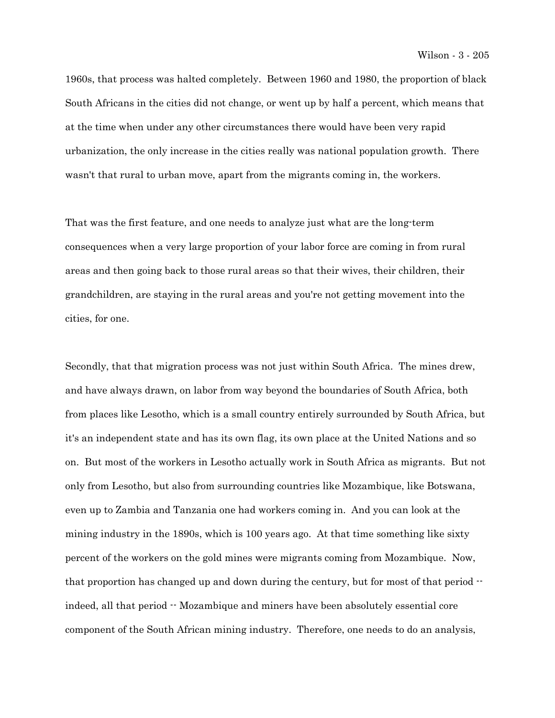1960s, that process was halted completely. Between 1960 and 1980, the proportion of black South Africans in the cities did not change, or went up by half a percent, which means that at the time when under any other circumstances there would have been very rapid urbanization, the only increase in the cities really was national population growth. There wasn't that rural to urban move, apart from the migrants coming in, the workers.

That was the first feature, and one needs to analyze just what are the long-term consequences when a very large proportion of your labor force are coming in from rural areas and then going back to those rural areas so that their wives, their children, their grandchildren, are staying in the rural areas and you're not getting movement into the cities, for one.

Secondly, that that migration process was not just within South Africa. The mines drew, and have always drawn, on labor from way beyond the boundaries of South Africa, both from places like Lesotho, which is a small country entirely surrounded by South Africa, but it's an independent state and has its own flag, its own place at the United Nations and so on. But most of the workers in Lesotho actually work in South Africa as migrants. But not only from Lesotho, but also from surrounding countries like Mozambique, like Botswana, even up to Zambia and Tanzania one had workers coming in. And you can look at the mining industry in the 1890s, which is 100 years ago. At that time something like sixty percent of the workers on the gold mines were migrants coming from Mozambique. Now, that proportion has changed up and down during the century, but for most of that period  $$ indeed, all that period  $\cdot$  Mozambique and miners have been absolutely essential core component of the South African mining industry. Therefore, one needs to do an analysis,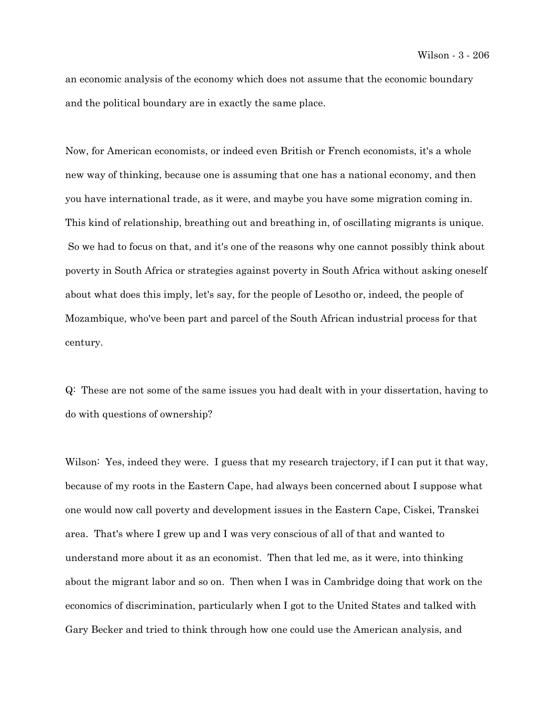an economic analysis of the economy which does not assume that the economic boundary and the political boundary are in exactly the same place.

Now, for American economists, or indeed even British or French economists, it's a whole new way of thinking, because one is assuming that one has a national economy, and then you have international trade, as it were, and maybe you have some migration coming in. This kind of relationship, breathing out and breathing in, of oscillating migrants is unique. So we had to focus on that, and it's one of the reasons why one cannot possibly think about poverty in South Africa or strategies against poverty in South Africa without asking oneself about what does this imply, let's say, for the people of Lesotho or, indeed, the people of Mozambique, who've been part and parcel of the South African industrial process for that century.

Q: These are not some of the same issues you had dealt with in your dissertation, having to do with questions of ownership?

Wilson: Yes, indeed they were. I guess that my research trajectory, if I can put it that way, because of my roots in the Eastern Cape, had always been concerned about I suppose what one would now call poverty and development issues in the Eastern Cape, Ciskei, Transkei area. That's where I grew up and I was very conscious of all of that and wanted to understand more about it as an economist. Then that led me, as it were, into thinking about the migrant labor and so on. Then when I was in Cambridge doing that work on the economics of discrimination, particularly when I got to the United States and talked with Gary Becker and tried to think through how one could use the American analysis, and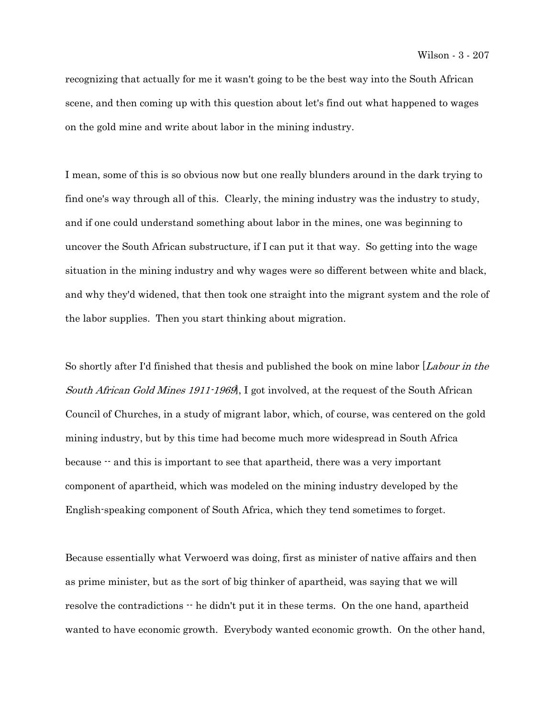recognizing that actually for me it wasn't going to be the best way into the South African scene, and then coming up with this question about let's find out what happened to wages on the gold mine and write about labor in the mining industry.

I mean, some of this is so obvious now but one really blunders around in the dark trying to find one's way through all of this. Clearly, the mining industry was the industry to study, and if one could understand something about labor in the mines, one was beginning to uncover the South African substructure, if I can put it that way. So getting into the wage situation in the mining industry and why wages were so different between white and black, and why they'd widened, that then took one straight into the migrant system and the role of the labor supplies. Then you start thinking about migration.

So shortly after I'd finished that thesis and published the book on mine labor [*Labour in the* South African Gold Mines 1911-1969], I got involved, at the request of the South African Council of Churches, in a study of migrant labor, which, of course, was centered on the gold mining industry, but by this time had become much more widespread in South Africa because -- and this is important to see that apartheid, there was a very important component of apartheid, which was modeled on the mining industry developed by the English-speaking component of South Africa, which they tend sometimes to forget.

Because essentially what Verwoerd was doing, first as minister of native affairs and then as prime minister, but as the sort of big thinker of apartheid, was saying that we will resolve the contradictions  $\cdot \cdot$  he didn't put it in these terms. On the one hand, apartheid wanted to have economic growth. Everybody wanted economic growth. On the other hand,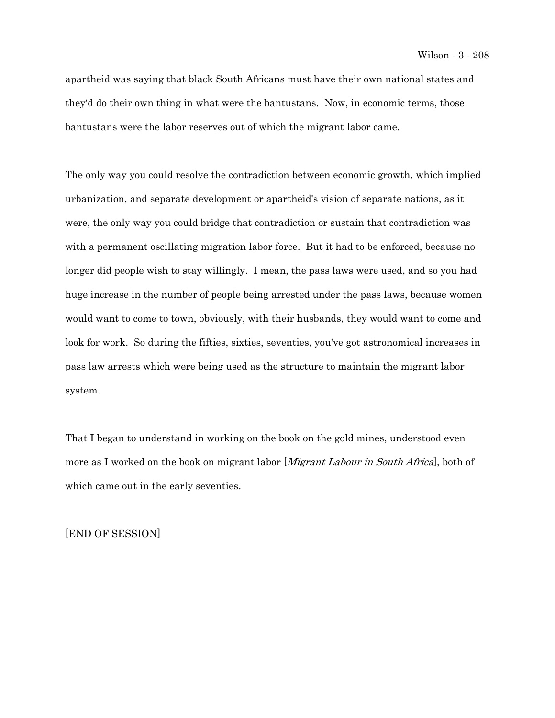apartheid was saying that black South Africans must have their own national states and they'd do their own thing in what were the bantustans. Now, in economic terms, those bantustans were the labor reserves out of which the migrant labor came.

The only way you could resolve the contradiction between economic growth, which implied urbanization, and separate development or apartheid's vision of separate nations, as it were, the only way you could bridge that contradiction or sustain that contradiction was with a permanent oscillating migration labor force. But it had to be enforced, because no longer did people wish to stay willingly. I mean, the pass laws were used, and so you had huge increase in the number of people being arrested under the pass laws, because women would want to come to town, obviously, with their husbands, they would want to come and look for work. So during the fifties, sixties, seventies, you've got astronomical increases in pass law arrests which were being used as the structure to maintain the migrant labor system.

That I began to understand in working on the book on the gold mines, understood even more as I worked on the book on migrant labor *Migrant Labour in South Africa*, both of which came out in the early seventies.

[END OF SESSION]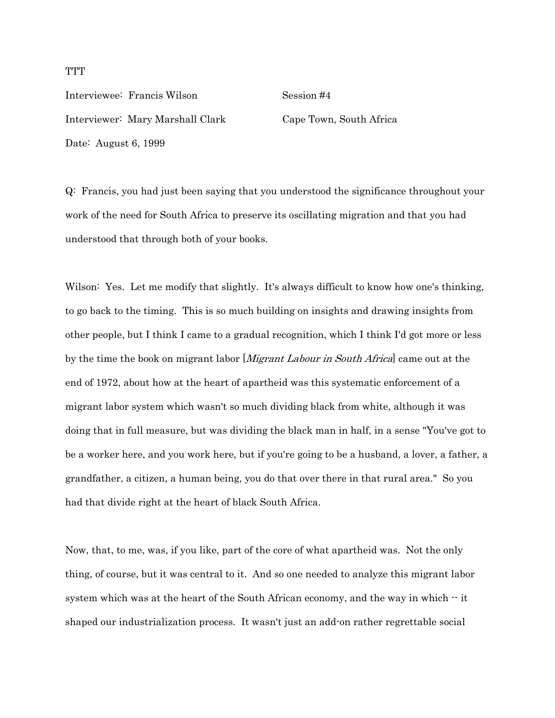Interviewee: Francis Wilson Session #4 Interviewer: Mary Marshall Clark Cape Town, South Africa Date: August 6, 1999

Q: Francis, you had just been saying that you understood the significance throughout your work of the need for South Africa to preserve its oscillating migration and that you had understood that through both of your books.

Wilson: Yes. Let me modify that slightly. It's always difficult to know how one's thinking, to go back to the timing. This is so much building on insights and drawing insights from other people, but I think I came to a gradual recognition, which I think I'd got more or less by the time the book on migrant labor [*Migrant Labour in South Africa*] came out at the end of 1972, about how at the heart of apartheid was this systematic enforcement of a migrant labor system which wasn't so much dividing black from white, although it was doing that in full measure, but was dividing the black man in half, in a sense "You've got to be a worker here, and you work here, but if you're going to be a husband, a lover, a father, a grandfather, a citizen, a human being, you do that over there in that rural area." So you had that divide right at the heart of black South Africa.

Now, that, to me, was, if you like, part of the core of what apartheid was. Not the only thing, of course, but it was central to it. And so one needed to analyze this migrant labor system which was at the heart of the South African economy, and the way in which  $\cdot \cdot$  it shaped our industrialization process. It wasn't just an add-on rather regrettable social

## **TTT**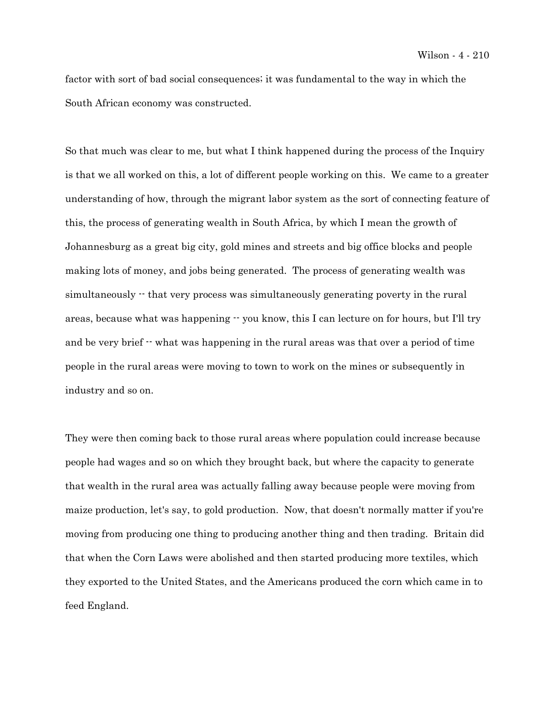factor with sort of bad social consequences; it was fundamental to the way in which the South African economy was constructed.

So that much was clear to me, but what I think happened during the process of the Inquiry is that we all worked on this, a lot of different people working on this. We came to a greater understanding of how, through the migrant labor system as the sort of connecting feature of this, the process of generating wealth in South Africa, by which I mean the growth of Johannesburg as a great big city, gold mines and streets and big office blocks and people making lots of money, and jobs being generated. The process of generating wealth was simultaneously  $\cdot$  that very process was simultaneously generating poverty in the rural areas, because what was happening  $-$  you know, this I can lecture on for hours, but I'll try and be very brief  $\cdot$  what was happening in the rural areas was that over a period of time people in the rural areas were moving to town to work on the mines or subsequently in industry and so on.

They were then coming back to those rural areas where population could increase because people had wages and so on which they brought back, but where the capacity to generate that wealth in the rural area was actually falling away because people were moving from maize production, let's say, to gold production. Now, that doesn't normally matter if you're moving from producing one thing to producing another thing and then trading. Britain did that when the Corn Laws were abolished and then started producing more textiles, which they exported to the United States, and the Americans produced the corn which came in to feed England.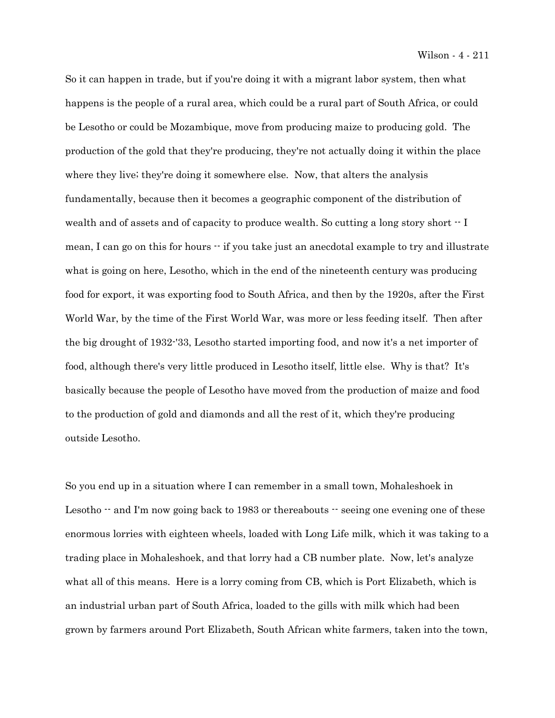So it can happen in trade, but if you're doing it with a migrant labor system, then what happens is the people of a rural area, which could be a rural part of South Africa, or could be Lesotho or could be Mozambique, move from producing maize to producing gold. The production of the gold that they're producing, they're not actually doing it within the place where they live; they're doing it somewhere else. Now, that alters the analysis fundamentally, because then it becomes a geographic component of the distribution of wealth and of assets and of capacity to produce wealth. So cutting a long story short  $\cdot$  I mean, I can go on this for hours -- if you take just an anecdotal example to try and illustrate what is going on here, Lesotho, which in the end of the nineteenth century was producing food for export, it was exporting food to South Africa, and then by the 1920s, after the First World War, by the time of the First World War, was more or less feeding itself. Then after the big drought of 1932-'33, Lesotho started importing food, and now it's a net importer of food, although there's very little produced in Lesotho itself, little else. Why is that? It's basically because the people of Lesotho have moved from the production of maize and food to the production of gold and diamonds and all the rest of it, which they're producing outside Lesotho.

So you end up in a situation where I can remember in a small town, Mohaleshoek in Lesotho  $\cdot$  and I'm now going back to 1983 or thereabouts  $\cdot$  seeing one evening one of these enormous lorries with eighteen wheels, loaded with Long Life milk, which it was taking to a trading place in Mohaleshoek, and that lorry had a CB number plate. Now, let's analyze what all of this means. Here is a lorry coming from CB, which is Port Elizabeth, which is an industrial urban part of South Africa, loaded to the gills with milk which had been grown by farmers around Port Elizabeth, South African white farmers, taken into the town,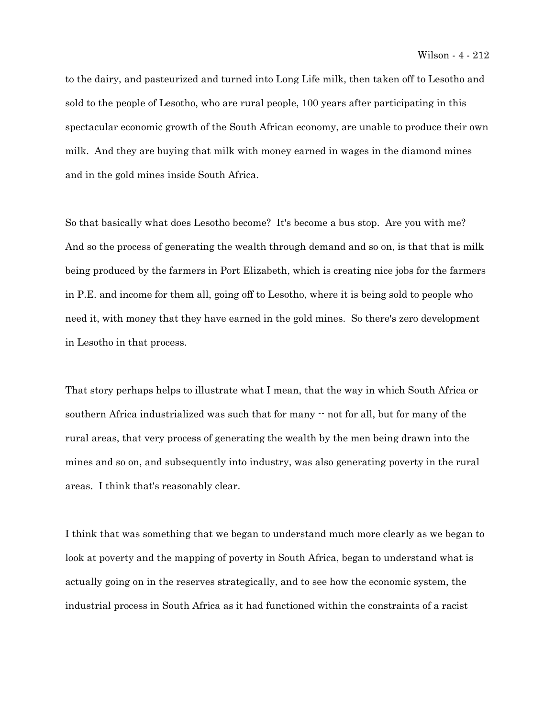to the dairy, and pasteurized and turned into Long Life milk, then taken off to Lesotho and sold to the people of Lesotho, who are rural people, 100 years after participating in this spectacular economic growth of the South African economy, are unable to produce their own milk. And they are buying that milk with money earned in wages in the diamond mines and in the gold mines inside South Africa.

So that basically what does Lesotho become? It's become a bus stop. Are you with me? And so the process of generating the wealth through demand and so on, is that that is milk being produced by the farmers in Port Elizabeth, which is creating nice jobs for the farmers in P.E. and income for them all, going off to Lesotho, where it is being sold to people who need it, with money that they have earned in the gold mines. So there's zero development in Lesotho in that process.

That story perhaps helps to illustrate what I mean, that the way in which South Africa or southern Africa industrialized was such that for many  $\cdot$  not for all, but for many of the rural areas, that very process of generating the wealth by the men being drawn into the mines and so on, and subsequently into industry, was also generating poverty in the rural areas. I think that's reasonably clear.

I think that was something that we began to understand much more clearly as we began to look at poverty and the mapping of poverty in South Africa, began to understand what is actually going on in the reserves strategically, and to see how the economic system, the industrial process in South Africa as it had functioned within the constraints of a racist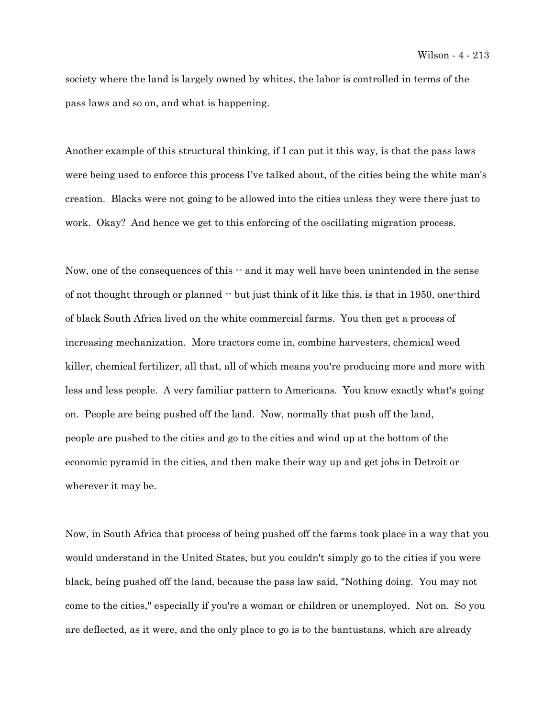society where the land is largely owned by whites, the labor is controlled in terms of the pass laws and so on, and what is happening.

Another example of this structural thinking, if I can put it this way, is that the pass laws were being used to enforce this process I've talked about, of the cities being the white man's creation. Blacks were not going to be allowed into the cities unless they were there just to work. Okay? And hence we get to this enforcing of the oscillating migration process.

Now, one of the consequences of this  $\cdot$  and it may well have been unintended in the sense of not thought through or planned  $\cdot$  but just think of it like this, is that in 1950, one-third of black South Africa lived on the white commercial farms. You then get a process of increasing mechanization. More tractors come in, combine harvesters, chemical weed killer, chemical fertilizer, all that, all of which means you're producing more and more with less and less people. A very familiar pattern to Americans. You know exactly what's going on. People are being pushed off the land. Now, normally that push off the land, people are pushed to the cities and go to the cities and wind up at the bottom of the economic pyramid in the cities, and then make their way up and get jobs in Detroit or wherever it may be.

Now, in South Africa that process of being pushed off the farms took place in a way that you would understand in the United States, but you couldn't simply go to the cities if you were black, being pushed off the land, because the pass law said, "Nothing doing. You may not come to the cities," especially if you're a woman or children or unemployed. Not on. So you are deflected, as it were, and the only place to go is to the bantustans, which are already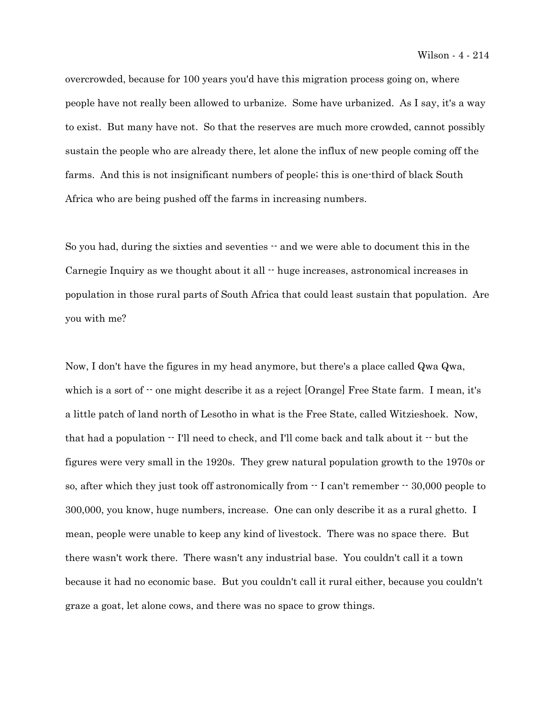overcrowded, because for 100 years you'd have this migration process going on, where people have not really been allowed to urbanize. Some have urbanized. As I say, it's a way to exist. But many have not. So that the reserves are much more crowded, cannot possibly sustain the people who are already there, let alone the influx of new people coming off the farms. And this is not insignificant numbers of people; this is one-third of black South Africa who are being pushed off the farms in increasing numbers.

So you had, during the sixties and seventies -- and we were able to document this in the Carnegie Inquiry as we thought about it all  $\cdot$  huge increases, astronomical increases in population in those rural parts of South Africa that could least sustain that population. Are you with me?

Now, I don't have the figures in my head anymore, but there's a place called Qwa Qwa, which is a sort of  $\cdot \cdot$  one might describe it as a reject [Orange] Free State farm. I mean, it's a little patch of land north of Lesotho in what is the Free State, called Witzieshoek. Now, that had a population -- I'll need to check, and I'll come back and talk about it -- but the figures were very small in the 1920s. They grew natural population growth to the 1970s or so, after which they just took off astronomically from  $\cdot$  I can't remember  $\cdot$  30,000 people to 300,000, you know, huge numbers, increase. One can only describe it as a rural ghetto. I mean, people were unable to keep any kind of livestock. There was no space there. But there wasn't work there. There wasn't any industrial base. You couldn't call it a town because it had no economic base. But you couldn't call it rural either, because you couldn't graze a goat, let alone cows, and there was no space to grow things.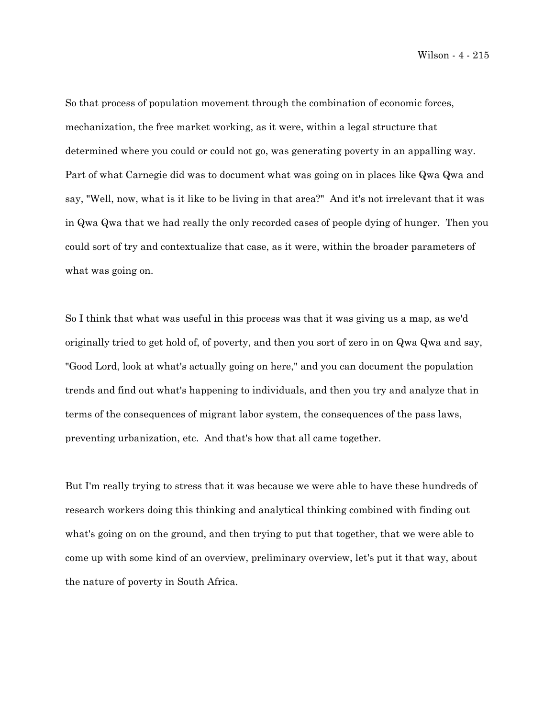Wilson - 4 - 215

So that process of population movement through the combination of economic forces, mechanization, the free market working, as it were, within a legal structure that determined where you could or could not go, was generating poverty in an appalling way. Part of what Carnegie did was to document what was going on in places like Qwa Qwa and say, "Well, now, what is it like to be living in that area?" And it's not irrelevant that it was in Qwa Qwa that we had really the only recorded cases of people dying of hunger. Then you could sort of try and contextualize that case, as it were, within the broader parameters of what was going on.

So I think that what was useful in this process was that it was giving us a map, as we'd originally tried to get hold of, of poverty, and then you sort of zero in on Qwa Qwa and say, "Good Lord, look at what's actually going on here," and you can document the population trends and find out what's happening to individuals, and then you try and analyze that in terms of the consequences of migrant labor system, the consequences of the pass laws, preventing urbanization, etc. And that's how that all came together.

But I'm really trying to stress that it was because we were able to have these hundreds of research workers doing this thinking and analytical thinking combined with finding out what's going on on the ground, and then trying to put that together, that we were able to come up with some kind of an overview, preliminary overview, let's put it that way, about the nature of poverty in South Africa.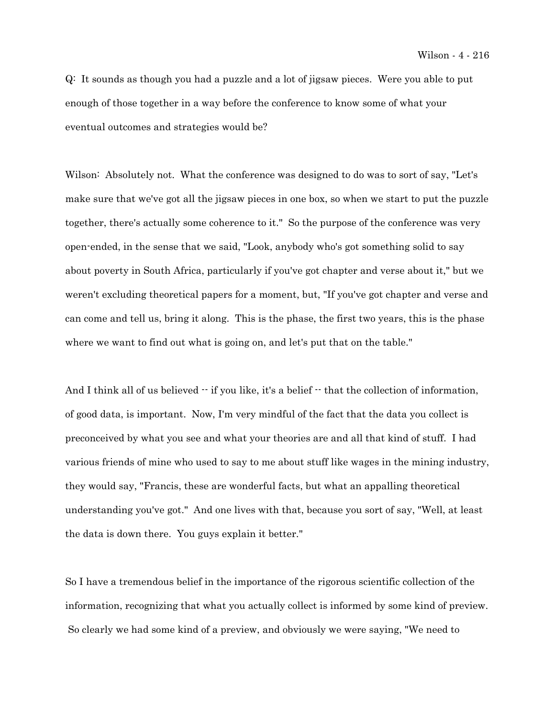Q: It sounds as though you had a puzzle and a lot of jigsaw pieces. Were you able to put enough of those together in a way before the conference to know some of what your eventual outcomes and strategies would be?

Wilson: Absolutely not. What the conference was designed to do was to sort of say, "Let's make sure that we've got all the jigsaw pieces in one box, so when we start to put the puzzle together, there's actually some coherence to it." So the purpose of the conference was very open-ended, in the sense that we said, "Look, anybody who's got something solid to say about poverty in South Africa, particularly if you've got chapter and verse about it," but we weren't excluding theoretical papers for a moment, but, "If you've got chapter and verse and can come and tell us, bring it along. This is the phase, the first two years, this is the phase where we want to find out what is going on, and let's put that on the table."

And I think all of us believed  $-$  if you like, it's a belief  $-$  that the collection of information, of good data, is important. Now, I'm very mindful of the fact that the data you collect is preconceived by what you see and what your theories are and all that kind of stuff. I had various friends of mine who used to say to me about stuff like wages in the mining industry, they would say, "Francis, these are wonderful facts, but what an appalling theoretical understanding you've got." And one lives with that, because you sort of say, "Well, at least the data is down there. You guys explain it better."

So I have a tremendous belief in the importance of the rigorous scientific collection of the information, recognizing that what you actually collect is informed by some kind of preview. So clearly we had some kind of a preview, and obviously we were saying, "We need to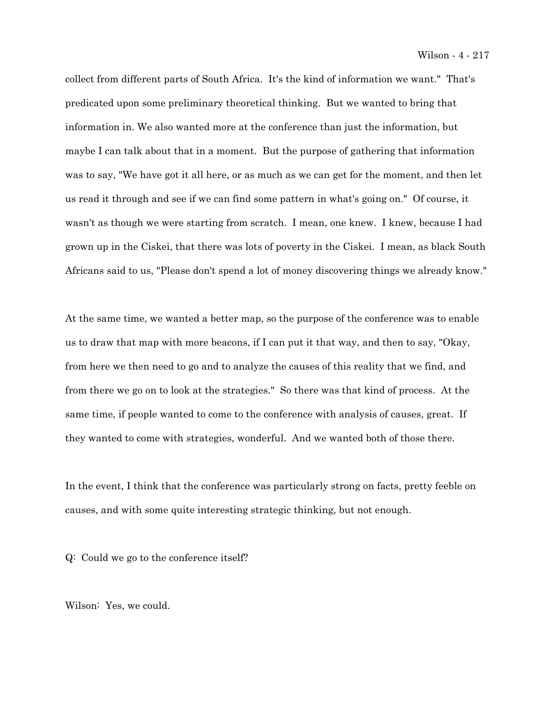collect from different parts of South Africa. It's the kind of information we want." That's predicated upon some preliminary theoretical thinking. But we wanted to bring that information in. We also wanted more at the conference than just the information, but maybe I can talk about that in a moment. But the purpose of gathering that information was to say, "We have got it all here, or as much as we can get for the moment, and then let us read it through and see if we can find some pattern in what's going on." Of course, it wasn't as though we were starting from scratch. I mean, one knew. I knew, because I had grown up in the Ciskei, that there was lots of poverty in the Ciskei. I mean, as black South Africans said to us, "Please don't spend a lot of money discovering things we already know."

At the same time, we wanted a better map, so the purpose of the conference was to enable us to draw that map with more beacons, if I can put it that way, and then to say, "Okay, from here we then need to go and to analyze the causes of this reality that we find, and from there we go on to look at the strategies." So there was that kind of process. At the same time, if people wanted to come to the conference with analysis of causes, great. If they wanted to come with strategies, wonderful. And we wanted both of those there.

In the event, I think that the conference was particularly strong on facts, pretty feeble on causes, and with some quite interesting strategic thinking, but not enough.

Q: Could we go to the conference itself?

Wilson: Yes, we could.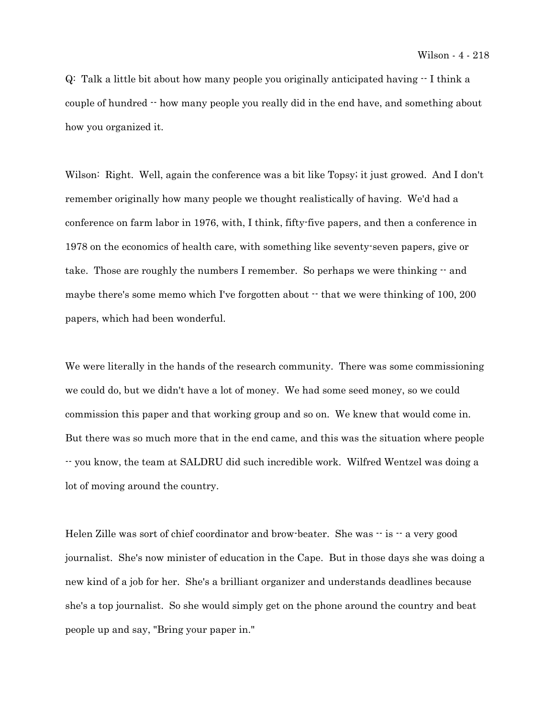$Q$ : Talk a little bit about how many people you originally anticipated having  $-I$  think a couple of hundred -- how many people you really did in the end have, and something about how you organized it.

Wilson: Right. Well, again the conference was a bit like Topsy; it just growed. And I don't remember originally how many people we thought realistically of having. We'd had a conference on farm labor in 1976, with, I think, fifty-five papers, and then a conference in 1978 on the economics of health care, with something like seventy-seven papers, give or take. Those are roughly the numbers I remember. So perhaps we were thinking -- and maybe there's some memo which I've forgotten about  $\cdot$  that we were thinking of 100, 200 papers, which had been wonderful.

We were literally in the hands of the research community. There was some commissioning we could do, but we didn't have a lot of money. We had some seed money, so we could commission this paper and that working group and so on. We knew that would come in. But there was so much more that in the end came, and this was the situation where people -- you know, the team at SALDRU did such incredible work. Wilfred Wentzel was doing a lot of moving around the country.

Helen Zille was sort of chief coordinator and brow-beater. She was  $-$  is  $-$  a very good journalist. She's now minister of education in the Cape. But in those days she was doing a new kind of a job for her. She's a brilliant organizer and understands deadlines because she's a top journalist. So she would simply get on the phone around the country and beat people up and say, "Bring your paper in."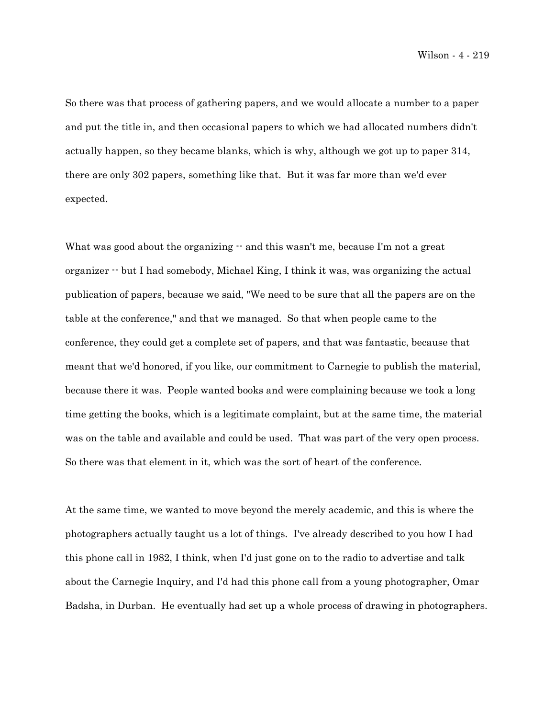So there was that process of gathering papers, and we would allocate a number to a paper and put the title in, and then occasional papers to which we had allocated numbers didn't actually happen, so they became blanks, which is why, although we got up to paper 314, there are only 302 papers, something like that. But it was far more than we'd ever expected.

What was good about the organizing  $-$  and this wasn't me, because I'm not a great organizer -- but I had somebody, Michael King, I think it was, was organizing the actual publication of papers, because we said, "We need to be sure that all the papers are on the table at the conference," and that we managed. So that when people came to the conference, they could get a complete set of papers, and that was fantastic, because that meant that we'd honored, if you like, our commitment to Carnegie to publish the material, because there it was. People wanted books and were complaining because we took a long time getting the books, which is a legitimate complaint, but at the same time, the material was on the table and available and could be used. That was part of the very open process. So there was that element in it, which was the sort of heart of the conference.

At the same time, we wanted to move beyond the merely academic, and this is where the photographers actually taught us a lot of things. I've already described to you how I had this phone call in 1982, I think, when I'd just gone on to the radio to advertise and talk about the Carnegie Inquiry, and I'd had this phone call from a young photographer, Omar Badsha, in Durban. He eventually had set up a whole process of drawing in photographers.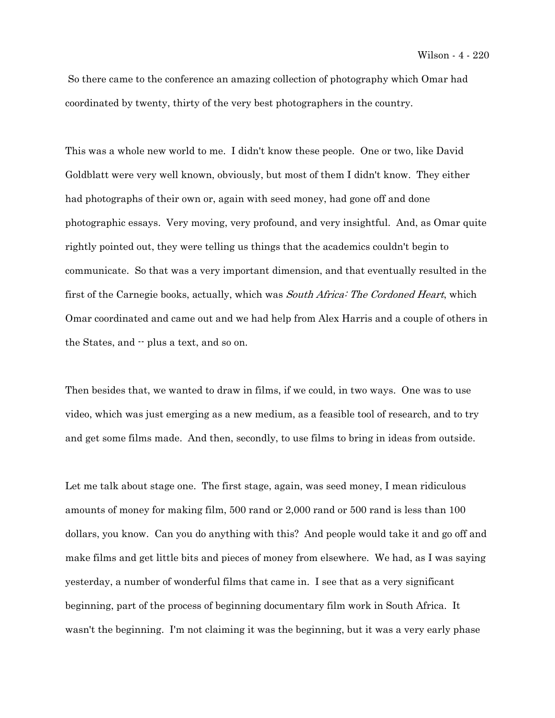So there came to the conference an amazing collection of photography which Omar had coordinated by twenty, thirty of the very best photographers in the country.

This was a whole new world to me. I didn't know these people. One or two, like David Goldblatt were very well known, obviously, but most of them I didn't know. They either had photographs of their own or, again with seed money, had gone off and done photographic essays. Very moving, very profound, and very insightful. And, as Omar quite rightly pointed out, they were telling us things that the academics couldn't begin to communicate. So that was a very important dimension, and that eventually resulted in the first of the Carnegie books, actually, which was South Africa: The Cordoned Heart, which Omar coordinated and came out and we had help from Alex Harris and a couple of others in the States, and  $\cdot$  plus a text, and so on.

Then besides that, we wanted to draw in films, if we could, in two ways. One was to use video, which was just emerging as a new medium, as a feasible tool of research, and to try and get some films made. And then, secondly, to use films to bring in ideas from outside.

Let me talk about stage one. The first stage, again, was seed money, I mean ridiculous amounts of money for making film, 500 rand or 2,000 rand or 500 rand is less than 100 dollars, you know. Can you do anything with this? And people would take it and go off and make films and get little bits and pieces of money from elsewhere. We had, as I was saying yesterday, a number of wonderful films that came in. I see that as a very significant beginning, part of the process of beginning documentary film work in South Africa. It wasn't the beginning. I'm not claiming it was the beginning, but it was a very early phase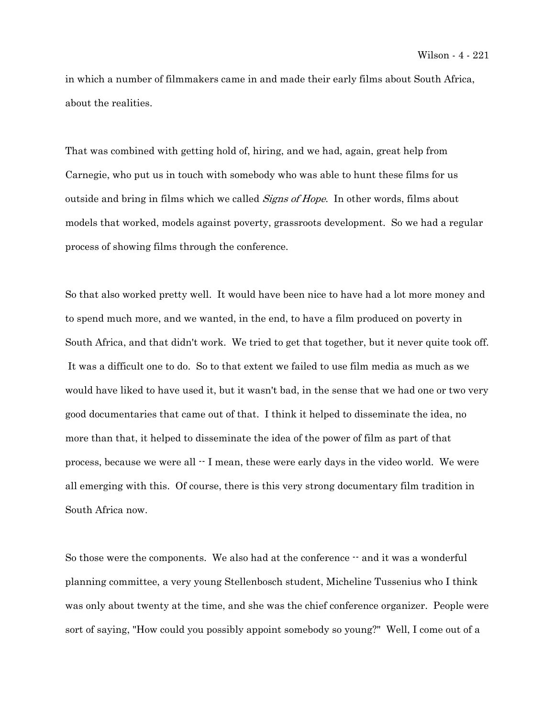in which a number of filmmakers came in and made their early films about South Africa, about the realities.

That was combined with getting hold of, hiring, and we had, again, great help from Carnegie, who put us in touch with somebody who was able to hunt these films for us outside and bring in films which we called *Signs of Hope*. In other words, films about models that worked, models against poverty, grassroots development. So we had a regular process of showing films through the conference.

So that also worked pretty well. It would have been nice to have had a lot more money and to spend much more, and we wanted, in the end, to have a film produced on poverty in South Africa, and that didn't work. We tried to get that together, but it never quite took off. It was a difficult one to do. So to that extent we failed to use film media as much as we would have liked to have used it, but it wasn't bad, in the sense that we had one or two very good documentaries that came out of that. I think it helped to disseminate the idea, no more than that, it helped to disseminate the idea of the power of film as part of that process, because we were all  $\cdot$  I mean, these were early days in the video world. We were all emerging with this. Of course, there is this very strong documentary film tradition in South Africa now.

So those were the components. We also had at the conference  $-$  and it was a wonderful planning committee, a very young Stellenbosch student, Micheline Tussenius who I think was only about twenty at the time, and she was the chief conference organizer. People were sort of saying, "How could you possibly appoint somebody so young?" Well, I come out of a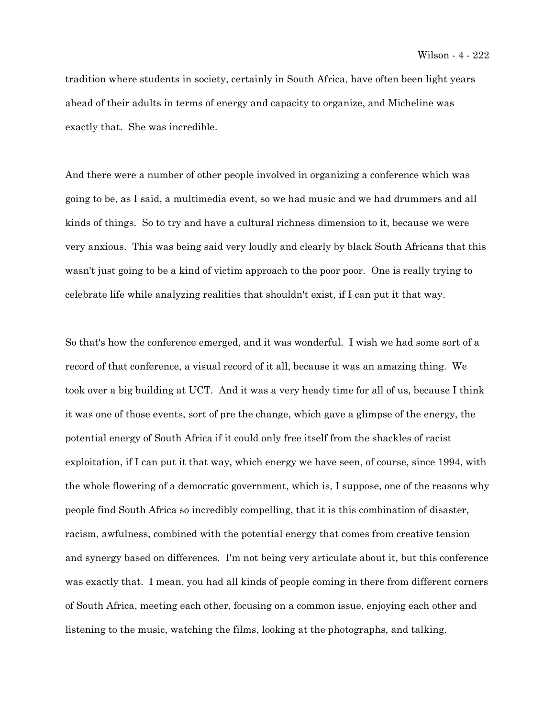tradition where students in society, certainly in South Africa, have often been light years ahead of their adults in terms of energy and capacity to organize, and Micheline was exactly that. She was incredible.

And there were a number of other people involved in organizing a conference which was going to be, as I said, a multimedia event, so we had music and we had drummers and all kinds of things. So to try and have a cultural richness dimension to it, because we were very anxious. This was being said very loudly and clearly by black South Africans that this wasn't just going to be a kind of victim approach to the poor poor. One is really trying to celebrate life while analyzing realities that shouldn't exist, if I can put it that way.

So that's how the conference emerged, and it was wonderful. I wish we had some sort of a record of that conference, a visual record of it all, because it was an amazing thing. We took over a big building at UCT. And it was a very heady time for all of us, because I think it was one of those events, sort of pre the change, which gave a glimpse of the energy, the potential energy of South Africa if it could only free itself from the shackles of racist exploitation, if I can put it that way, which energy we have seen, of course, since 1994, with the whole flowering of a democratic government, which is, I suppose, one of the reasons why people find South Africa so incredibly compelling, that it is this combination of disaster, racism, awfulness, combined with the potential energy that comes from creative tension and synergy based on differences. I'm not being very articulate about it, but this conference was exactly that. I mean, you had all kinds of people coming in there from different corners of South Africa, meeting each other, focusing on a common issue, enjoying each other and listening to the music, watching the films, looking at the photographs, and talking.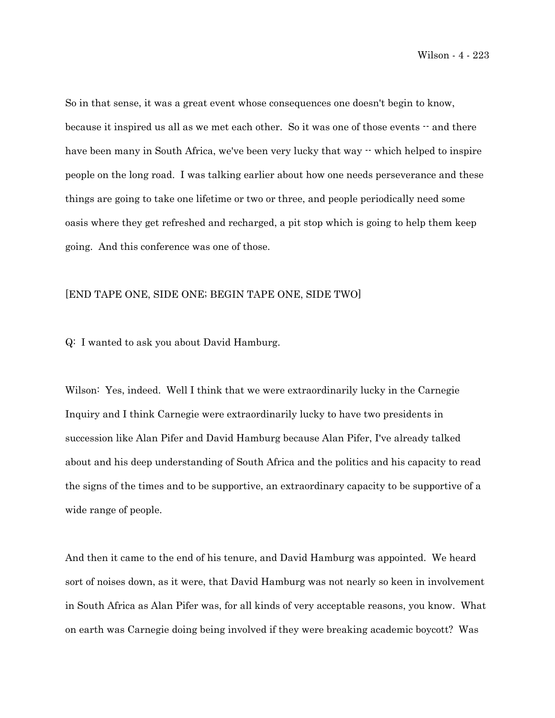So in that sense, it was a great event whose consequences one doesn't begin to know, because it inspired us all as we met each other. So it was one of those events  $-$  and there have been many in South Africa, we've been very lucky that way  $\cdot$  which helped to inspire people on the long road. I was talking earlier about how one needs perseverance and these things are going to take one lifetime or two or three, and people periodically need some oasis where they get refreshed and recharged, a pit stop which is going to help them keep going. And this conference was one of those.

## [END TAPE ONE, SIDE ONE; BEGIN TAPE ONE, SIDE TWO]

## Q: I wanted to ask you about David Hamburg.

Wilson: Yes, indeed. Well I think that we were extraordinarily lucky in the Carnegie Inquiry and I think Carnegie were extraordinarily lucky to have two presidents in succession like Alan Pifer and David Hamburg because Alan Pifer, I've already talked about and his deep understanding of South Africa and the politics and his capacity to read the signs of the times and to be supportive, an extraordinary capacity to be supportive of a wide range of people.

And then it came to the end of his tenure, and David Hamburg was appointed. We heard sort of noises down, as it were, that David Hamburg was not nearly so keen in involvement in South Africa as Alan Pifer was, for all kinds of very acceptable reasons, you know. What on earth was Carnegie doing being involved if they were breaking academic boycott? Was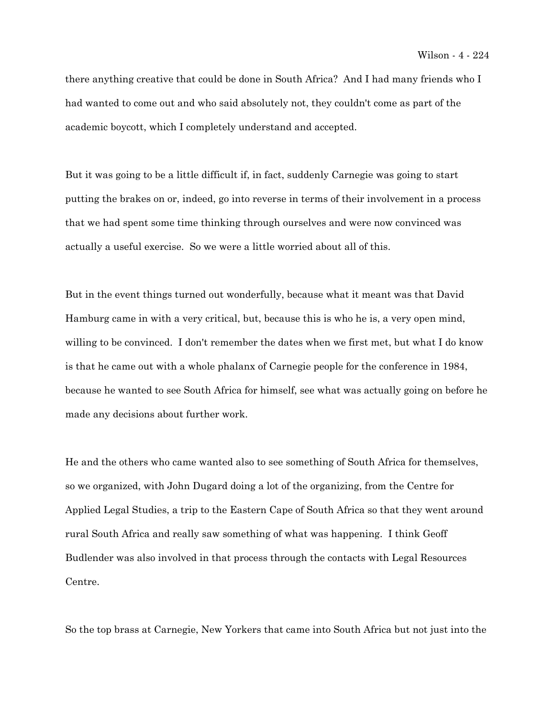there anything creative that could be done in South Africa? And I had many friends who I had wanted to come out and who said absolutely not, they couldn't come as part of the academic boycott, which I completely understand and accepted.

But it was going to be a little difficult if, in fact, suddenly Carnegie was going to start putting the brakes on or, indeed, go into reverse in terms of their involvement in a process that we had spent some time thinking through ourselves and were now convinced was actually a useful exercise. So we were a little worried about all of this.

But in the event things turned out wonderfully, because what it meant was that David Hamburg came in with a very critical, but, because this is who he is, a very open mind, willing to be convinced. I don't remember the dates when we first met, but what I do know is that he came out with a whole phalanx of Carnegie people for the conference in 1984, because he wanted to see South Africa for himself, see what was actually going on before he made any decisions about further work.

He and the others who came wanted also to see something of South Africa for themselves, so we organized, with John Dugard doing a lot of the organizing, from the Centre for Applied Legal Studies, a trip to the Eastern Cape of South Africa so that they went around rural South Africa and really saw something of what was happening. I think Geoff Budlender was also involved in that process through the contacts with Legal Resources Centre.

So the top brass at Carnegie, New Yorkers that came into South Africa but not just into the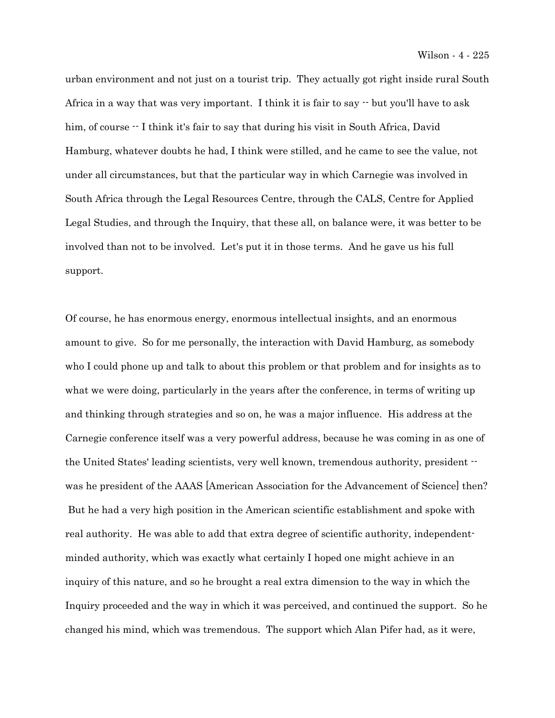urban environment and not just on a tourist trip. They actually got right inside rural South Africa in a way that was very important. I think it is fair to say  $\cdot$  but you'll have to ask him, of course  $\cdot$  I think it's fair to say that during his visit in South Africa, David Hamburg, whatever doubts he had, I think were stilled, and he came to see the value, not under all circumstances, but that the particular way in which Carnegie was involved in South Africa through the Legal Resources Centre, through the CALS, Centre for Applied Legal Studies, and through the Inquiry, that these all, on balance were, it was better to be involved than not to be involved. Let's put it in those terms. And he gave us his full support.

Of course, he has enormous energy, enormous intellectual insights, and an enormous amount to give. So for me personally, the interaction with David Hamburg, as somebody who I could phone up and talk to about this problem or that problem and for insights as to what we were doing, particularly in the years after the conference, in terms of writing up and thinking through strategies and so on, he was a major influence. His address at the Carnegie conference itself was a very powerful address, because he was coming in as one of the United States' leading scientists, very well known, tremendous authority, president - was he president of the AAAS [American Association for the Advancement of Science] then? But he had a very high position in the American scientific establishment and spoke with real authority. He was able to add that extra degree of scientific authority, independentminded authority, which was exactly what certainly I hoped one might achieve in an inquiry of this nature, and so he brought a real extra dimension to the way in which the Inquiry proceeded and the way in which it was perceived, and continued the support. So he changed his mind, which was tremendous. The support which Alan Pifer had, as it were,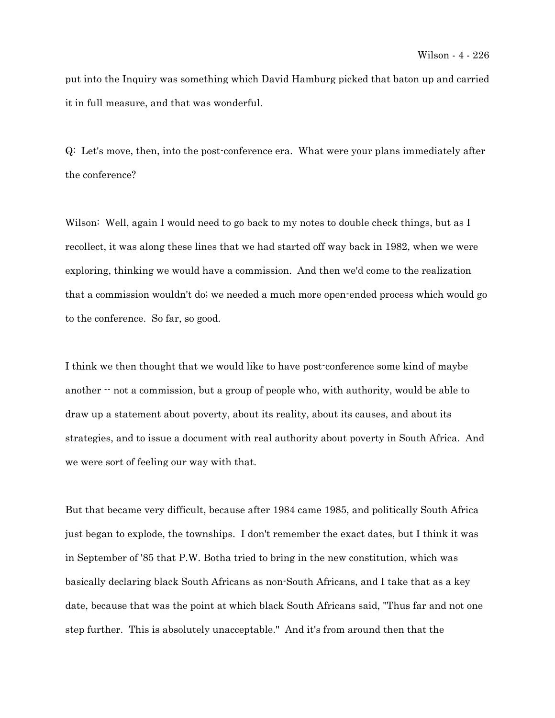put into the Inquiry was something which David Hamburg picked that baton up and carried it in full measure, and that was wonderful.

Q: Let's move, then, into the post-conference era. What were your plans immediately after the conference?

Wilson: Well, again I would need to go back to my notes to double check things, but as I recollect, it was along these lines that we had started off way back in 1982, when we were exploring, thinking we would have a commission. And then we'd come to the realization that a commission wouldn't do; we needed a much more open-ended process which would go to the conference. So far, so good.

I think we then thought that we would like to have post-conference some kind of maybe another  $\cdot$  not a commission, but a group of people who, with authority, would be able to draw up a statement about poverty, about its reality, about its causes, and about its strategies, and to issue a document with real authority about poverty in South Africa. And we were sort of feeling our way with that.

But that became very difficult, because after 1984 came 1985, and politically South Africa just began to explode, the townships. I don't remember the exact dates, but I think it was in September of '85 that P.W. Botha tried to bring in the new constitution, which was basically declaring black South Africans as non-South Africans, and I take that as a key date, because that was the point at which black South Africans said, "Thus far and not one step further. This is absolutely unacceptable." And it's from around then that the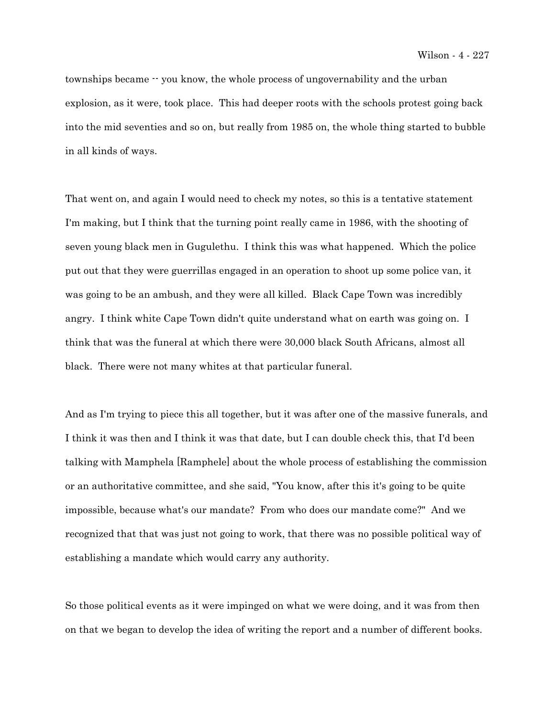townships became -- you know, the whole process of ungovernability and the urban explosion, as it were, took place. This had deeper roots with the schools protest going back into the mid seventies and so on, but really from 1985 on, the whole thing started to bubble in all kinds of ways.

That went on, and again I would need to check my notes, so this is a tentative statement I'm making, but I think that the turning point really came in 1986, with the shooting of seven young black men in Gugulethu. I think this was what happened. Which the police put out that they were guerrillas engaged in an operation to shoot up some police van, it was going to be an ambush, and they were all killed. Black Cape Town was incredibly angry. I think white Cape Town didn't quite understand what on earth was going on. I think that was the funeral at which there were 30,000 black South Africans, almost all black. There were not many whites at that particular funeral.

And as I'm trying to piece this all together, but it was after one of the massive funerals, and I think it was then and I think it was that date, but I can double check this, that I'd been talking with Mamphela [Ramphele] about the whole process of establishing the commission or an authoritative committee, and she said, "You know, after this it's going to be quite impossible, because what's our mandate? From who does our mandate come?" And we recognized that that was just not going to work, that there was no possible political way of establishing a mandate which would carry any authority.

So those political events as it were impinged on what we were doing, and it was from then on that we began to develop the idea of writing the report and a number of different books.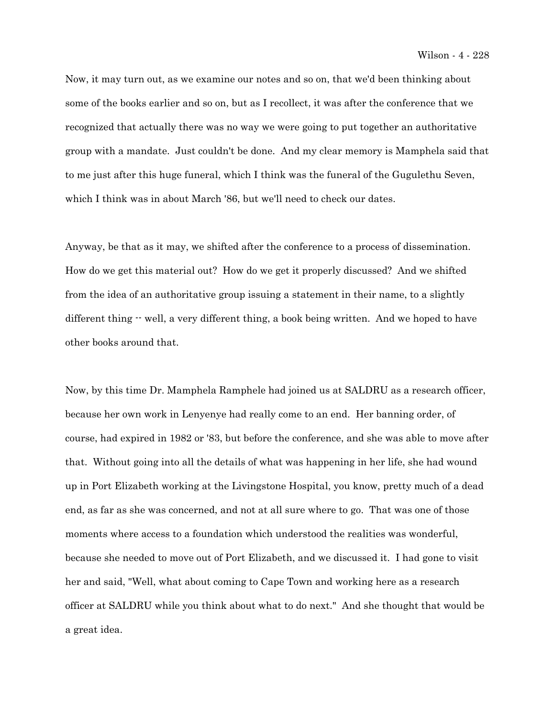Now, it may turn out, as we examine our notes and so on, that we'd been thinking about some of the books earlier and so on, but as I recollect, it was after the conference that we recognized that actually there was no way we were going to put together an authoritative group with a mandate. Just couldn't be done. And my clear memory is Mamphela said that to me just after this huge funeral, which I think was the funeral of the Gugulethu Seven, which I think was in about March '86, but we'll need to check our dates.

Anyway, be that as it may, we shifted after the conference to a process of dissemination. How do we get this material out? How do we get it properly discussed? And we shifted from the idea of an authoritative group issuing a statement in their name, to a slightly different thing  $-$  well, a very different thing, a book being written. And we hoped to have other books around that.

Now, by this time Dr. Mamphela Ramphele had joined us at SALDRU as a research officer, because her own work in Lenyenye had really come to an end. Her banning order, of course, had expired in 1982 or '83, but before the conference, and she was able to move after that. Without going into all the details of what was happening in her life, she had wound up in Port Elizabeth working at the Livingstone Hospital, you know, pretty much of a dead end, as far as she was concerned, and not at all sure where to go. That was one of those moments where access to a foundation which understood the realities was wonderful, because she needed to move out of Port Elizabeth, and we discussed it. I had gone to visit her and said, "Well, what about coming to Cape Town and working here as a research officer at SALDRU while you think about what to do next." And she thought that would be a great idea.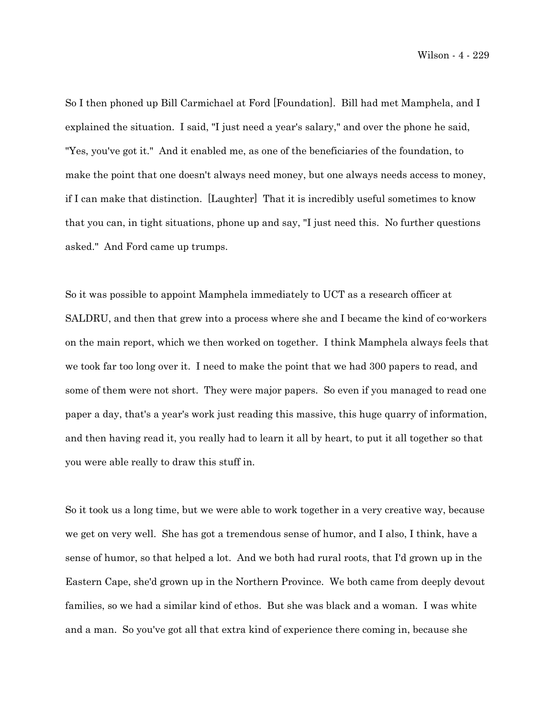Wilson - 4 - 229

So I then phoned up Bill Carmichael at Ford [Foundation]. Bill had met Mamphela, and I explained the situation. I said, "I just need a year's salary," and over the phone he said, "Yes, you've got it." And it enabled me, as one of the beneficiaries of the foundation, to make the point that one doesn't always need money, but one always needs access to money, if I can make that distinction. [Laughter] That it is incredibly useful sometimes to know that you can, in tight situations, phone up and say, "I just need this. No further questions asked." And Ford came up trumps.

So it was possible to appoint Mamphela immediately to UCT as a research officer at SALDRU, and then that grew into a process where she and I became the kind of co-workers on the main report, which we then worked on together. I think Mamphela always feels that we took far too long over it. I need to make the point that we had 300 papers to read, and some of them were not short. They were major papers. So even if you managed to read one paper a day, that's a year's work just reading this massive, this huge quarry of information, and then having read it, you really had to learn it all by heart, to put it all together so that you were able really to draw this stuff in.

So it took us a long time, but we were able to work together in a very creative way, because we get on very well. She has got a tremendous sense of humor, and I also, I think, have a sense of humor, so that helped a lot. And we both had rural roots, that I'd grown up in the Eastern Cape, she'd grown up in the Northern Province. We both came from deeply devout families, so we had a similar kind of ethos. But she was black and a woman. I was white and a man. So you've got all that extra kind of experience there coming in, because she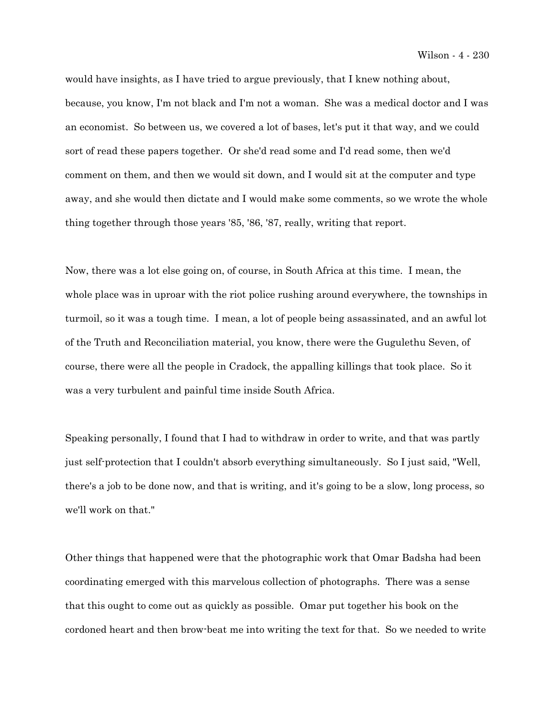would have insights, as I have tried to argue previously, that I knew nothing about, because, you know, I'm not black and I'm not a woman. She was a medical doctor and I was an economist. So between us, we covered a lot of bases, let's put it that way, and we could sort of read these papers together. Or she'd read some and I'd read some, then we'd comment on them, and then we would sit down, and I would sit at the computer and type away, and she would then dictate and I would make some comments, so we wrote the whole thing together through those years '85, '86, '87, really, writing that report.

Now, there was a lot else going on, of course, in South Africa at this time. I mean, the whole place was in uproar with the riot police rushing around everywhere, the townships in turmoil, so it was a tough time. I mean, a lot of people being assassinated, and an awful lot of the Truth and Reconciliation material, you know, there were the Gugulethu Seven, of course, there were all the people in Cradock, the appalling killings that took place. So it was a very turbulent and painful time inside South Africa.

Speaking personally, I found that I had to withdraw in order to write, and that was partly just self-protection that I couldn't absorb everything simultaneously. So I just said, "Well, there's a job to be done now, and that is writing, and it's going to be a slow, long process, so we'll work on that."

Other things that happened were that the photographic work that Omar Badsha had been coordinating emerged with this marvelous collection of photographs. There was a sense that this ought to come out as quickly as possible. Omar put together his book on the cordoned heart and then brow-beat me into writing the text for that. So we needed to write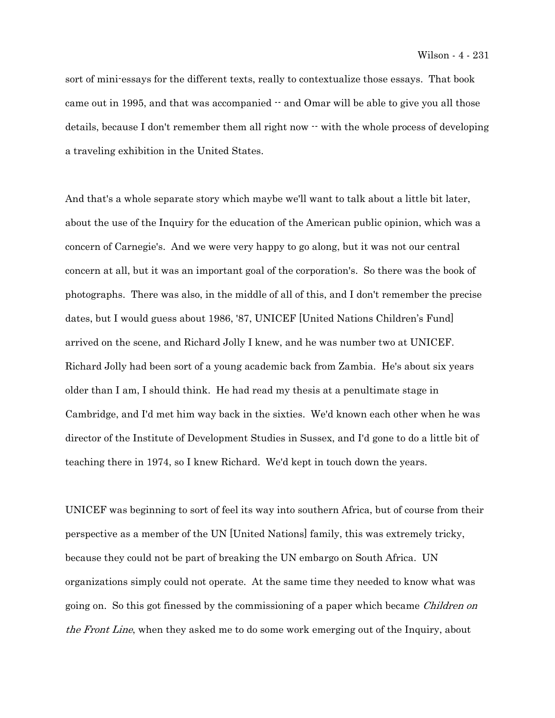sort of mini-essays for the different texts, really to contextualize those essays. That book came out in 1995, and that was accompanied  $\cdot$  and Omar will be able to give you all those details, because I don't remember them all right now  $\cdot\cdot$  with the whole process of developing a traveling exhibition in the United States.

And that's a whole separate story which maybe we'll want to talk about a little bit later, about the use of the Inquiry for the education of the American public opinion, which was a concern of Carnegie's. And we were very happy to go along, but it was not our central concern at all, but it was an important goal of the corporation's. So there was the book of photographs. There was also, in the middle of all of this, and I don't remember the precise dates, but I would guess about 1986, '87, UNICEF [United Nations Children's Fund] arrived on the scene, and Richard Jolly I knew, and he was number two at UNICEF. Richard Jolly had been sort of a young academic back from Zambia. He's about six years older than I am, I should think. He had read my thesis at a penultimate stage in Cambridge, and I'd met him way back in the sixties. We'd known each other when he was director of the Institute of Development Studies in Sussex, and I'd gone to do a little bit of teaching there in 1974, so I knew Richard. We'd kept in touch down the years.

UNICEF was beginning to sort of feel its way into southern Africa, but of course from their perspective as a member of the UN [United Nations] family, this was extremely tricky, because they could not be part of breaking the UN embargo on South Africa. UN organizations simply could not operate. At the same time they needed to know what was going on. So this got finessed by the commissioning of a paper which became *Children on* the Front Line, when they asked me to do some work emerging out of the Inquiry, about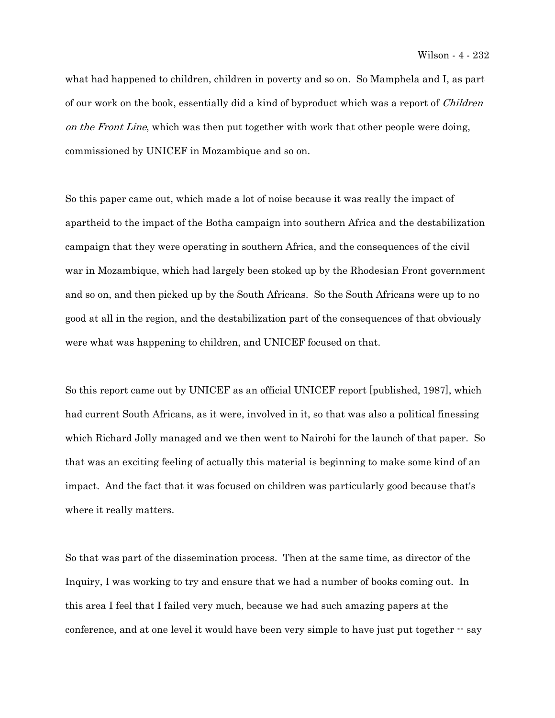what had happened to children, children in poverty and so on. So Mamphela and I, as part of our work on the book, essentially did a kind of byproduct which was a report of Children on the Front Line, which was then put together with work that other people were doing, commissioned by UNICEF in Mozambique and so on.

So this paper came out, which made a lot of noise because it was really the impact of apartheid to the impact of the Botha campaign into southern Africa and the destabilization campaign that they were operating in southern Africa, and the consequences of the civil war in Mozambique, which had largely been stoked up by the Rhodesian Front government and so on, and then picked up by the South Africans. So the South Africans were up to no good at all in the region, and the destabilization part of the consequences of that obviously were what was happening to children, and UNICEF focused on that.

So this report came out by UNICEF as an official UNICEF report [published, 1987], which had current South Africans, as it were, involved in it, so that was also a political finessing which Richard Jolly managed and we then went to Nairobi for the launch of that paper. So that was an exciting feeling of actually this material is beginning to make some kind of an impact. And the fact that it was focused on children was particularly good because that's where it really matters.

So that was part of the dissemination process. Then at the same time, as director of the Inquiry, I was working to try and ensure that we had a number of books coming out. In this area I feel that I failed very much, because we had such amazing papers at the conference, and at one level it would have been very simple to have just put together  $-$  say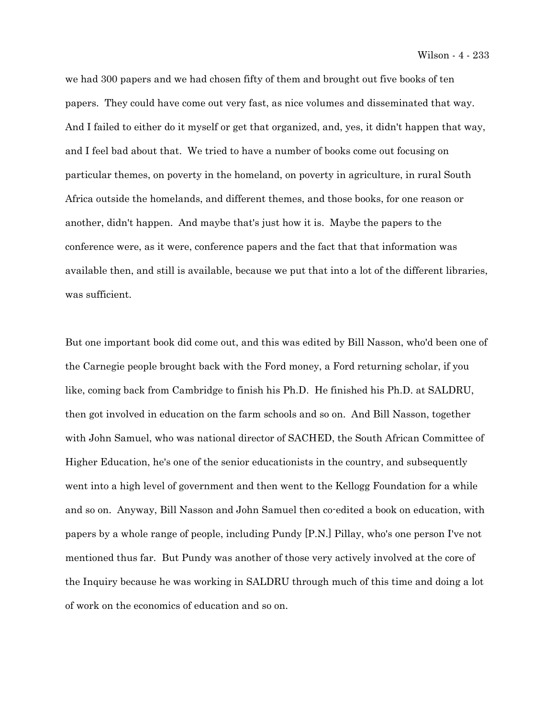we had 300 papers and we had chosen fifty of them and brought out five books of ten papers. They could have come out very fast, as nice volumes and disseminated that way. And I failed to either do it myself or get that organized, and, yes, it didn't happen that way, and I feel bad about that. We tried to have a number of books come out focusing on particular themes, on poverty in the homeland, on poverty in agriculture, in rural South Africa outside the homelands, and different themes, and those books, for one reason or another, didn't happen. And maybe that's just how it is. Maybe the papers to the conference were, as it were, conference papers and the fact that that information was available then, and still is available, because we put that into a lot of the different libraries, was sufficient.

But one important book did come out, and this was edited by Bill Nasson, who'd been one of the Carnegie people brought back with the Ford money, a Ford returning scholar, if you like, coming back from Cambridge to finish his Ph.D. He finished his Ph.D. at SALDRU, then got involved in education on the farm schools and so on. And Bill Nasson, together with John Samuel, who was national director of SACHED, the South African Committee of Higher Education, he's one of the senior educationists in the country, and subsequently went into a high level of government and then went to the Kellogg Foundation for a while and so on. Anyway, Bill Nasson and John Samuel then co-edited a book on education, with papers by a whole range of people, including Pundy [P.N.] Pillay, who's one person I've not mentioned thus far. But Pundy was another of those very actively involved at the core of the Inquiry because he was working in SALDRU through much of this time and doing a lot of work on the economics of education and so on.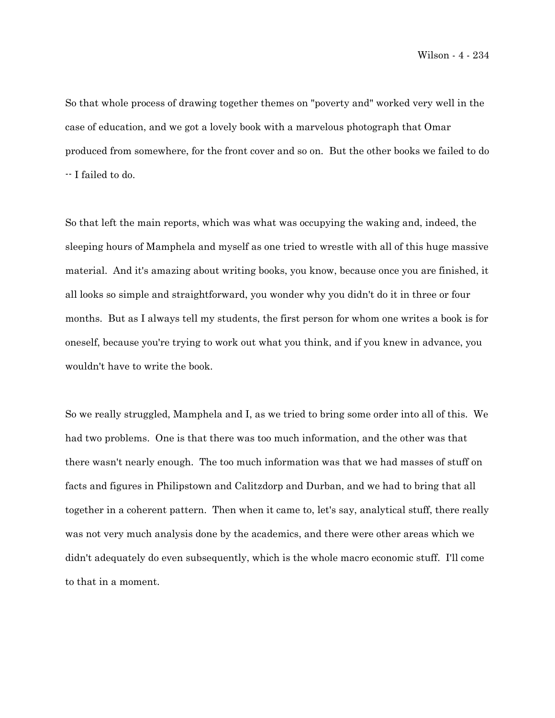So that whole process of drawing together themes on "poverty and" worked very well in the case of education, and we got a lovely book with a marvelous photograph that Omar produced from somewhere, for the front cover and so on. But the other books we failed to do -- I failed to do.

So that left the main reports, which was what was occupying the waking and, indeed, the sleeping hours of Mamphela and myself as one tried to wrestle with all of this huge massive material. And it's amazing about writing books, you know, because once you are finished, it all looks so simple and straightforward, you wonder why you didn't do it in three or four months. But as I always tell my students, the first person for whom one writes a book is for oneself, because you're trying to work out what you think, and if you knew in advance, you wouldn't have to write the book.

So we really struggled, Mamphela and I, as we tried to bring some order into all of this. We had two problems. One is that there was too much information, and the other was that there wasn't nearly enough. The too much information was that we had masses of stuff on facts and figures in Philipstown and Calitzdorp and Durban, and we had to bring that all together in a coherent pattern. Then when it came to, let's say, analytical stuff, there really was not very much analysis done by the academics, and there were other areas which we didn't adequately do even subsequently, which is the whole macro economic stuff. I'll come to that in a moment.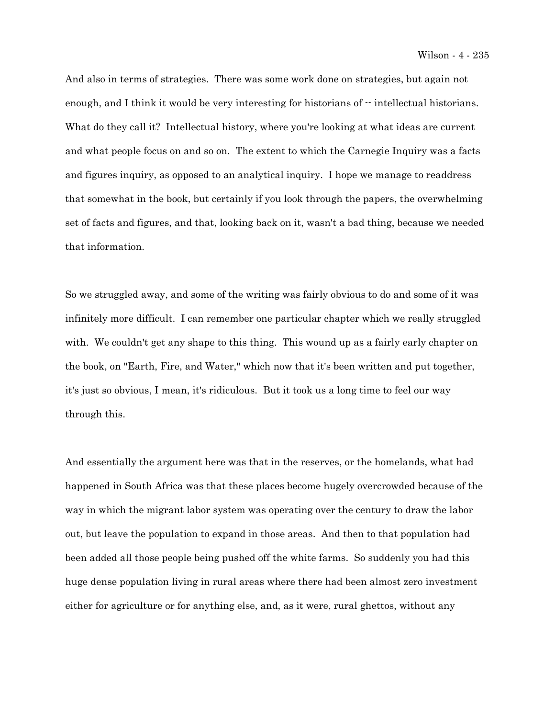And also in terms of strategies. There was some work done on strategies, but again not enough, and I think it would be very interesting for historians of  $\cdot$  intellectual historians. What do they call it? Intellectual history, where you're looking at what ideas are current and what people focus on and so on. The extent to which the Carnegie Inquiry was a facts and figures inquiry, as opposed to an analytical inquiry. I hope we manage to readdress that somewhat in the book, but certainly if you look through the papers, the overwhelming set of facts and figures, and that, looking back on it, wasn't a bad thing, because we needed that information.

So we struggled away, and some of the writing was fairly obvious to do and some of it was infinitely more difficult. I can remember one particular chapter which we really struggled with. We couldn't get any shape to this thing. This wound up as a fairly early chapter on the book, on "Earth, Fire, and Water," which now that it's been written and put together, it's just so obvious, I mean, it's ridiculous. But it took us a long time to feel our way through this.

And essentially the argument here was that in the reserves, or the homelands, what had happened in South Africa was that these places become hugely overcrowded because of the way in which the migrant labor system was operating over the century to draw the labor out, but leave the population to expand in those areas. And then to that population had been added all those people being pushed off the white farms. So suddenly you had this huge dense population living in rural areas where there had been almost zero investment either for agriculture or for anything else, and, as it were, rural ghettos, without any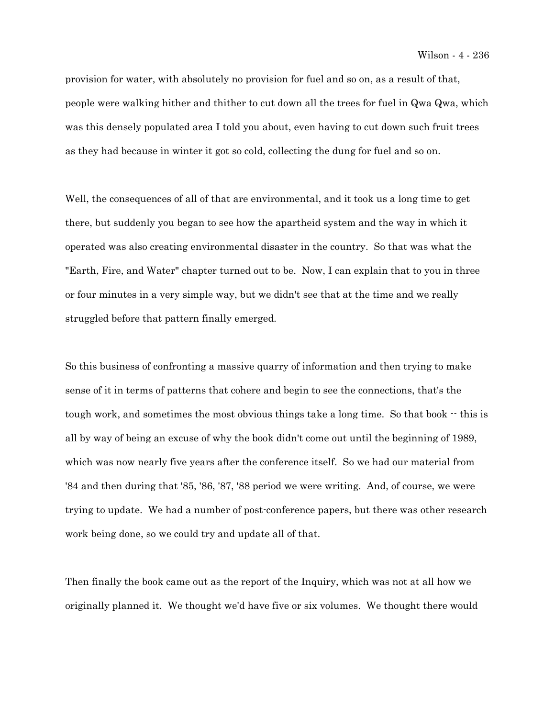provision for water, with absolutely no provision for fuel and so on, as a result of that, people were walking hither and thither to cut down all the trees for fuel in Qwa Qwa, which was this densely populated area I told you about, even having to cut down such fruit trees as they had because in winter it got so cold, collecting the dung for fuel and so on.

Well, the consequences of all of that are environmental, and it took us a long time to get there, but suddenly you began to see how the apartheid system and the way in which it operated was also creating environmental disaster in the country. So that was what the "Earth, Fire, and Water" chapter turned out to be. Now, I can explain that to you in three or four minutes in a very simple way, but we didn't see that at the time and we really struggled before that pattern finally emerged.

So this business of confronting a massive quarry of information and then trying to make sense of it in terms of patterns that cohere and begin to see the connections, that's the tough work, and sometimes the most obvious things take a long time. So that book  $-$  this is all by way of being an excuse of why the book didn't come out until the beginning of 1989, which was now nearly five years after the conference itself. So we had our material from '84 and then during that '85, '86, '87, '88 period we were writing. And, of course, we were trying to update. We had a number of post-conference papers, but there was other research work being done, so we could try and update all of that.

Then finally the book came out as the report of the Inquiry, which was not at all how we originally planned it. We thought we'd have five or six volumes. We thought there would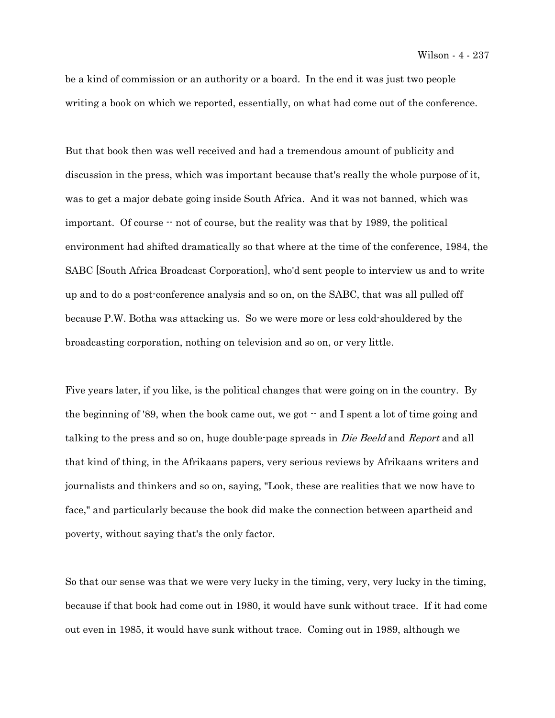be a kind of commission or an authority or a board. In the end it was just two people writing a book on which we reported, essentially, on what had come out of the conference.

But that book then was well received and had a tremendous amount of publicity and discussion in the press, which was important because that's really the whole purpose of it, was to get a major debate going inside South Africa. And it was not banned, which was important. Of course -- not of course, but the reality was that by 1989, the political environment had shifted dramatically so that where at the time of the conference, 1984, the SABC [South Africa Broadcast Corporation], who'd sent people to interview us and to write up and to do a post-conference analysis and so on, on the SABC, that was all pulled off because P.W. Botha was attacking us. So we were more or less cold-shouldered by the broadcasting corporation, nothing on television and so on, or very little.

Five years later, if you like, is the political changes that were going on in the country. By the beginning of '89, when the book came out, we got  $\cdot$  and I spent a lot of time going and talking to the press and so on, huge double-page spreads in *Die Beeld* and Report and all that kind of thing, in the Afrikaans papers, very serious reviews by Afrikaans writers and journalists and thinkers and so on, saying, "Look, these are realities that we now have to face," and particularly because the book did make the connection between apartheid and poverty, without saying that's the only factor.

So that our sense was that we were very lucky in the timing, very, very lucky in the timing, because if that book had come out in 1980, it would have sunk without trace. If it had come out even in 1985, it would have sunk without trace. Coming out in 1989, although we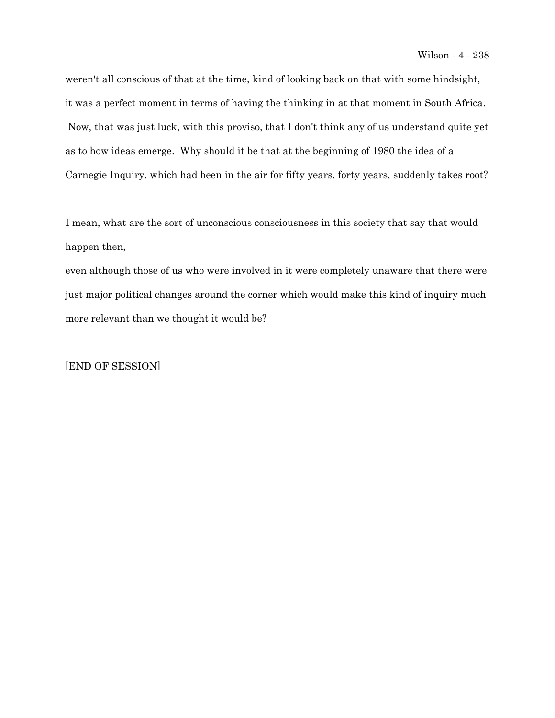weren't all conscious of that at the time, kind of looking back on that with some hindsight, it was a perfect moment in terms of having the thinking in at that moment in South Africa. Now, that was just luck, with this proviso, that I don't think any of us understand quite yet as to how ideas emerge. Why should it be that at the beginning of 1980 the idea of a Carnegie Inquiry, which had been in the air for fifty years, forty years, suddenly takes root?

I mean, what are the sort of unconscious consciousness in this society that say that would happen then,

even although those of us who were involved in it were completely unaware that there were just major political changes around the corner which would make this kind of inquiry much more relevant than we thought it would be?

[END OF SESSION]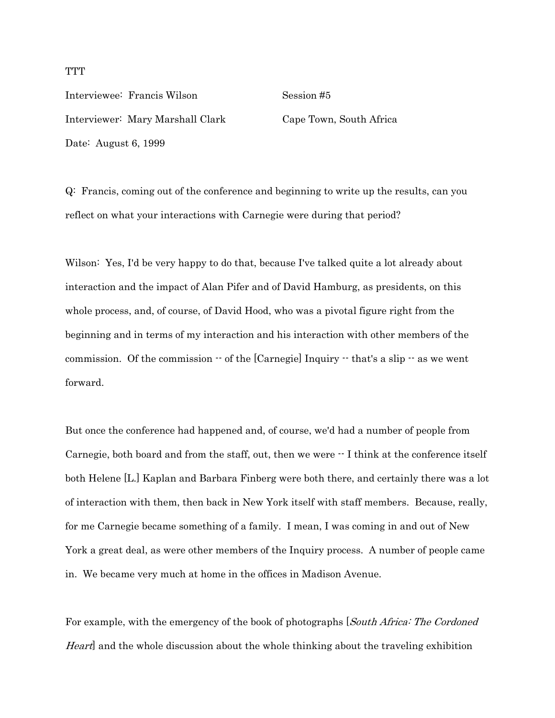Interviewee: Francis Wilson Session #5 Interviewer: Mary Marshall Clark Cape Town, South Africa Date: August 6, 1999

Q: Francis, coming out of the conference and beginning to write up the results, can you reflect on what your interactions with Carnegie were during that period?

Wilson: Yes, I'd be very happy to do that, because I've talked quite a lot already about interaction and the impact of Alan Pifer and of David Hamburg, as presidents, on this whole process, and, of course, of David Hood, who was a pivotal figure right from the beginning and in terms of my interaction and his interaction with other members of the commission. Of the commission  $-$  of the [Carnegie] Inquiry  $-$  that's a slip  $-$  as we went forward.

But once the conference had happened and, of course, we'd had a number of people from Carnegie, both board and from the staff, out, then we were  $\cdot$  I think at the conference itself both Helene [L.] Kaplan and Barbara Finberg were both there, and certainly there was a lot of interaction with them, then back in New York itself with staff members. Because, really, for me Carnegie became something of a family. I mean, I was coming in and out of New York a great deal, as were other members of the Inquiry process. A number of people came in. We became very much at home in the offices in Madison Avenue.

For example, with the emergency of the book of photographs *[South Africa: The Cordoned* Heart and the whole discussion about the whole thinking about the traveling exhibition

## **TTT**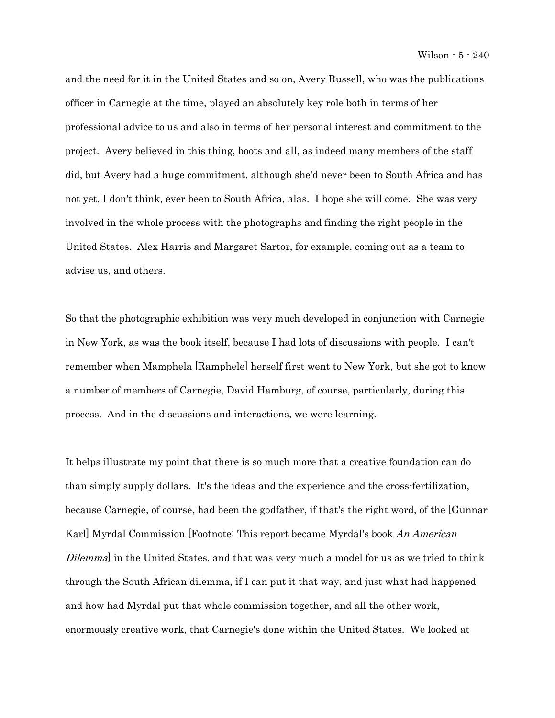and the need for it in the United States and so on, Avery Russell, who was the publications officer in Carnegie at the time, played an absolutely key role both in terms of her professional advice to us and also in terms of her personal interest and commitment to the project. Avery believed in this thing, boots and all, as indeed many members of the staff did, but Avery had a huge commitment, although she'd never been to South Africa and has not yet, I don't think, ever been to South Africa, alas. I hope she will come. She was very involved in the whole process with the photographs and finding the right people in the United States. Alex Harris and Margaret Sartor, for example, coming out as a team to advise us, and others.

So that the photographic exhibition was very much developed in conjunction with Carnegie in New York, as was the book itself, because I had lots of discussions with people. I can't remember when Mamphela [Ramphele] herself first went to New York, but she got to know a number of members of Carnegie, David Hamburg, of course, particularly, during this process. And in the discussions and interactions, we were learning.

It helps illustrate my point that there is so much more that a creative foundation can do than simply supply dollars. It's the ideas and the experience and the cross-fertilization, because Carnegie, of course, had been the godfather, if that's the right word, of the [Gunnar Karl] Myrdal Commission [Footnote: This report became Myrdal's book An American Dilemma] in the United States, and that was very much a model for us as we tried to think through the South African dilemma, if I can put it that way, and just what had happened and how had Myrdal put that whole commission together, and all the other work, enormously creative work, that Carnegie's done within the United States. We looked at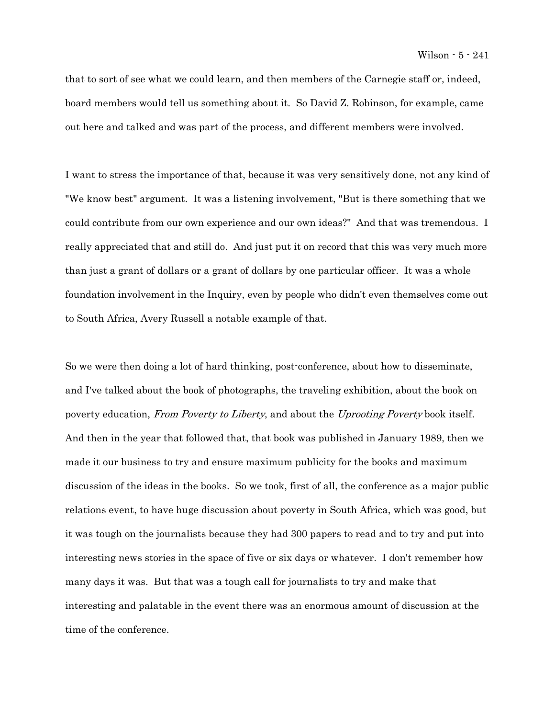that to sort of see what we could learn, and then members of the Carnegie staff or, indeed, board members would tell us something about it. So David Z. Robinson, for example, came out here and talked and was part of the process, and different members were involved.

I want to stress the importance of that, because it was very sensitively done, not any kind of "We know best" argument. It was a listening involvement, "But is there something that we could contribute from our own experience and our own ideas?" And that was tremendous. I really appreciated that and still do. And just put it on record that this was very much more than just a grant of dollars or a grant of dollars by one particular officer. It was a whole foundation involvement in the Inquiry, even by people who didn't even themselves come out to South Africa, Avery Russell a notable example of that.

So we were then doing a lot of hard thinking, post-conference, about how to disseminate, and I've talked about the book of photographs, the traveling exhibition, about the book on poverty education, From Poverty to Liberty, and about the Uprooting Poverty book itself. And then in the year that followed that, that book was published in January 1989, then we made it our business to try and ensure maximum publicity for the books and maximum discussion of the ideas in the books. So we took, first of all, the conference as a major public relations event, to have huge discussion about poverty in South Africa, which was good, but it was tough on the journalists because they had 300 papers to read and to try and put into interesting news stories in the space of five or six days or whatever. I don't remember how many days it was. But that was a tough call for journalists to try and make that interesting and palatable in the event there was an enormous amount of discussion at the time of the conference.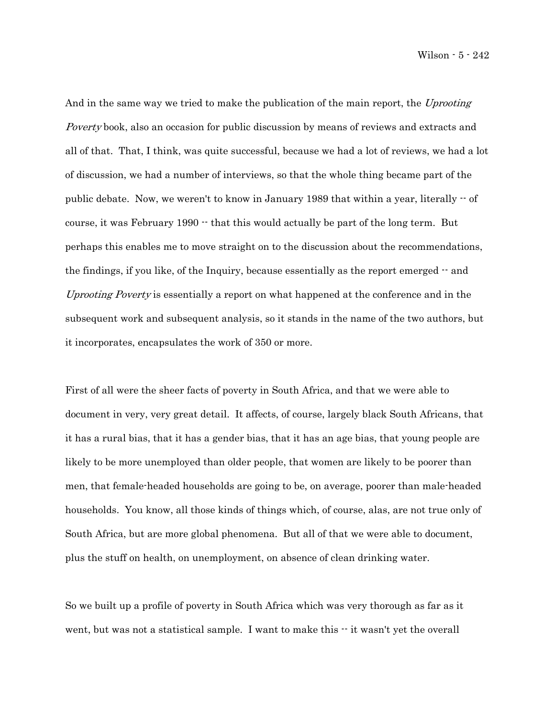Wilson - 5 - 242

And in the same way we tried to make the publication of the main report, the Uprooting Poverty book, also an occasion for public discussion by means of reviews and extracts and all of that. That, I think, was quite successful, because we had a lot of reviews, we had a lot of discussion, we had a number of interviews, so that the whole thing became part of the public debate. Now, we weren't to know in January 1989 that within a year, literally  $-$  of course, it was February  $1990 -$  that this would actually be part of the long term. But perhaps this enables me to move straight on to the discussion about the recommendations, the findings, if you like, of the Inquiry, because essentially as the report emerged -- and Uprooting Poverty is essentially a report on what happened at the conference and in the subsequent work and subsequent analysis, so it stands in the name of the two authors, but it incorporates, encapsulates the work of 350 or more.

First of all were the sheer facts of poverty in South Africa, and that we were able to document in very, very great detail. It affects, of course, largely black South Africans, that it has a rural bias, that it has a gender bias, that it has an age bias, that young people are likely to be more unemployed than older people, that women are likely to be poorer than men, that female-headed households are going to be, on average, poorer than male-headed households. You know, all those kinds of things which, of course, alas, are not true only of South Africa, but are more global phenomena. But all of that we were able to document, plus the stuff on health, on unemployment, on absence of clean drinking water.

So we built up a profile of poverty in South Africa which was very thorough as far as it went, but was not a statistical sample. I want to make this  $\cdot$  it wasn't yet the overall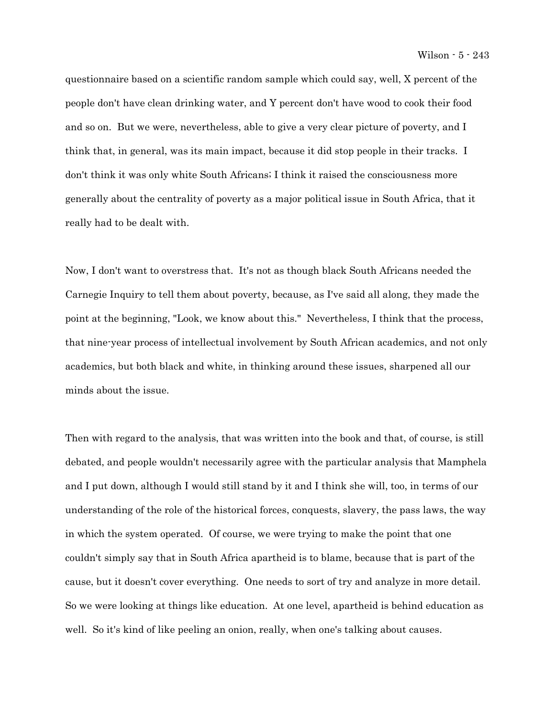questionnaire based on a scientific random sample which could say, well, X percent of the people don't have clean drinking water, and Y percent don't have wood to cook their food and so on. But we were, nevertheless, able to give a very clear picture of poverty, and I think that, in general, was its main impact, because it did stop people in their tracks. I don't think it was only white South Africans; I think it raised the consciousness more generally about the centrality of poverty as a major political issue in South Africa, that it really had to be dealt with.

Now, I don't want to overstress that. It's not as though black South Africans needed the Carnegie Inquiry to tell them about poverty, because, as I've said all along, they made the point at the beginning, "Look, we know about this." Nevertheless, I think that the process, that nine-year process of intellectual involvement by South African academics, and not only academics, but both black and white, in thinking around these issues, sharpened all our minds about the issue.

Then with regard to the analysis, that was written into the book and that, of course, is still debated, and people wouldn't necessarily agree with the particular analysis that Mamphela and I put down, although I would still stand by it and I think she will, too, in terms of our understanding of the role of the historical forces, conquests, slavery, the pass laws, the way in which the system operated. Of course, we were trying to make the point that one couldn't simply say that in South Africa apartheid is to blame, because that is part of the cause, but it doesn't cover everything. One needs to sort of try and analyze in more detail. So we were looking at things like education. At one level, apartheid is behind education as well. So it's kind of like peeling an onion, really, when one's talking about causes.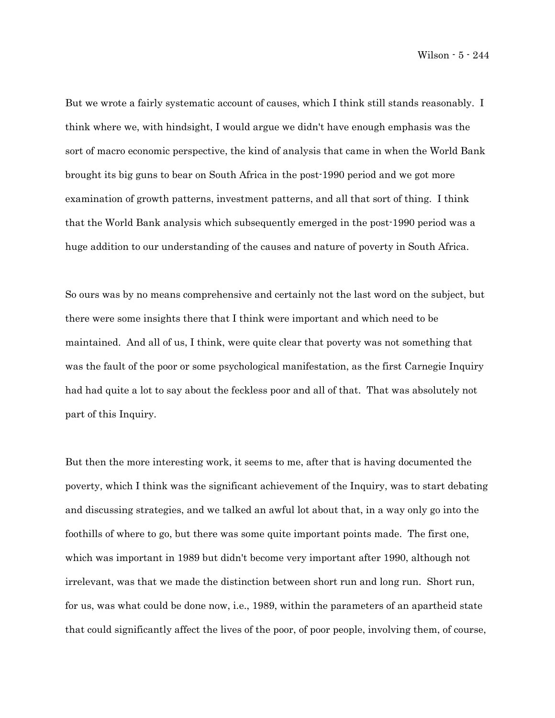Wilson - 5 - 244

But we wrote a fairly systematic account of causes, which I think still stands reasonably. I think where we, with hindsight, I would argue we didn't have enough emphasis was the sort of macro economic perspective, the kind of analysis that came in when the World Bank brought its big guns to bear on South Africa in the post-1990 period and we got more examination of growth patterns, investment patterns, and all that sort of thing. I think that the World Bank analysis which subsequently emerged in the post-1990 period was a huge addition to our understanding of the causes and nature of poverty in South Africa.

So ours was by no means comprehensive and certainly not the last word on the subject, but there were some insights there that I think were important and which need to be maintained. And all of us, I think, were quite clear that poverty was not something that was the fault of the poor or some psychological manifestation, as the first Carnegie Inquiry had had quite a lot to say about the feckless poor and all of that. That was absolutely not part of this Inquiry.

But then the more interesting work, it seems to me, after that is having documented the poverty, which I think was the significant achievement of the Inquiry, was to start debating and discussing strategies, and we talked an awful lot about that, in a way only go into the foothills of where to go, but there was some quite important points made. The first one, which was important in 1989 but didn't become very important after 1990, although not irrelevant, was that we made the distinction between short run and long run. Short run, for us, was what could be done now, i.e., 1989, within the parameters of an apartheid state that could significantly affect the lives of the poor, of poor people, involving them, of course,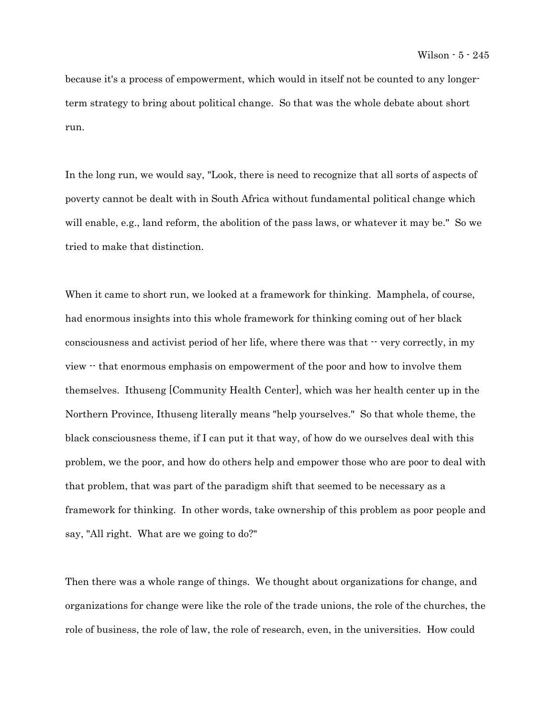because it's a process of empowerment, which would in itself not be counted to any longerterm strategy to bring about political change. So that was the whole debate about short run.

In the long run, we would say, "Look, there is need to recognize that all sorts of aspects of poverty cannot be dealt with in South Africa without fundamental political change which will enable, e.g., land reform, the abolition of the pass laws, or whatever it may be." So we tried to make that distinction.

When it came to short run, we looked at a framework for thinking. Mamphela, of course, had enormous insights into this whole framework for thinking coming out of her black consciousness and activist period of her life, where there was that  $\cdot \cdot$  very correctly, in my view -- that enormous emphasis on empowerment of the poor and how to involve them themselves. Ithuseng [Community Health Center], which was her health center up in the Northern Province, Ithuseng literally means "help yourselves." So that whole theme, the black consciousness theme, if I can put it that way, of how do we ourselves deal with this problem, we the poor, and how do others help and empower those who are poor to deal with that problem, that was part of the paradigm shift that seemed to be necessary as a framework for thinking. In other words, take ownership of this problem as poor people and say, "All right. What are we going to do?"

Then there was a whole range of things. We thought about organizations for change, and organizations for change were like the role of the trade unions, the role of the churches, the role of business, the role of law, the role of research, even, in the universities. How could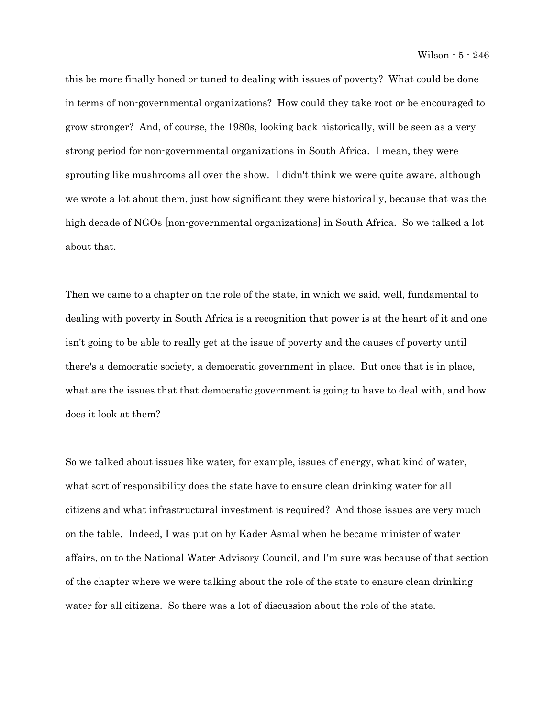this be more finally honed or tuned to dealing with issues of poverty? What could be done in terms of non-governmental organizations? How could they take root or be encouraged to grow stronger? And, of course, the 1980s, looking back historically, will be seen as a very strong period for non-governmental organizations in South Africa. I mean, they were sprouting like mushrooms all over the show. I didn't think we were quite aware, although we wrote a lot about them, just how significant they were historically, because that was the high decade of NGOs [non-governmental organizations] in South Africa. So we talked a lot about that.

Then we came to a chapter on the role of the state, in which we said, well, fundamental to dealing with poverty in South Africa is a recognition that power is at the heart of it and one isn't going to be able to really get at the issue of poverty and the causes of poverty until there's a democratic society, a democratic government in place. But once that is in place, what are the issues that that democratic government is going to have to deal with, and how does it look at them?

So we talked about issues like water, for example, issues of energy, what kind of water, what sort of responsibility does the state have to ensure clean drinking water for all citizens and what infrastructural investment is required? And those issues are very much on the table. Indeed, I was put on by Kader Asmal when he became minister of water affairs, on to the National Water Advisory Council, and I'm sure was because of that section of the chapter where we were talking about the role of the state to ensure clean drinking water for all citizens. So there was a lot of discussion about the role of the state.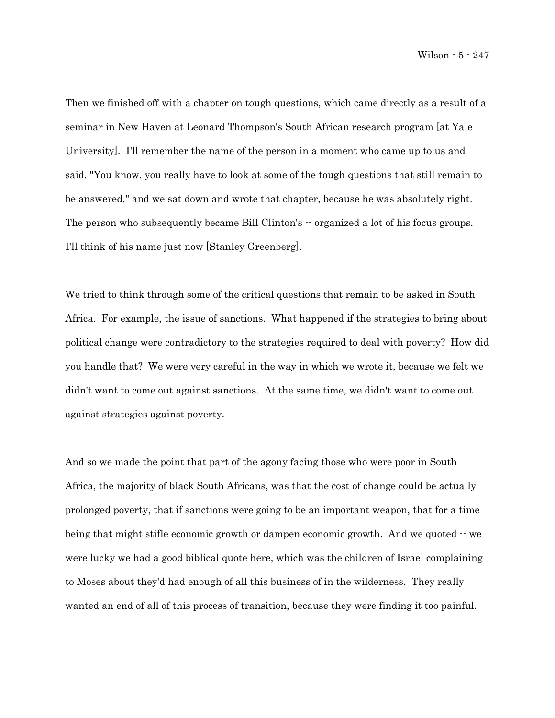Then we finished off with a chapter on tough questions, which came directly as a result of a seminar in New Haven at Leonard Thompson's South African research program [at Yale University]. I'll remember the name of the person in a moment who came up to us and said, "You know, you really have to look at some of the tough questions that still remain to be answered," and we sat down and wrote that chapter, because he was absolutely right. The person who subsequently became Bill Clinton's  $\cdot \cdot$  organized a lot of his focus groups. I'll think of his name just now [Stanley Greenberg].

We tried to think through some of the critical questions that remain to be asked in South Africa. For example, the issue of sanctions. What happened if the strategies to bring about political change were contradictory to the strategies required to deal with poverty? How did you handle that? We were very careful in the way in which we wrote it, because we felt we didn't want to come out against sanctions. At the same time, we didn't want to come out against strategies against poverty.

And so we made the point that part of the agony facing those who were poor in South Africa, the majority of black South Africans, was that the cost of change could be actually prolonged poverty, that if sanctions were going to be an important weapon, that for a time being that might stifle economic growth or dampen economic growth. And we quoted  $-$  we were lucky we had a good biblical quote here, which was the children of Israel complaining to Moses about they'd had enough of all this business of in the wilderness. They really wanted an end of all of this process of transition, because they were finding it too painful.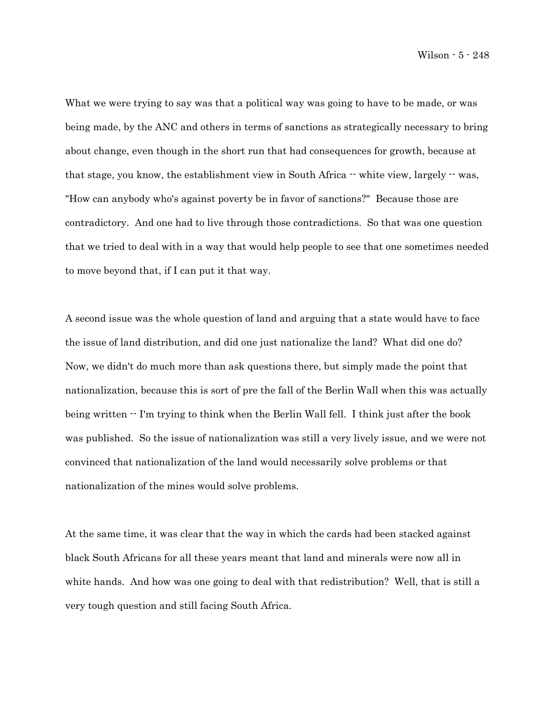What we were trying to say was that a political way was going to have to be made, or was being made, by the ANC and others in terms of sanctions as strategically necessary to bring about change, even though in the short run that had consequences for growth, because at that stage, you know, the establishment view in South Africa  $-$  white view, largely  $-$  was, "How can anybody who's against poverty be in favor of sanctions?" Because those are contradictory. And one had to live through those contradictions. So that was one question that we tried to deal with in a way that would help people to see that one sometimes needed to move beyond that, if I can put it that way.

A second issue was the whole question of land and arguing that a state would have to face the issue of land distribution, and did one just nationalize the land? What did one do? Now, we didn't do much more than ask questions there, but simply made the point that nationalization, because this is sort of pre the fall of the Berlin Wall when this was actually being written -- I'm trying to think when the Berlin Wall fell. I think just after the book was published. So the issue of nationalization was still a very lively issue, and we were not convinced that nationalization of the land would necessarily solve problems or that nationalization of the mines would solve problems.

At the same time, it was clear that the way in which the cards had been stacked against black South Africans for all these years meant that land and minerals were now all in white hands. And how was one going to deal with that redistribution? Well, that is still a very tough question and still facing South Africa.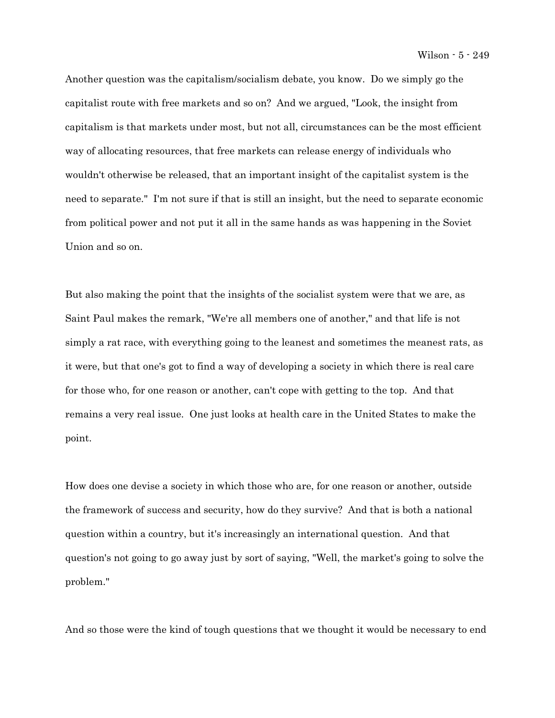Wilson - 5 - 249

Another question was the capitalism/socialism debate, you know. Do we simply go the capitalist route with free markets and so on? And we argued, "Look, the insight from capitalism is that markets under most, but not all, circumstances can be the most efficient way of allocating resources, that free markets can release energy of individuals who wouldn't otherwise be released, that an important insight of the capitalist system is the need to separate." I'm not sure if that is still an insight, but the need to separate economic from political power and not put it all in the same hands as was happening in the Soviet Union and so on.

But also making the point that the insights of the socialist system were that we are, as Saint Paul makes the remark, "We're all members one of another," and that life is not simply a rat race, with everything going to the leanest and sometimes the meanest rats, as it were, but that one's got to find a way of developing a society in which there is real care for those who, for one reason or another, can't cope with getting to the top. And that remains a very real issue. One just looks at health care in the United States to make the point.

How does one devise a society in which those who are, for one reason or another, outside the framework of success and security, how do they survive? And that is both a national question within a country, but it's increasingly an international question. And that question's not going to go away just by sort of saying, "Well, the market's going to solve the problem."

And so those were the kind of tough questions that we thought it would be necessary to end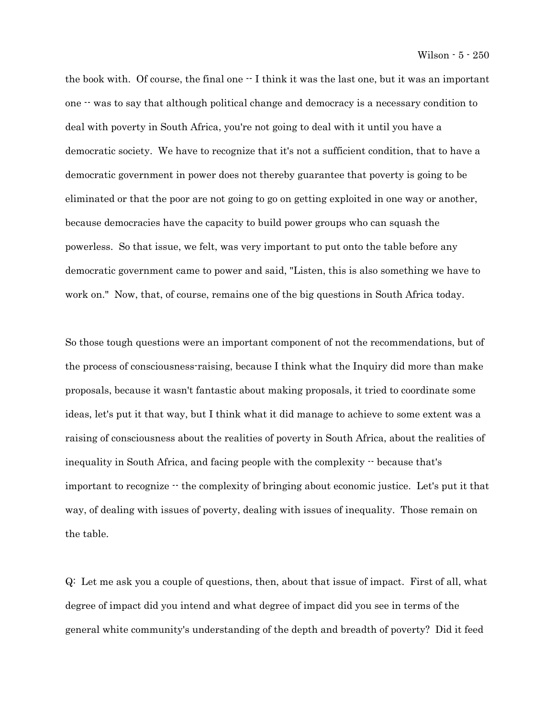the book with. Of course, the final one  $-$  I think it was the last one, but it was an important one -- was to say that although political change and democracy is a necessary condition to deal with poverty in South Africa, you're not going to deal with it until you have a democratic society. We have to recognize that it's not a sufficient condition, that to have a democratic government in power does not thereby guarantee that poverty is going to be eliminated or that the poor are not going to go on getting exploited in one way or another, because democracies have the capacity to build power groups who can squash the powerless. So that issue, we felt, was very important to put onto the table before any democratic government came to power and said, "Listen, this is also something we have to work on." Now, that, of course, remains one of the big questions in South Africa today.

So those tough questions were an important component of not the recommendations, but of the process of consciousness-raising, because I think what the Inquiry did more than make proposals, because it wasn't fantastic about making proposals, it tried to coordinate some ideas, let's put it that way, but I think what it did manage to achieve to some extent was a raising of consciousness about the realities of poverty in South Africa, about the realities of inequality in South Africa, and facing people with the complexity -- because that's important to recognize -- the complexity of bringing about economic justice. Let's put it that way, of dealing with issues of poverty, dealing with issues of inequality. Those remain on the table.

Q: Let me ask you a couple of questions, then, about that issue of impact. First of all, what degree of impact did you intend and what degree of impact did you see in terms of the general white community's understanding of the depth and breadth of poverty? Did it feed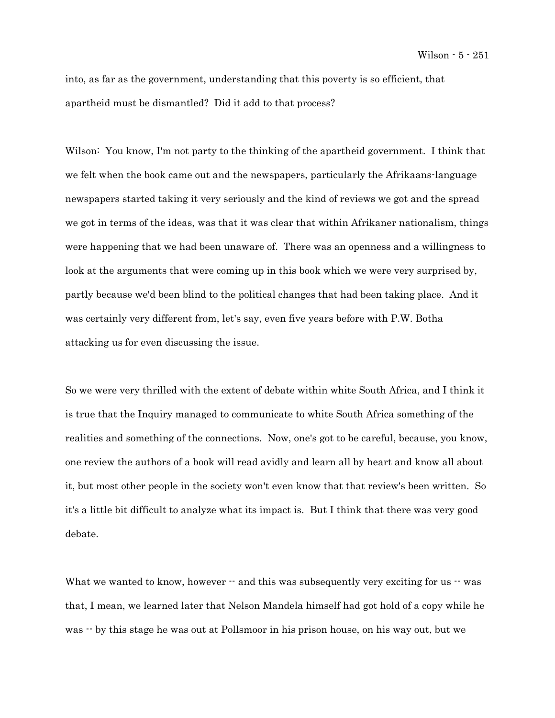into, as far as the government, understanding that this poverty is so efficient, that apartheid must be dismantled? Did it add to that process?

Wilson: You know, I'm not party to the thinking of the apartheid government. I think that we felt when the book came out and the newspapers, particularly the Afrikaans-language newspapers started taking it very seriously and the kind of reviews we got and the spread we got in terms of the ideas, was that it was clear that within Afrikaner nationalism, things were happening that we had been unaware of. There was an openness and a willingness to look at the arguments that were coming up in this book which we were very surprised by, partly because we'd been blind to the political changes that had been taking place. And it was certainly very different from, let's say, even five years before with P.W. Botha attacking us for even discussing the issue.

So we were very thrilled with the extent of debate within white South Africa, and I think it is true that the Inquiry managed to communicate to white South Africa something of the realities and something of the connections. Now, one's got to be careful, because, you know, one review the authors of a book will read avidly and learn all by heart and know all about it, but most other people in the society won't even know that that review's been written. So it's a little bit difficult to analyze what its impact is. But I think that there was very good debate.

What we wanted to know, however  $\cdot$  and this was subsequently very exciting for us  $\cdot$  was that, I mean, we learned later that Nelson Mandela himself had got hold of a copy while he was  $\cdot$  by this stage he was out at Pollsmoor in his prison house, on his way out, but we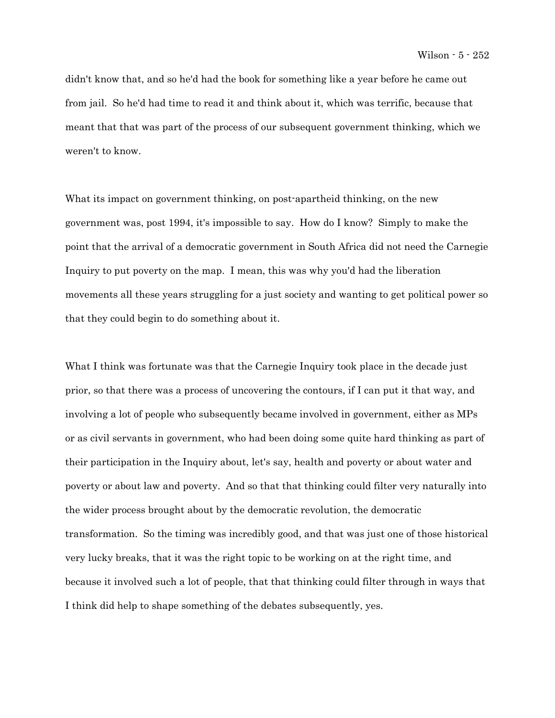didn't know that, and so he'd had the book for something like a year before he came out from jail. So he'd had time to read it and think about it, which was terrific, because that meant that that was part of the process of our subsequent government thinking, which we weren't to know.

What its impact on government thinking, on post-apartheid thinking, on the new government was, post 1994, it's impossible to say. How do I know? Simply to make the point that the arrival of a democratic government in South Africa did not need the Carnegie Inquiry to put poverty on the map. I mean, this was why you'd had the liberation movements all these years struggling for a just society and wanting to get political power so that they could begin to do something about it.

What I think was fortunate was that the Carnegie Inquiry took place in the decade just prior, so that there was a process of uncovering the contours, if I can put it that way, and involving a lot of people who subsequently became involved in government, either as MPs or as civil servants in government, who had been doing some quite hard thinking as part of their participation in the Inquiry about, let's say, health and poverty or about water and poverty or about law and poverty. And so that that thinking could filter very naturally into the wider process brought about by the democratic revolution, the democratic transformation. So the timing was incredibly good, and that was just one of those historical very lucky breaks, that it was the right topic to be working on at the right time, and because it involved such a lot of people, that that thinking could filter through in ways that I think did help to shape something of the debates subsequently, yes.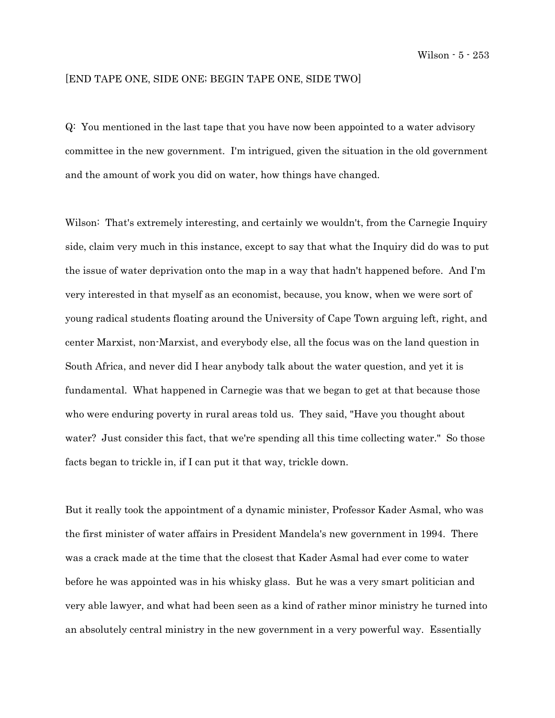## [END TAPE ONE, SIDE ONE; BEGIN TAPE ONE, SIDE TWO]

Q: You mentioned in the last tape that you have now been appointed to a water advisory committee in the new government. I'm intrigued, given the situation in the old government and the amount of work you did on water, how things have changed.

Wilson: That's extremely interesting, and certainly we wouldn't, from the Carnegie Inquiry side, claim very much in this instance, except to say that what the Inquiry did do was to put the issue of water deprivation onto the map in a way that hadn't happened before. And I'm very interested in that myself as an economist, because, you know, when we were sort of young radical students floating around the University of Cape Town arguing left, right, and center Marxist, non-Marxist, and everybody else, all the focus was on the land question in South Africa, and never did I hear anybody talk about the water question, and yet it is fundamental. What happened in Carnegie was that we began to get at that because those who were enduring poverty in rural areas told us. They said, "Have you thought about water? Just consider this fact, that we're spending all this time collecting water." So those facts began to trickle in, if I can put it that way, trickle down.

But it really took the appointment of a dynamic minister, Professor Kader Asmal, who was the first minister of water affairs in President Mandela's new government in 1994. There was a crack made at the time that the closest that Kader Asmal had ever come to water before he was appointed was in his whisky glass. But he was a very smart politician and very able lawyer, and what had been seen as a kind of rather minor ministry he turned into an absolutely central ministry in the new government in a very powerful way. Essentially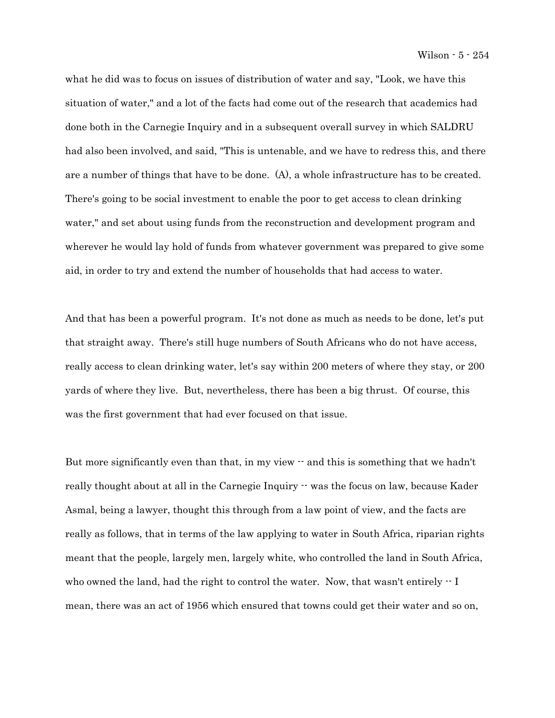what he did was to focus on issues of distribution of water and say, "Look, we have this situation of water," and a lot of the facts had come out of the research that academics had done both in the Carnegie Inquiry and in a subsequent overall survey in which SALDRU had also been involved, and said, "This is untenable, and we have to redress this, and there are a number of things that have to be done. (A), a whole infrastructure has to be created. There's going to be social investment to enable the poor to get access to clean drinking water," and set about using funds from the reconstruction and development program and wherever he would lay hold of funds from whatever government was prepared to give some aid, in order to try and extend the number of households that had access to water.

And that has been a powerful program. It's not done as much as needs to be done, let's put that straight away. There's still huge numbers of South Africans who do not have access, really access to clean drinking water, let's say within 200 meters of where they stay, or 200 yards of where they live. But, nevertheless, there has been a big thrust. Of course, this was the first government that had ever focused on that issue.

But more significantly even than that, in my view  $\cdot$  and this is something that we hadn't really thought about at all in the Carnegie Inquiry  $\cdot$  was the focus on law, because Kader Asmal, being a lawyer, thought this through from a law point of view, and the facts are really as follows, that in terms of the law applying to water in South Africa, riparian rights meant that the people, largely men, largely white, who controlled the land in South Africa, who owned the land, had the right to control the water. Now, that wasn't entirely  $\cdot$  I mean, there was an act of 1956 which ensured that towns could get their water and so on,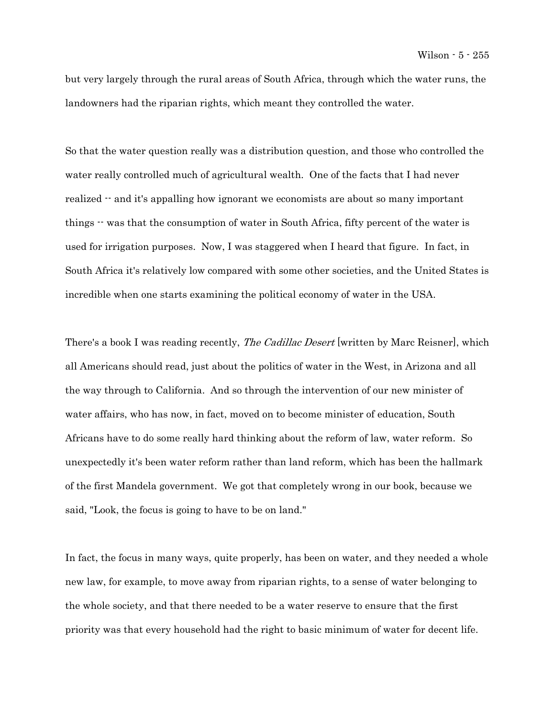but very largely through the rural areas of South Africa, through which the water runs, the landowners had the riparian rights, which meant they controlled the water.

So that the water question really was a distribution question, and those who controlled the water really controlled much of agricultural wealth. One of the facts that I had never realized  $\cdot$  and it's appalling how ignorant we economists are about so many important things  $\cdot$  was that the consumption of water in South Africa, fifty percent of the water is used for irrigation purposes. Now, I was staggered when I heard that figure. In fact, in South Africa it's relatively low compared with some other societies, and the United States is incredible when one starts examining the political economy of water in the USA.

There's a book I was reading recently, *The Cadillac Desert* [written by Marc Reisner], which all Americans should read, just about the politics of water in the West, in Arizona and all the way through to California. And so through the intervention of our new minister of water affairs, who has now, in fact, moved on to become minister of education, South Africans have to do some really hard thinking about the reform of law, water reform. So unexpectedly it's been water reform rather than land reform, which has been the hallmark of the first Mandela government. We got that completely wrong in our book, because we said, "Look, the focus is going to have to be on land."

In fact, the focus in many ways, quite properly, has been on water, and they needed a whole new law, for example, to move away from riparian rights, to a sense of water belonging to the whole society, and that there needed to be a water reserve to ensure that the first priority was that every household had the right to basic minimum of water for decent life.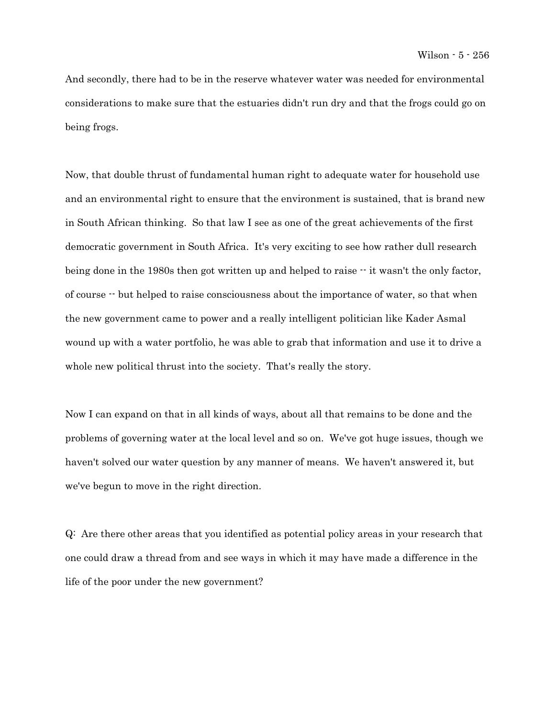And secondly, there had to be in the reserve whatever water was needed for environmental considerations to make sure that the estuaries didn't run dry and that the frogs could go on being frogs.

Now, that double thrust of fundamental human right to adequate water for household use and an environmental right to ensure that the environment is sustained, that is brand new in South African thinking. So that law I see as one of the great achievements of the first democratic government in South Africa. It's very exciting to see how rather dull research being done in the 1980s then got written up and helped to raise  $\cdot \cdot$  it wasn't the only factor, of course -- but helped to raise consciousness about the importance of water, so that when the new government came to power and a really intelligent politician like Kader Asmal wound up with a water portfolio, he was able to grab that information and use it to drive a whole new political thrust into the society. That's really the story.

Now I can expand on that in all kinds of ways, about all that remains to be done and the problems of governing water at the local level and so on. We've got huge issues, though we haven't solved our water question by any manner of means. We haven't answered it, but we've begun to move in the right direction.

Q: Are there other areas that you identified as potential policy areas in your research that one could draw a thread from and see ways in which it may have made a difference in the life of the poor under the new government?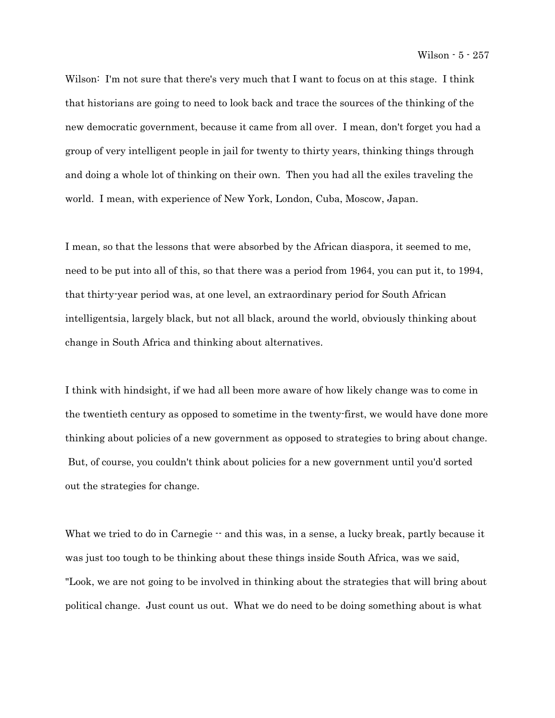Wilson: I'm not sure that there's very much that I want to focus on at this stage. I think that historians are going to need to look back and trace the sources of the thinking of the new democratic government, because it came from all over. I mean, don't forget you had a group of very intelligent people in jail for twenty to thirty years, thinking things through and doing a whole lot of thinking on their own. Then you had all the exiles traveling the world. I mean, with experience of New York, London, Cuba, Moscow, Japan.

I mean, so that the lessons that were absorbed by the African diaspora, it seemed to me, need to be put into all of this, so that there was a period from 1964, you can put it, to 1994, that thirty-year period was, at one level, an extraordinary period for South African intelligentsia, largely black, but not all black, around the world, obviously thinking about change in South Africa and thinking about alternatives.

I think with hindsight, if we had all been more aware of how likely change was to come in the twentieth century as opposed to sometime in the twenty-first, we would have done more thinking about policies of a new government as opposed to strategies to bring about change. But, of course, you couldn't think about policies for a new government until you'd sorted out the strategies for change.

What we tried to do in Carnegie  $-$  and this was, in a sense, a lucky break, partly because it was just too tough to be thinking about these things inside South Africa, was we said, "Look, we are not going to be involved in thinking about the strategies that will bring about political change. Just count us out. What we do need to be doing something about is what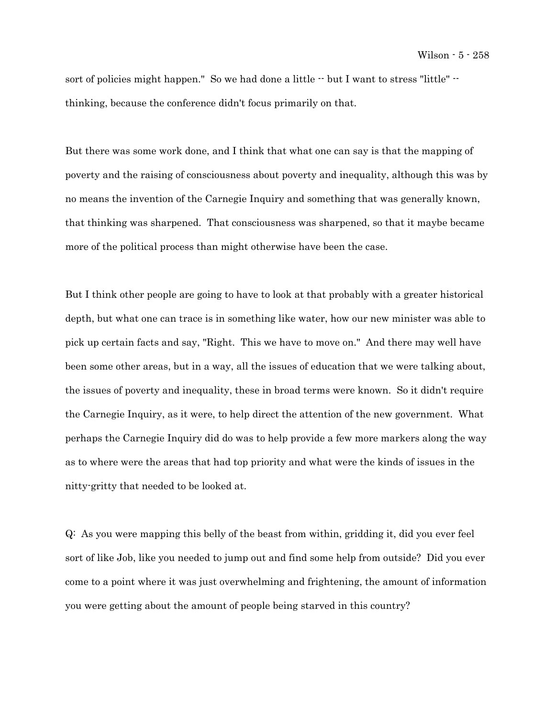sort of policies might happen." So we had done a little  $\cdot$  but I want to stress "little"  $\cdot$ thinking, because the conference didn't focus primarily on that.

But there was some work done, and I think that what one can say is that the mapping of poverty and the raising of consciousness about poverty and inequality, although this was by no means the invention of the Carnegie Inquiry and something that was generally known, that thinking was sharpened. That consciousness was sharpened, so that it maybe became more of the political process than might otherwise have been the case.

But I think other people are going to have to look at that probably with a greater historical depth, but what one can trace is in something like water, how our new minister was able to pick up certain facts and say, "Right. This we have to move on." And there may well have been some other areas, but in a way, all the issues of education that we were talking about, the issues of poverty and inequality, these in broad terms were known. So it didn't require the Carnegie Inquiry, as it were, to help direct the attention of the new government. What perhaps the Carnegie Inquiry did do was to help provide a few more markers along the way as to where were the areas that had top priority and what were the kinds of issues in the nitty-gritty that needed to be looked at.

Q: As you were mapping this belly of the beast from within, gridding it, did you ever feel sort of like Job, like you needed to jump out and find some help from outside? Did you ever come to a point where it was just overwhelming and frightening, the amount of information you were getting about the amount of people being starved in this country?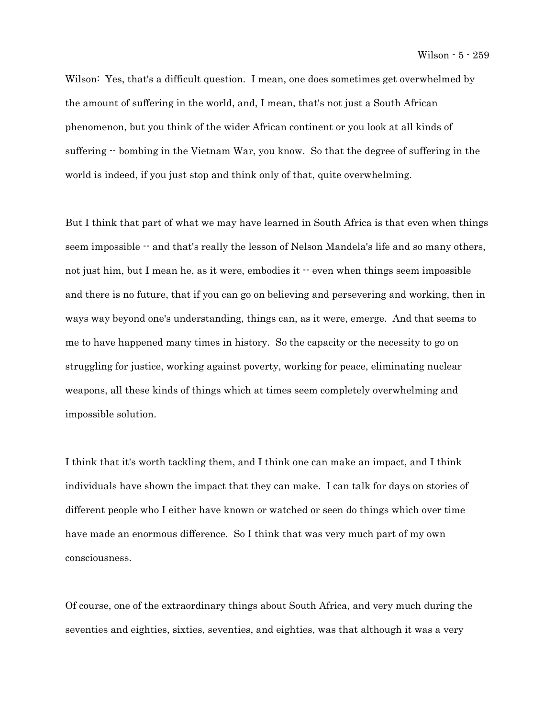Wilson: Yes, that's a difficult question. I mean, one does sometimes get overwhelmed by the amount of suffering in the world, and, I mean, that's not just a South African phenomenon, but you think of the wider African continent or you look at all kinds of suffering  $\cdot$  bombing in the Vietnam War, you know. So that the degree of suffering in the world is indeed, if you just stop and think only of that, quite overwhelming.

But I think that part of what we may have learned in South Africa is that even when things seem impossible  $\cdot$  and that's really the lesson of Nelson Mandela's life and so many others, not just him, but I mean he, as it were, embodies it  $\cdot$  even when things seem impossible and there is no future, that if you can go on believing and persevering and working, then in ways way beyond one's understanding, things can, as it were, emerge. And that seems to me to have happened many times in history. So the capacity or the necessity to go on struggling for justice, working against poverty, working for peace, eliminating nuclear weapons, all these kinds of things which at times seem completely overwhelming and impossible solution.

I think that it's worth tackling them, and I think one can make an impact, and I think individuals have shown the impact that they can make. I can talk for days on stories of different people who I either have known or watched or seen do things which over time have made an enormous difference. So I think that was very much part of my own consciousness.

Of course, one of the extraordinary things about South Africa, and very much during the seventies and eighties, sixties, seventies, and eighties, was that although it was a very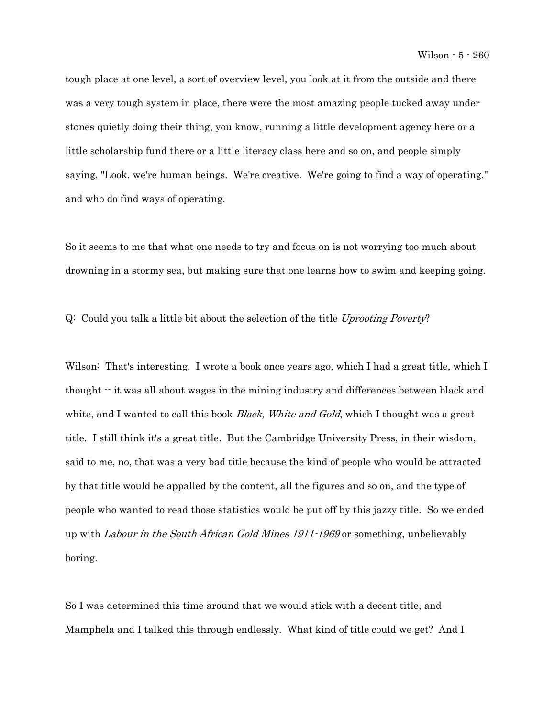tough place at one level, a sort of overview level, you look at it from the outside and there was a very tough system in place, there were the most amazing people tucked away under stones quietly doing their thing, you know, running a little development agency here or a little scholarship fund there or a little literacy class here and so on, and people simply saying, "Look, we're human beings. We're creative. We're going to find a way of operating," and who do find ways of operating.

So it seems to me that what one needs to try and focus on is not worrying too much about drowning in a stormy sea, but making sure that one learns how to swim and keeping going.

Q: Could you talk a little bit about the selection of the title Uprooting Poverty?

Wilson: That's interesting. I wrote a book once years ago, which I had a great title, which I thought -- it was all about wages in the mining industry and differences between black and white, and I wanted to call this book *Black, White and Gold*, which I thought was a great title. I still think it's a great title. But the Cambridge University Press, in their wisdom, said to me, no, that was a very bad title because the kind of people who would be attracted by that title would be appalled by the content, all the figures and so on, and the type of people who wanted to read those statistics would be put off by this jazzy title. So we ended up with Labour in the South African Gold Mines 1911-1969 or something, unbelievably boring.

So I was determined this time around that we would stick with a decent title, and Mamphela and I talked this through endlessly. What kind of title could we get? And I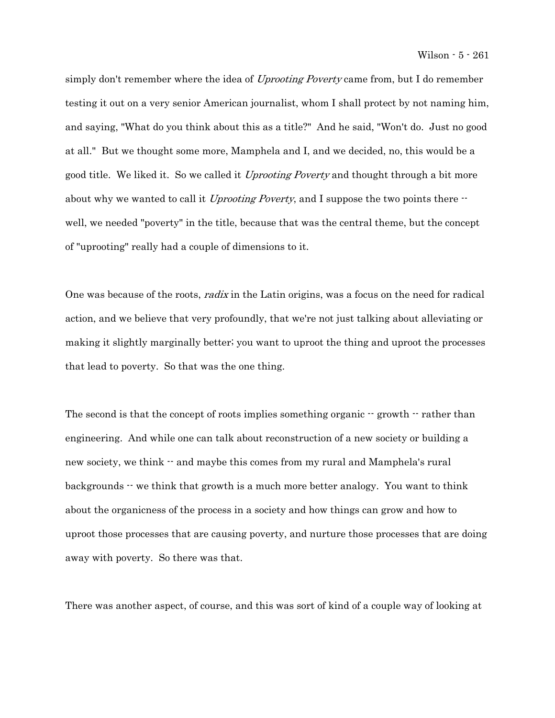simply don't remember where the idea of Uprooting Poverty came from, but I do remember testing it out on a very senior American journalist, whom I shall protect by not naming him, and saying, "What do you think about this as a title?" And he said, "Won't do. Just no good at all." But we thought some more, Mamphela and I, and we decided, no, this would be a good title. We liked it. So we called it *Uprooting Poverty* and thought through a bit more about why we wanted to call it Uprooting Poverty, and I suppose the two points there  $\cdot$ well, we needed "poverty" in the title, because that was the central theme, but the concept of "uprooting" really had a couple of dimensions to it.

One was because of the roots, *radix* in the Latin origins, was a focus on the need for radical action, and we believe that very profoundly, that we're not just talking about alleviating or making it slightly marginally better; you want to uproot the thing and uproot the processes that lead to poverty. So that was the one thing.

The second is that the concept of roots implies something organic  $\cdot$  growth  $\cdot$  rather than engineering. And while one can talk about reconstruction of a new society or building a new society, we think  $-$  and maybe this comes from my rural and Mamphela's rural backgrounds  $\cdot\cdot$  we think that growth is a much more better analogy. You want to think about the organicness of the process in a society and how things can grow and how to uproot those processes that are causing poverty, and nurture those processes that are doing away with poverty. So there was that.

There was another aspect, of course, and this was sort of kind of a couple way of looking at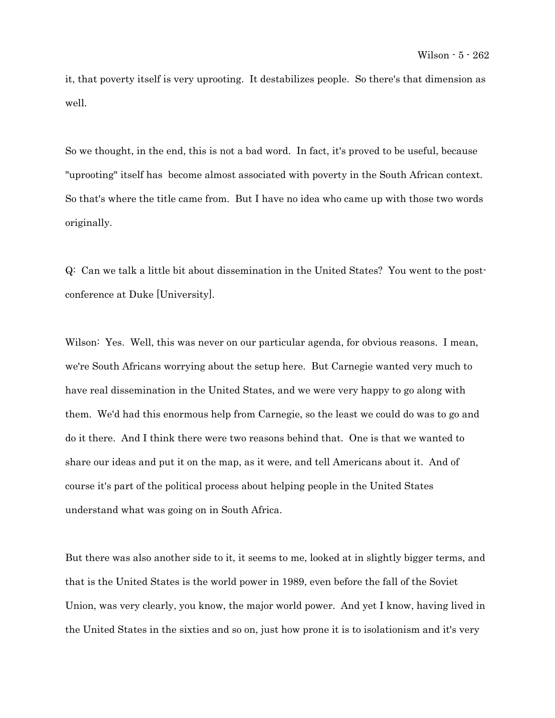it, that poverty itself is very uprooting. It destabilizes people. So there's that dimension as well.

So we thought, in the end, this is not a bad word. In fact, it's proved to be useful, because "uprooting" itself has become almost associated with poverty in the South African context. So that's where the title came from. But I have no idea who came up with those two words originally.

Q: Can we talk a little bit about dissemination in the United States? You went to the postconference at Duke [University].

Wilson: Yes. Well, this was never on our particular agenda, for obvious reasons. I mean, we're South Africans worrying about the setup here. But Carnegie wanted very much to have real dissemination in the United States, and we were very happy to go along with them. We'd had this enormous help from Carnegie, so the least we could do was to go and do it there. And I think there were two reasons behind that. One is that we wanted to share our ideas and put it on the map, as it were, and tell Americans about it. And of course it's part of the political process about helping people in the United States understand what was going on in South Africa.

But there was also another side to it, it seems to me, looked at in slightly bigger terms, and that is the United States is the world power in 1989, even before the fall of the Soviet Union, was very clearly, you know, the major world power. And yet I know, having lived in the United States in the sixties and so on, just how prone it is to isolationism and it's very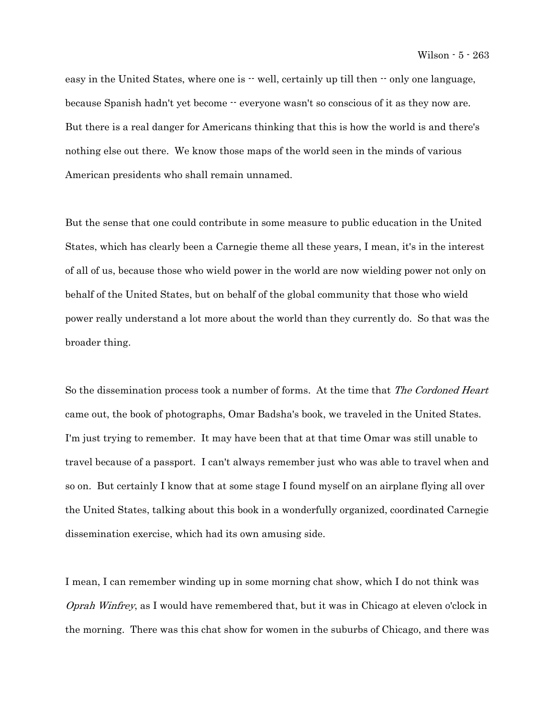easy in the United States, where one is  $\cdot \cdot$  well, certainly up till then  $\cdot \cdot$  only one language, because Spanish hadn't yet become  $\cdot \cdot$  everyone wasn't so conscious of it as they now are. But there is a real danger for Americans thinking that this is how the world is and there's nothing else out there. We know those maps of the world seen in the minds of various American presidents who shall remain unnamed.

But the sense that one could contribute in some measure to public education in the United States, which has clearly been a Carnegie theme all these years, I mean, it's in the interest of all of us, because those who wield power in the world are now wielding power not only on behalf of the United States, but on behalf of the global community that those who wield power really understand a lot more about the world than they currently do. So that was the broader thing.

So the dissemination process took a number of forms. At the time that The Cordoned Heart came out, the book of photographs, Omar Badsha's book, we traveled in the United States. I'm just trying to remember. It may have been that at that time Omar was still unable to travel because of a passport. I can't always remember just who was able to travel when and so on. But certainly I know that at some stage I found myself on an airplane flying all over the United States, talking about this book in a wonderfully organized, coordinated Carnegie dissemination exercise, which had its own amusing side.

I mean, I can remember winding up in some morning chat show, which I do not think was Oprah Winfrey, as I would have remembered that, but it was in Chicago at eleven o'clock in the morning. There was this chat show for women in the suburbs of Chicago, and there was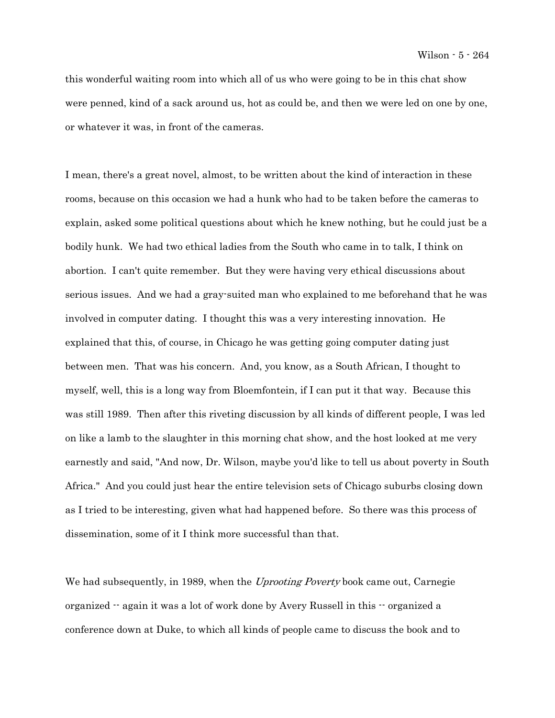this wonderful waiting room into which all of us who were going to be in this chat show were penned, kind of a sack around us, hot as could be, and then we were led on one by one, or whatever it was, in front of the cameras.

I mean, there's a great novel, almost, to be written about the kind of interaction in these rooms, because on this occasion we had a hunk who had to be taken before the cameras to explain, asked some political questions about which he knew nothing, but he could just be a bodily hunk. We had two ethical ladies from the South who came in to talk, I think on abortion. I can't quite remember. But they were having very ethical discussions about serious issues. And we had a gray-suited man who explained to me beforehand that he was involved in computer dating. I thought this was a very interesting innovation. He explained that this, of course, in Chicago he was getting going computer dating just between men. That was his concern. And, you know, as a South African, I thought to myself, well, this is a long way from Bloemfontein, if I can put it that way. Because this was still 1989. Then after this riveting discussion by all kinds of different people, I was led on like a lamb to the slaughter in this morning chat show, and the host looked at me very earnestly and said, "And now, Dr. Wilson, maybe you'd like to tell us about poverty in South Africa." And you could just hear the entire television sets of Chicago suburbs closing down as I tried to be interesting, given what had happened before. So there was this process of dissemination, some of it I think more successful than that.

We had subsequently, in 1989, when the *Uprooting Poverty* book came out, Carnegie organized -- again it was a lot of work done by Avery Russell in this -- organized a conference down at Duke, to which all kinds of people came to discuss the book and to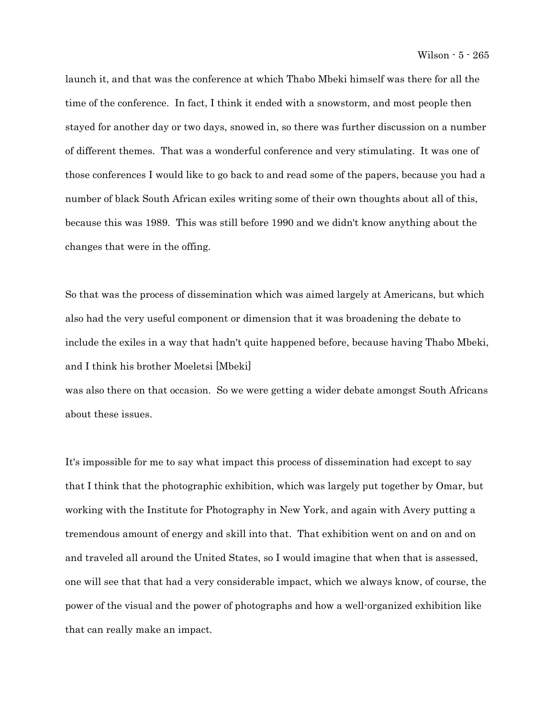launch it, and that was the conference at which Thabo Mbeki himself was there for all the time of the conference. In fact, I think it ended with a snowstorm, and most people then stayed for another day or two days, snowed in, so there was further discussion on a number of different themes. That was a wonderful conference and very stimulating. It was one of those conferences I would like to go back to and read some of the papers, because you had a number of black South African exiles writing some of their own thoughts about all of this, because this was 1989. This was still before 1990 and we didn't know anything about the changes that were in the offing.

So that was the process of dissemination which was aimed largely at Americans, but which also had the very useful component or dimension that it was broadening the debate to include the exiles in a way that hadn't quite happened before, because having Thabo Mbeki, and I think his brother Moeletsi [Mbeki]

was also there on that occasion. So we were getting a wider debate amongst South Africans about these issues.

It's impossible for me to say what impact this process of dissemination had except to say that I think that the photographic exhibition, which was largely put together by Omar, but working with the Institute for Photography in New York, and again with Avery putting a tremendous amount of energy and skill into that. That exhibition went on and on and on and traveled all around the United States, so I would imagine that when that is assessed, one will see that that had a very considerable impact, which we always know, of course, the power of the visual and the power of photographs and how a well-organized exhibition like that can really make an impact.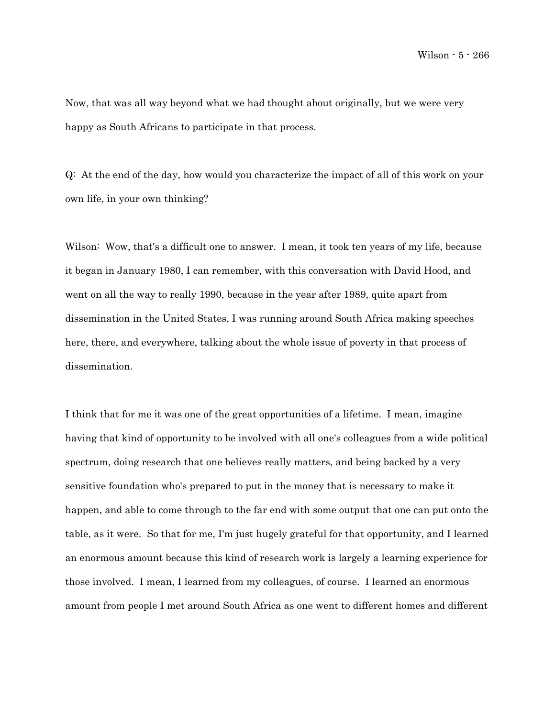Now, that was all way beyond what we had thought about originally, but we were very happy as South Africans to participate in that process.

Q: At the end of the day, how would you characterize the impact of all of this work on your own life, in your own thinking?

Wilson: Wow, that's a difficult one to answer. I mean, it took ten years of my life, because it began in January 1980, I can remember, with this conversation with David Hood, and went on all the way to really 1990, because in the year after 1989, quite apart from dissemination in the United States, I was running around South Africa making speeches here, there, and everywhere, talking about the whole issue of poverty in that process of dissemination.

I think that for me it was one of the great opportunities of a lifetime. I mean, imagine having that kind of opportunity to be involved with all one's colleagues from a wide political spectrum, doing research that one believes really matters, and being backed by a very sensitive foundation who's prepared to put in the money that is necessary to make it happen, and able to come through to the far end with some output that one can put onto the table, as it were. So that for me, I'm just hugely grateful for that opportunity, and I learned an enormous amount because this kind of research work is largely a learning experience for those involved. I mean, I learned from my colleagues, of course. I learned an enormous amount from people I met around South Africa as one went to different homes and different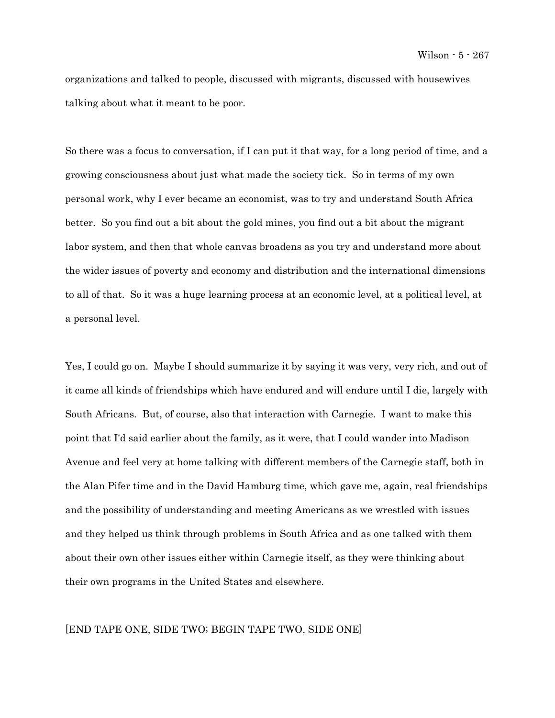organizations and talked to people, discussed with migrants, discussed with housewives talking about what it meant to be poor.

So there was a focus to conversation, if I can put it that way, for a long period of time, and a growing consciousness about just what made the society tick. So in terms of my own personal work, why I ever became an economist, was to try and understand South Africa better. So you find out a bit about the gold mines, you find out a bit about the migrant labor system, and then that whole canvas broadens as you try and understand more about the wider issues of poverty and economy and distribution and the international dimensions to all of that. So it was a huge learning process at an economic level, at a political level, at a personal level.

Yes, I could go on. Maybe I should summarize it by saying it was very, very rich, and out of it came all kinds of friendships which have endured and will endure until I die, largely with South Africans. But, of course, also that interaction with Carnegie. I want to make this point that I'd said earlier about the family, as it were, that I could wander into Madison Avenue and feel very at home talking with different members of the Carnegie staff, both in the Alan Pifer time and in the David Hamburg time, which gave me, again, real friendships and the possibility of understanding and meeting Americans as we wrestled with issues and they helped us think through problems in South Africa and as one talked with them about their own other issues either within Carnegie itself, as they were thinking about their own programs in the United States and elsewhere.

## [END TAPE ONE, SIDE TWO; BEGIN TAPE TWO, SIDE ONE]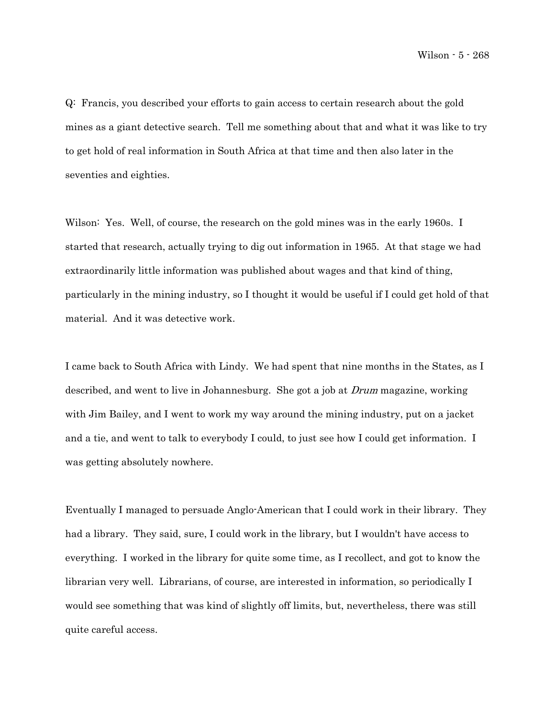Q: Francis, you described your efforts to gain access to certain research about the gold mines as a giant detective search. Tell me something about that and what it was like to try to get hold of real information in South Africa at that time and then also later in the seventies and eighties.

Wilson: Yes. Well, of course, the research on the gold mines was in the early 1960s. I started that research, actually trying to dig out information in 1965. At that stage we had extraordinarily little information was published about wages and that kind of thing, particularly in the mining industry, so I thought it would be useful if I could get hold of that material. And it was detective work.

I came back to South Africa with Lindy. We had spent that nine months in the States, as I described, and went to live in Johannesburg. She got a job at Drum magazine, working with Jim Bailey, and I went to work my way around the mining industry, put on a jacket and a tie, and went to talk to everybody I could, to just see how I could get information. I was getting absolutely nowhere.

Eventually I managed to persuade Anglo-American that I could work in their library. They had a library. They said, sure, I could work in the library, but I wouldn't have access to everything. I worked in the library for quite some time, as I recollect, and got to know the librarian very well. Librarians, of course, are interested in information, so periodically I would see something that was kind of slightly off limits, but, nevertheless, there was still quite careful access.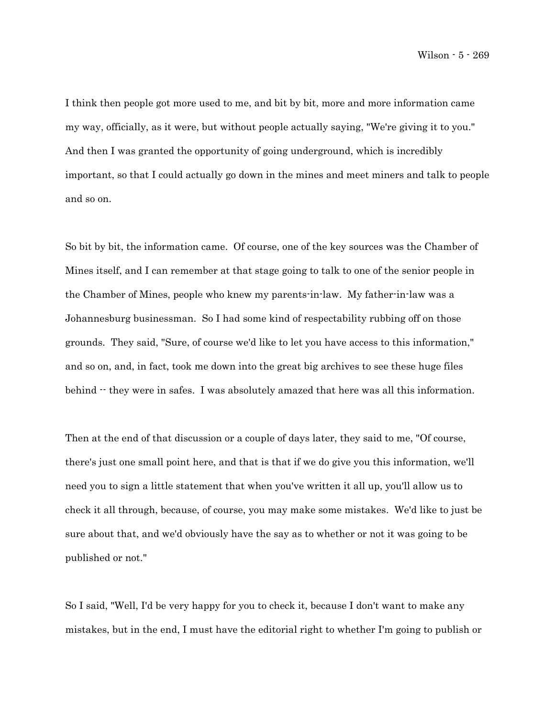I think then people got more used to me, and bit by bit, more and more information came my way, officially, as it were, but without people actually saying, "We're giving it to you." And then I was granted the opportunity of going underground, which is incredibly important, so that I could actually go down in the mines and meet miners and talk to people and so on.

So bit by bit, the information came. Of course, one of the key sources was the Chamber of Mines itself, and I can remember at that stage going to talk to one of the senior people in the Chamber of Mines, people who knew my parents-in-law. My father-in-law was a Johannesburg businessman. So I had some kind of respectability rubbing off on those grounds. They said, "Sure, of course we'd like to let you have access to this information," and so on, and, in fact, took me down into the great big archives to see these huge files behind  $\cdot$  they were in safes. I was absolutely amazed that here was all this information.

Then at the end of that discussion or a couple of days later, they said to me, "Of course, there's just one small point here, and that is that if we do give you this information, we'll need you to sign a little statement that when you've written it all up, you'll allow us to check it all through, because, of course, you may make some mistakes. We'd like to just be sure about that, and we'd obviously have the say as to whether or not it was going to be published or not."

So I said, "Well, I'd be very happy for you to check it, because I don't want to make any mistakes, but in the end, I must have the editorial right to whether I'm going to publish or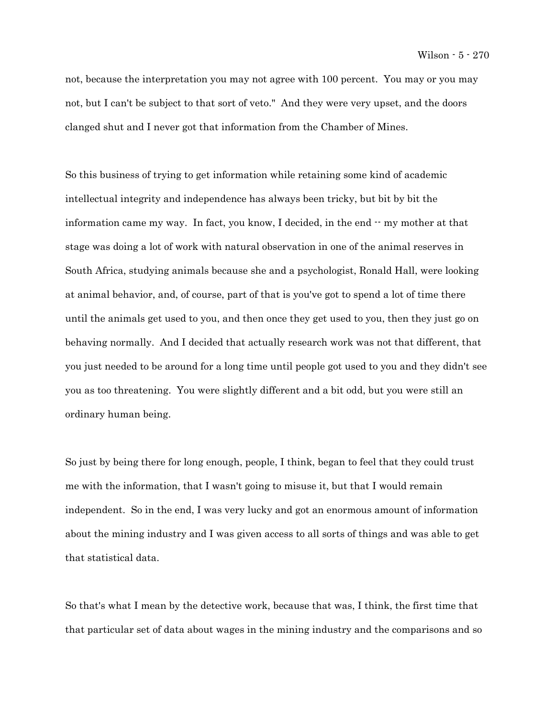not, because the interpretation you may not agree with 100 percent. You may or you may not, but I can't be subject to that sort of veto." And they were very upset, and the doors clanged shut and I never got that information from the Chamber of Mines.

So this business of trying to get information while retaining some kind of academic intellectual integrity and independence has always been tricky, but bit by bit the information came my way. In fact, you know, I decided, in the end -- my mother at that stage was doing a lot of work with natural observation in one of the animal reserves in South Africa, studying animals because she and a psychologist, Ronald Hall, were looking at animal behavior, and, of course, part of that is you've got to spend a lot of time there until the animals get used to you, and then once they get used to you, then they just go on behaving normally. And I decided that actually research work was not that different, that you just needed to be around for a long time until people got used to you and they didn't see you as too threatening. You were slightly different and a bit odd, but you were still an ordinary human being.

So just by being there for long enough, people, I think, began to feel that they could trust me with the information, that I wasn't going to misuse it, but that I would remain independent. So in the end, I was very lucky and got an enormous amount of information about the mining industry and I was given access to all sorts of things and was able to get that statistical data.

So that's what I mean by the detective work, because that was, I think, the first time that that particular set of data about wages in the mining industry and the comparisons and so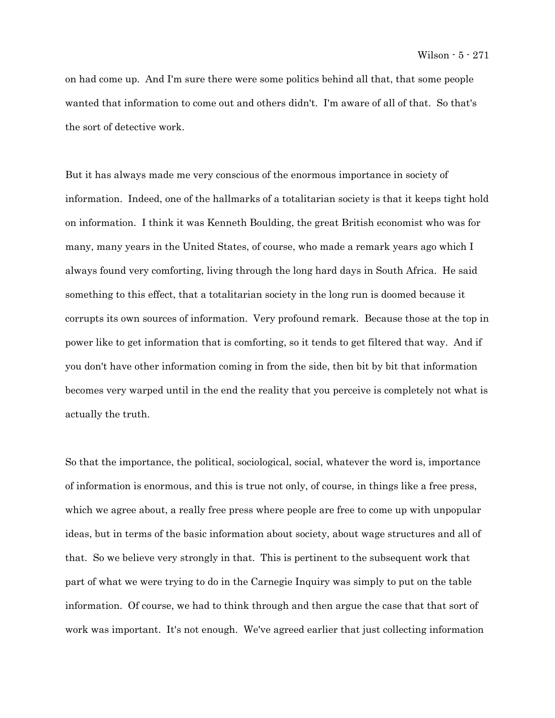on had come up. And I'm sure there were some politics behind all that, that some people wanted that information to come out and others didn't. I'm aware of all of that. So that's the sort of detective work.

But it has always made me very conscious of the enormous importance in society of information. Indeed, one of the hallmarks of a totalitarian society is that it keeps tight hold on information. I think it was Kenneth Boulding, the great British economist who was for many, many years in the United States, of course, who made a remark years ago which I always found very comforting, living through the long hard days in South Africa. He said something to this effect, that a totalitarian society in the long run is doomed because it corrupts its own sources of information. Very profound remark. Because those at the top in power like to get information that is comforting, so it tends to get filtered that way. And if you don't have other information coming in from the side, then bit by bit that information becomes very warped until in the end the reality that you perceive is completely not what is actually the truth.

So that the importance, the political, sociological, social, whatever the word is, importance of information is enormous, and this is true not only, of course, in things like a free press, which we agree about, a really free press where people are free to come up with unpopular ideas, but in terms of the basic information about society, about wage structures and all of that. So we believe very strongly in that. This is pertinent to the subsequent work that part of what we were trying to do in the Carnegie Inquiry was simply to put on the table information. Of course, we had to think through and then argue the case that that sort of work was important. It's not enough. We've agreed earlier that just collecting information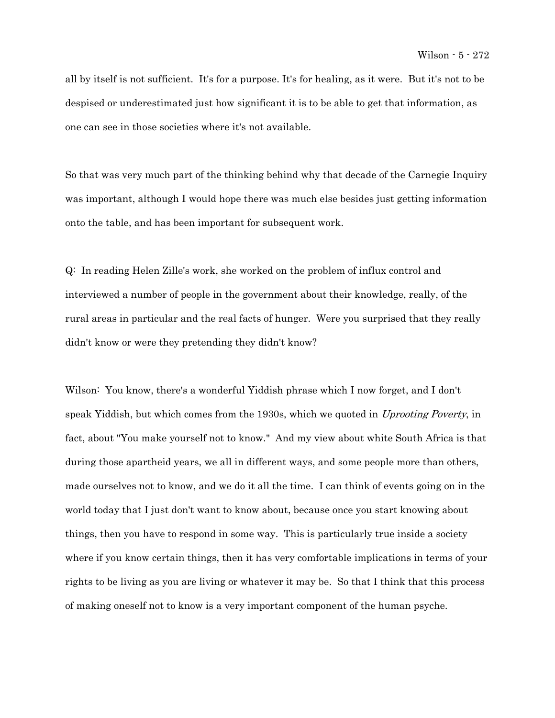all by itself is not sufficient. It's for a purpose. It's for healing, as it were. But it's not to be despised or underestimated just how significant it is to be able to get that information, as one can see in those societies where it's not available.

So that was very much part of the thinking behind why that decade of the Carnegie Inquiry was important, although I would hope there was much else besides just getting information onto the table, and has been important for subsequent work.

Q: In reading Helen Zille's work, she worked on the problem of influx control and interviewed a number of people in the government about their knowledge, really, of the rural areas in particular and the real facts of hunger. Were you surprised that they really didn't know or were they pretending they didn't know?

Wilson: You know, there's a wonderful Yiddish phrase which I now forget, and I don't speak Yiddish, but which comes from the 1930s, which we quoted in *Uprooting Poverty*, in fact, about "You make yourself not to know." And my view about white South Africa is that during those apartheid years, we all in different ways, and some people more than others, made ourselves not to know, and we do it all the time. I can think of events going on in the world today that I just don't want to know about, because once you start knowing about things, then you have to respond in some way. This is particularly true inside a society where if you know certain things, then it has very comfortable implications in terms of your rights to be living as you are living or whatever it may be. So that I think that this process of making oneself not to know is a very important component of the human psyche.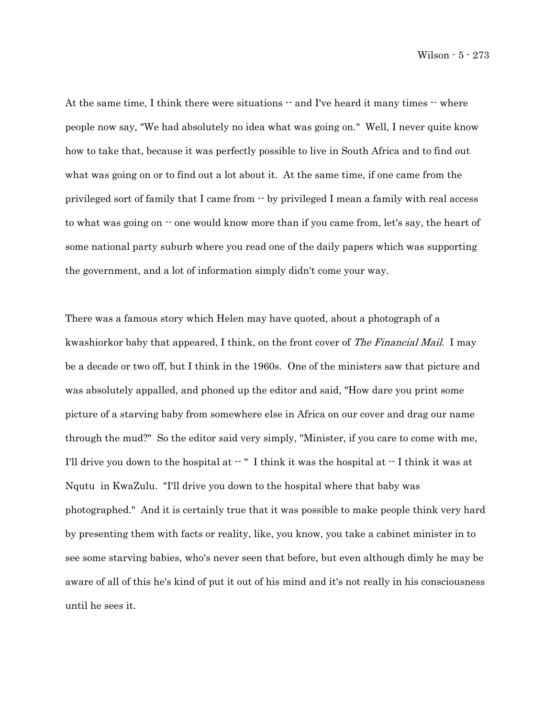Wilson - 5 - 273

At the same time, I think there were situations  $-$  and I've heard it many times  $-$  where people now say, "We had absolutely no idea what was going on." Well, I never quite know how to take that, because it was perfectly possible to live in South Africa and to find out what was going on or to find out a lot about it. At the same time, if one came from the privileged sort of family that I came from  $\cdot \cdot$  by privileged I mean a family with real access to what was going on  $\cdot\cdot$  one would know more than if you came from, let's say, the heart of some national party suburb where you read one of the daily papers which was supporting the government, and a lot of information simply didn't come your way.

There was a famous story which Helen may have quoted, about a photograph of a kwashiorkor baby that appeared, I think, on the front cover of *The Financial Mail.* I may be a decade or two off, but I think in the 1960s. One of the ministers saw that picture and was absolutely appalled, and phoned up the editor and said, "How dare you print some picture of a starving baby from somewhere else in Africa on our cover and drag our name through the mud?" So the editor said very simply, "Minister, if you care to come with me, I'll drive you down to the hospital at  $-$  " I think it was the hospital at  $-$  I think it was at Nqutu in KwaZulu. "I'll drive you down to the hospital where that baby was photographed." And it is certainly true that it was possible to make people think very hard by presenting them with facts or reality, like, you know, you take a cabinet minister in to see some starving babies, who's never seen that before, but even although dimly he may be aware of all of this he's kind of put it out of his mind and it's not really in his consciousness until he sees it.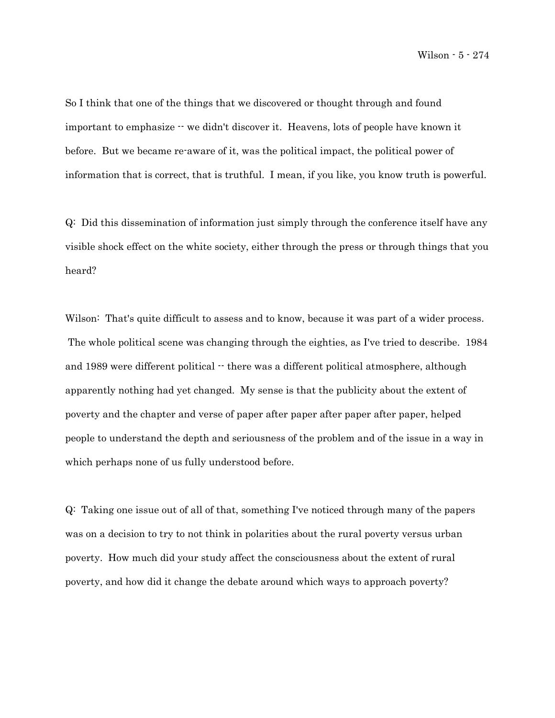So I think that one of the things that we discovered or thought through and found important to emphasize  $\cdot \cdot$  we didn't discover it. Heavens, lots of people have known it before. But we became re-aware of it, was the political impact, the political power of information that is correct, that is truthful. I mean, if you like, you know truth is powerful.

Q: Did this dissemination of information just simply through the conference itself have any visible shock effect on the white society, either through the press or through things that you heard?

Wilson: That's quite difficult to assess and to know, because it was part of a wider process. The whole political scene was changing through the eighties, as I've tried to describe. 1984 and 1989 were different political  $\cdot$  there was a different political atmosphere, although apparently nothing had yet changed. My sense is that the publicity about the extent of poverty and the chapter and verse of paper after paper after paper after paper, helped people to understand the depth and seriousness of the problem and of the issue in a way in which perhaps none of us fully understood before.

Q: Taking one issue out of all of that, something I've noticed through many of the papers was on a decision to try to not think in polarities about the rural poverty versus urban poverty. How much did your study affect the consciousness about the extent of rural poverty, and how did it change the debate around which ways to approach poverty?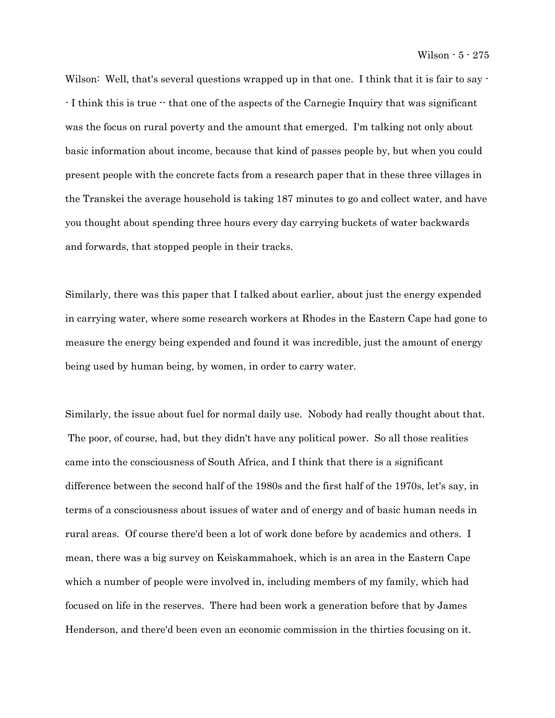Wilson: Well, that's several questions wrapped up in that one. I think that it is fair to say - - I think this is true -- that one of the aspects of the Carnegie Inquiry that was significant was the focus on rural poverty and the amount that emerged. I'm talking not only about basic information about income, because that kind of passes people by, but when you could present people with the concrete facts from a research paper that in these three villages in the Transkei the average household is taking 187 minutes to go and collect water, and have you thought about spending three hours every day carrying buckets of water backwards and forwards, that stopped people in their tracks.

Similarly, there was this paper that I talked about earlier, about just the energy expended in carrying water, where some research workers at Rhodes in the Eastern Cape had gone to measure the energy being expended and found it was incredible, just the amount of energy being used by human being, by women, in order to carry water.

Similarly, the issue about fuel for normal daily use. Nobody had really thought about that. The poor, of course, had, but they didn't have any political power. So all those realities came into the consciousness of South Africa, and I think that there is a significant difference between the second half of the 1980s and the first half of the 1970s, let's say, in terms of a consciousness about issues of water and of energy and of basic human needs in rural areas. Of course there'd been a lot of work done before by academics and others. I mean, there was a big survey on Keiskammahoek, which is an area in the Eastern Cape which a number of people were involved in, including members of my family, which had focused on life in the reserves. There had been work a generation before that by James Henderson, and there'd been even an economic commission in the thirties focusing on it.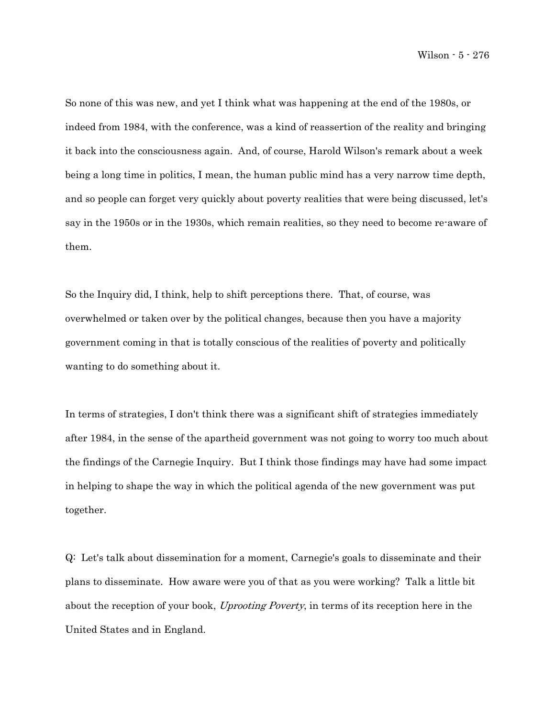So none of this was new, and yet I think what was happening at the end of the 1980s, or indeed from 1984, with the conference, was a kind of reassertion of the reality and bringing it back into the consciousness again. And, of course, Harold Wilson's remark about a week being a long time in politics, I mean, the human public mind has a very narrow time depth, and so people can forget very quickly about poverty realities that were being discussed, let's say in the 1950s or in the 1930s, which remain realities, so they need to become re-aware of them.

So the Inquiry did, I think, help to shift perceptions there. That, of course, was overwhelmed or taken over by the political changes, because then you have a majority government coming in that is totally conscious of the realities of poverty and politically wanting to do something about it.

In terms of strategies, I don't think there was a significant shift of strategies immediately after 1984, in the sense of the apartheid government was not going to worry too much about the findings of the Carnegie Inquiry. But I think those findings may have had some impact in helping to shape the way in which the political agenda of the new government was put together.

Q: Let's talk about dissemination for a moment, Carnegie's goals to disseminate and their plans to disseminate. How aware were you of that as you were working? Talk a little bit about the reception of your book, Uprooting Poverty, in terms of its reception here in the United States and in England.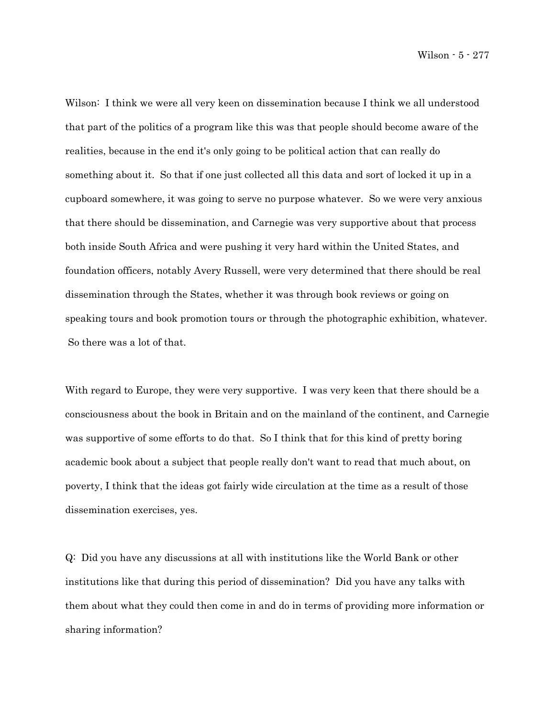Wilson - 5 - 277

Wilson: I think we were all very keen on dissemination because I think we all understood that part of the politics of a program like this was that people should become aware of the realities, because in the end it's only going to be political action that can really do something about it. So that if one just collected all this data and sort of locked it up in a cupboard somewhere, it was going to serve no purpose whatever. So we were very anxious that there should be dissemination, and Carnegie was very supportive about that process both inside South Africa and were pushing it very hard within the United States, and foundation officers, notably Avery Russell, were very determined that there should be real dissemination through the States, whether it was through book reviews or going on speaking tours and book promotion tours or through the photographic exhibition, whatever. So there was a lot of that.

With regard to Europe, they were very supportive. I was very keen that there should be a consciousness about the book in Britain and on the mainland of the continent, and Carnegie was supportive of some efforts to do that. So I think that for this kind of pretty boring academic book about a subject that people really don't want to read that much about, on poverty, I think that the ideas got fairly wide circulation at the time as a result of those dissemination exercises, yes.

Q: Did you have any discussions at all with institutions like the World Bank or other institutions like that during this period of dissemination? Did you have any talks with them about what they could then come in and do in terms of providing more information or sharing information?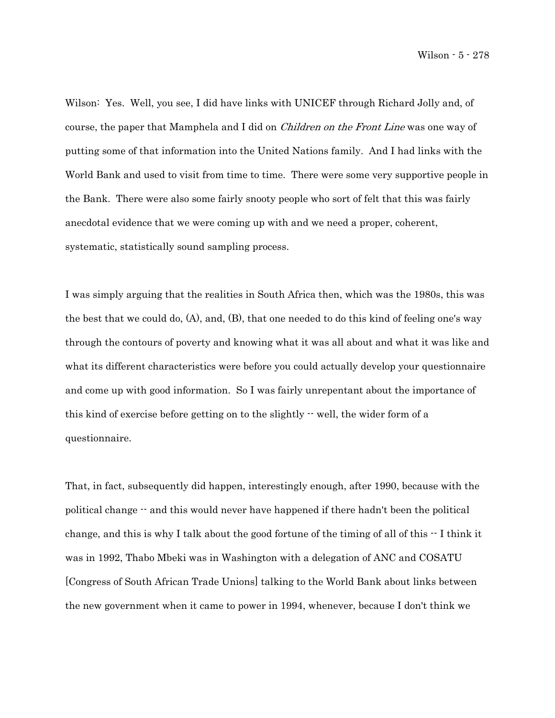Wilson: Yes. Well, you see, I did have links with UNICEF through Richard Jolly and, of course, the paper that Mamphela and I did on *Children on the Front Line* was one way of putting some of that information into the United Nations family. And I had links with the World Bank and used to visit from time to time. There were some very supportive people in the Bank. There were also some fairly snooty people who sort of felt that this was fairly anecdotal evidence that we were coming up with and we need a proper, coherent, systematic, statistically sound sampling process.

I was simply arguing that the realities in South Africa then, which was the 1980s, this was the best that we could do, (A), and, (B), that one needed to do this kind of feeling one's way through the contours of poverty and knowing what it was all about and what it was like and what its different characteristics were before you could actually develop your questionnaire and come up with good information. So I was fairly unrepentant about the importance of this kind of exercise before getting on to the slightly -- well, the wider form of a questionnaire.

That, in fact, subsequently did happen, interestingly enough, after 1990, because with the political change -- and this would never have happened if there hadn't been the political change, and this is why I talk about the good fortune of the timing of all of this  $\cdot$ -I think it was in 1992, Thabo Mbeki was in Washington with a delegation of ANC and COSATU [Congress of South African Trade Unions] talking to the World Bank about links between the new government when it came to power in 1994, whenever, because I don't think we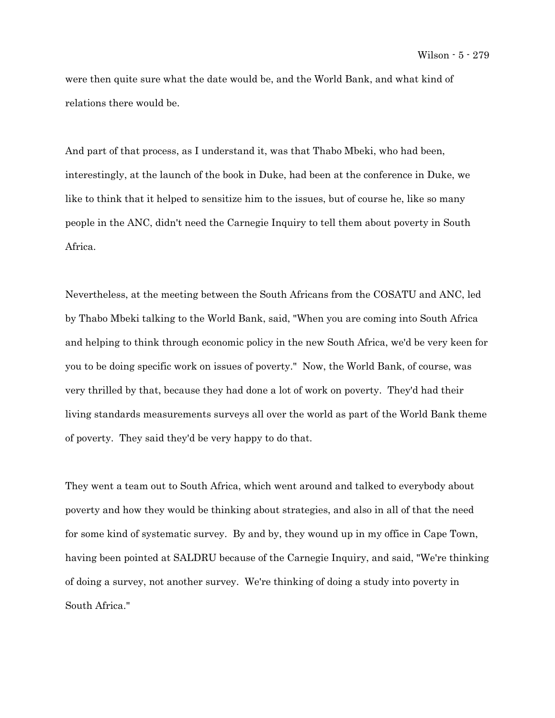were then quite sure what the date would be, and the World Bank, and what kind of relations there would be.

And part of that process, as I understand it, was that Thabo Mbeki, who had been, interestingly, at the launch of the book in Duke, had been at the conference in Duke, we like to think that it helped to sensitize him to the issues, but of course he, like so many people in the ANC, didn't need the Carnegie Inquiry to tell them about poverty in South Africa.

Nevertheless, at the meeting between the South Africans from the COSATU and ANC, led by Thabo Mbeki talking to the World Bank, said, "When you are coming into South Africa and helping to think through economic policy in the new South Africa, we'd be very keen for you to be doing specific work on issues of poverty." Now, the World Bank, of course, was very thrilled by that, because they had done a lot of work on poverty. They'd had their living standards measurements surveys all over the world as part of the World Bank theme of poverty. They said they'd be very happy to do that.

They went a team out to South Africa, which went around and talked to everybody about poverty and how they would be thinking about strategies, and also in all of that the need for some kind of systematic survey. By and by, they wound up in my office in Cape Town, having been pointed at SALDRU because of the Carnegie Inquiry, and said, "We're thinking of doing a survey, not another survey. We're thinking of doing a study into poverty in South Africa."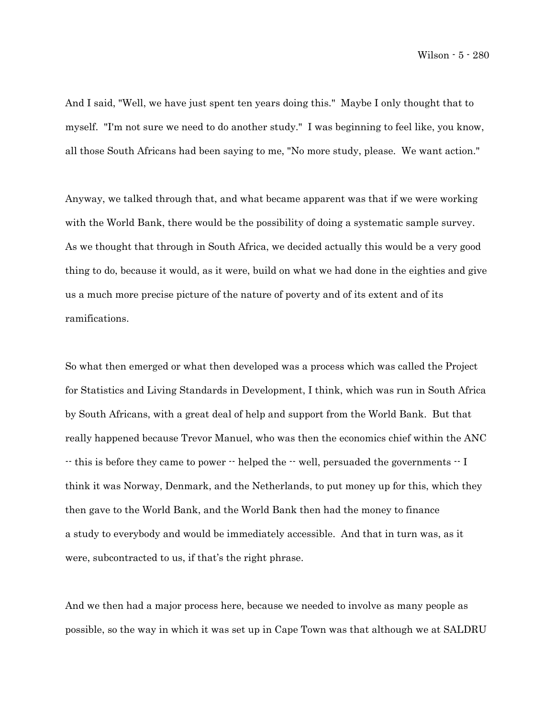And I said, "Well, we have just spent ten years doing this." Maybe I only thought that to myself. "I'm not sure we need to do another study." I was beginning to feel like, you know, all those South Africans had been saying to me, "No more study, please. We want action."

Anyway, we talked through that, and what became apparent was that if we were working with the World Bank, there would be the possibility of doing a systematic sample survey. As we thought that through in South Africa, we decided actually this would be a very good thing to do, because it would, as it were, build on what we had done in the eighties and give us a much more precise picture of the nature of poverty and of its extent and of its ramifications.

So what then emerged or what then developed was a process which was called the Project for Statistics and Living Standards in Development, I think, which was run in South Africa by South Africans, with a great deal of help and support from the World Bank. But that really happened because Trevor Manuel, who was then the economics chief within the ANC -- this is before they came to power -- helped the -- well, persuaded the governments -- I think it was Norway, Denmark, and the Netherlands, to put money up for this, which they then gave to the World Bank, and the World Bank then had the money to finance a study to everybody and would be immediately accessible. And that in turn was, as it were, subcontracted to us, if that's the right phrase.

And we then had a major process here, because we needed to involve as many people as possible, so the way in which it was set up in Cape Town was that although we at SALDRU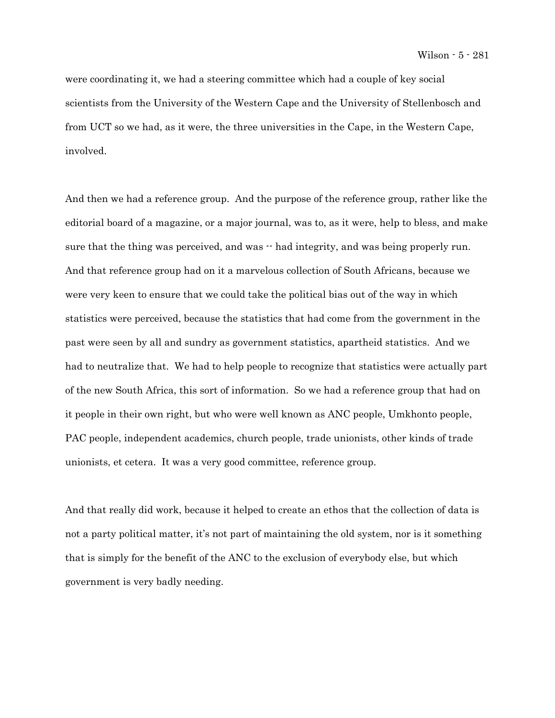were coordinating it, we had a steering committee which had a couple of key social scientists from the University of the Western Cape and the University of Stellenbosch and from UCT so we had, as it were, the three universities in the Cape, in the Western Cape, involved.

And then we had a reference group. And the purpose of the reference group, rather like the editorial board of a magazine, or a major journal, was to, as it were, help to bless, and make sure that the thing was perceived, and was  $\cdot$  had integrity, and was being properly run. And that reference group had on it a marvelous collection of South Africans, because we were very keen to ensure that we could take the political bias out of the way in which statistics were perceived, because the statistics that had come from the government in the past were seen by all and sundry as government statistics, apartheid statistics. And we had to neutralize that. We had to help people to recognize that statistics were actually part of the new South Africa, this sort of information. So we had a reference group that had on it people in their own right, but who were well known as ANC people, Umkhonto people, PAC people, independent academics, church people, trade unionists, other kinds of trade unionists, et cetera. It was a very good committee, reference group.

And that really did work, because it helped to create an ethos that the collection of data is not a party political matter, it's not part of maintaining the old system, nor is it something that is simply for the benefit of the ANC to the exclusion of everybody else, but which government is very badly needing.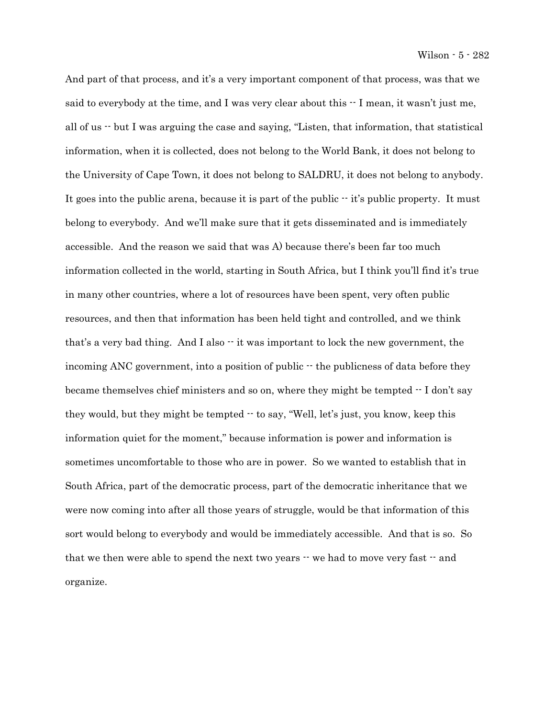And part of that process, and it's a very important component of that process, was that we said to everybody at the time, and I was very clear about this  $\cdot$  I mean, it wasn't just me, all of us -- but I was arguing the case and saying, "Listen, that information, that statistical information, when it is collected, does not belong to the World Bank, it does not belong to the University of Cape Town, it does not belong to SALDRU, it does not belong to anybody. It goes into the public arena, because it is part of the public  $\cdot$  it's public property. It must belong to everybody. And we'll make sure that it gets disseminated and is immediately accessible. And the reason we said that was A) because there's been far too much information collected in the world, starting in South Africa, but I think you'll find it's true in many other countries, where a lot of resources have been spent, very often public resources, and then that information has been held tight and controlled, and we think that's a very bad thing. And I also  $\cdot\cdot$  it was important to lock the new government, the incoming ANC government, into a position of public  $\cdot$  the publicness of data before they became themselves chief ministers and so on, where they might be tempted  $\cdot$  I don't say they would, but they might be tempted  $\cdot$  to say, "Well, let's just, you know, keep this information quiet for the moment," because information is power and information is sometimes uncomfortable to those who are in power. So we wanted to establish that in South Africa, part of the democratic process, part of the democratic inheritance that we were now coming into after all those years of struggle, would be that information of this sort would belong to everybody and would be immediately accessible. And that is so. So that we then were able to spend the next two years  $\cdot \cdot$  we had to move very fast  $\cdot \cdot$  and organize.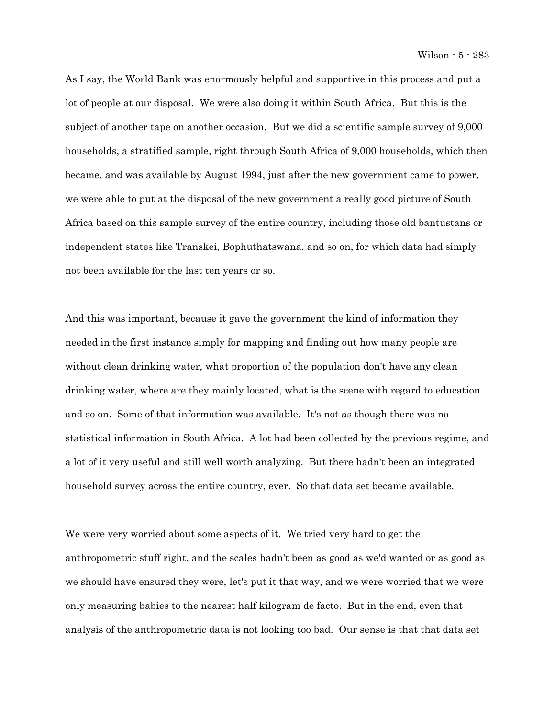As I say, the World Bank was enormously helpful and supportive in this process and put a lot of people at our disposal. We were also doing it within South Africa. But this is the subject of another tape on another occasion. But we did a scientific sample survey of 9,000 households, a stratified sample, right through South Africa of 9,000 households, which then became, and was available by August 1994, just after the new government came to power, we were able to put at the disposal of the new government a really good picture of South Africa based on this sample survey of the entire country, including those old bantustans or independent states like Transkei, Bophuthatswana, and so on, for which data had simply not been available for the last ten years or so.

And this was important, because it gave the government the kind of information they needed in the first instance simply for mapping and finding out how many people are without clean drinking water, what proportion of the population don't have any clean drinking water, where are they mainly located, what is the scene with regard to education and so on. Some of that information was available. It's not as though there was no statistical information in South Africa. A lot had been collected by the previous regime, and a lot of it very useful and still well worth analyzing. But there hadn't been an integrated household survey across the entire country, ever. So that data set became available.

We were very worried about some aspects of it. We tried very hard to get the anthropometric stuff right, and the scales hadn't been as good as we'd wanted or as good as we should have ensured they were, let's put it that way, and we were worried that we were only measuring babies to the nearest half kilogram de facto. But in the end, even that analysis of the anthropometric data is not looking too bad. Our sense is that that data set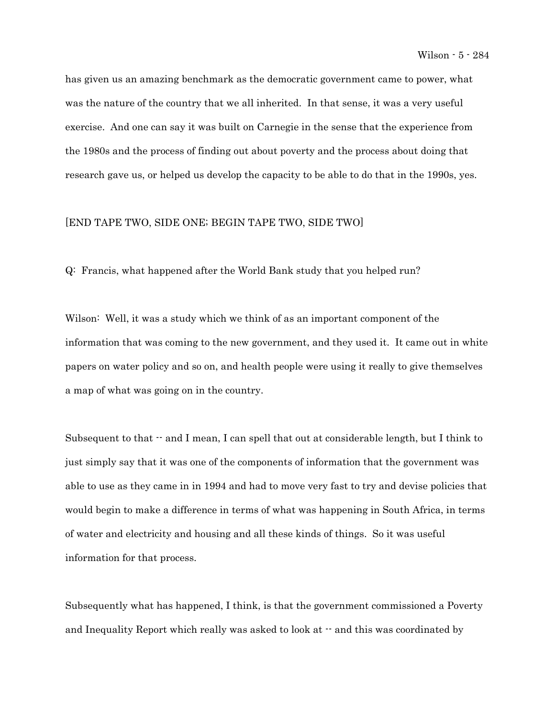has given us an amazing benchmark as the democratic government came to power, what was the nature of the country that we all inherited. In that sense, it was a very useful exercise. And one can say it was built on Carnegie in the sense that the experience from the 1980s and the process of finding out about poverty and the process about doing that research gave us, or helped us develop the capacity to be able to do that in the 1990s, yes.

## [END TAPE TWO, SIDE ONE; BEGIN TAPE TWO, SIDE TWO]

Q: Francis, what happened after the World Bank study that you helped run?

Wilson: Well, it was a study which we think of as an important component of the information that was coming to the new government, and they used it. It came out in white papers on water policy and so on, and health people were using it really to give themselves a map of what was going on in the country.

Subsequent to that  $\cdot$  and I mean, I can spell that out at considerable length, but I think to just simply say that it was one of the components of information that the government was able to use as they came in in 1994 and had to move very fast to try and devise policies that would begin to make a difference in terms of what was happening in South Africa, in terms of water and electricity and housing and all these kinds of things. So it was useful information for that process.

Subsequently what has happened, I think, is that the government commissioned a Poverty and Inequality Report which really was asked to look at -- and this was coordinated by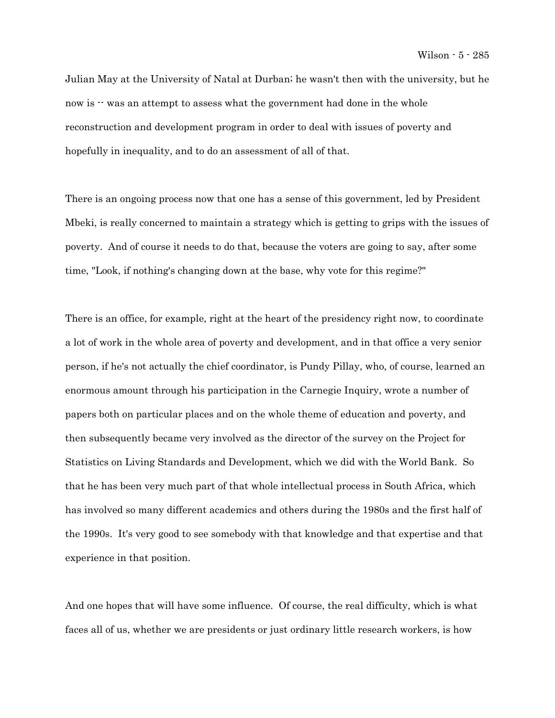Julian May at the University of Natal at Durban; he wasn't then with the university, but he now is  $\cdot$  was an attempt to assess what the government had done in the whole reconstruction and development program in order to deal with issues of poverty and hopefully in inequality, and to do an assessment of all of that.

There is an ongoing process now that one has a sense of this government, led by President Mbeki, is really concerned to maintain a strategy which is getting to grips with the issues of poverty. And of course it needs to do that, because the voters are going to say, after some time, "Look, if nothing's changing down at the base, why vote for this regime?"

There is an office, for example, right at the heart of the presidency right now, to coordinate a lot of work in the whole area of poverty and development, and in that office a very senior person, if he's not actually the chief coordinator, is Pundy Pillay, who, of course, learned an enormous amount through his participation in the Carnegie Inquiry, wrote a number of papers both on particular places and on the whole theme of education and poverty, and then subsequently became very involved as the director of the survey on the Project for Statistics on Living Standards and Development, which we did with the World Bank. So that he has been very much part of that whole intellectual process in South Africa, which has involved so many different academics and others during the 1980s and the first half of the 1990s. It's very good to see somebody with that knowledge and that expertise and that experience in that position.

And one hopes that will have some influence. Of course, the real difficulty, which is what faces all of us, whether we are presidents or just ordinary little research workers, is how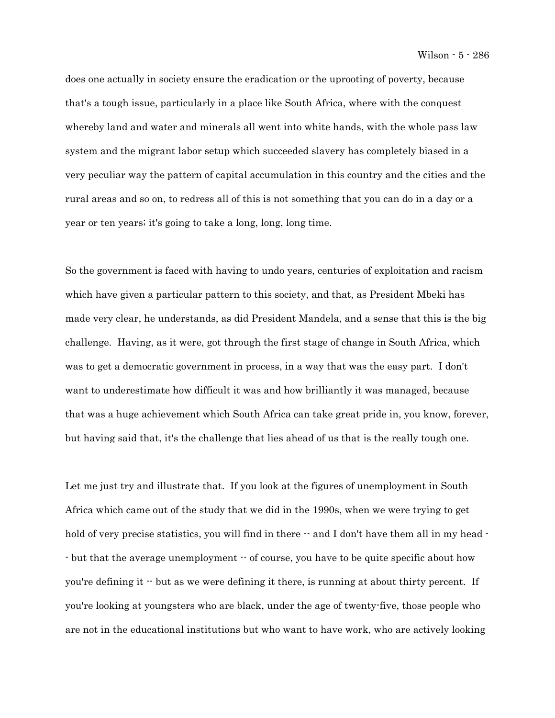does one actually in society ensure the eradication or the uprooting of poverty, because that's a tough issue, particularly in a place like South Africa, where with the conquest whereby land and water and minerals all went into white hands, with the whole pass law system and the migrant labor setup which succeeded slavery has completely biased in a very peculiar way the pattern of capital accumulation in this country and the cities and the rural areas and so on, to redress all of this is not something that you can do in a day or a year or ten years; it's going to take a long, long, long time.

So the government is faced with having to undo years, centuries of exploitation and racism which have given a particular pattern to this society, and that, as President Mbeki has made very clear, he understands, as did President Mandela, and a sense that this is the big challenge. Having, as it were, got through the first stage of change in South Africa, which was to get a democratic government in process, in a way that was the easy part. I don't want to underestimate how difficult it was and how brilliantly it was managed, because that was a huge achievement which South Africa can take great pride in, you know, forever, but having said that, it's the challenge that lies ahead of us that is the really tough one.

Let me just try and illustrate that. If you look at the figures of unemployment in South Africa which came out of the study that we did in the 1990s, when we were trying to get hold of very precise statistics, you will find in there  $\cdot$  and I don't have them all in my head  $\cdot$ - but that the average unemployment -- of course, you have to be quite specific about how you're defining it  $\cdot$  but as we were defining it there, is running at about thirty percent. If you're looking at youngsters who are black, under the age of twenty-five, those people who are not in the educational institutions but who want to have work, who are actively looking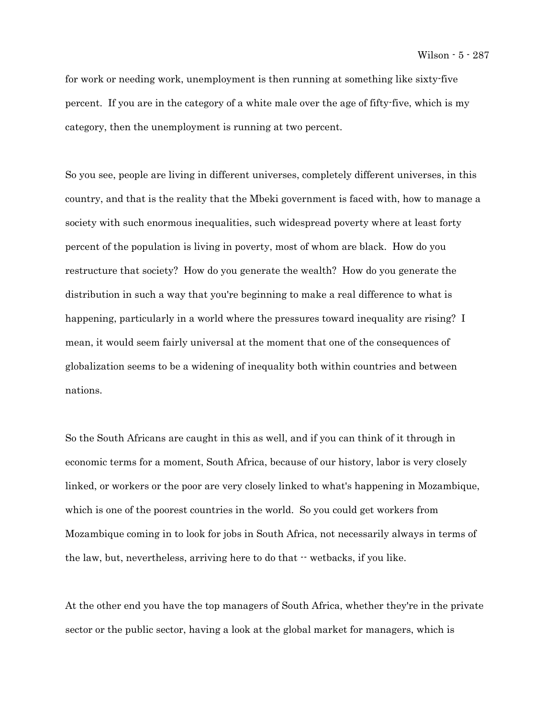for work or needing work, unemployment is then running at something like sixty-five percent. If you are in the category of a white male over the age of fifty-five, which is my category, then the unemployment is running at two percent.

So you see, people are living in different universes, completely different universes, in this country, and that is the reality that the Mbeki government is faced with, how to manage a society with such enormous inequalities, such widespread poverty where at least forty percent of the population is living in poverty, most of whom are black. How do you restructure that society? How do you generate the wealth? How do you generate the distribution in such a way that you're beginning to make a real difference to what is happening, particularly in a world where the pressures toward inequality are rising? I mean, it would seem fairly universal at the moment that one of the consequences of globalization seems to be a widening of inequality both within countries and between nations.

So the South Africans are caught in this as well, and if you can think of it through in economic terms for a moment, South Africa, because of our history, labor is very closely linked, or workers or the poor are very closely linked to what's happening in Mozambique, which is one of the poorest countries in the world. So you could get workers from Mozambique coming in to look for jobs in South Africa, not necessarily always in terms of the law, but, nevertheless, arriving here to do that  $\cdot \cdot$  wetbacks, if you like.

At the other end you have the top managers of South Africa, whether they're in the private sector or the public sector, having a look at the global market for managers, which is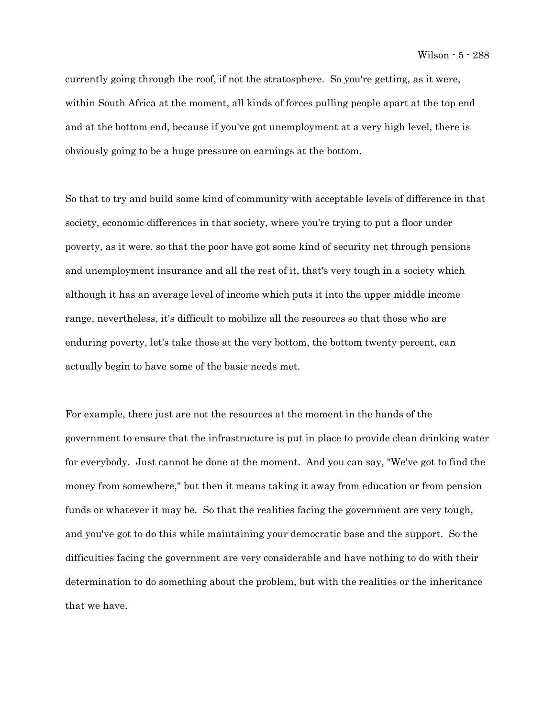currently going through the roof, if not the stratosphere. So you're getting, as it were, within South Africa at the moment, all kinds of forces pulling people apart at the top end and at the bottom end, because if you've got unemployment at a very high level, there is obviously going to be a huge pressure on earnings at the bottom.

So that to try and build some kind of community with acceptable levels of difference in that society, economic differences in that society, where you're trying to put a floor under poverty, as it were, so that the poor have got some kind of security net through pensions and unemployment insurance and all the rest of it, that's very tough in a society which although it has an average level of income which puts it into the upper middle income range, nevertheless, it's difficult to mobilize all the resources so that those who are enduring poverty, let's take those at the very bottom, the bottom twenty percent, can actually begin to have some of the basic needs met.

For example, there just are not the resources at the moment in the hands of the government to ensure that the infrastructure is put in place to provide clean drinking water for everybody. Just cannot be done at the moment. And you can say, "We've got to find the money from somewhere," but then it means taking it away from education or from pension funds or whatever it may be. So that the realities facing the government are very tough, and you've got to do this while maintaining your democratic base and the support. So the difficulties facing the government are very considerable and have nothing to do with their determination to do something about the problem, but with the realities or the inheritance that we have.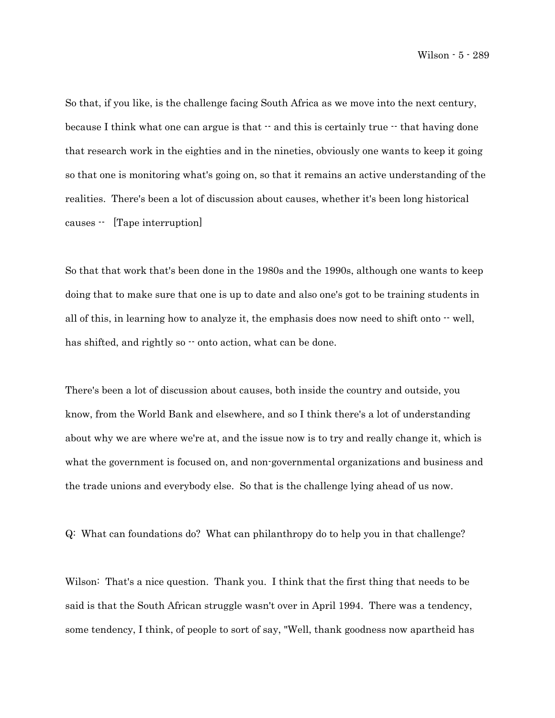So that, if you like, is the challenge facing South Africa as we move into the next century, because I think what one can argue is that  $\cdot$  and this is certainly true  $\cdot$  that having done that research work in the eighties and in the nineties, obviously one wants to keep it going so that one is monitoring what's going on, so that it remains an active understanding of the realities. There's been a lot of discussion about causes, whether it's been long historical causes -- [Tape interruption]

So that that work that's been done in the 1980s and the 1990s, although one wants to keep doing that to make sure that one is up to date and also one's got to be training students in all of this, in learning how to analyze it, the emphasis does now need to shift onto  $\cdot$  well, has shifted, and rightly so  $\cdot \cdot$  onto action, what can be done.

There's been a lot of discussion about causes, both inside the country and outside, you know, from the World Bank and elsewhere, and so I think there's a lot of understanding about why we are where we're at, and the issue now is to try and really change it, which is what the government is focused on, and non-governmental organizations and business and the trade unions and everybody else. So that is the challenge lying ahead of us now.

Q: What can foundations do? What can philanthropy do to help you in that challenge?

Wilson: That's a nice question. Thank you. I think that the first thing that needs to be said is that the South African struggle wasn't over in April 1994. There was a tendency, some tendency, I think, of people to sort of say, "Well, thank goodness now apartheid has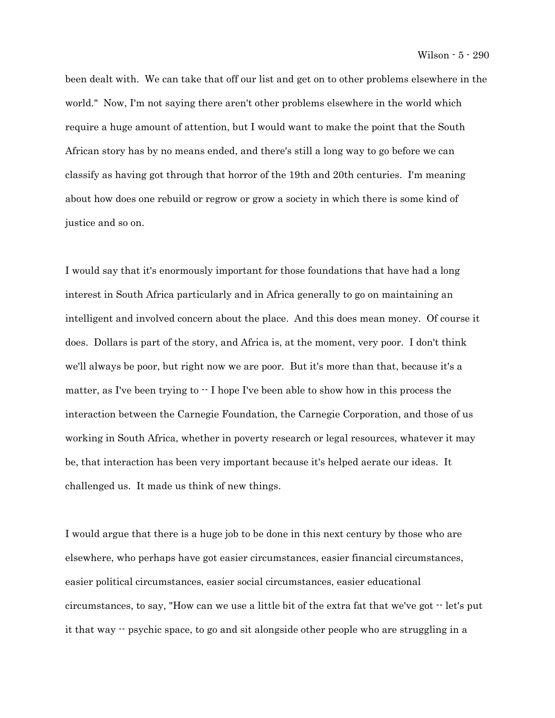been dealt with. We can take that off our list and get on to other problems elsewhere in the world." Now, I'm not saying there aren't other problems elsewhere in the world which require a huge amount of attention, but I would want to make the point that the South African story has by no means ended, and there's still a long way to go before we can classify as having got through that horror of the 19th and 20th centuries. I'm meaning about how does one rebuild or regrow or grow a society in which there is some kind of justice and so on.

I would say that it's enormously important for those foundations that have had a long interest in South Africa particularly and in Africa generally to go on maintaining an intelligent and involved concern about the place. And this does mean money. Of course it does. Dollars is part of the story, and Africa is, at the moment, very poor. I don't think we'll always be poor, but right now we are poor. But it's more than that, because it's a matter, as I've been trying to  $\cdot$  I hope I've been able to show how in this process the interaction between the Carnegie Foundation, the Carnegie Corporation, and those of us working in South Africa, whether in poverty research or legal resources, whatever it may be, that interaction has been very important because it's helped aerate our ideas. It challenged us. It made us think of new things.

I would argue that there is a huge job to be done in this next century by those who are elsewhere, who perhaps have got easier circumstances, easier financial circumstances, easier political circumstances, easier social circumstances, easier educational circumstances, to say, "How can we use a little bit of the extra fat that we've got -- let's put it that way -- psychic space, to go and sit alongside other people who are struggling in a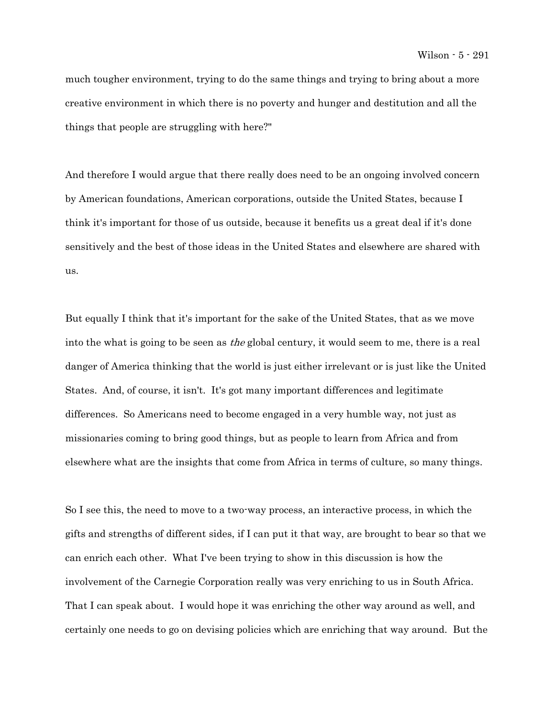much tougher environment, trying to do the same things and trying to bring about a more creative environment in which there is no poverty and hunger and destitution and all the things that people are struggling with here?"

And therefore I would argue that there really does need to be an ongoing involved concern by American foundations, American corporations, outside the United States, because I think it's important for those of us outside, because it benefits us a great deal if it's done sensitively and the best of those ideas in the United States and elsewhere are shared with us.

But equally I think that it's important for the sake of the United States, that as we move into the what is going to be seen as *the* global century, it would seem to me, there is a real danger of America thinking that the world is just either irrelevant or is just like the United States. And, of course, it isn't. It's got many important differences and legitimate differences. So Americans need to become engaged in a very humble way, not just as missionaries coming to bring good things, but as people to learn from Africa and from elsewhere what are the insights that come from Africa in terms of culture, so many things.

So I see this, the need to move to a two-way process, an interactive process, in which the gifts and strengths of different sides, if I can put it that way, are brought to bear so that we can enrich each other. What I've been trying to show in this discussion is how the involvement of the Carnegie Corporation really was very enriching to us in South Africa. That I can speak about. I would hope it was enriching the other way around as well, and certainly one needs to go on devising policies which are enriching that way around. But the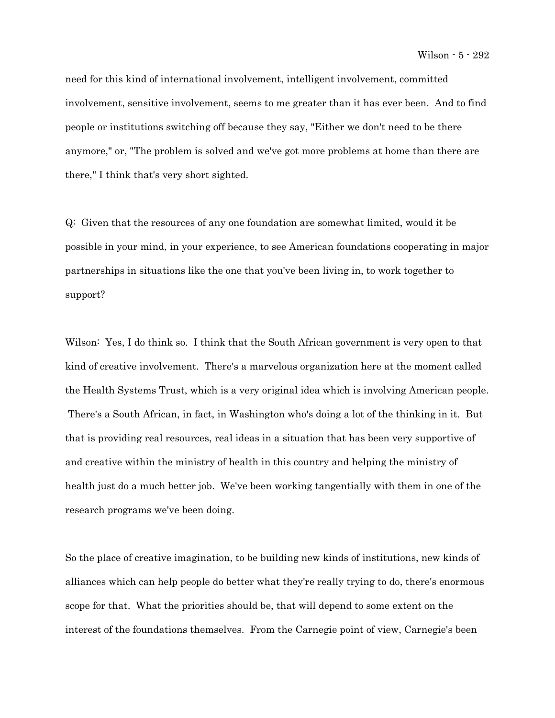need for this kind of international involvement, intelligent involvement, committed involvement, sensitive involvement, seems to me greater than it has ever been. And to find people or institutions switching off because they say, "Either we don't need to be there anymore," or, "The problem is solved and we've got more problems at home than there are there," I think that's very short sighted.

Q: Given that the resources of any one foundation are somewhat limited, would it be possible in your mind, in your experience, to see American foundations cooperating in major partnerships in situations like the one that you've been living in, to work together to support?

Wilson: Yes, I do think so. I think that the South African government is very open to that kind of creative involvement. There's a marvelous organization here at the moment called the Health Systems Trust, which is a very original idea which is involving American people. There's a South African, in fact, in Washington who's doing a lot of the thinking in it. But that is providing real resources, real ideas in a situation that has been very supportive of and creative within the ministry of health in this country and helping the ministry of health just do a much better job. We've been working tangentially with them in one of the research programs we've been doing.

So the place of creative imagination, to be building new kinds of institutions, new kinds of alliances which can help people do better what they're really trying to do, there's enormous scope for that. What the priorities should be, that will depend to some extent on the interest of the foundations themselves. From the Carnegie point of view, Carnegie's been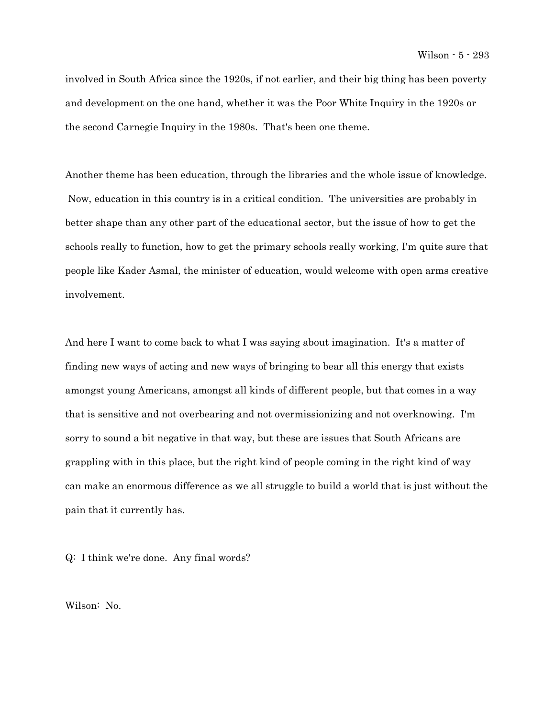involved in South Africa since the 1920s, if not earlier, and their big thing has been poverty and development on the one hand, whether it was the Poor White Inquiry in the 1920s or the second Carnegie Inquiry in the 1980s. That's been one theme.

Another theme has been education, through the libraries and the whole issue of knowledge. Now, education in this country is in a critical condition. The universities are probably in better shape than any other part of the educational sector, but the issue of how to get the schools really to function, how to get the primary schools really working, I'm quite sure that people like Kader Asmal, the minister of education, would welcome with open arms creative involvement.

And here I want to come back to what I was saying about imagination. It's a matter of finding new ways of acting and new ways of bringing to bear all this energy that exists amongst young Americans, amongst all kinds of different people, but that comes in a way that is sensitive and not overbearing and not overmissionizing and not overknowing. I'm sorry to sound a bit negative in that way, but these are issues that South Africans are grappling with in this place, but the right kind of people coming in the right kind of way can make an enormous difference as we all struggle to build a world that is just without the pain that it currently has.

Q: I think we're done. Any final words?

Wilson: No.